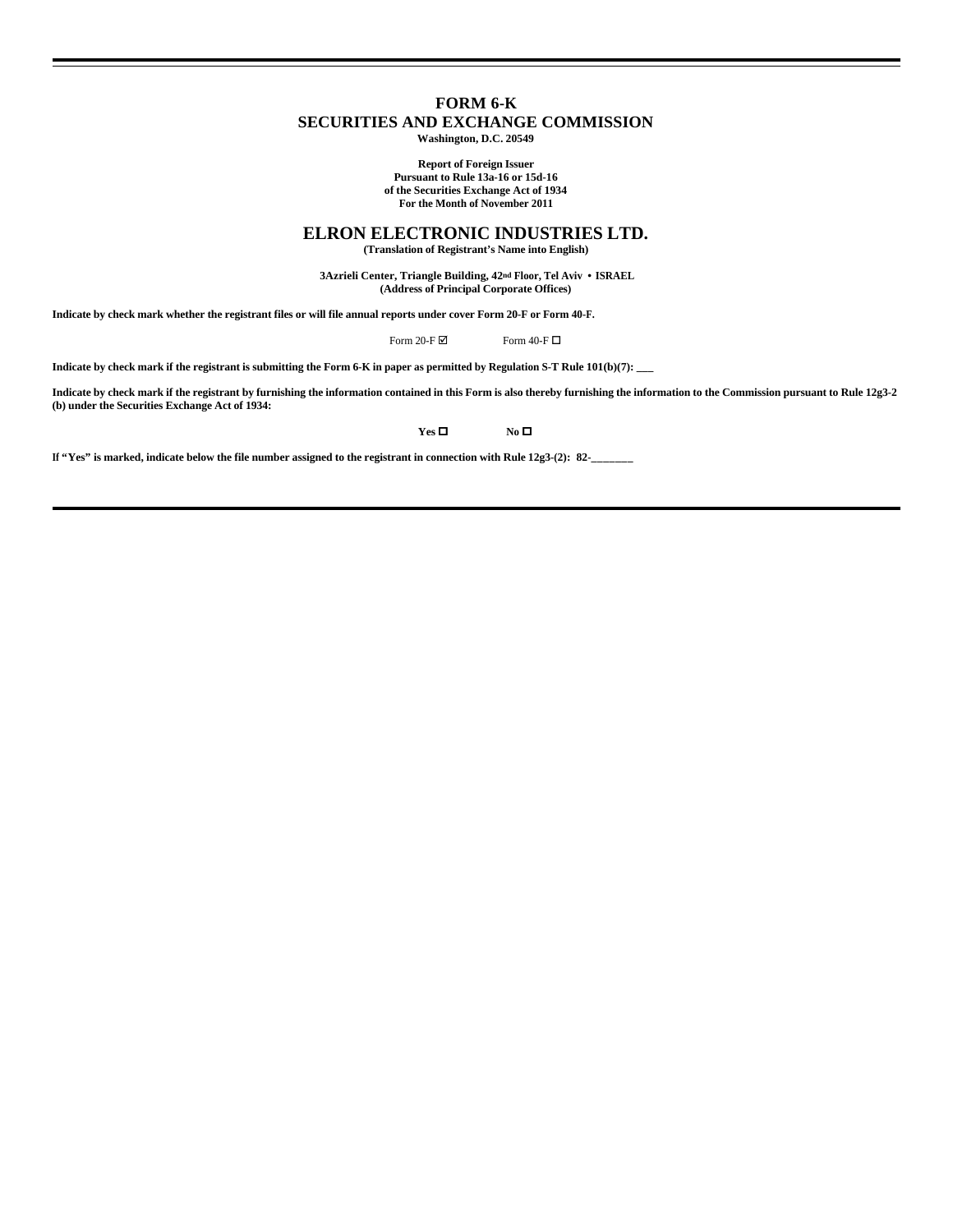# **FORM 6-K SECURITIES AND EXCHANGE COMMISSION**

**Washington, D.C. 20549**

**Report of Foreign Issuer Pursuant to Rule 13a-16 or 15d-16 of the Securities Exchange Act of 1934 For the Month of November 2011**

# **ELRON ELECTRONIC INDUSTRIES LTD.**

**(Translation of Registrant's Name into English)**

 **3Azrieli Center, Triangle Building, 42nd Floor, Tel Aviv • ISRAEL (Address of Principal Corporate Offices)**

**Indicate by check mark whether the registrant files or will file annual reports under cover Form 20-F or Form 40-F.**

Form 20-F  $\boxtimes$  Form 40-F  $\Box$ 

**Indicate by check mark if the registrant is submitting the Form 6-K in paper as permitted by Regulation S-T Rule 101(b)(7): \_\_\_**

**Indicate by check mark if the registrant by furnishing the information contained in this Form is also thereby furnishing the information to the Commission pursuant to Rule 12g3-2 (b) under the Securities Exchange Act of 1934:** 

**Yes O No No O** 

If "Yes" is marked, indicate below the file number assigned to the registrant in connection with Rule 12g3-(2): 82-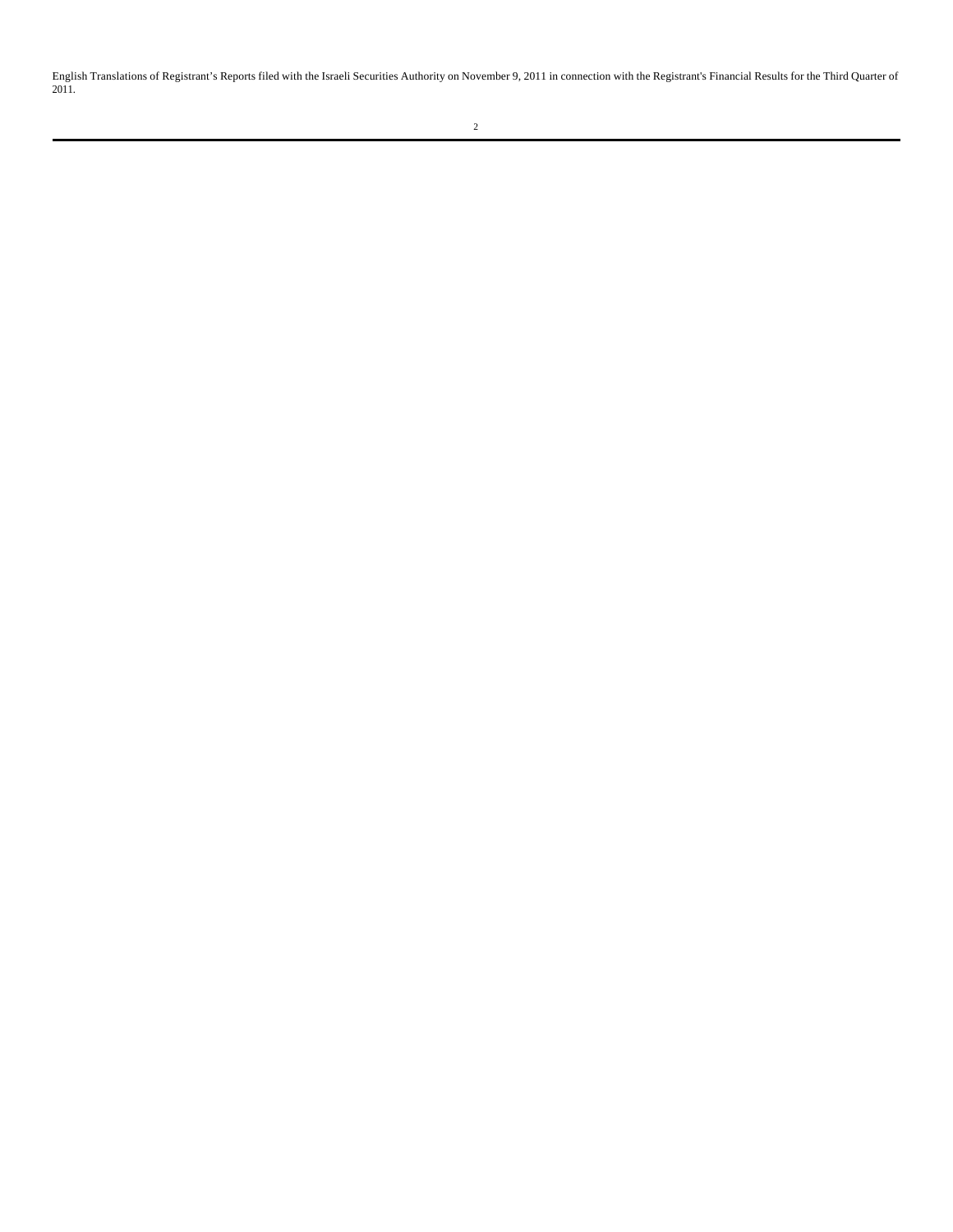English Translations of Registrant's Reports filed with the Israeli Securities Authority on November 9, 2011 in connection with the Registrant's Financial Results for the Third Quarter of 2011.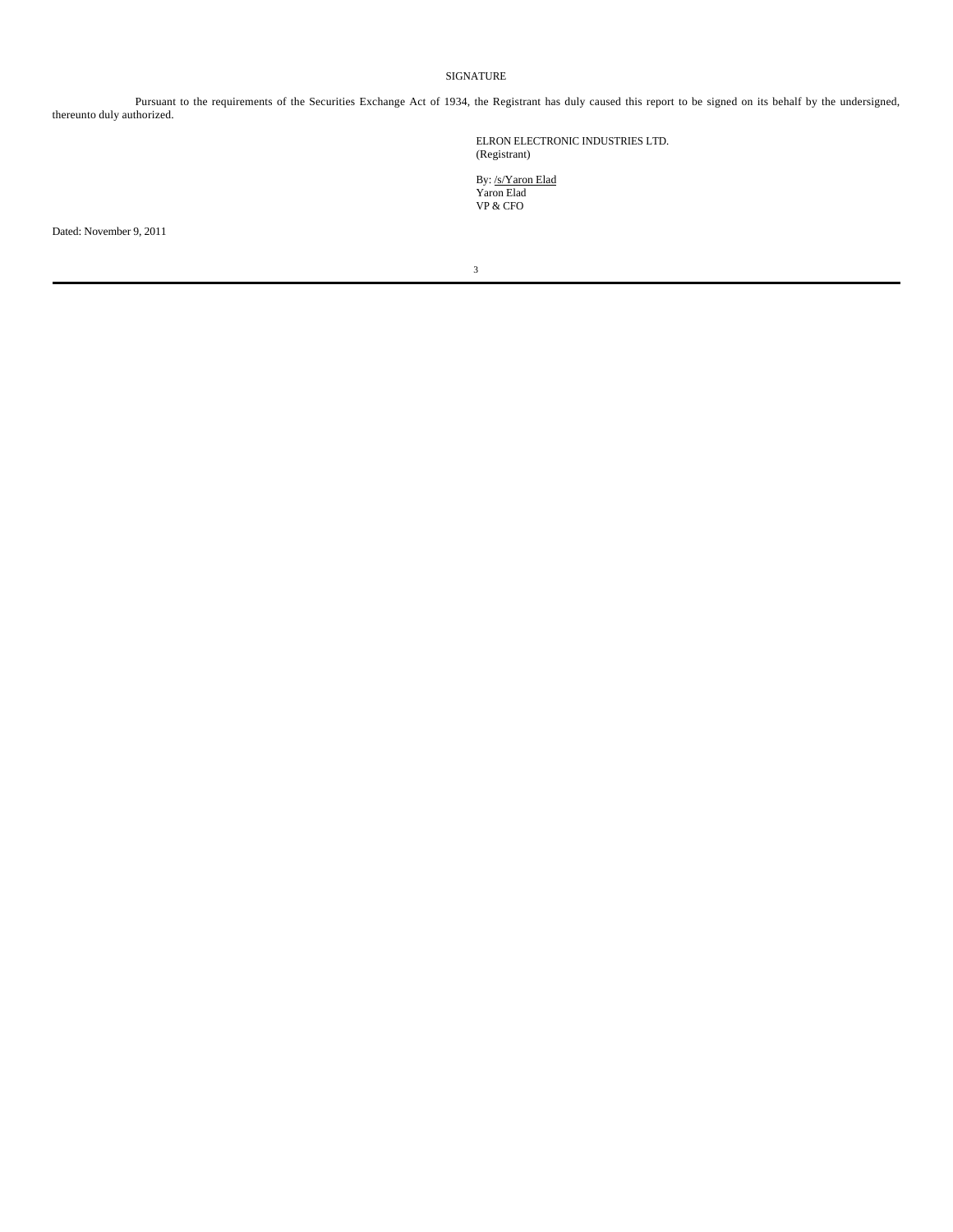## SIGNATURE

Pursuant to the requirements of the Securities Exchange Act of 1934, the Registrant has duly caused this report to be signed on its behalf by the undersigned, thereunto duly authorized.

> ELRON ELECTRONIC INDUSTRIES LTD. (Registrant)

By: /s/Yaron Elad Yaron Elad VP & CFO

Dated: November 9, 2011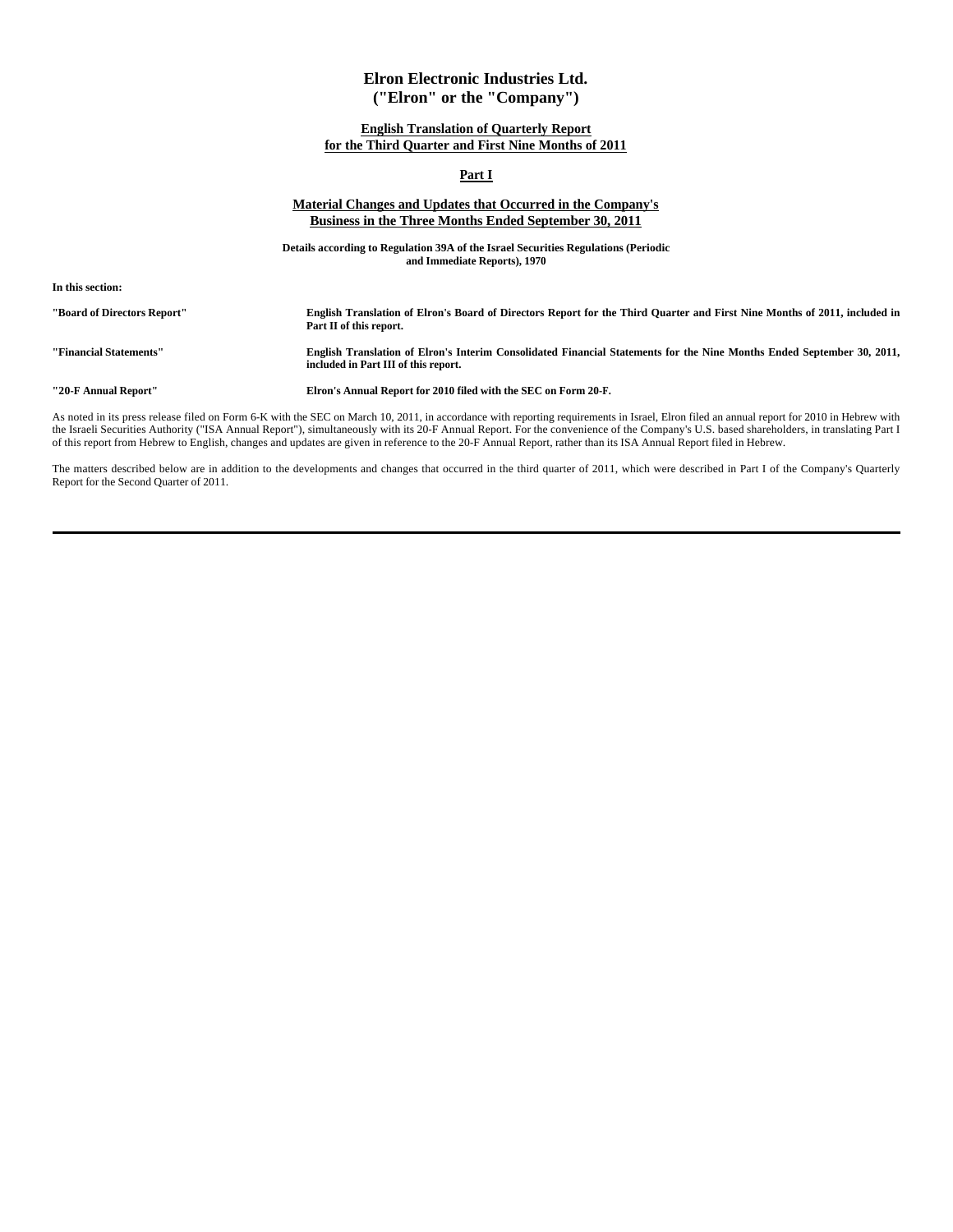# **Elron Electronic Industries Ltd. ("Elron" or the "Company")**

## **English Translation of Quarterly Report for the Third Quarter and First Nine Months of 2011**

## **Part I**

## **Material Changes and Updates that Occurred in the Company's Business in the Three Months Ended September 30, 2011**

**Details according to Regulation 39A of the Israel Securities Regulations (Periodic and Immediate Reports), 1970**

**In this section:**

**"Board of Directors Report" English Translation of Elron's Board of Directors Report for the Third Quarter and First Nine Months of 2011, included in Part II of this report.**

**"Financial Statements" English Translation of Elron's Interim Consolidated Financial Statements for the Nine Months Ended September 30, 2011, included in Part III of this report.**

**"20-F Annual Report" Elron's Annual Report for 2010 filed with the SEC on Form 20-F.**

As noted in its press release filed on Form 6-K with the SEC on March 10, 2011, in accordance with reporting requirements in Israel, Elron filed an annual report for 2010 in Hebrew with the Israeli Securities Authority ("ISA Annual Report"), simultaneously with its 20-F Annual Report. For the convenience of the Company's U.S. based shareholders, in translating Part I of this report from Hebrew to English, changes and updates are given in reference to the 20-F Annual Report, rather than its ISA Annual Report filed in Hebrew.

The matters described below are in addition to the developments and changes that occurred in the third quarter of 2011, which were described in Part I of the Company's Quarterly Report for the Second Quarter of 2011.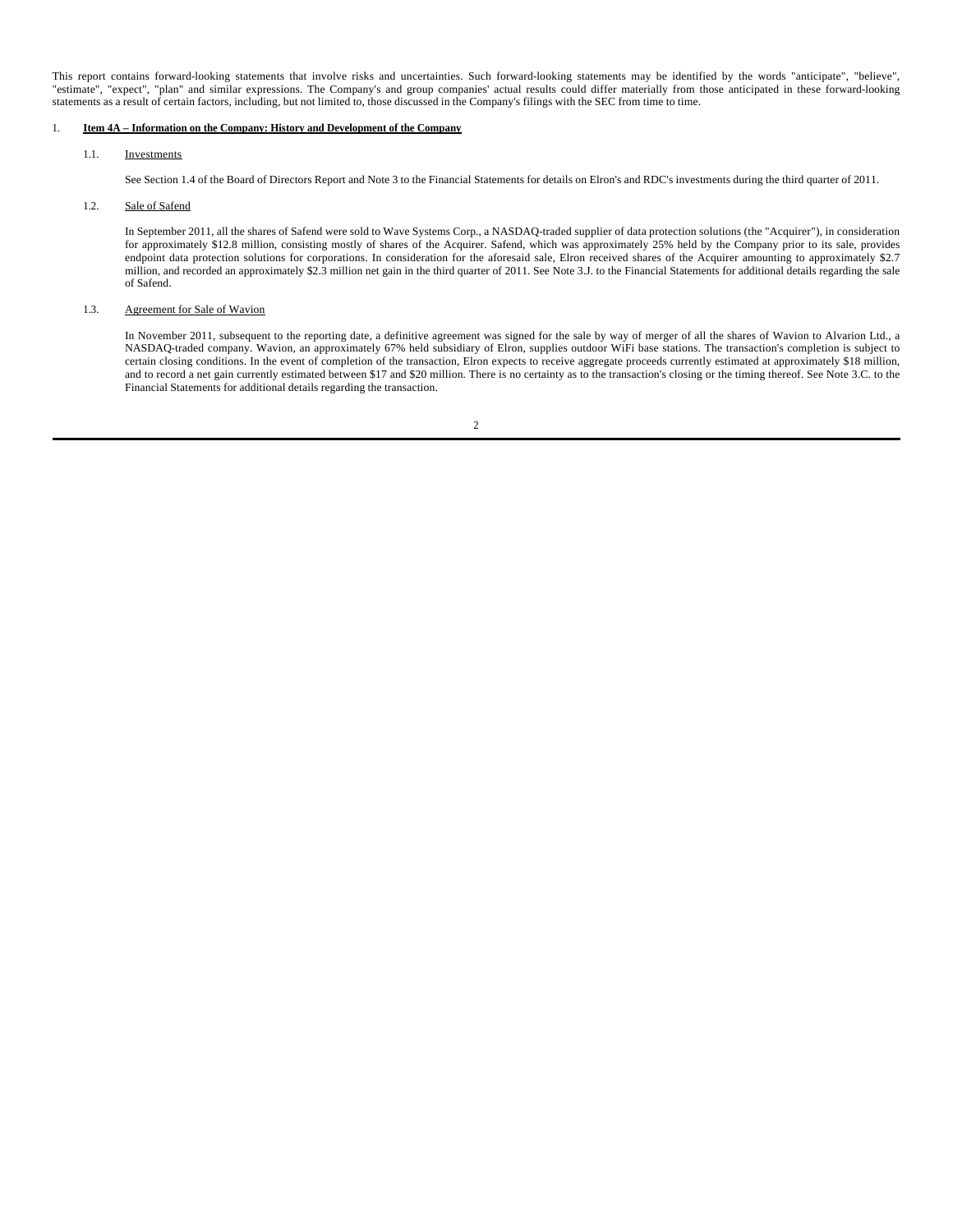This report contains forward-looking statements that involve risks and uncertainties. Such forward-looking statements may be identified by the words "anticipate", "believe", "estimate", "expect", "plan" and similar expressions. The Company's and group companies' actual results could differ materially from those anticipated in these forward-looking statements as a result of certain factors, including, but not limited to, those discussed in the Company's filings with the SEC from time to time.

## 1. **Item 4A – Information on the Company: History and Development of the Company**

## 1.1. Investments

See Section 1.4 of the Board of Directors Report and Note 3 to the Financial Statements for details on Elron's and RDC's investments during the third quarter of 2011.

## 1.2. Sale of Safend

In September 2011, all the shares of Safend were sold to Wave Systems Corp., a NASDAQ-traded supplier of data protection solutions (the "Acquirer"), in consideration for approximately \$12.8 million, consisting mostly of shares of the Acquirer. Safend, which was approximately 25% held by the Company prior to its sale, provides endpoint data protection solutions for corporations. In consideration for the aforesaid sale, Elron received shares of the Acquirer amounting to approximately \$2.7 million, and recorded an approximately \$2.3 million net gain in the third quarter of 2011. See Note 3.J. to the Financial Statements for additional details regarding the sale of Safend.

## 1.3. Agreement for Sale of Wavion

In November 2011, subsequent to the reporting date, a definitive agreement was signed for the sale by way of merger of all the shares of Wavion to Alvarion Ltd., a NASDAQ-traded company. Wavion, an approximately 67% held subsidiary of Elron, supplies outdoor WiFi base stations. The transaction's completion is subject to certain closing conditions. In the event of completion of the transaction, Elron expects to receive aggregate proceeds currently estimated at approximately \$18 million, and to record a net gain currently estimated between \$17 and \$20 million. There is no certainty as to the transaction's closing or the timing thereof. See Note 3.C. to the Financial Statements for additional details regarding the transaction.

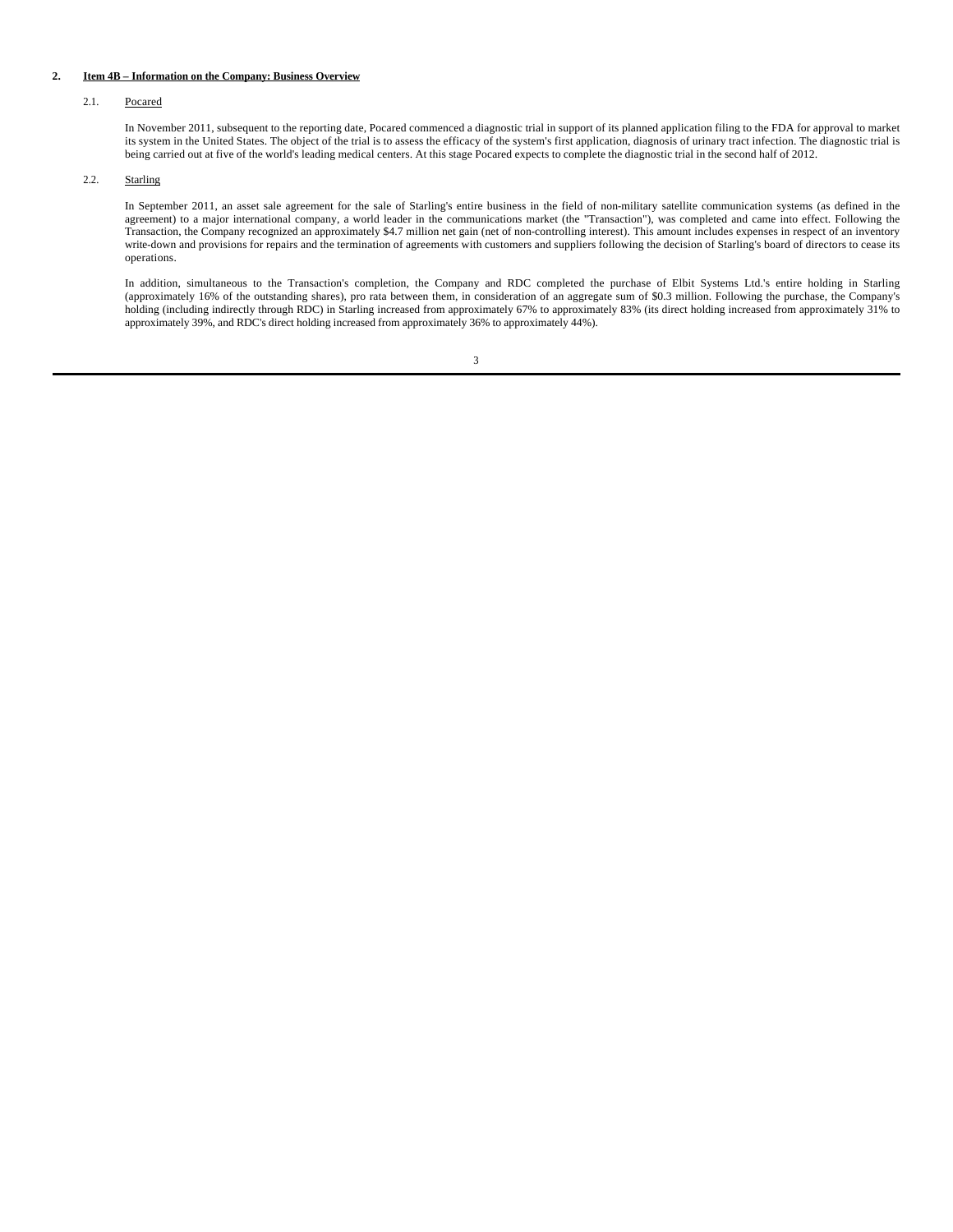## **2. Item 4B – Information on the Company: Business Overview**

## 2.1. Pocared

In November 2011, subsequent to the reporting date, Pocared commenced a diagnostic trial in support of its planned application filing to the FDA for approval to market its system in the United States. The object of the trial is to assess the efficacy of the system's first application, diagnosis of urinary tract infection. The diagnostic trial is being carried out at five of the world's leading medical centers. At this stage Pocared expects to complete the diagnostic trial in the second half of 2012.

## 2.2. Starling

In September 2011, an asset sale agreement for the sale of Starling's entire business in the field of non-military satellite communication systems (as defined in the agreement) to a major international company, a world leader in the communications market (the "Transaction"), was completed and came into effect. Following the Transaction, the Company recognized an approximately \$4.7 million net gain (net of non-controlling interest). This amount includes expenses in respect of an inventory write-down and provisions for repairs and the termination of agreements with customers and suppliers following the decision of Starling's board of directors to cease its operations.

In addition, simultaneous to the Transaction's completion, the Company and RDC completed the purchase of Elbit Systems Ltd.'s entire holding in Starling (approximately 16% of the outstanding shares), pro rata between them, in consideration of an aggregate sum of \$0.3 million. Following the purchase, the Company's holding (including indirectly through RDC) in Starling increased from approximately 67% to approximately 83% (its direct holding increased from approximately 31% to approximately 39%, and RDC's direct holding increased from approximately 36% to approximately 44%).

<sup>3</sup>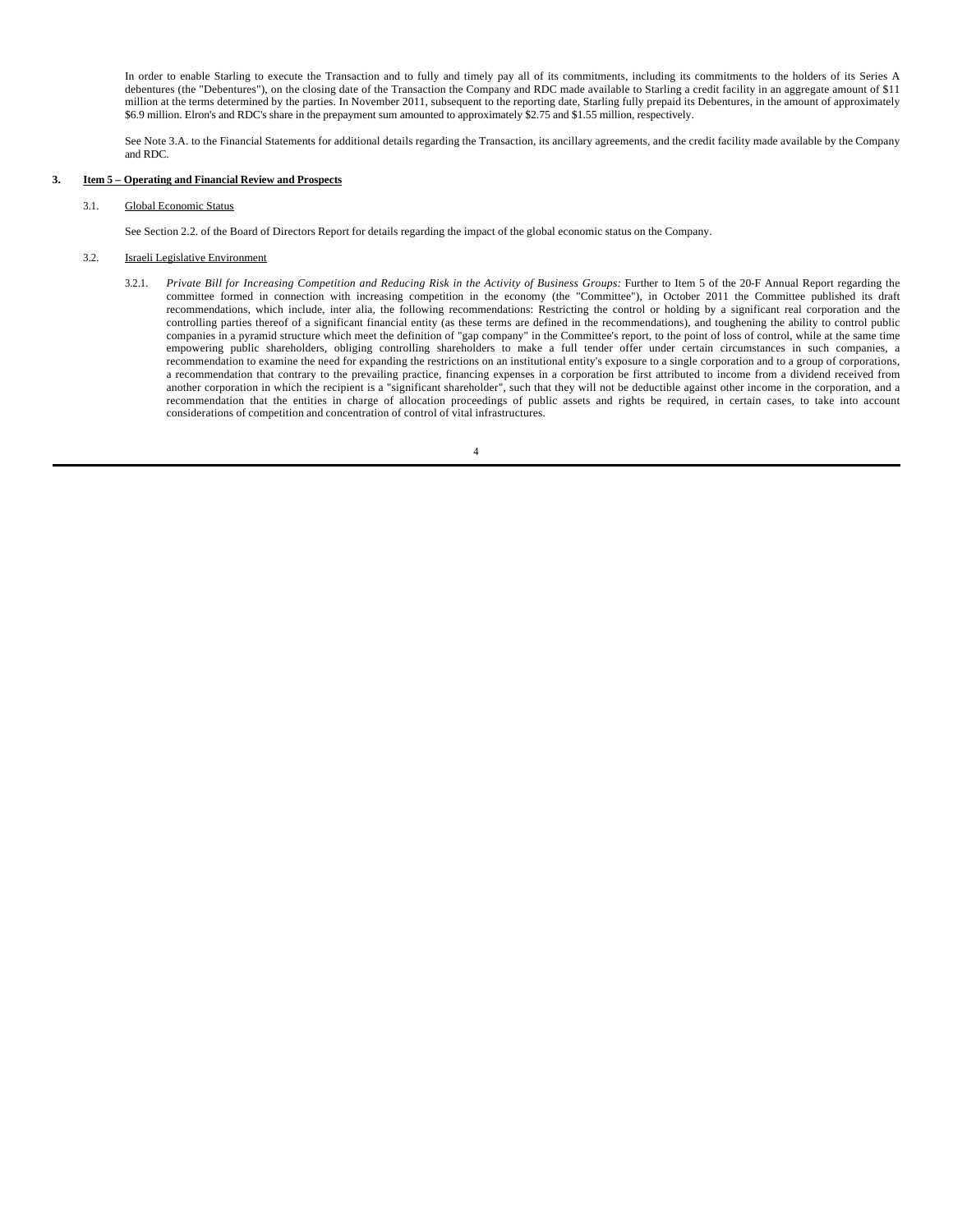In order to enable Starling to execute the Transaction and to fully and timely pay all of its commitments, including its commitments to the holders of its Series A debentures (the "Debentures"), on the closing date of the Transaction the Company and RDC made available to Starling a credit facility in an aggregate amount of \$11 million at the terms determined by the parties. In November 2011, subsequent to the reporting date, Starling fully prepaid its Debentures, in the amount of approximately \$6.9 million. Elron's and RDC's share in the prepayment sum amounted to approximately \$2.75 and \$1.55 million, respectively.

See Note 3.A. to the Financial Statements for additional details regarding the Transaction, its ancillary agreements, and the credit facility made available by the Company and RDC.

### **3. Item 5 – Operating and Financial Review and Prospects**

3.1. Global Economic Status

See Section 2.2. of the Board of Directors Report for details regarding the impact of the global economic status on the Company.

## 3.2. Israeli Legislative Environment

3.2.1. *Private Bill for Increasing Competition and Reducing Risk in the Activity of Business Groups:* Further to Item 5 of the 20-F Annual Report regarding the committee formed in connection with increasing competition in the economy (the "Committee"), in October 2011 the Committee published its draft recommendations, which include, inter alia, the following recommendations: Restricting the control or holding by a significant real corporation and the controlling parties thereof of a significant financial entity (as these terms are defined in the recommendations), and toughening the ability to control public companies in a pyramid structure which meet the definition of "gap company" in the Committee's report, to the point of loss of control, while at the same time empowering public shareholders, obliging controlling shareholders to make a full tender offer under certain circumstances in such companies, a recommendation to examine the need for expanding the restrictions on an institutional entity's exposure to a single corporation and to a group of corporations, a recommendation that contrary to the prevailing practice, financing expenses in a corporation be first attributed to income from a dividend received from another corporation in which the recipient is a "significant shareholder", such that they will not be deductible against other income in the corporation, and a recommendation that the entities in charge of allocation proceedings of public assets and rights be required, in certain cases, to take into account considerations of competition and concentration of control of vital infrastructures.

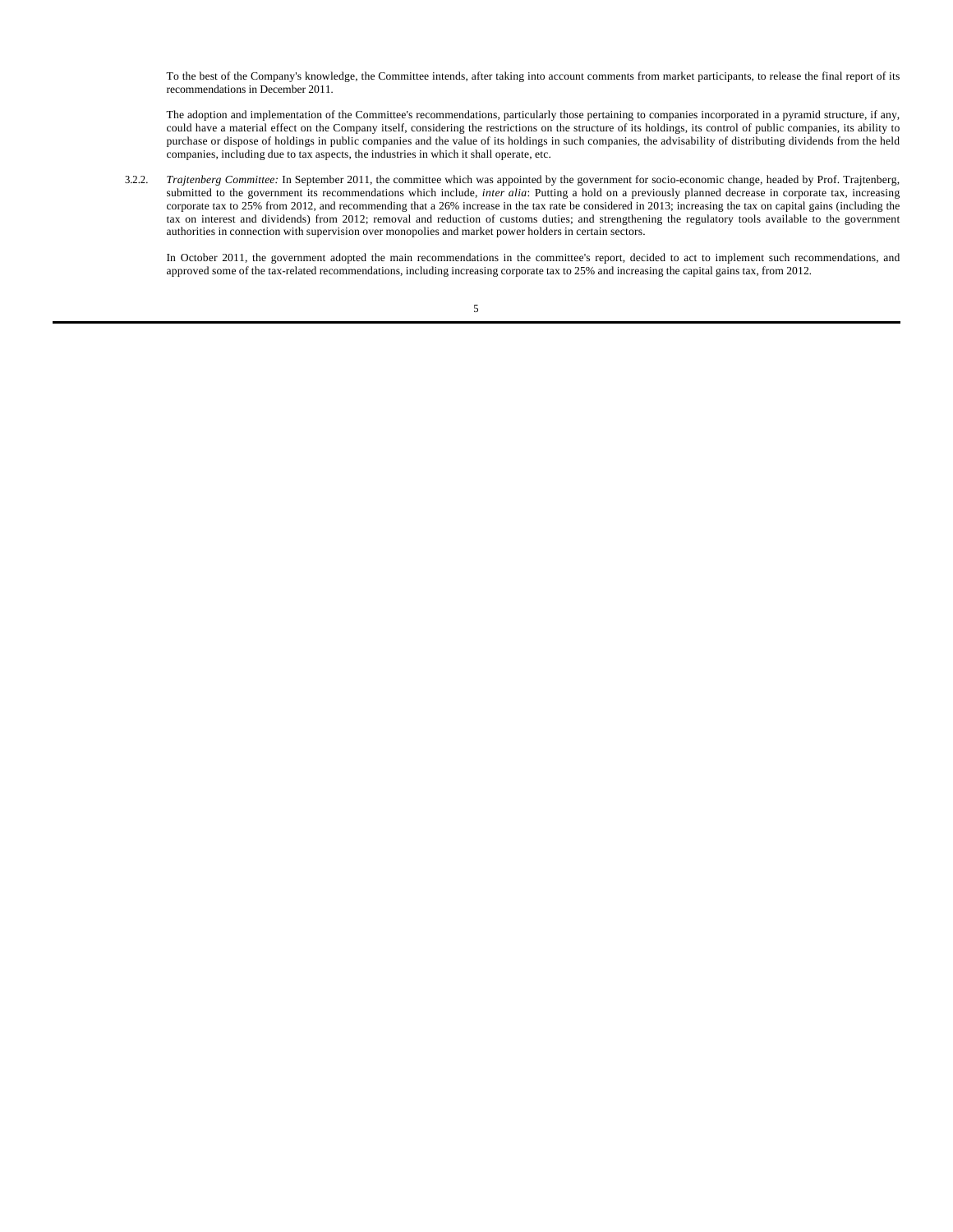To the best of the Company's knowledge, the Committee intends, after taking into account comments from market participants, to release the final report of its recommendations in December 2011.

The adoption and implementation of the Committee's recommendations, particularly those pertaining to companies incorporated in a pyramid structure, if any, could have a material effect on the Company itself, considering the restrictions on the structure of its holdings, its control of public companies, its ability to purchase or dispose of holdings in public companies and the value of its holdings in such companies, the advisability of distributing dividends from the held companies, including due to tax aspects, the industries in which it shall operate, etc.

3.2.2. *Trajtenberg Committee:* In September 2011, the committee which was appointed by the government for socio-economic change, headed by Prof. Trajtenberg, submitted to the government its recommendations which include, *inter alia*: Putting a hold on a previously planned decrease in corporate tax, increasing corporate tax to 25% from 2012, and recommending that a 26% increase in the tax rate be considered in 2013; increasing the tax on capital gains (including the tax on interest and dividends) from 2012; removal and reduction of customs duties; and strengthening the regulatory tools available to the government authorities in connection with supervision over monopolies and market power holders in certain sectors.

In October 2011, the government adopted the main recommendations in the committee's report, decided to act to implement such recommendations, and approved some of the tax-related recommendations, including increasing corporate tax to 25% and increasing the capital gains tax, from 2012.

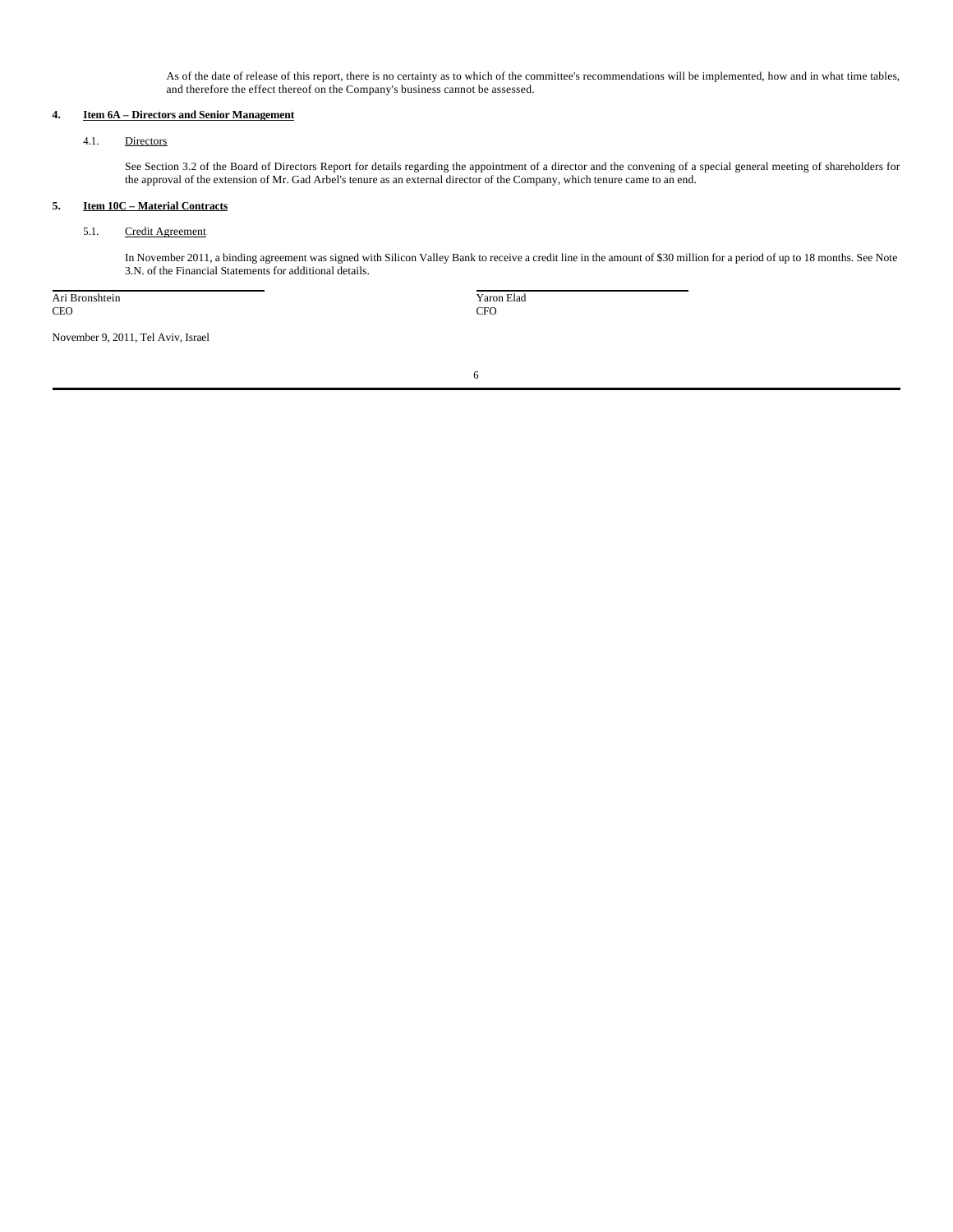As of the date of release of this report, there is no certainty as to which of the committee's recommendations will be implemented, how and in what time tables, and therefore the effect thereof on the Company's business cannot be assessed.

## **4. Item 6A – Directors and Senior Management**

## 4.1. Directors

See Section 3.2 of the Board of Directors Report for details regarding the appointment of a director and the convening of a special general meeting of shareholders for the approval of the extension of Mr. Gad Arbel's tenure as an external director of the Company, which tenure came to an end.

## **5. Item 10C – Material Contracts**

## 5.1. Credit Agreement

In November 2011, a binding agreement was signed with Silicon Valley Bank to receive a credit line in the amount of \$30 million for a period of up to 18 months. See Note 3.N. of the Financial Statements for additional details.

Ari Bronshtein CEO

 Yaron Elad CFO

November 9, 2011, Tel Aviv, Israel

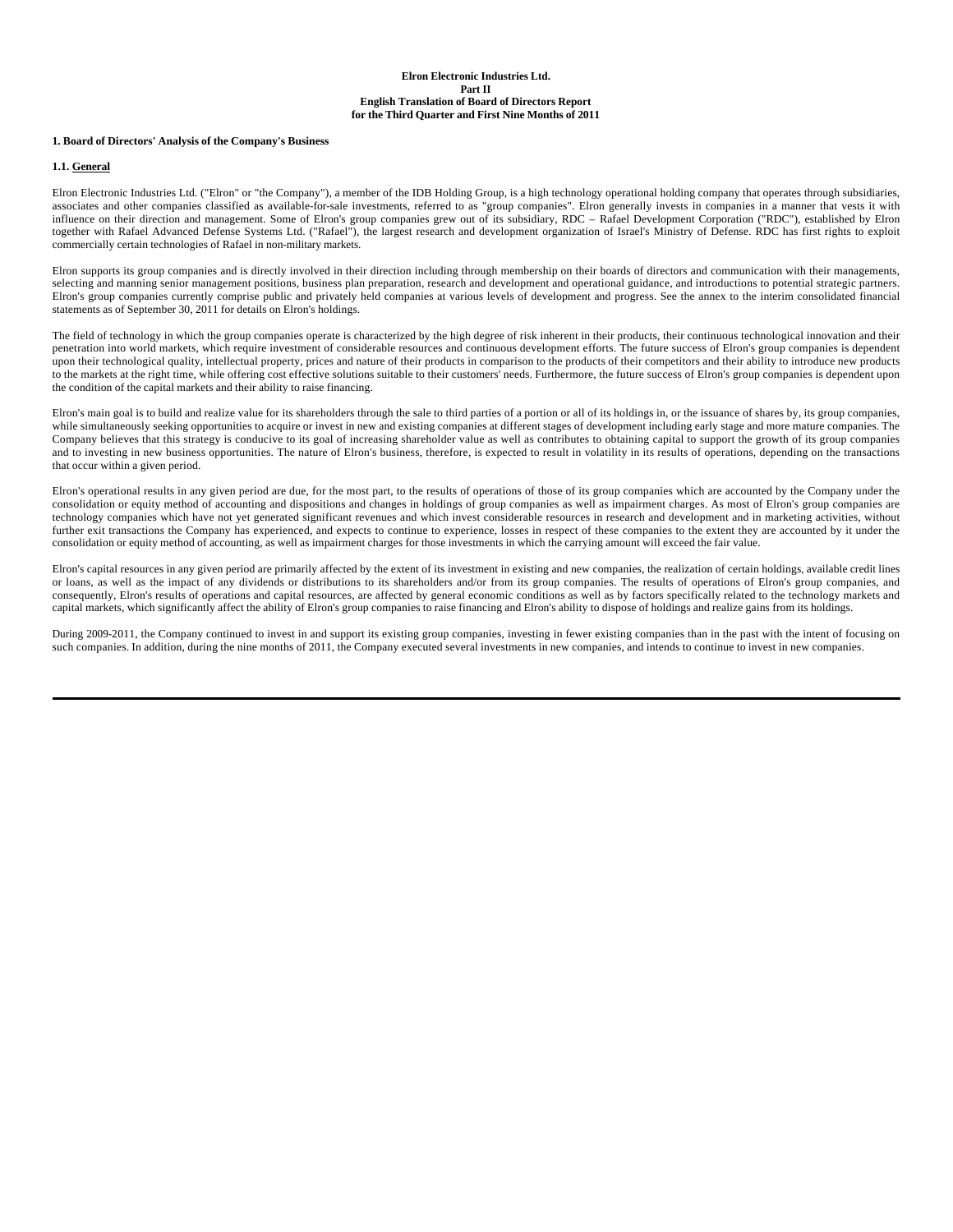### **1. Board of Directors' Analysis of the Company's Business**

#### **1.1. General**

Elron Electronic Industries Ltd. ("Elron" or "the Company"), a member of the IDB Holding Group, is a high technology operational holding company that operates through subsidiaries, associates and other companies classified as available-for-sale investments, referred to as "group companies". Elron generally invests in companies in a manner that vests it with influence on their direction and management. Some of Elron's group companies grew out of its subsidiary, RDC – Rafael Development Corporation ("RDC"), established by Elron together with Rafael Advanced Defense Systems Ltd. ("Rafael"), the largest research and development organization of Israel's Ministry of Defense. RDC has first rights to exploit commercially certain technologies of Rafael in non-military markets.

Elron supports its group companies and is directly involved in their direction including through membership on their boards of directors and communication with their managements, selecting and manning senior management positions, business plan preparation, research and development and operational guidance, and introductions to potential strategic partners. Elron's group companies currently comprise public and privately held companies at various levels of development and progress. See the annex to the interim consolidated financial statements as of September 30, 2011 for details on Elron's holdings.

The field of technology in which the group companies operate is characterized by the high degree of risk inherent in their products, their continuous technological innovation and their penetration into world markets, which require investment of considerable resources and continuous development efforts. The future success of Elron's group companies is dependent upon their technological quality, intellectual property, prices and nature of their products in comparison to the products of their competitors and their ability to introduce new products to the markets at the right time, while offering cost effective solutions suitable to their customers' needs. Furthermore, the future success of Elron's group companies is dependent upon the condition of the capital markets and their ability to raise financing.

Elron's main goal is to build and realize value for its shareholders through the sale to third parties of a portion or all of its holdings in, or the issuance of shares by, its group companies, while simultaneously seeking opportunities to acquire or invest in new and existing companies at different stages of development including early stage and more mature companies. The Company believes that this strategy is conducive to its goal of increasing shareholder value as well as contributes to obtaining capital to support the growth of its group companies and to investing in new business opportunities. The nature of Elron's business, therefore, is expected to result in volatility in its results of operations, depending on the transactions that occur within a given period.

Elron's operational results in any given period are due, for the most part, to the results of operations of those of its group companies which are accounted by the Company under the consolidation or equity method of accounting and dispositions and changes in holdings of group companies as well as impairment charges. As most of Elron's group companies are technology companies which have not yet generated significant revenues and which invest considerable resources in research and development and in marketing activities, without further exit transactions the Company has experienced, and expects to continue to experience, losses in respect of these companies to the extent they are accounted by it under the consolidation or equity method of accounting, as well as impairment charges for those investments in which the carrying amount will exceed the fair value.

Elron's capital resources in any given period are primarily affected by the extent of its investment in existing and new companies, the realization of certain holdings, available credit lines or loans, as well as the impact of any dividends or distributions to its shareholders and/or from its group companies. The results of operations of Elron's group companies, and consequently, Elron's results of operations and capital resources, are affected by general economic conditions as well as by factors specifically related to the technology markets and capital markets, which significantly affect the ability of Elron's group companies to raise financing and Elron's ability to dispose of holdings and realize gains from its holdings.

During 2009-2011, the Company continued to invest in and support its existing group companies, investing in fewer existing companies than in the past with the intent of focusing on such companies. In addition, during the nine months of 2011, the Company executed several investments in new companies, and intends to continue to invest in new companies.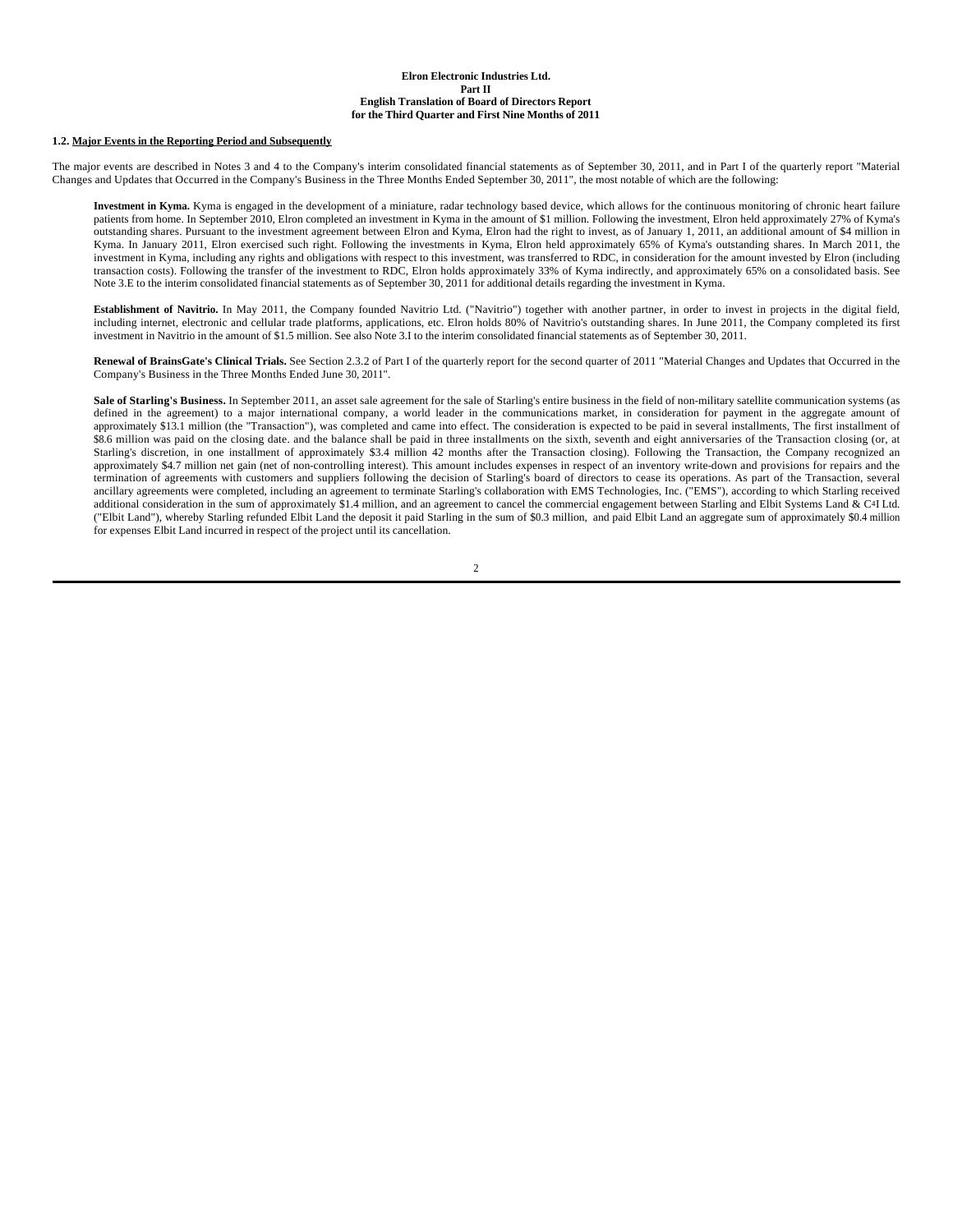#### **1.2. Major Events in the Reporting Period and Subsequently**

The major events are described in Notes 3 and 4 to the Company's interim consolidated financial statements as of September 30, 2011, and in Part I of the quarterly report "Material Changes and Updates that Occurred in the Company's Business in the Three Months Ended September 30, 2011", the most notable of which are the following:

**Investment in Kyma.** Kyma is engaged in the development of a miniature, radar technology based device, which allows for the continuous monitoring of chronic heart failure patients from home. In September 2010, Elron completed an investment in Kyma in the amount of \$1 million. Following the investment, Elron held approximately 27% of Kyma's outstanding shares. Pursuant to the investment agreement between Elron and Kyma, Elron had the right to invest, as of January 1, 2011, an additional amount of \$4 million in Kyma. In January 2011, Elron exercised such right. Following the investments in Kyma, Elron held approximately 65% of Kyma's outstanding shares. In March 2011, the investment in Kyma, including any rights and obligations with respect to this investment, was transferred to RDC, in consideration for the amount invested by Elron (including transaction costs). Following the transfer of the investment to RDC, Elron holds approximately 33% of Kyma indirectly, and approximately 65% on a consolidated basis. See Note 3.E to the interim consolidated financial statements as of September 30, 2011 for additional details regarding the investment in Kyma.

**Establishment of Navitrio.** In May 2011, the Company founded Navitrio Ltd. ("Navitrio") together with another partner, in order to invest in projects in the digital field, including internet, electronic and cellular trade platforms, applications, etc. Elron holds 80% of Navitrio's outstanding shares. In June 2011, the Company completed its first investment in Navitrio in the amount of \$1.5 million. See also Note 3.I to the interim consolidated financial statements as of September 30, 2011.

Renewal of BrainsGate's Clinical Trials. See Section 2.3.2 of Part I of the quarterly report for the second quarter of 2011 "Material Changes and Updates that Occurred in the Company's Business in the Three Months Ended June 30, 2011".

Sale of Starling's Business. In September 2011, an asset sale agreement for the sale of Starling's entire business in the field of non-military satellite communication systems (as defined in the agreement) to a major international company, a world leader in the communications market, in consideration for payment in the aggregate amount of approximately \$13.1 million (the "Transaction"), was completed and came into effect. The consideration is expected to be paid in several installments, The first installment of \$8.6 million was paid on the closing date. and the balance shall be paid in three installments on the sixth, seventh and eight anniversaries of the Transaction closing (or, at Starling's discretion, in one installment of approximately \$3.4 million 42 months after the Transaction closing). Following the Transaction, the Company recognized an approximately \$4.7 million net gain (net of non-controlling interest). This amount includes expenses in respect of an inventory write-down and provisions for repairs and the termination of agreements with customers and suppliers following the decision of Starling's board of directors to cease its operations. As part of the Transaction, several ancillary agreements were completed, including an agreement to terminate Starling's collaboration with EMS Technologies, Inc. ("EMS"), according to which Starling received additional consideration in the sum of approximately \$1.4 million, and an agreement to cancel the commercial engagement between Starling and Elbit Systems Land & C4I Ltd. ("Elbit Land"), whereby Starling refunded Elbit Land the deposit it paid Starling in the sum of \$0.3 million, and paid Elbit Land an aggregate sum of approximately \$0.4 million for expenses Elbit Land incurred in respect of the project until its cancellation.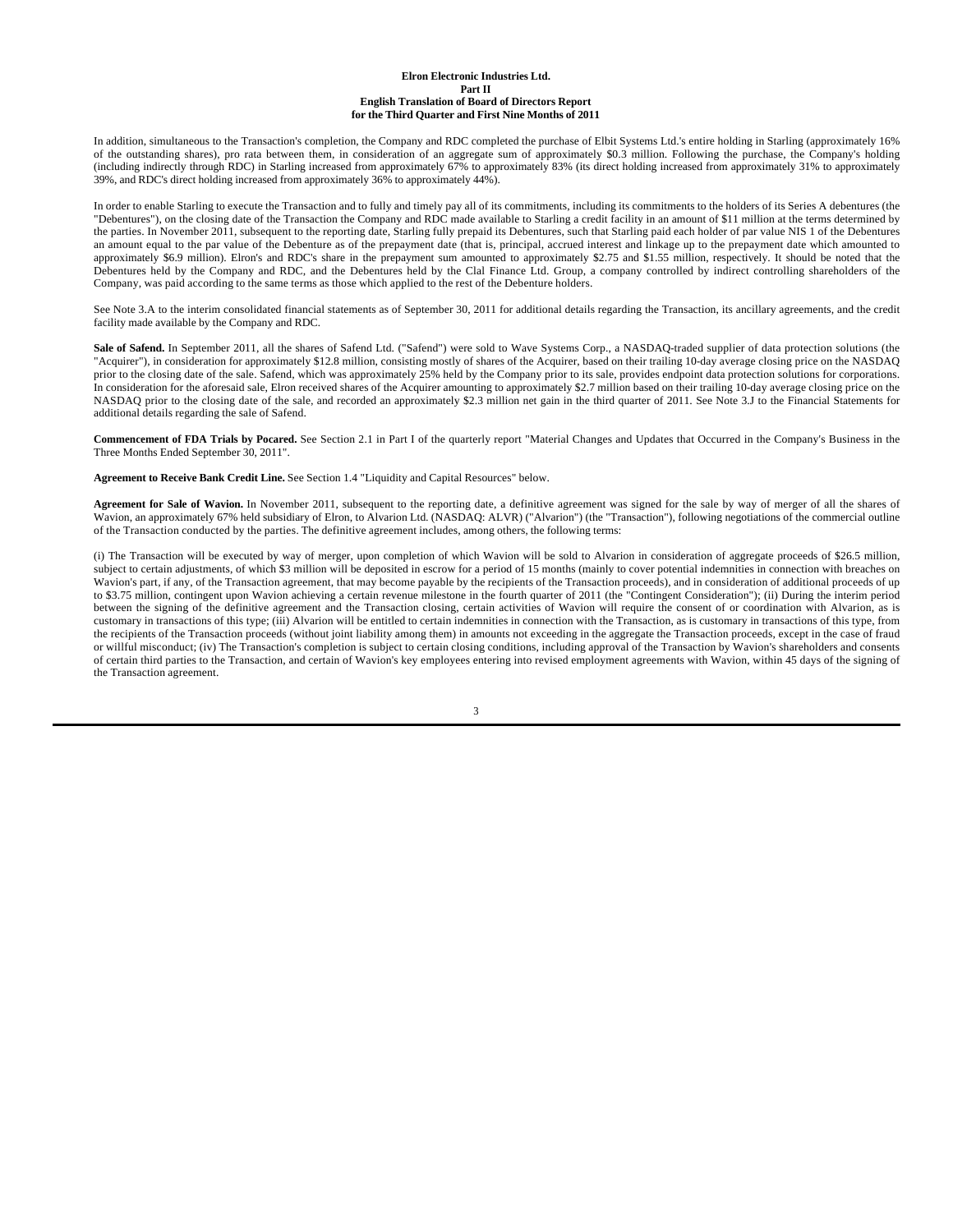In addition, simultaneous to the Transaction's completion, the Company and RDC completed the purchase of Elbit Systems Ltd.'s entire holding in Starling (approximately 16% of the outstanding shares), pro rata between them, in consideration of an aggregate sum of approximately \$0.3 million. Following the purchase, the Company's holding (including indirectly through RDC) in Starling increased from approximately 67% to approximately 83% (its direct holding increased from approximately 31% to approximately 39%, and RDC's direct holding increased from approximately 36% to approximately 44%).

In order to enable Starling to execute the Transaction and to fully and timely pay all of its commitments, including its commitments to the holders of its Series A debentures (the "Debentures"), on the closing date of the Transaction the Company and RDC made available to Starling a credit facility in an amount of \$11 million at the terms determined by the parties. In November 2011, subsequent to the reporting date, Starling fully prepaid its Debentures, such that Starling paid each holder of par value NIS 1 of the Debentures an amount equal to the par value of the Debenture as of the prepayment date (that is, principal, accrued interest and linkage up to the prepayment date which amounted to approximately \$6.9 million). Elron's and RDC's share in the prepayment sum amounted to approximately \$2.75 and \$1.55 million, respectively. It should be noted that the Debentures held by the Company and RDC, and the Debentures held by the Clal Finance Ltd. Group, a company controlled by indirect controlling shareholders of the Company, was paid according to the same terms as those which applied to the rest of the Debenture holders.

See Note 3.A to the interim consolidated financial statements as of September 30, 2011 for additional details regarding the Transaction, its ancillary agreements, and the credit facility made available by the Company and RDC.

Sale of Safend. In September 2011, all the shares of Safend Ltd. ("Safend") were sold to Wave Systems Corp., a NASDAQ-traded supplier of data protection solutions (the "Acquirer"), in consideration for approximately \$12.8 million, consisting mostly of shares of the Acquirer, based on their trailing 10-day average closing price on the NASDAQ prior to the closing date of the sale. Safend, which was approximately 25% held by the Company prior to its sale, provides endpoint data protection solutions for corporations. In consideration for the aforesaid sale, Elron received shares of the Acquirer amounting to approximately \$2.7 million based on their trailing 10-day average closing price on the NASDAQ prior to the closing date of the sale, and recorded an approximately \$2.3 million net gain in the third quarter of 2011. See Note 3.J to the Financial Statements for additional details regarding the sale of Safend.

**Commencement of FDA Trials by Pocared.** See Section 2.1 in Part I of the quarterly report "Material Changes and Updates that Occurred in the Company's Business in the Three Months Ended September 30, 2011".

**Agreement to Receive Bank Credit Line.** See Section 1.4 "Liquidity and Capital Resources" below.

**Agreement for Sale of Wavion.** In November 2011, subsequent to the reporting date, a definitive agreement was signed for the sale by way of merger of all the shares of Wavion, an approximately 67% held subsidiary of Elron, to Alvarion Ltd. (NASDAQ: ALVR) ("Alvarion") (the "Transaction"), following negotiations of the commercial outline of the Transaction conducted by the parties. The definitive agreement includes, among others, the following terms:

(i) The Transaction will be executed by way of merger, upon completion of which Wavion will be sold to Alvarion in consideration of aggregate proceeds of \$26.5 million, subject to certain adjustments, of which \$3 million will be deposited in escrow for a period of 15 months (mainly to cover potential indemnities in connection with breaches on Wavion's part, if any, of the Transaction agreement, that may become payable by the recipients of the Transaction proceeds), and in consideration of additional proceeds of up to \$3.75 million, contingent upon Wavion achieving a certain revenue milestone in the fourth quarter of 2011 (the "Contingent Consideration"); (ii) During the interim period between the signing of the definitive agreement and the Transaction closing, certain activities of Wavion will require the consent of or coordination with Alvarion, as is customary in transactions of this type; (iii) Alvarion will be entitled to certain indemnities in connection with the Transaction, as is customary in transactions of this type, from the recipients of the Transaction proceeds (without joint liability among them) in amounts not exceeding in the aggregate the Transaction proceeds, except in the case of fraud or willful misconduct; (iv) The Transaction's completion is subject to certain closing conditions, including approval of the Transaction by Wavion's shareholders and consents of certain third parties to the Transaction, and certain of Wavion's key employees entering into revised employment agreements with Wavion, within 45 days of the signing of the Transaction agreement.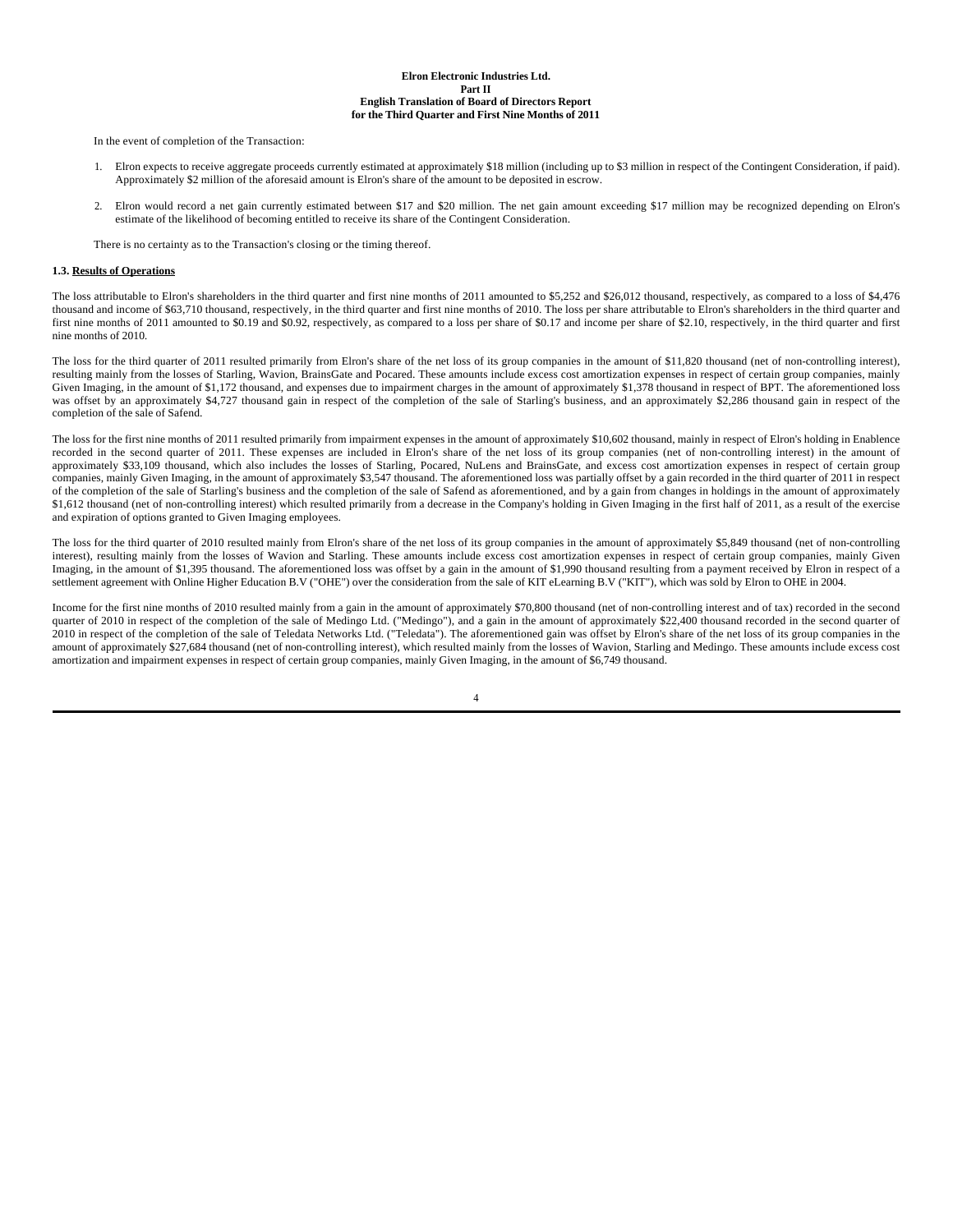In the event of completion of the Transaction:

- 1. Elron expects to receive aggregate proceeds currently estimated at approximately \$18 million (including up to \$3 million in respect of the Contingent Consideration, if paid). Approximately \$2 million of the aforesaid amount is Elron's share of the amount to be deposited in escrow.
- 2. Elron would record a net gain currently estimated between \$17 and \$20 million. The net gain amount exceeding \$17 million may be recognized depending on Elron's estimate of the likelihood of becoming entitled to receive its share of the Contingent Consideration.

There is no certainty as to the Transaction's closing or the timing thereof.

#### **1.3. Results of Operations**

The loss attributable to Elron's shareholders in the third quarter and first nine months of 2011 amounted to \$5,252 and \$26,012 thousand, respectively, as compared to a loss of \$4,476 thousand and income of \$63,710 thousand, respectively, in the third quarter and first nine months of 2010. The loss per share attributable to Elron's shareholders in the third quarter and first nine months of 2011 amounted to \$0.19 and \$0.92, respectively, as compared to a loss per share of \$0.17 and income per share of \$2.10, respectively, in the third quarter and first nine months of 2010.

The loss for the third quarter of 2011 resulted primarily from Elron's share of the net loss of its group companies in the amount of \$11,820 thousand (net of non-controlling interest), resulting mainly from the losses of Starling, Wavion, BrainsGate and Pocared. These amounts include excess cost amortization expenses in respect of certain group companies, mainly Given Imaging, in the amount of \$1,172 thousand, and expenses due to impairment charges in the amount of approximately \$1,378 thousand in respect of BPT. The aforementioned loss was offset by an approximately \$4,727 thousand gain in respect of the completion of the sale of Starling's business, and an approximately \$2,286 thousand gain in respect of the completion of the sale of Safend.

The loss for the first nine months of 2011 resulted primarily from impairment expenses in the amount of approximately \$10,602 thousand, mainly in respect of Elron's holding in Enablence recorded in the second quarter of 2011. These expenses are included in Elron's share of the net loss of its group companies (net of non-controlling interest) in the amount of approximately \$33,109 thousand, which also includes the losses of Starling, Pocared, NuLens and BrainsGate, and excess cost amortization expenses in respect of certain group companies, mainly Given Imaging, in the amount of approximately \$3,547 thousand. The aforementioned loss was partially offset by a gain recorded in the third quarter of 2011 in respect of the completion of the sale of Starling's business and the completion of the sale of Safend as aforementioned, and by a gain from changes in holdings in the amount of approximately \$1,612 thousand (net of non-controlling interest) which resulted primarily from a decrease in the Company's holding in Given Imaging in the first half of 2011, as a result of the exercise and expiration of options granted to Given Imaging employees.

The loss for the third quarter of 2010 resulted mainly from Elron's share of the net loss of its group companies in the amount of approximately \$5,849 thousand (net of non-controlling interest), resulting mainly from the losses of Wavion and Starling. These amounts include excess cost amortization expenses in respect of certain group companies, mainly Given Imaging, in the amount of \$1,395 thousand. The aforementioned loss was offset by a gain in the amount of \$1,990 thousand resulting from a payment received by Elron in respect of a settlement agreement with Online Higher Education B.V ("OHE") over the consideration from the sale of KIT eLearning B.V ("KIT"), which was sold by Elron to OHE in 2004.

Income for the first nine months of 2010 resulted mainly from a gain in the amount of approximately \$70,800 thousand (net of non-controlling interest and of tax) recorded in the second quarter of 2010 in respect of the completion of the sale of Medingo Ltd. ("Medingo"), and a gain in the amount of approximately \$22,400 thousand recorded in the second quarter of 2010 in respect of the completion of the sale of Teledata Networks Ltd. ("Teledata"). The aforementioned gain was offset by Elron's share of the net loss of its group companies in the amount of approximately \$27,684 thousand (net of non-controlling interest), which resulted mainly from the losses of Wavion, Starling and Medingo. These amounts include excess cost amortization and impairment expenses in respect of certain group companies, mainly Given Imaging, in the amount of \$6,749 thousand.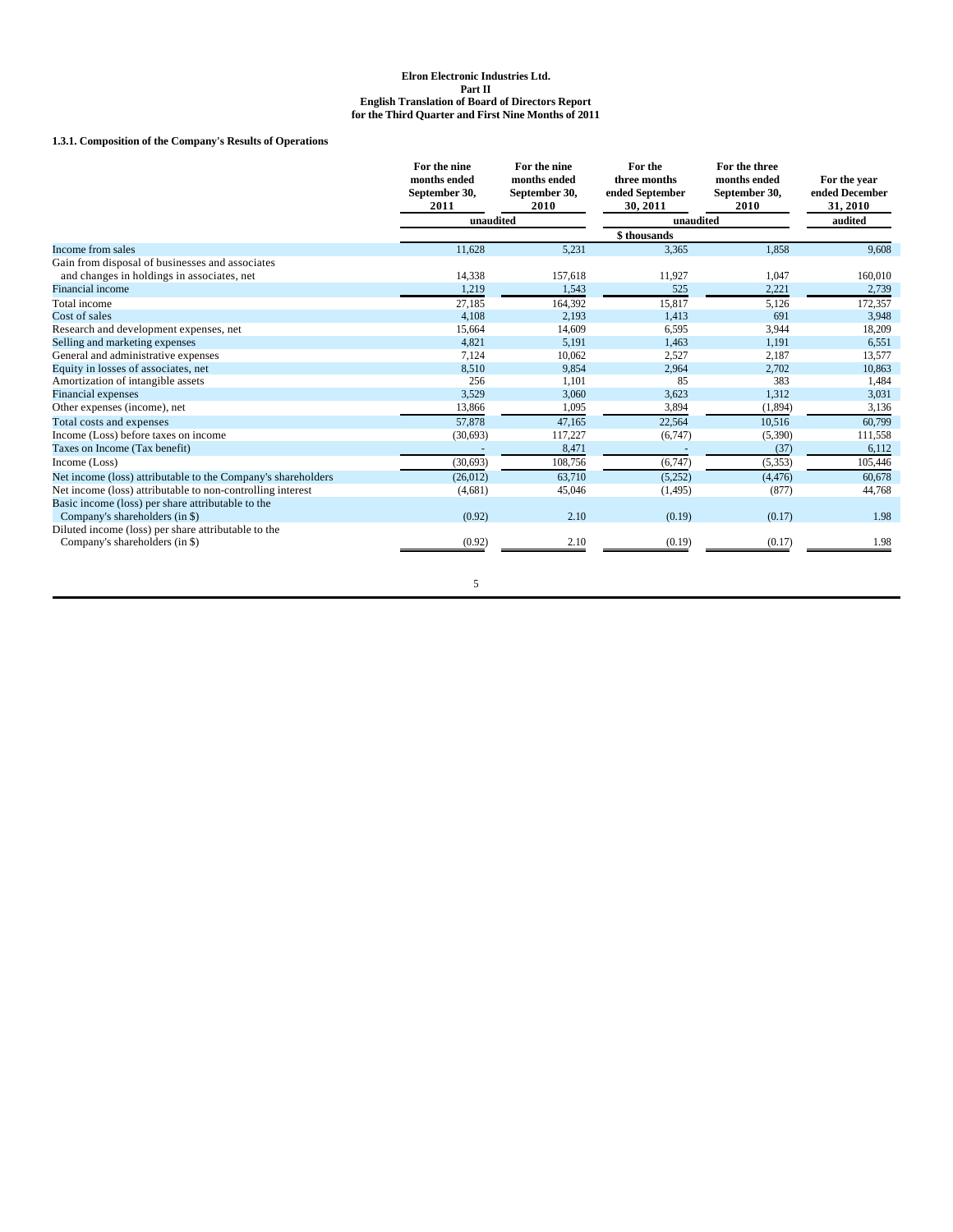## **1.3.1. Composition of the Company's Results of Operations**

|                                                              | For the nine<br>months ended<br>September 30,<br>2011 | For the nine<br>months ended<br>September 30,<br>2010 | For the<br>three months<br>ended September<br>30.2011 | For the three<br>months ended<br>September 30,<br>2010 | For the year<br>ended December<br>31, 2010 |
|--------------------------------------------------------------|-------------------------------------------------------|-------------------------------------------------------|-------------------------------------------------------|--------------------------------------------------------|--------------------------------------------|
|                                                              | unaudited                                             |                                                       | unaudited                                             |                                                        | audited                                    |
|                                                              |                                                       |                                                       | \$thousands                                           |                                                        |                                            |
| Income from sales                                            | 11,628                                                | 5,231                                                 | 3,365                                                 | 1,858                                                  | 9,608                                      |
| Gain from disposal of businesses and associates              |                                                       |                                                       |                                                       |                                                        |                                            |
| and changes in holdings in associates, net                   | 14,338                                                | 157,618                                               | 11,927                                                | 1,047                                                  | 160,010                                    |
| Financial income                                             | 1,219                                                 | 1,543                                                 | 525                                                   | 2,221                                                  | 2,739                                      |
| Total income                                                 | 27,185                                                | 164.392                                               | 15,817                                                | 5,126                                                  | 172,357                                    |
| Cost of sales                                                | 4,108                                                 | 2,193                                                 | 1,413                                                 | 691                                                    | 3,948                                      |
| Research and development expenses, net                       | 15,664                                                | 14,609                                                | 6,595                                                 | 3,944                                                  | 18,209                                     |
| Selling and marketing expenses                               | 4,821                                                 | 5.191                                                 | 1.463                                                 | 1.191                                                  | 6,551                                      |
| General and administrative expenses                          | 7,124                                                 | 10,062                                                | 2,527                                                 | 2,187                                                  | 13,577                                     |
| Equity in losses of associates, net                          | 8.510                                                 | 9.854                                                 | 2,964                                                 | 2,702                                                  | 10,863                                     |
| Amortization of intangible assets                            | 256                                                   | 1,101                                                 | 85                                                    | 383                                                    | 1,484                                      |
| Financial expenses                                           | 3,529                                                 | 3,060                                                 | 3,623                                                 | 1,312                                                  | 3,031                                      |
| Other expenses (income), net                                 | 13,866                                                | 1,095                                                 | 3,894                                                 | (1,894)                                                | 3,136                                      |
| Total costs and expenses                                     | 57,878                                                | 47,165                                                | 22,564                                                | 10.516                                                 | 60,799                                     |
| Income (Loss) before taxes on income                         | (30,693)                                              | 117,227                                               | (6,747)                                               | (5,390)                                                | 111,558                                    |
| Taxes on Income (Tax benefit)                                |                                                       | 8,471                                                 |                                                       | (37)                                                   | 6,112                                      |
| Income (Loss)                                                | (30,693)                                              | 108,756                                               | (6,747)                                               | (5, 353)                                               | 105,446                                    |
| Net income (loss) attributable to the Company's shareholders | (26,012)                                              | 63.710                                                | (5,252)                                               | (4, 476)                                               | 60,678                                     |
| Net income (loss) attributable to non-controlling interest   | (4,681)                                               | 45,046                                                | (1, 495)                                              | (877)                                                  | 44,768                                     |
| Basic income (loss) per share attributable to the            |                                                       |                                                       |                                                       |                                                        |                                            |
| Company's shareholders (in \$)                               | (0.92)                                                | 2.10                                                  | (0.19)                                                | (0.17)                                                 | 1.98                                       |
| Diluted income (loss) per share attributable to the          |                                                       |                                                       |                                                       |                                                        |                                            |
| Company's shareholders (in \$)                               | (0.92)                                                | 2.10                                                  | (0.19)                                                | (0.17)                                                 | 1.98                                       |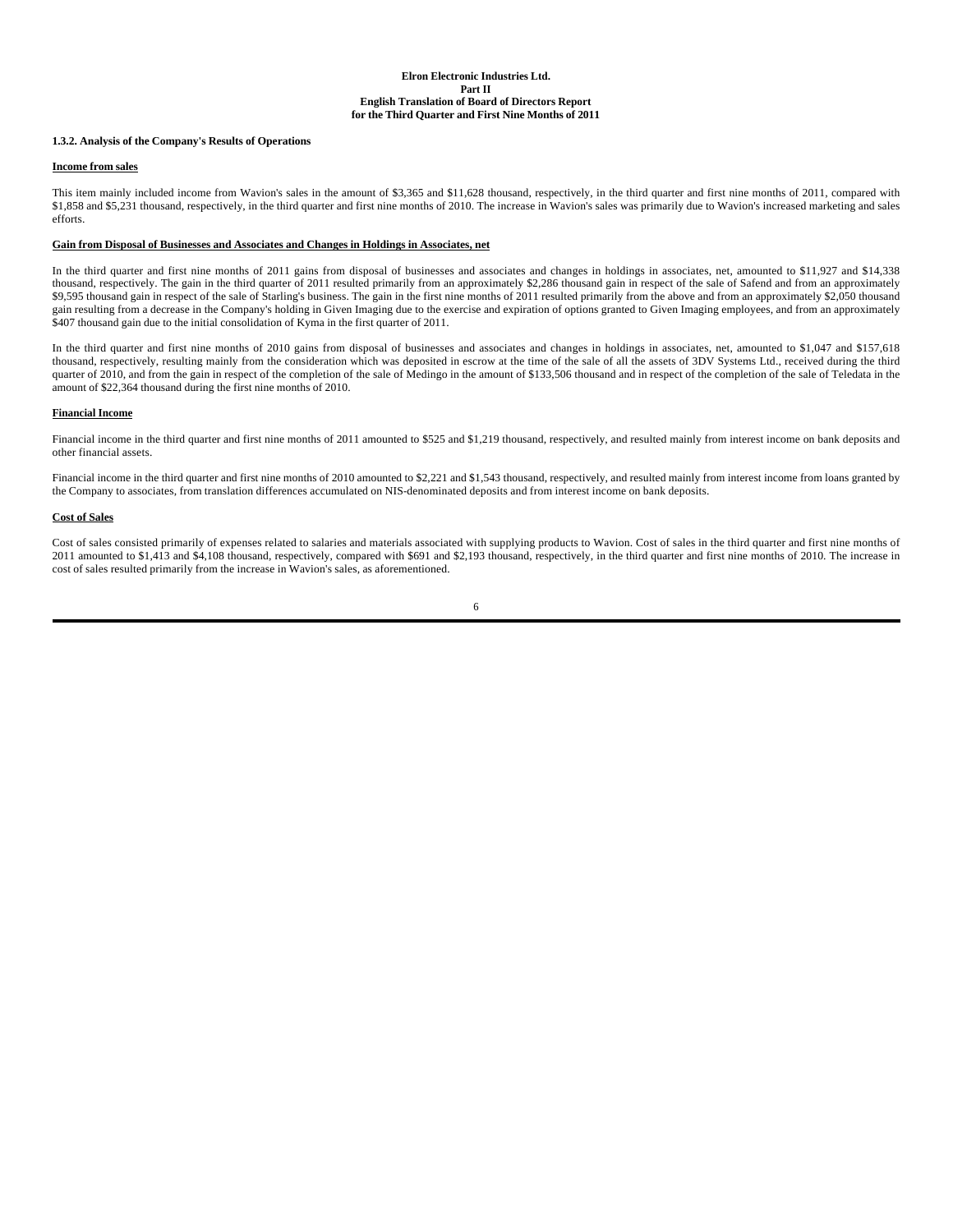### **1.3.2. Analysis of the Company's Results of Operations**

#### **Income from sales**

This item mainly included income from Wavion's sales in the amount of \$3,365 and \$11,628 thousand, respectively, in the third quarter and first nine months of 2011, compared with \$1,858 and \$5,231 thousand, respectively, in the third quarter and first nine months of 2010. The increase in Wavion's sales was primarily due to Wavion's increased marketing and sales efforts.

### **Gain from Disposal of Businesses and Associates and Changes in Holdings in Associates, net**

In the third quarter and first nine months of 2011 gains from disposal of businesses and associates and changes in holdings in associates, net, amounted to \$11,927 and \$14,338 thousand, respectively. The gain in the third quarter of 2011 resulted primarily from an approximately \$2,286 thousand gain in respect of the sale of Safend and from an approximately \$9,595 thousand gain in respect of the sale of Starling's business. The gain in the first nine months of 2011 resulted primarily from the above and from an approximately \$2,050 thousand gain resulting from a decrease in the Company's holding in Given Imaging due to the exercise and expiration of options granted to Given Imaging employees, and from an approximately \$407 thousand gain due to the initial consolidation of Kyma in the first quarter of 2011.

In the third quarter and first nine months of 2010 gains from disposal of businesses and associates and changes in holdings in associates, net, amounted to \$1,047 and \$157,618 thousand, respectively, resulting mainly from the consideration which was deposited in escrow at the time of the sale of all the assets of 3DV Systems Ltd., received during the third quarter of 2010, and from the gain in respect of the completion of the sale of Medingo in the amount of \$133,506 thousand and in respect of the completion of the sale of Teledata in the amount of \$22,364 thousand during the first nine months of 2010.

#### **Financial Income**

Financial income in the third quarter and first nine months of 2011 amounted to \$525 and \$1,219 thousand, respectively, and resulted mainly from interest income on bank deposits and other financial assets.

Financial income in the third quarter and first nine months of 2010 amounted to \$2,221 and \$1,543 thousand, respectively, and resulted mainly from interest income from loans granted by the Company to associates, from translation differences accumulated on NIS-denominated deposits and from interest income on bank deposits.

#### **Cost of Sales**

Cost of sales consisted primarily of expenses related to salaries and materials associated with supplying products to Wavion. Cost of sales in the third quarter and first nine months of 2011 amounted to \$1,413 and \$4,108 thousand, respectively, compared with \$691 and \$2,193 thousand, respectively, in the third quarter and first nine months of 2010. The increase in cost of sales resulted primarily from the increase in Wavion's sales, as aforementioned.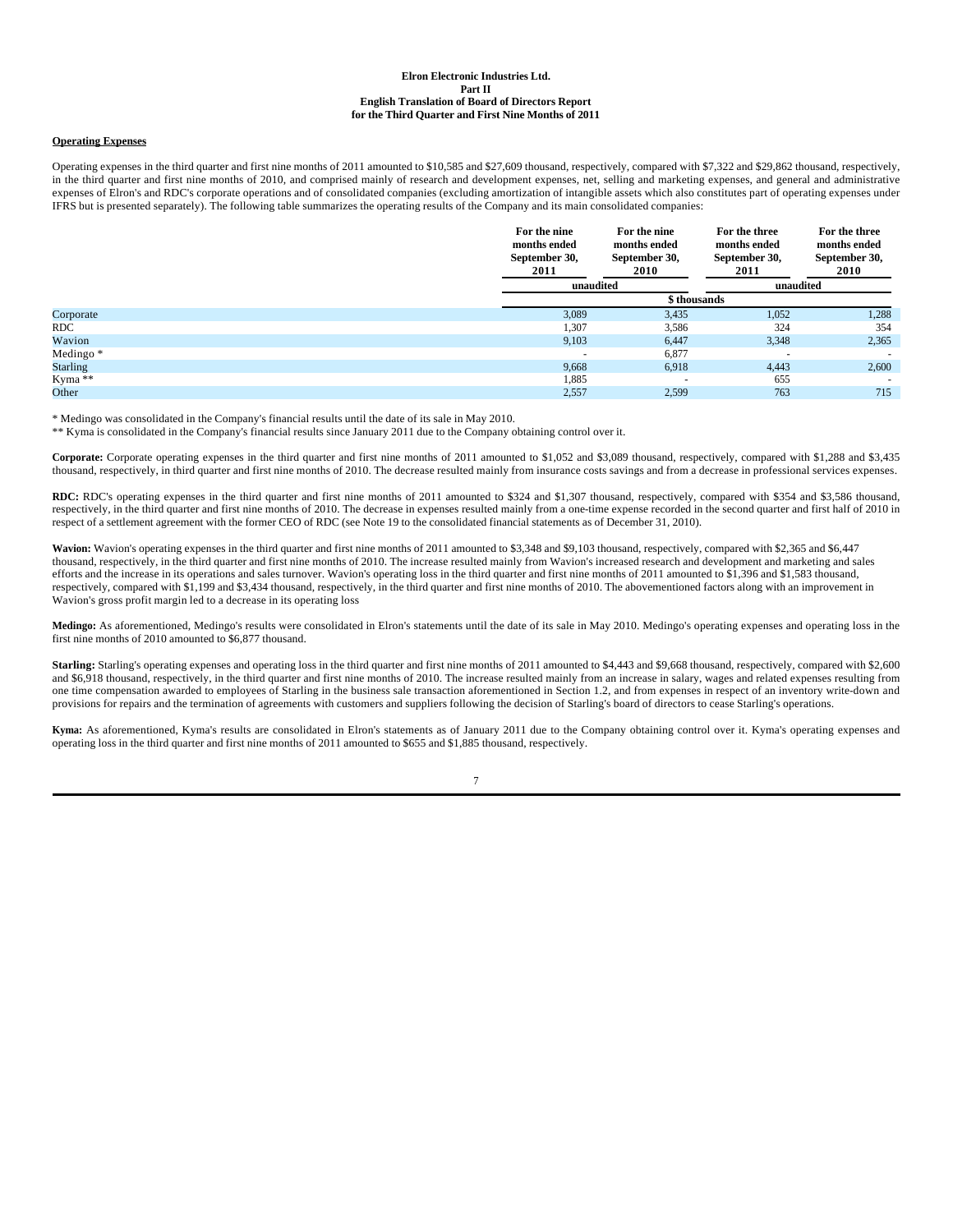#### **Operating Expenses**

Operating expenses in the third quarter and first nine months of 2011 amounted to \$10,585 and \$27,609 thousand, respectively, compared with \$7,322 and \$29,862 thousand, respectively, in the third quarter and first nine months of 2010, and comprised mainly of research and development expenses, net, selling and marketing expenses, and general and administrative expenses of Elron's and RDC's corporate operations and of consolidated companies (excluding amortization of intangible assets which also constitutes part of operating expenses under IFRS but is presented separately). The following table summarizes the operating results of the Company and its main consolidated companies:

|                 | For the nine<br>months ended<br>September 30,<br>2011 | For the nine<br>months ended<br>September 30,<br>2010 | For the three<br>months ended<br>September 30,<br>2011 | For the three<br>months ended<br>September 30,<br>2010 |
|-----------------|-------------------------------------------------------|-------------------------------------------------------|--------------------------------------------------------|--------------------------------------------------------|
|                 |                                                       | unaudited                                             |                                                        | unaudited                                              |
|                 |                                                       | \$ thousands                                          |                                                        |                                                        |
| Corporate       | 3,089                                                 | 3,435                                                 | 1,052                                                  | 1,288                                                  |
| <b>RDC</b>      | 1,307                                                 | 3,586                                                 | 324                                                    | 354                                                    |
| Wavion          | 9,103                                                 | 6,447                                                 | 3,348                                                  | 2,365                                                  |
| Medingo*        | $\overline{\phantom{a}}$                              | 6,877                                                 | $\overline{\phantom{a}}$                               | $\overline{\phantom{a}}$                               |
| <b>Starling</b> | 9,668                                                 | 6,918                                                 | 4,443                                                  | 2,600                                                  |
| $Kyma**$        | 1,885                                                 | $\overline{\phantom{a}}$                              | 655                                                    |                                                        |
| Other           | 2,557                                                 | 2,599                                                 | 763                                                    | 715                                                    |

\* Medingo was consolidated in the Company's financial results until the date of its sale in May 2010.

\*\* Kyma is consolidated in the Company's financial results since January 2011 due to the Company obtaining control over it.

Corporate: Corporate operating expenses in the third quarter and first nine months of 2011 amounted to \$1,052 and \$3,089 thousand, respectively, compared with \$1,288 and \$3,435 thousand, respectively, in third quarter and first nine months of 2010. The decrease resulted mainly from insurance costs savings and from a decrease in professional services expenses.

**RDC:** RDC's operating expenses in the third quarter and first nine months of 2011 amounted to \$324 and \$1,307 thousand, respectively, compared with \$354 and \$3,586 thousand, respectively, in the third quarter and first nine months of 2010. The decrease in expenses resulted mainly from a one-time expense recorded in the second quarter and first half of 2010 in respect of a settlement agreement with the former CEO of RDC (see Note 19 to the consolidated financial statements as of December 31, 2010).

**Wavion:** Wavion's operating expenses in the third quarter and first nine months of 2011 amounted to \$3,348 and \$9,103 thousand, respectively, compared with \$2,365 and \$6,447 thousand, respectively, in the third quarter and first nine months of 2010. The increase resulted mainly from Wavion's increased research and development and marketing and sales efforts and the increase in its operations and sales turnover. Wavion's operating loss in the third quarter and first nine months of 2011 amounted to \$1,396 and \$1,583 thousand, respectively, compared with \$1,199 and \$3,434 thousand, respectively, in the third quarter and first nine months of 2010. The abovementioned factors along with an improvement in Wavion's gross profit margin led to a decrease in its operating loss

**Medingo:** As aforementioned, Medingo's results were consolidated in Elron's statements until the date of its sale in May 2010. Medingo's operating expenses and operating loss in the first nine months of 2010 amounted to \$6,877 thousand.

Starling: Starling's operating expenses and operating loss in the third quarter and first nine months of 2011 amounted to \$4,443 and \$9,668 thousand, respectively, compared with \$2,600 and \$6,918 thousand, respectively, in the third quarter and first nine months of 2010. The increase resulted mainly from an increase in salary, wages and related expenses resulting from one time compensation awarded to employees of Starling in the business sale transaction aforementioned in Section 1.2, and from expenses in respect of an inventory write-down and provisions for repairs and the termination of agreements with customers and suppliers following the decision of Starling's board of directors to cease Starling's operations.

**Kyma:** As aforementioned, Kyma's results are consolidated in Elron's statements as of January 2011 due to the Company obtaining control over it. Kyma's operating expenses and operating loss in the third quarter and first nine months of 2011 amounted to \$655 and \$1,885 thousand, respectively.

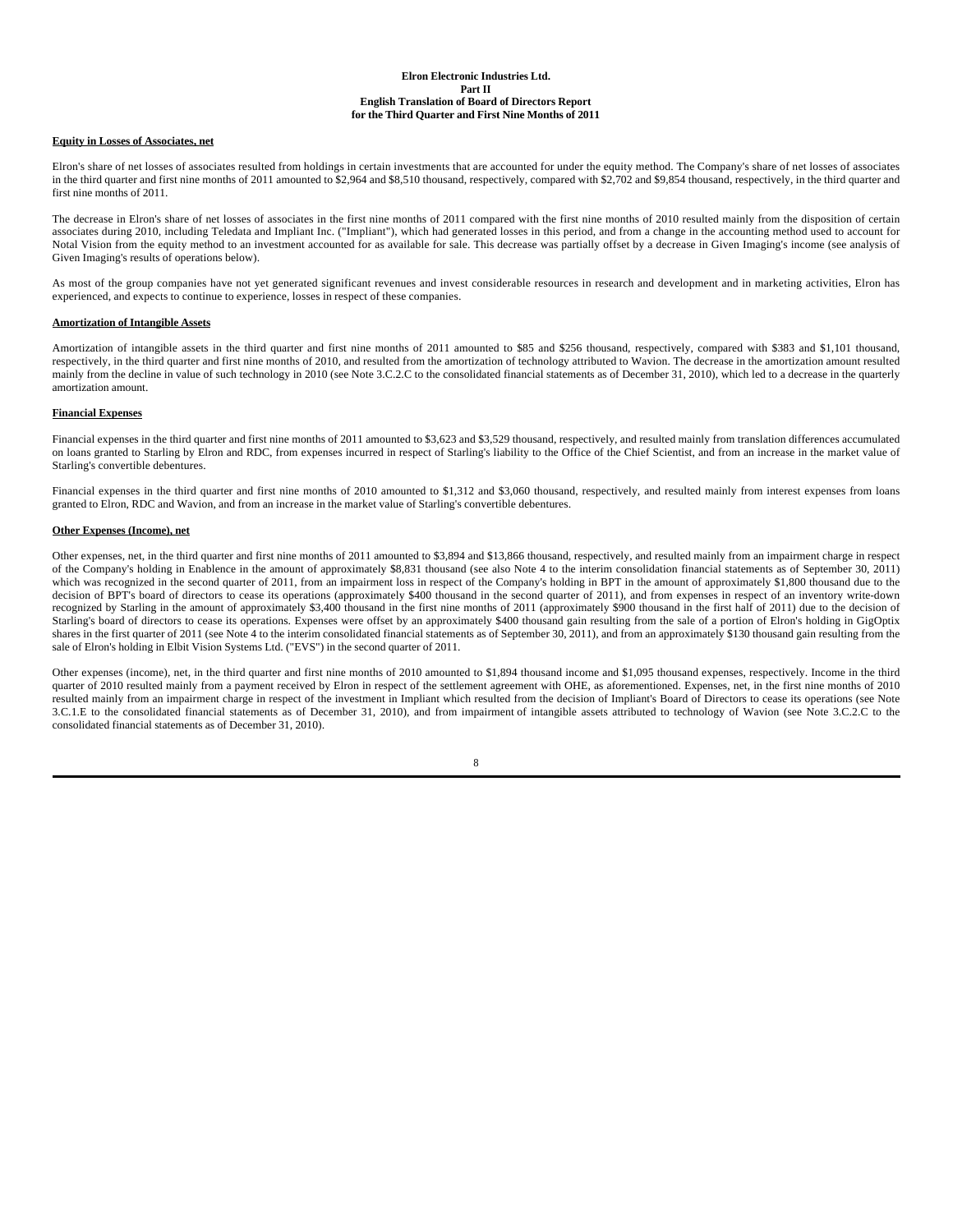## **Equity in Losses of Associates, net**

Elron's share of net losses of associates resulted from holdings in certain investments that are accounted for under the equity method. The Company's share of net losses of associates in the third quarter and first nine months of 2011 amounted to \$2,964 and \$8,510 thousand, respectively, compared with \$2,702 and \$9,854 thousand, respectively, in the third quarter and first nine months of 2011.

The decrease in Elron's share of net losses of associates in the first nine months of 2011 compared with the first nine months of 2010 resulted mainly from the disposition of certain associates during 2010, including Teledata and Impliant Inc. ("Impliant"), which had generated losses in this period, and from a change in the accounting method used to account for Notal Vision from the equity method to an investment accounted for as available for sale. This decrease was partially offset by a decrease in Given Imaging's income (see analysis of Given Imaging's results of operations below).

As most of the group companies have not yet generated significant revenues and invest considerable resources in research and development and in marketing activities, Elron has experienced, and expects to continue to experience, losses in respect of these companies.

### **Amortization of Intangible Assets**

Amortization of intangible assets in the third quarter and first nine months of 2011 amounted to \$85 and \$256 thousand, respectively, compared with \$383 and \$1,101 thousand, respectively, in the third quarter and first nine months of 2010, and resulted from the amortization of technology attributed to Wavion. The decrease in the amortization amount resulted mainly from the decline in value of such technology in 2010 (see Note 3.C.2.C to the consolidated financial statements as of December 31, 2010), which led to a decrease in the quarterly amortization amount.

### **Financial Expenses**

Financial expenses in the third quarter and first nine months of 2011 amounted to \$3,623 and \$3,529 thousand, respectively, and resulted mainly from translation differences accumulated on loans granted to Starling by Elron and RDC, from expenses incurred in respect of Starling's liability to the Office of the Chief Scientist, and from an increase in the market value of Starling's convertible debentures.

Financial expenses in the third quarter and first nine months of 2010 amounted to \$1,312 and \$3,060 thousand, respectively, and resulted mainly from interest expenses from loans granted to Elron, RDC and Wavion, and from an increase in the market value of Starling's convertible debentures.

### **Other Expenses (Income), net**

Other expenses, net, in the third quarter and first nine months of 2011 amounted to \$3,894 and \$13,866 thousand, respectively, and resulted mainly from an impairment charge in respect of the Company's holding in Enablence in the amount of approximately \$8,831 thousand (see also Note 4 to the interim consolidation financial statements as of September 30, 2011) which was recognized in the second quarter of 2011, from an impairment loss in respect of the Company's holding in BPT in the amount of approximately \$1,800 thousand due to the decision of BPT's board of directors to cease its operations (approximately \$400 thousand in the second quarter of 2011), and from expenses in respect of an inventory write-down recognized by Starling in the amount of approximately \$3,400 thousand in the first nine months of 2011 (approximately \$900 thousand in the first half of 2011) due to the decision of Starling's board of directors to cease its operations. Expenses were offset by an approximately \$400 thousand gain resulting from the sale of a portion of Elron's holding in GigOptix shares in the first quarter of 2011 (see Note 4 to the interim consolidated financial statements as of September 30, 2011), and from an approximately \$130 thousand gain resulting from the sale of Elron's holding in Elbit Vision Systems Ltd. ("EVS") in the second quarter of 2011.

Other expenses (income), net, in the third quarter and first nine months of 2010 amounted to \$1,894 thousand income and \$1,095 thousand expenses, respectively. Income in the third quarter of 2010 resulted mainly from a payment received by Elron in respect of the settlement agreement with OHE, as aforementioned. Expenses, net, in the first nine months of 2010 resulted mainly from an impairment charge in respect of the investment in Impliant which resulted from the decision of Impliant's Board of Directors to cease its operations (see Note 3.C.1.E to the consolidated financial statements as of December 31, 2010), and from impairment of intangible assets attributed to technology of Wavion (see Note 3.C.2.C to the consolidated financial statements as of December 31, 2010).

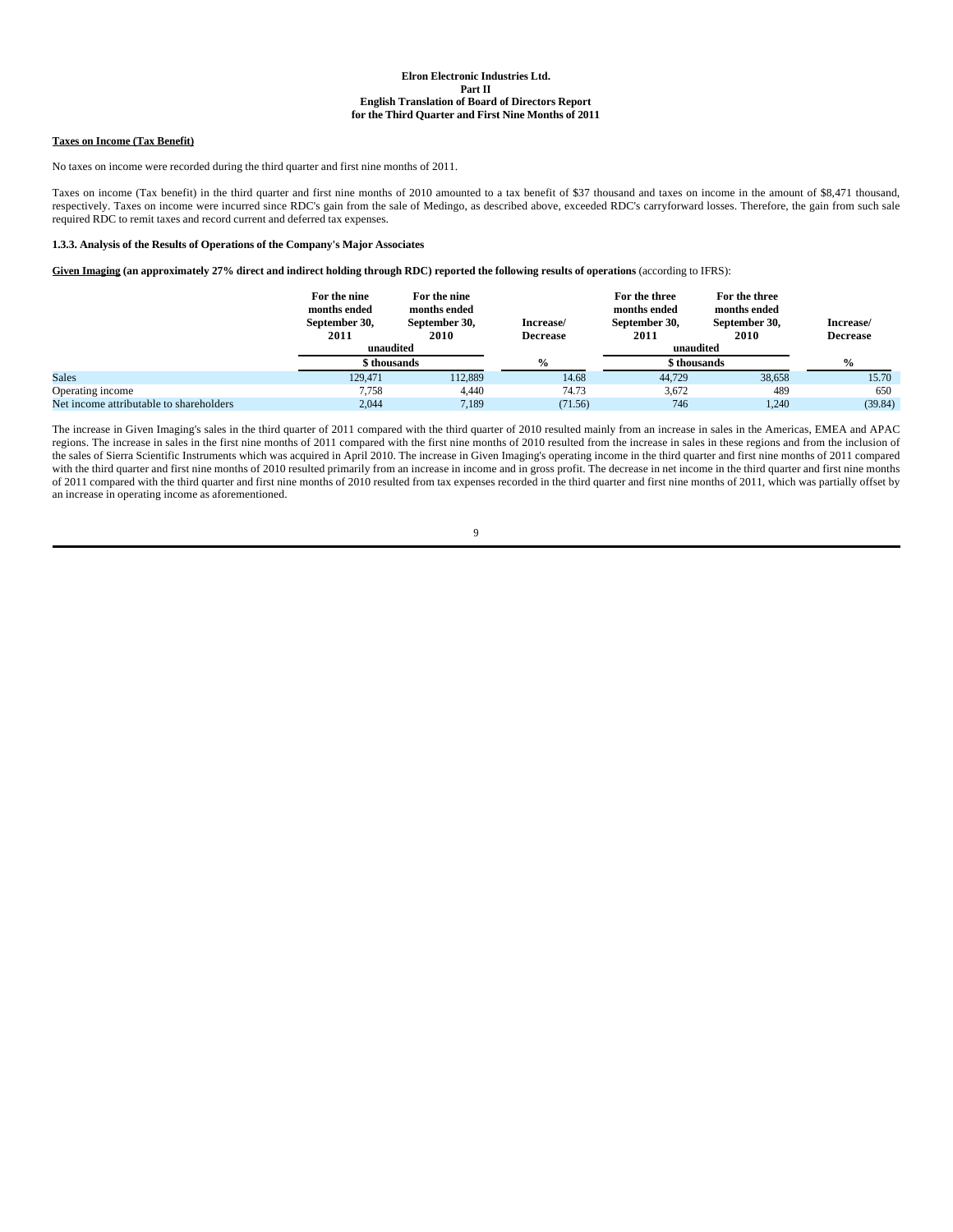## **Taxes on Income (Tax Benefit)**

No taxes on income were recorded during the third quarter and first nine months of 2011.

Taxes on income (Tax benefit) in the third quarter and first nine months of 2010 amounted to a tax benefit of \$37 thousand and taxes on income in the amount of \$8,471 thousand, respectively. Taxes on income were incurred since RDC's gain from the sale of Medingo, as described above, exceeded RDC's carryforward losses. Therefore, the gain from such sale required RDC to remit taxes and record current and deferred tax expenses.

#### **1.3.3. Analysis of the Results of Operations of the Company's Major Associates**

**Given Imaging (an approximately 27% direct and indirect holding through RDC) reported the following results of operations** (according to IFRS):

|                                         | For the nine<br>months ended<br>September 30, | For the nine<br>months ended<br>September 30, | Increase/       | For the three<br>months ended<br>September 30, | For the three<br>months ended<br>September 30, | Increase/       |
|-----------------------------------------|-----------------------------------------------|-----------------------------------------------|-----------------|------------------------------------------------|------------------------------------------------|-----------------|
|                                         | 2011                                          | 2010                                          | <b>Decrease</b> | 2011                                           | 2010                                           | <b>Decrease</b> |
|                                         | unaudited                                     |                                               |                 | unaudited                                      |                                                |                 |
|                                         | \$ thousands                                  |                                               | $\frac{0}{0}$   | \$ thousands                                   |                                                | $\frac{0}{0}$   |
| <b>Sales</b>                            | 129.471                                       | 112.889                                       | 14.68           | 44.729                                         | 38,658                                         | 15.70           |
| Operating income                        | 7.758                                         | 4.440                                         | 74.73           | 3.672                                          | 489                                            | 650             |
| Net income attributable to shareholders | 2.044                                         | 7.189                                         | (71.56)         | 746                                            | 1.240                                          | (39.84)         |

The increase in Given Imaging's sales in the third quarter of 2011 compared with the third quarter of 2010 resulted mainly from an increase in sales in the Americas, EMEA and APAC regions. The increase in sales in the first nine months of 2011 compared with the first nine months of 2010 resulted from the increase in sales in these regions and from the inclusion of the sales of Sierra Scientific Instruments which was acquired in April 2010. The increase in Given Imaging's operating income in the third quarter and first nine months of 2011 compared with the third quarter and first nine months of 2010 resulted primarily from an increase in income and in gross profit. The decrease in net income in the third quarter and first nine months of 2011 compared with the third quarter and first nine months of 2010 resulted from tax expenses recorded in the third quarter and first nine months of 2011, which was partially offset by an increase in operating income as aforementioned.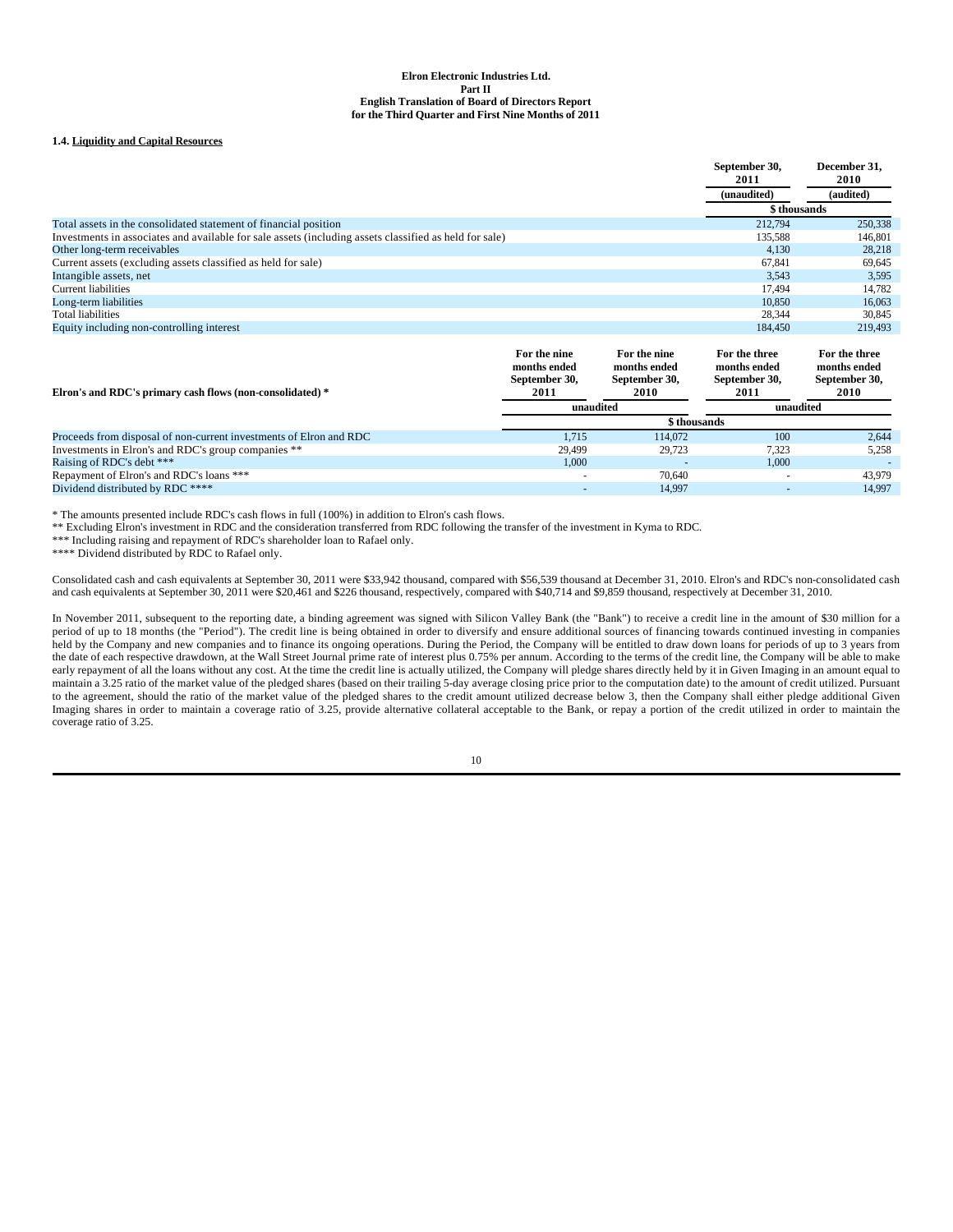## **1.4. Liquidity and Capital Resources**

|                                                                                                        | September 30,<br>2011 | December 31.<br><b>2010</b> |
|--------------------------------------------------------------------------------------------------------|-----------------------|-----------------------------|
|                                                                                                        | (unaudited)           | (audited)                   |
|                                                                                                        | \$ thousands          |                             |
| Total assets in the consolidated statement of financial position                                       | 212.794               | 250,338                     |
| Investments in associates and available for sale assets (including assets classified as held for sale) | 135.588               | 146.801                     |
| Other long-term receivables                                                                            | 4.130                 | 28,218                      |
| Current assets (excluding assets classified as held for sale)                                          | 67.841                | 69,645                      |
| Intangible assets, net                                                                                 | 3,543                 | 3,595                       |
| <b>Current liabilities</b>                                                                             | 17.494                | 14,782                      |
| Long-term liabilities                                                                                  | 10.850                | 16.063                      |
| <b>Total liabilities</b>                                                                               | 28,344                | 30,845                      |
| Equity including non-controlling interest                                                              | 184,450               | 219,493                     |

| Elron's and RDC's primary cash flows (non-consolidated) *          | For the nine<br>months ended<br>September 30,<br>2011 | For the nine<br>months ended<br>September 30,<br>2010 |                          | For the three<br>months ended<br>September 30,<br><b>2010</b> |
|--------------------------------------------------------------------|-------------------------------------------------------|-------------------------------------------------------|--------------------------|---------------------------------------------------------------|
|                                                                    | unaudited                                             |                                                       | unaudited                |                                                               |
|                                                                    |                                                       | \$ thousands                                          |                          |                                                               |
| Proceeds from disposal of non-current investments of Elron and RDC | 1.715                                                 | 114,072                                               | 100                      | 2.644                                                         |
| Investments in Elron's and RDC's group companies **                | 29.499                                                | 29.723                                                | 7.323                    | 5,258                                                         |
| Raising of RDC's debt ***                                          | 1,000                                                 |                                                       | 1,000                    |                                                               |
| Repayment of Elron's and RDC's loans ***                           |                                                       | 70.640                                                | $\overline{\phantom{a}}$ | 43,979                                                        |
| Dividend distributed by RDC ****                                   |                                                       | 14.997                                                |                          | 14.997                                                        |

\* The amounts presented include RDC's cash flows in full (100%) in addition to Elron's cash flows.

\*\* Excluding Elron's investment in RDC and the consideration transferred from RDC following the transfer of the investment in Kyma to RDC.

\*\*\* Including raising and repayment of RDC's shareholder loan to Rafael only.

\*\*\*\* Dividend distributed by RDC to Rafael only.

Consolidated cash and cash equivalents at September 30, 2011 were \$33,942 thousand, compared with \$56,539 thousand at December 31, 2010. Elron's and RDC's non-consolidated cash and cash equivalents at September 30, 2011 were \$20,461 and \$226 thousand, respectively, compared with \$40,714 and \$9,859 thousand, respectively at December 31, 2010.

In November 2011, subsequent to the reporting date, a binding agreement was signed with Silicon Valley Bank (the "Bank") to receive a credit line in the amount of \$30 million for a period of up to 18 months (the "Period"). The credit line is being obtained in order to diversify and ensure additional sources of financing towards continued investing in companies held by the Company and new companies and to finance its ongoing operations. During the Period, the Company will be entitled to draw down loans for periods of up to 3 years from the date of each respective drawdown, at the Wall Street Journal prime rate of interest plus 0.75% per annum. According to the terms of the credit line, the Company will be able to make early repayment of all the loans without any cost. At the time the credit line is actually utilized, the Company will pledge shares directly held by it in Given Imaging in an amount equal to explicitly the United States of maintain a 3.25 ratio of the market value of the pledged shares (based on their trailing 5-day average closing price prior to the computation date) to the amount of credit utilized. Pursuant to the agreement, should the ratio of the market value of the pledged shares to the credit amount utilized decrease below 3, then the Company shall either pledge additional Given Imaging shares in order to maintain a coverage ratio of 3.25, provide alternative collateral acceptable to the Bank, or repay a portion of the credit utilized in order to maintain the coverage ratio of 3.25.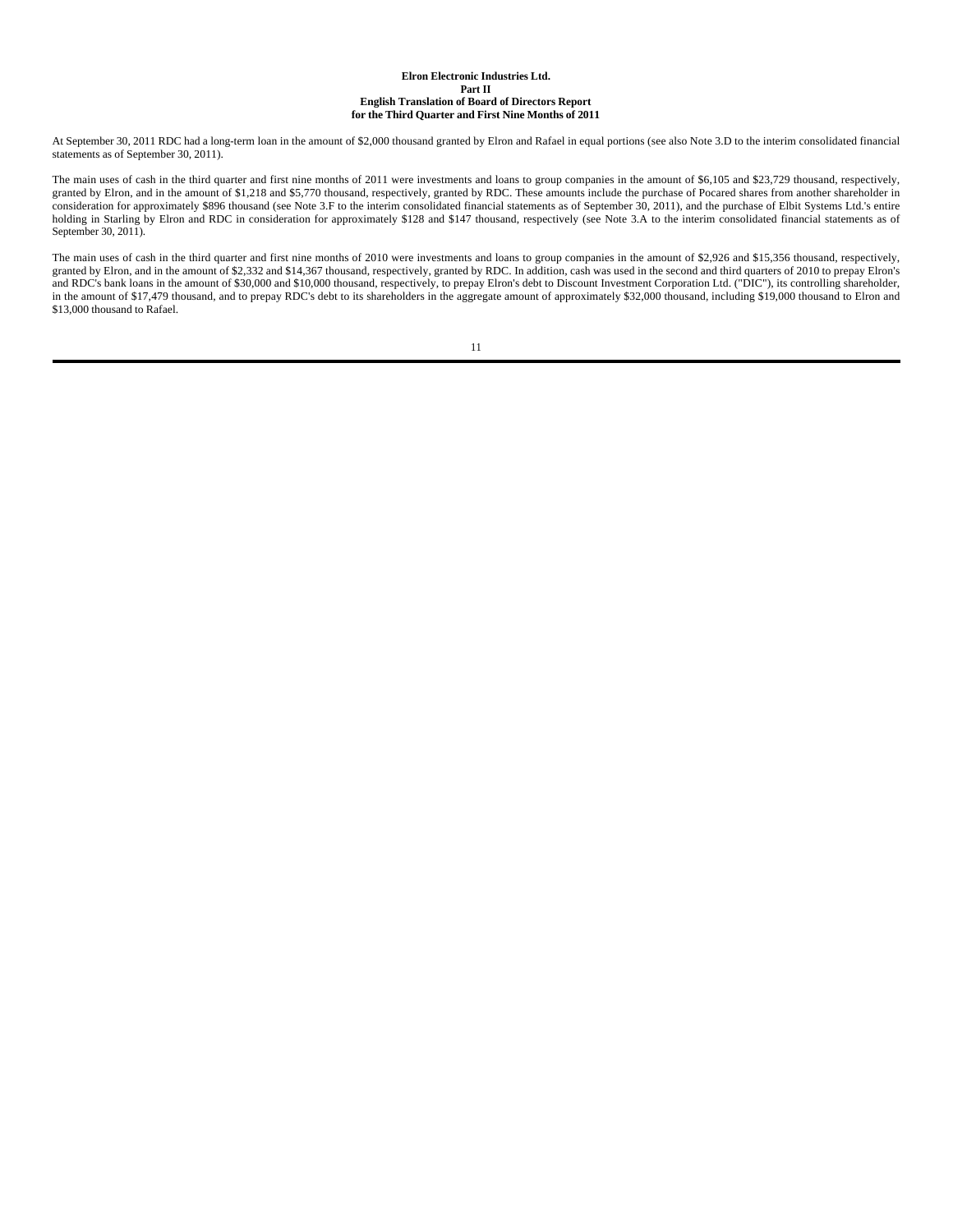At September 30, 2011 RDC had a long-term loan in the amount of \$2,000 thousand granted by Elron and Rafael in equal portions (see also Note 3.D to the interim consolidated financial statements as of September 30, 2011).

The main uses of cash in the third quarter and first nine months of 2011 were investments and loans to group companies in the amount of \$6,105 and \$23,729 thousand, respectively, granted by Elron, and in the amount of \$1,218 and \$5,770 thousand, respectively, granted by RDC. These amounts include the purchase of Pocared shares from another shareholder in consideration for approximately \$896 thousand (see Note 3.F to the interim consolidated financial statements as of September 30, 2011), and the purchase of Elbit Systems Ltd.'s entire holding in Starling by Elron and RDC in consideration for approximately \$128 and \$147 thousand, respectively (see Note 3.A to the interim consolidated financial statements as of September 30, 2011).

The main uses of cash in the third quarter and first nine months of 2010 were investments and loans to group companies in the amount of \$2,926 and \$15,356 thousand, respectively, granted by Elron, and in the amount of \$2,332 and \$14,367 thousand, respectively, granted by RDC. In addition, cash was used in the second and third quarters of 2010 to prepay Elron's and RDC's bank loans in the amount of \$30,000 and \$10,000 thousand, respectively, to prepay Elron's debt to Discount Investment Corporation Ltd. ("DIC"), its controlling shareholder, in the amount of \$17,479 thousand, and to prepay RDC's debt to its shareholders in the aggregate amount of approximately \$32,000 thousand, including \$19,000 thousand to Elron and \$13,000 thousand to Rafael.

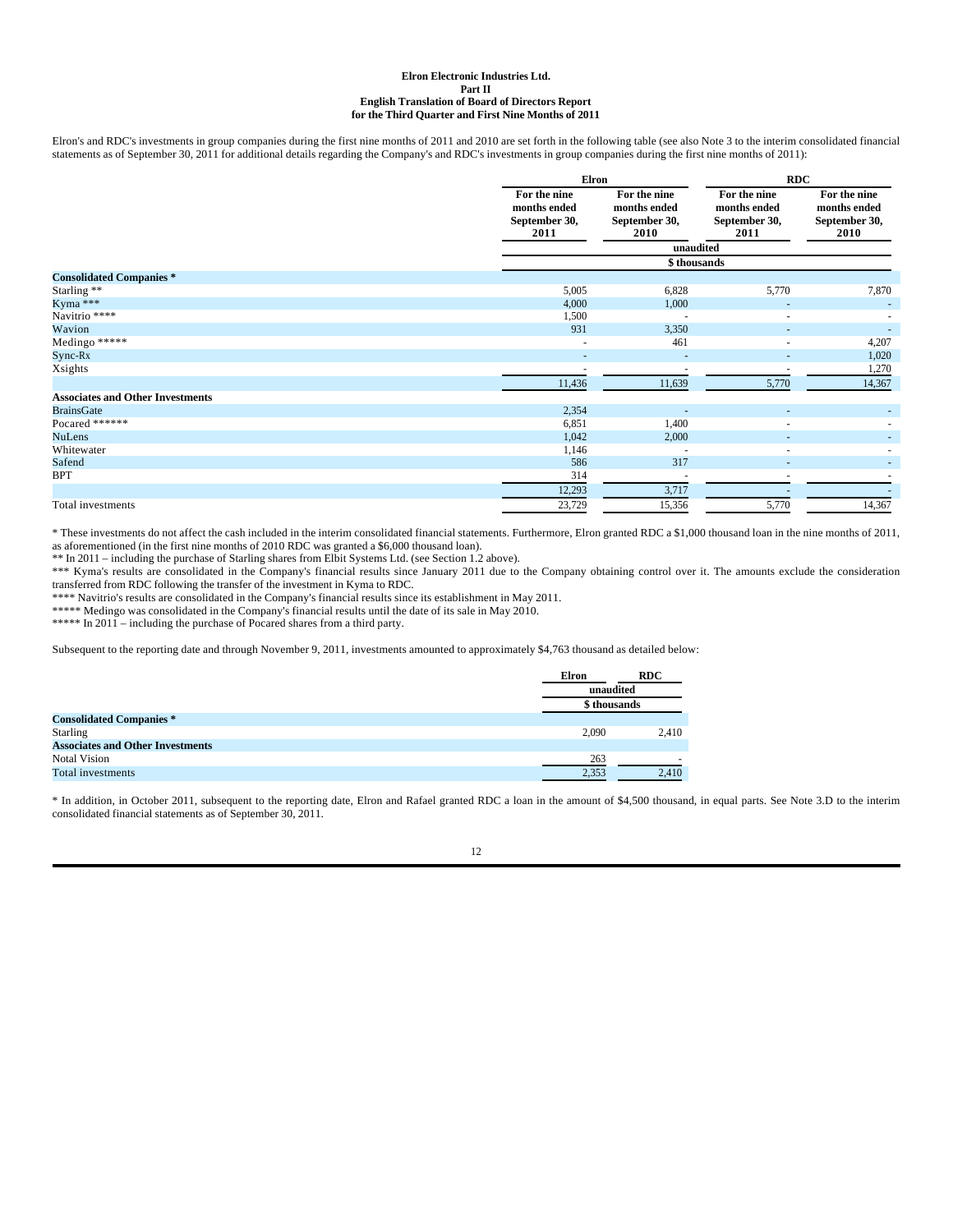Elron's and RDC's investments in group companies during the first nine months of 2011 and 2010 are set forth in the following table (see also Note 3 to the interim consolidated financial statements as of September 30, 2011 for additional details regarding the Company's and RDC's investments in group companies during the first nine months of 2011):

|                                         | Elron                                                 |                                                       | <b>RDC</b>                                            |                                                       |
|-----------------------------------------|-------------------------------------------------------|-------------------------------------------------------|-------------------------------------------------------|-------------------------------------------------------|
|                                         | For the nine<br>months ended<br>September 30,<br>2011 | For the nine<br>months ended<br>September 30,<br>2010 | For the nine<br>months ended<br>September 30,<br>2011 | For the nine<br>months ended<br>September 30,<br>2010 |
|                                         |                                                       | unaudited                                             |                                                       |                                                       |
|                                         |                                                       | \$thousands                                           |                                                       |                                                       |
| <b>Consolidated Companies*</b>          |                                                       |                                                       |                                                       |                                                       |
| Starling **                             | 5,005                                                 | 6,828                                                 | 5,770                                                 | 7,870                                                 |
| Kyma ***                                | 4,000                                                 | 1,000                                                 |                                                       |                                                       |
| Navitrio ****                           | 1,500                                                 | $\overline{\phantom{a}}$                              | $\overline{a}$                                        |                                                       |
| Wavion                                  | 931                                                   | 3,350                                                 |                                                       |                                                       |
| Medingo *****                           | ٠                                                     | 461                                                   | ٠                                                     | 4,207                                                 |
| $Sync-Rx$                               | ٠                                                     |                                                       | $\overline{\phantom{a}}$                              | 1,020                                                 |
| Xsights                                 |                                                       | $\overline{\phantom{a}}$                              | ٠                                                     | 1,270                                                 |
|                                         | 11,436                                                | 11,639                                                | 5,770                                                 | 14,367                                                |
| <b>Associates and Other Investments</b> |                                                       |                                                       |                                                       |                                                       |
| <b>BrainsGate</b>                       | 2,354                                                 |                                                       |                                                       |                                                       |
| Pocared ******                          | 6,851                                                 | 1,400                                                 | ٠                                                     |                                                       |
| <b>NuLens</b>                           | 1,042                                                 | 2,000                                                 |                                                       |                                                       |
| Whitewater                              | 1,146                                                 |                                                       |                                                       |                                                       |
| Safend                                  | 586                                                   | 317                                                   |                                                       |                                                       |
| <b>BPT</b>                              | 314                                                   |                                                       |                                                       |                                                       |
|                                         | 12,293                                                | 3,717                                                 |                                                       |                                                       |
| Total investments                       | 23,729                                                | 15,356                                                | 5,770                                                 | 14,367                                                |

\* These investments do not affect the cash included in the interim consolidated financial statements. Furthermore, Elron granted RDC a \$1,000 thousand loan in the nine months of 2011, as aforementioned (in the first nine months of 2010 RDC was granted a \$6,000 thousand loan).

\*\* In 2011 – including the purchase of Starling shares from Elbit Systems Ltd. (see Section 1.2 above).

\*\*\* Kyma's results are consolidated in the Company's financial results since January 2011 due to the Company obtaining control over it. The amounts exclude the consideration transferred from RDC following the transfer of the investment in Kyma to RDC.

\*\*\*\* Navitrio's results are consolidated in the Company's financial results since its establishment in May 2011.

\*\*\*\*\* Medingo was consolidated in the Company's financial results until the date of its sale in May 2010.

\*\*\*\*\* In 2011 – including the purchase of Pocared shares from a third party.

Subsequent to the reporting date and through November 9, 2011, investments amounted to approximately \$4,763 thousand as detailed below:

|                                         | Elron | <b>RDC</b>   |
|-----------------------------------------|-------|--------------|
|                                         |       | unaudited    |
|                                         |       | \$ thousands |
| <b>Consolidated Companies*</b>          |       |              |
| <b>Starling</b>                         | 2.090 | 2.410        |
| <b>Associates and Other Investments</b> |       |              |
| <b>Notal Vision</b>                     | 263   |              |
| Total investments                       | 2.353 | 2.410        |

\* In addition, in October 2011, subsequent to the reporting date, Elron and Rafael granted RDC a loan in the amount of \$4,500 thousand, in equal parts. See Note 3.D to the interim consolidated financial statements as of September 30, 2011.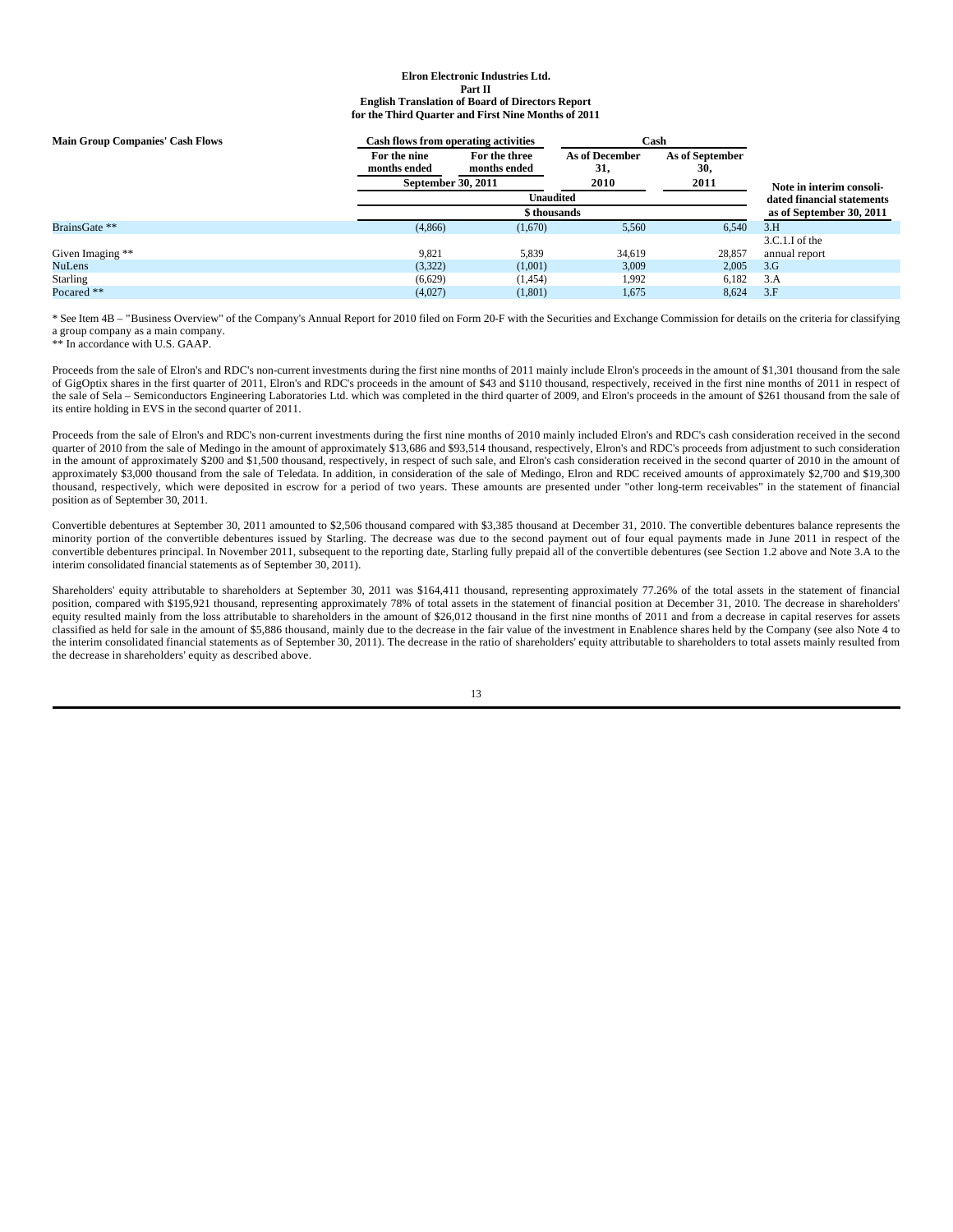| <b>Main Group Companies' Cash Flows</b> | Cash flows from operating activities |               | Cash                     |                 |                            |
|-----------------------------------------|--------------------------------------|---------------|--------------------------|-----------------|----------------------------|
|                                         | For the nine                         | For the three | <b>As of December</b>    | As of September |                            |
|                                         | months ended                         | months ended  | 31,                      | 30,             |                            |
|                                         | September 30, 2011                   |               | 2010                     | 2011            | Note in interim consoli-   |
|                                         |                                      | Unaudited     |                          |                 | dated financial statements |
|                                         |                                      |               | as of September 30, 2011 |                 |                            |
| BrainsGate **                           | (4,866)                              | (1,670)       | 5,560                    | 6.540           | 3.H                        |
|                                         |                                      |               |                          |                 | 3.C.1.I of the             |
| Given Imaging **                        | 9.821                                | 5.839         | 34,619                   | 28,857          | annual report              |
| <b>NuLens</b>                           | (3,322)                              | (1,001)       | 3,009                    | 2,005           | 3.G                        |
| Starling                                | (6,629)                              | (1,454)       | 1,992                    | 6,182           | 3.A                        |
| Pocared **                              | (4,027)                              | (1,801)       | 1,675                    | 8,624           | 3.F                        |

\* See Item 4B – "Business Overview" of the Company's Annual Report for 2010 filed on Form 20-F with the Securities and Exchange Commission for details on the criteria for classifying a group company as a main company.

\*\* In accordance with U.S. GAAP.

Proceeds from the sale of Elron's and RDC's non-current investments during the first nine months of 2011 mainly include Elron's proceeds in the amount of \$1,301 thousand from the sale of GigOptix shares in the first quarter of 2011, Elron's and RDC's proceeds in the amount of \$43 and \$110 thousand, respectively, received in the first nine months of 2011 in respect of the sale of Sela – Semiconductors Engineering Laboratories Ltd. which was completed in the third quarter of 2009, and Elron's proceeds in the amount of \$261 thousand from the sale of its entire holding in EVS in the second quarter of 2011.

Proceeds from the sale of Elron's and RDC's non-current investments during the first nine months of 2010 mainly included Elron's and RDC's cash consideration received in the second quarter of 2010 from the sale of Medingo in the amount of approximately \$13,686 and \$93,514 thousand, respectively, Elron's and RDC's proceeds from adjustment to such consideration in the amount of approximately \$200 and \$1,500 thousand, respectively, in respect of such sale, and Elron's cash consideration received in the second quarter of 2010 in the amount of approximately \$3,000 thousand from the sale of Teledata. In addition, in consideration of the sale of Medingo, Elron and RDC received amounts of approximately \$2,700 and \$19,300 thousand, respectively, which were deposited in escrow for a period of two years. These amounts are presented under "other long-term receivables" in the statement of financial position as of September 30, 2011.

Convertible debentures at September 30, 2011 amounted to \$2,506 thousand compared with \$3,385 thousand at December 31, 2010. The convertible debentures balance represents the minority portion of the convertible debentures issued by Starling. The decrease was due to the second payment out of four equal payments made in June 2011 in respect of the convertible debentures principal. In November 2011, subsequent to the reporting date, Starling fully prepaid all of the convertible debentures (see Section 1.2 above and Note 3.A to the interim consolidated financial statements as of September 30, 2011).

Shareholders' equity attributable to shareholders at September 30, 2011 was \$164,411 thousand, representing approximately 77.26% of the total assets in the statement of financial position, compared with \$195,921 thousand, representing approximately 78% of total assets in the statement of financial position at December 31, 2010. The decrease in shareholders' equity resulted mainly from the loss attributable to shareholders in the amount of \$26,012 thousand in the first nine months of 2011 and from a decrease in capital reserves for assets classified as held for sale in the amount of \$5,886 thousand, mainly due to the decrease in the fair value of the investment in Enablence shares held by the Company (see also Note 4 to the interim consolidated financial statements as of September 30, 2011). The decrease in the ratio of shareholders' equity attributable to shareholders to total assets mainly resulted from the decrease in shareholders' equity as described above.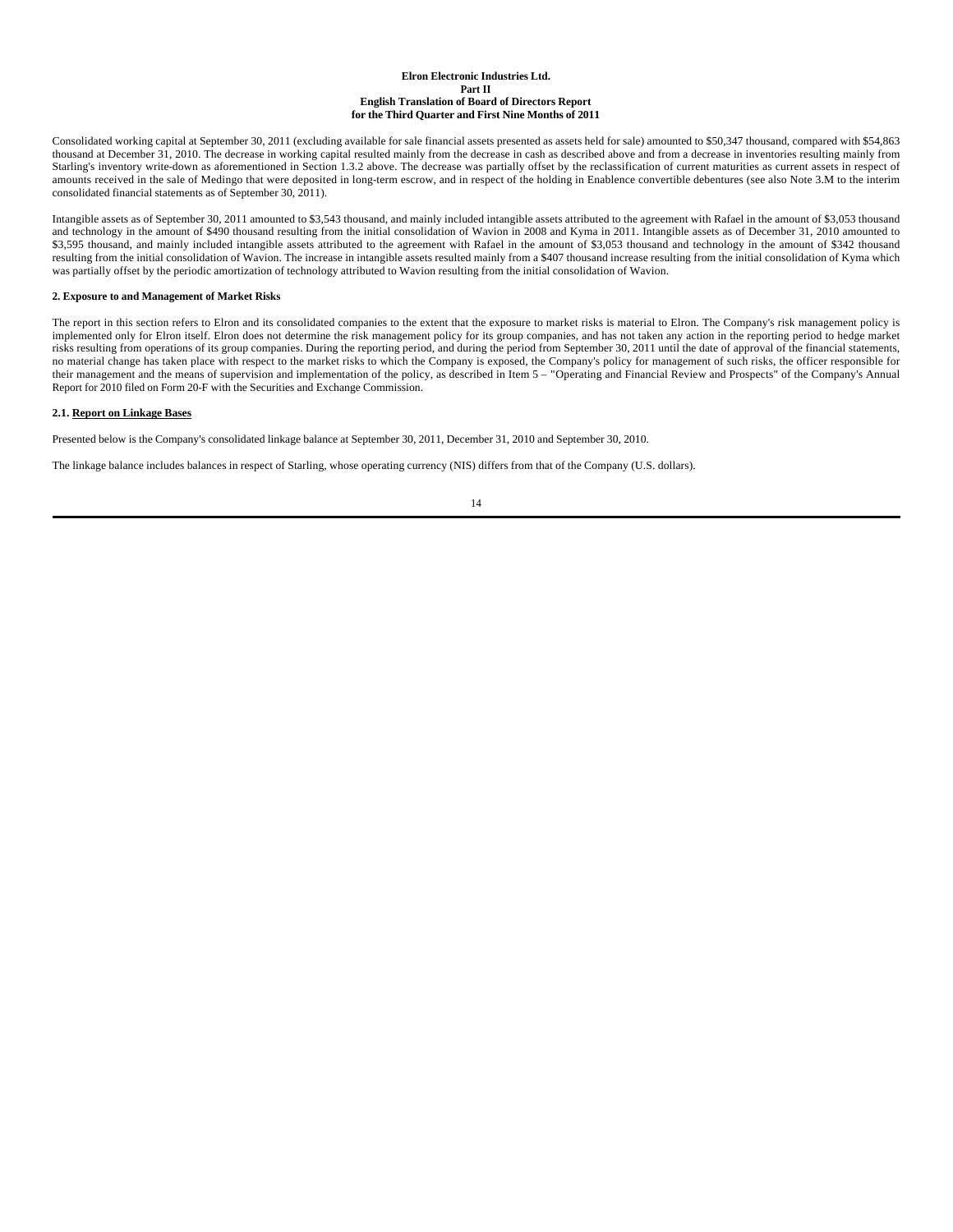Consolidated working capital at September 30, 2011 (excluding available for sale financial assets presented as assets held for sale) amounted to \$50,347 thousand, compared with \$54,863 thousand at December 31, 2010. The decrease in working capital resulted mainly from the decrease in cash as described above and from a decrease in inventories resulting mainly from Starling's inventory write-down as aforementioned in Section 1.3.2 above. The decrease was partially offset by the reclassification of current maturities as current assets in respect of amounts received in the sale of Medingo that were deposited in long-term escrow, and in respect of the holding in Enablence convertible debentures (see also Note 3.M to the interim consolidated financial statements as of September 30, 2011).

Intangible assets as of September 30, 2011 amounted to \$3,543 thousand, and mainly included intangible assets attributed to the agreement with Rafael in the amount of \$3,053 thousand and technology in the amount of \$490 thousand resulting from the initial consolidation of Wavion in 2008 and Kyma in 2011. Intangible assets as of December 31, 2010 amounted to \$3,595 thousand, and mainly included intangible assets attributed to the agreement with Rafael in the amount of \$3,053 thousand and technology in the amount of \$342 thousand resulting from the initial consolidation of Wavion. The increase in intangible assets resulted mainly from a \$407 thousand increase resulting from the initial consolidation of Kyma which was partially offset by the periodic amortization of technology attributed to Wavion resulting from the initial consolidation of Wavion.

### **2. Exposure to and Management of Market Risks**

The report in this section refers to Elron and its consolidated companies to the extent that the exposure to market risks is material to Elron. The Company's risk management policy is implemented only for Elron itself. Elron does not determine the risk management policy for its group companies, and has not taken any action in the reporting period to hedge market risks resulting from operations of its group companies. During the reporting period, and during the period from September 30, 2011 until the date of approval of the financial statements, no material change has taken place with respect to the market risks to which the Company is exposed, the Company's policy for management of such risks, the officer responsible for their management and the means of supervision and implementation of the policy, as described in Item 5 – "Operating and Financial Review and Prospects" of the Company's Annual Report for 2010 filed on Form 20-F with the Securities and Exchange Commission.

### **2.1. Report on Linkage Bases**

Presented below is the Company's consolidated linkage balance at September 30, 2011, December 31, 2010 and September 30, 2010.

The linkage balance includes balances in respect of Starling, whose operating currency (NIS) differs from that of the Company (U.S. dollars).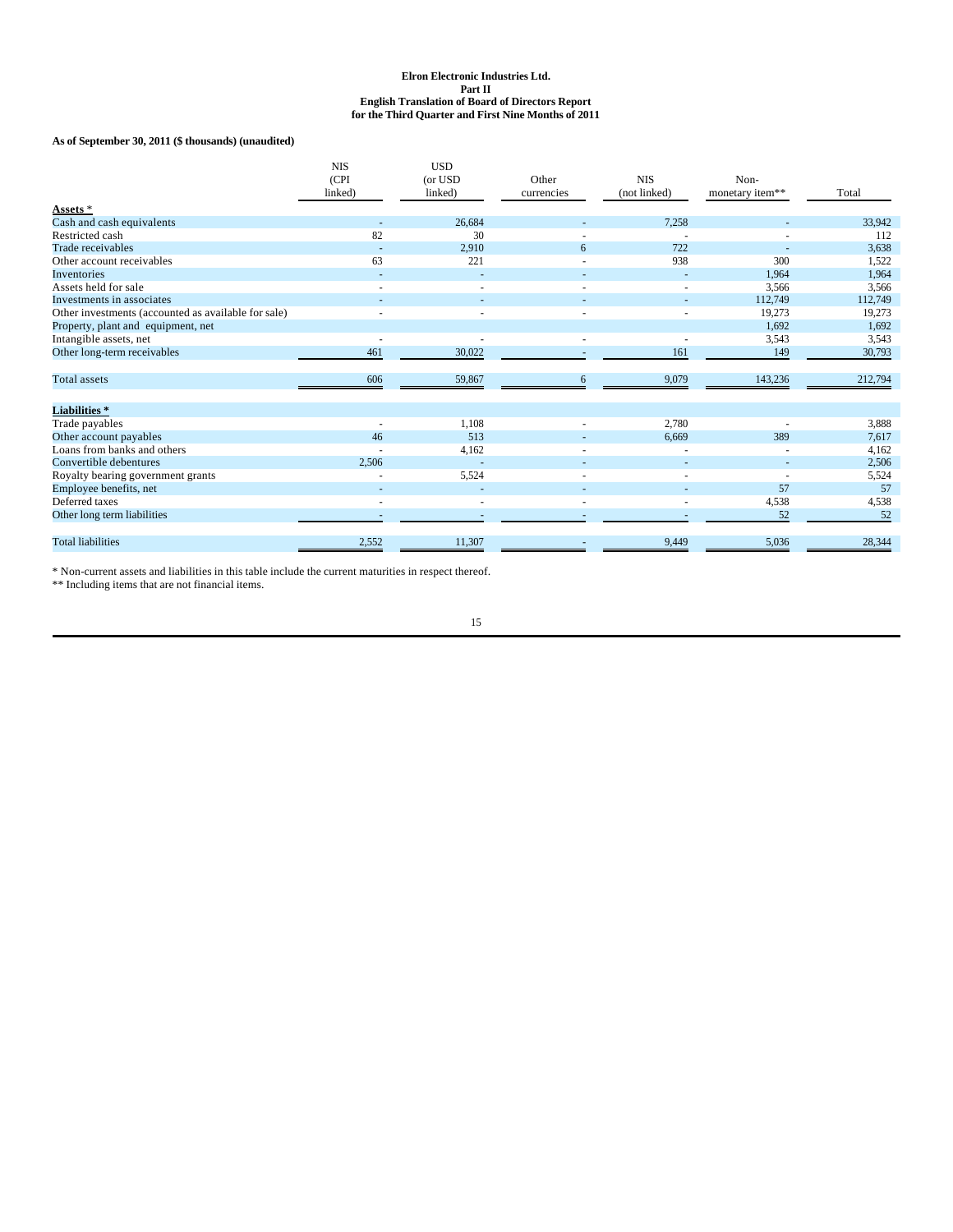**As of September 30, 2011 (\$ thousands) (unaudited)**

|                                                              | <b>NIS</b><br>(CPI<br>linked) | <b>USD</b><br>(or USD<br>linked) | Other<br>currencies | <b>NIS</b><br>(not linked) | Non-<br>monetary item** | Total             |
|--------------------------------------------------------------|-------------------------------|----------------------------------|---------------------|----------------------------|-------------------------|-------------------|
| Assets *                                                     |                               |                                  |                     |                            |                         |                   |
| Cash and cash equivalents<br>Restricted cash                 | 82                            | 26,684<br>30                     |                     | 7,258                      |                         | 33,942            |
| Trade receivables                                            |                               |                                  |                     | 722                        |                         | 112               |
| Other account receivables                                    | ٠<br>63                       | 2,910<br>221                     | 6                   | 938                        | 300                     | 3,638<br>1,522    |
| Inventories                                                  |                               |                                  |                     |                            | 1.964                   | 1,964             |
| Assets held for sale                                         |                               |                                  |                     |                            | 3,566                   |                   |
| Investments in associates                                    |                               |                                  |                     |                            |                         | 3,566             |
| Other investments (accounted as available for sale)          |                               |                                  |                     |                            | 112,749<br>19,273       | 112,749<br>19,273 |
|                                                              |                               |                                  |                     |                            | 1,692                   | 1,692             |
| Property, plant and equipment, net<br>Intangible assets, net |                               |                                  |                     |                            | 3,543                   | 3,543             |
| Other long-term receivables                                  | 461                           | 30,022                           |                     | 161                        | 149                     |                   |
|                                                              |                               |                                  |                     |                            |                         | 30,793            |
| <b>Total</b> assets                                          | 606                           | 59,867                           | 6                   | 9,079                      | 143,236                 | 212,794           |
| <b>Liabilities</b> *                                         |                               |                                  |                     |                            |                         |                   |
| Trade payables                                               | ٠                             | 1,108                            |                     | 2,780                      |                         | 3,888             |
| Other account payables                                       | 46                            | 513                              |                     | 6,669                      | 389                     | 7,617             |
| Loans from banks and others                                  |                               | 4,162                            |                     |                            |                         | 4,162             |
| Convertible debentures                                       | 2,506                         |                                  |                     |                            |                         | 2,506             |
| Royalty bearing government grants                            |                               | 5,524                            | ٠                   |                            |                         | 5,524             |
| Employee benefits, net                                       |                               |                                  |                     |                            | 57                      | 57                |
| Deferred taxes                                               |                               |                                  |                     |                            | 4,538                   | 4,538             |
| Other long term liabilities                                  |                               |                                  |                     |                            | 52                      | 52                |
| <b>Total liabilities</b>                                     | 2,552                         | 11,307                           |                     | 9,449                      | 5,036                   | 28,344            |

\* Non-current assets and liabilities in this table include the current maturities in respect thereof.

\*\* Including items that are not financial items.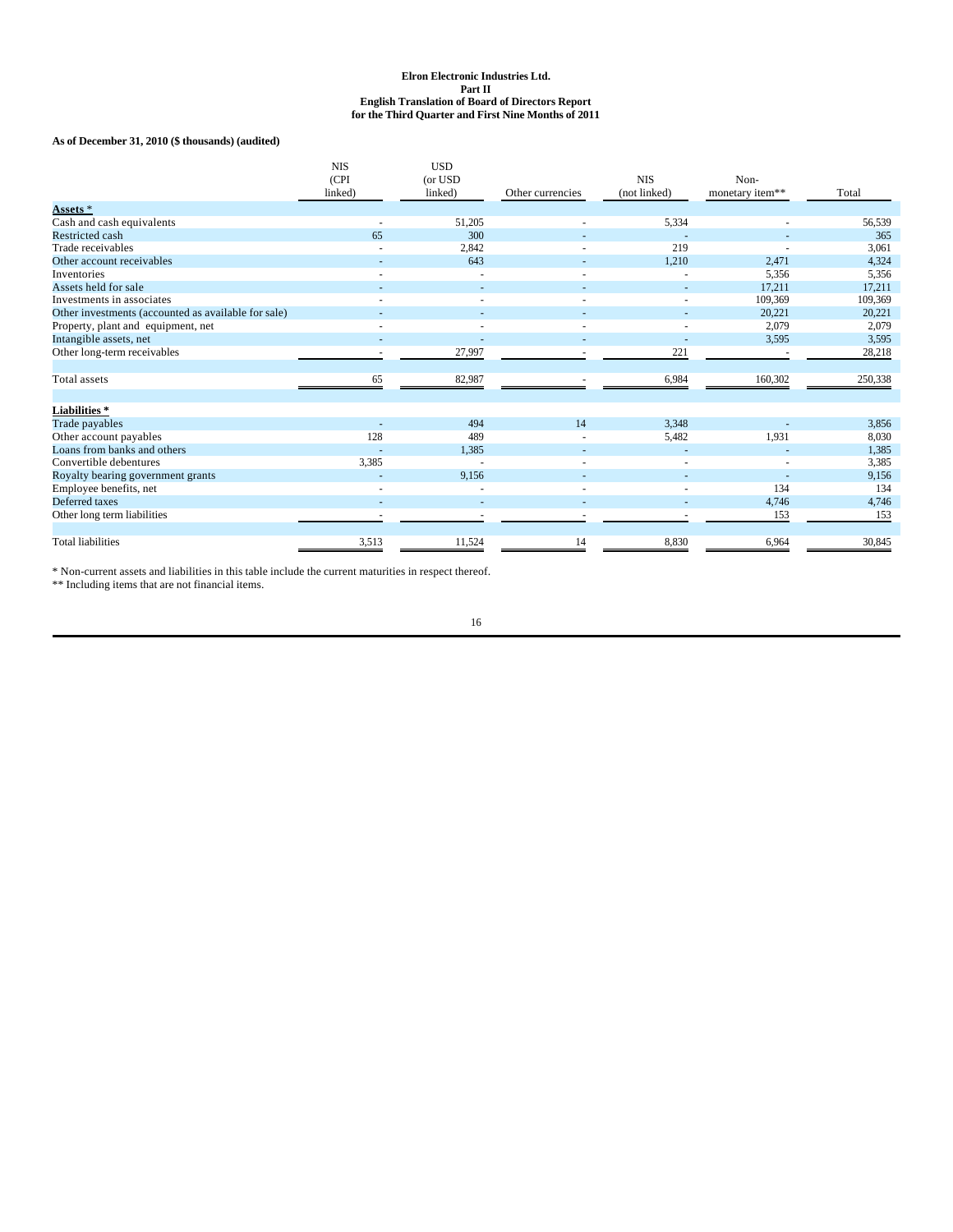## **As of December 31, 2010 (\$ thousands) (audited)**

|                                                     | <b>NIS</b><br>(CPI<br>linked) | <b>USD</b><br>(or USD<br>linked) | Other currencies | <b>NIS</b><br>(not linked) | Non-<br>monetary item** | Total   |
|-----------------------------------------------------|-------------------------------|----------------------------------|------------------|----------------------------|-------------------------|---------|
| Assets *                                            |                               |                                  |                  |                            |                         |         |
| Cash and cash equivalents                           |                               | 51,205                           |                  | 5,334                      |                         | 56,539  |
| Restricted cash                                     | 65                            | 300                              |                  |                            |                         | 365     |
| Trade receivables                                   |                               | 2,842                            |                  | 219                        |                         | 3,061   |
| Other account receivables                           |                               | 643                              |                  | 1,210                      | 2,471                   | 4,324   |
| Inventories                                         |                               |                                  |                  |                            | 5,356                   | 5,356   |
| Assets held for sale                                |                               |                                  |                  |                            | 17.211                  | 17,211  |
| Investments in associates                           |                               |                                  |                  |                            | 109,369                 | 109,369 |
| Other investments (accounted as available for sale) |                               |                                  |                  |                            | 20,221                  | 20,221  |
| Property, plant and equipment, net                  |                               |                                  |                  |                            | 2,079                   | 2,079   |
| Intangible assets, net                              |                               |                                  |                  |                            | 3,595                   | 3,595   |
| Other long-term receivables                         |                               | 27,997                           |                  | 221                        |                         | 28,218  |
|                                                     |                               |                                  |                  |                            |                         |         |
| Total assets                                        | 65                            | 82,987                           |                  | 6,984                      | 160,302                 | 250,338 |
|                                                     |                               |                                  |                  |                            |                         |         |
| <b>Liabilities*</b>                                 |                               |                                  |                  |                            |                         |         |
| Trade payables                                      |                               | 494                              | 14               | 3,348                      |                         | 3,856   |
| Other account payables                              | 128                           | 489                              |                  | 5,482                      | 1,931                   | 8,030   |
| Loans from banks and others                         |                               | 1,385                            |                  |                            |                         | 1,385   |
| Convertible debentures                              | 3,385                         |                                  |                  |                            |                         | 3,385   |
| Royalty bearing government grants                   |                               | 9,156                            |                  |                            |                         | 9,156   |
| Employee benefits, net                              |                               |                                  |                  |                            | 134                     | 134     |
| Deferred taxes                                      |                               |                                  |                  |                            | 4,746                   | 4,746   |
| Other long term liabilities                         |                               |                                  |                  |                            | 153                     | 153     |
|                                                     |                               |                                  |                  |                            |                         |         |
| <b>Total liabilities</b>                            | 3,513                         | 11,524                           | 14               | 8,830                      | 6,964                   | 30,845  |

\* Non-current assets and liabilities in this table include the current maturities in respect thereof.

\*\* Including items that are not financial items.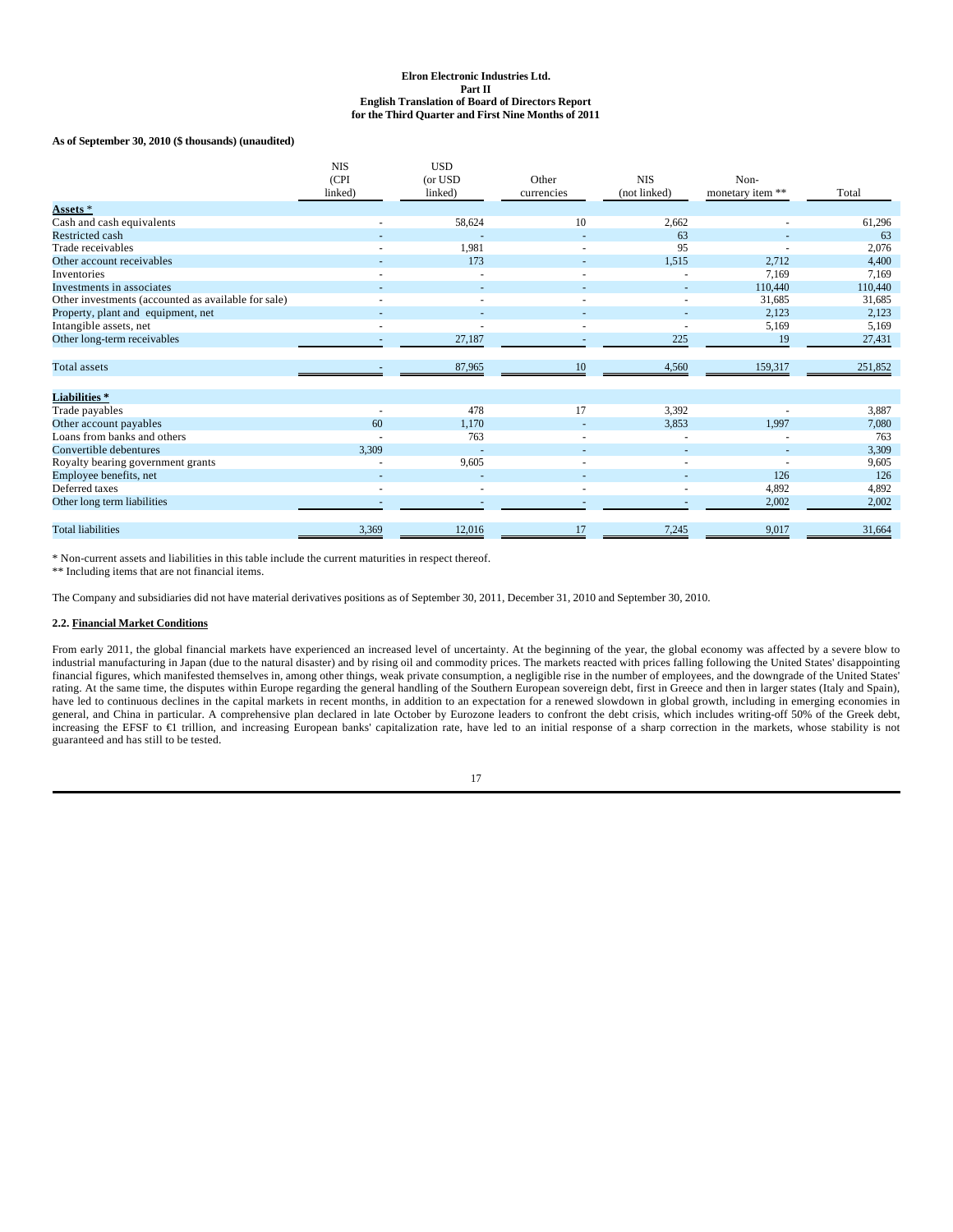#### **As of September 30, 2010 (\$ thousands) (unaudited)**

|                                                     | <b>NIS</b><br>(CPI | <b>USD</b><br>(or USD | Other      | <b>NIS</b>   | Non-             |         |
|-----------------------------------------------------|--------------------|-----------------------|------------|--------------|------------------|---------|
|                                                     | linked)            | linked)               | currencies | (not linked) | monetary item ** | Total   |
| Assets *                                            |                    |                       |            |              |                  |         |
| Cash and cash equivalents                           |                    | 58,624                | 10         | 2,662        |                  | 61,296  |
| <b>Restricted cash</b>                              |                    |                       |            | 63           |                  | 63      |
| Trade receivables                                   |                    | 1,981                 |            | 95           |                  | 2,076   |
| Other account receivables                           |                    | 173                   |            | 1,515        | 2,712            | 4,400   |
| Inventories                                         |                    |                       |            |              | 7.169            | 7,169   |
| Investments in associates                           |                    |                       |            |              | 110,440          | 110,440 |
| Other investments (accounted as available for sale) |                    |                       |            |              | 31,685           | 31,685  |
| Property, plant and equipment, net                  |                    |                       |            |              | 2,123            | 2,123   |
| Intangible assets, net                              |                    |                       |            |              | 5,169            | 5,169   |
| Other long-term receivables                         |                    | 27,187                |            | 225          | 19               | 27,431  |
| <b>Total</b> assets                                 |                    | 87,965                | 10         | 4,560        | 159,317          | 251,852 |
| Liabilities*                                        |                    |                       |            |              |                  |         |
| Trade payables                                      |                    | 478                   | 17         | 3,392        |                  | 3,887   |
| Other account payables                              | 60                 | 1,170                 |            | 3,853        | 1,997            | 7,080   |
| Loans from banks and others                         |                    | 763                   |            |              |                  | 763     |
| Convertible debentures                              | 3,309              |                       |            |              |                  | 3,309   |
| Royalty bearing government grants                   |                    | 9,605                 |            |              |                  | 9,605   |
| Employee benefits, net                              |                    |                       |            |              | 126              | 126     |
| Deferred taxes                                      |                    |                       |            |              | 4,892            | 4,892   |
| Other long term liabilities                         |                    |                       |            |              | 2,002            | 2,002   |
| <b>Total liabilities</b>                            | 3,369              | 12,016                | 17         | 7,245        | 9,017            | 31,664  |

\* Non-current assets and liabilities in this table include the current maturities in respect thereof.

\*\* Including items that are not financial items.

The Company and subsidiaries did not have material derivatives positions as of September 30, 2011, December 31, 2010 and September 30, 2010.

## **2.2. Financial Market Conditions**

From early 2011, the global financial markets have experienced an increased level of uncertainty. At the beginning of the year, the global economy was affected by a severe blow to industrial manufacturing in Japan (due to the natural disaster) and by rising oil and commodity prices. The markets reacted with prices falling following the United States' disappointing financial figures, which manifested themselves in, among other things, weak private consumption, a negligible rise in the number of employees, and the downgrade of the United States' rating. At the same time, the disputes within Europe regarding the general handling of the Southern European sovereign debt, first in Greece and then in larger states (Italy and Spain), have led to continuous declines in the capital markets in recent months, in addition to an expectation for a renewed slowdown in global growth, including in emerging economies in general, and China in particular. A comprehensive plan declared in late October by Eurozone leaders to confront the debt crisis, which includes writing-off 50% of the Greek debt, increasing the EFSF to €1 trillion, and increasing European banks' capitalization rate, have led to an initial response of a sharp correction in the markets, whose stability is not guaranteed and has still to be tested.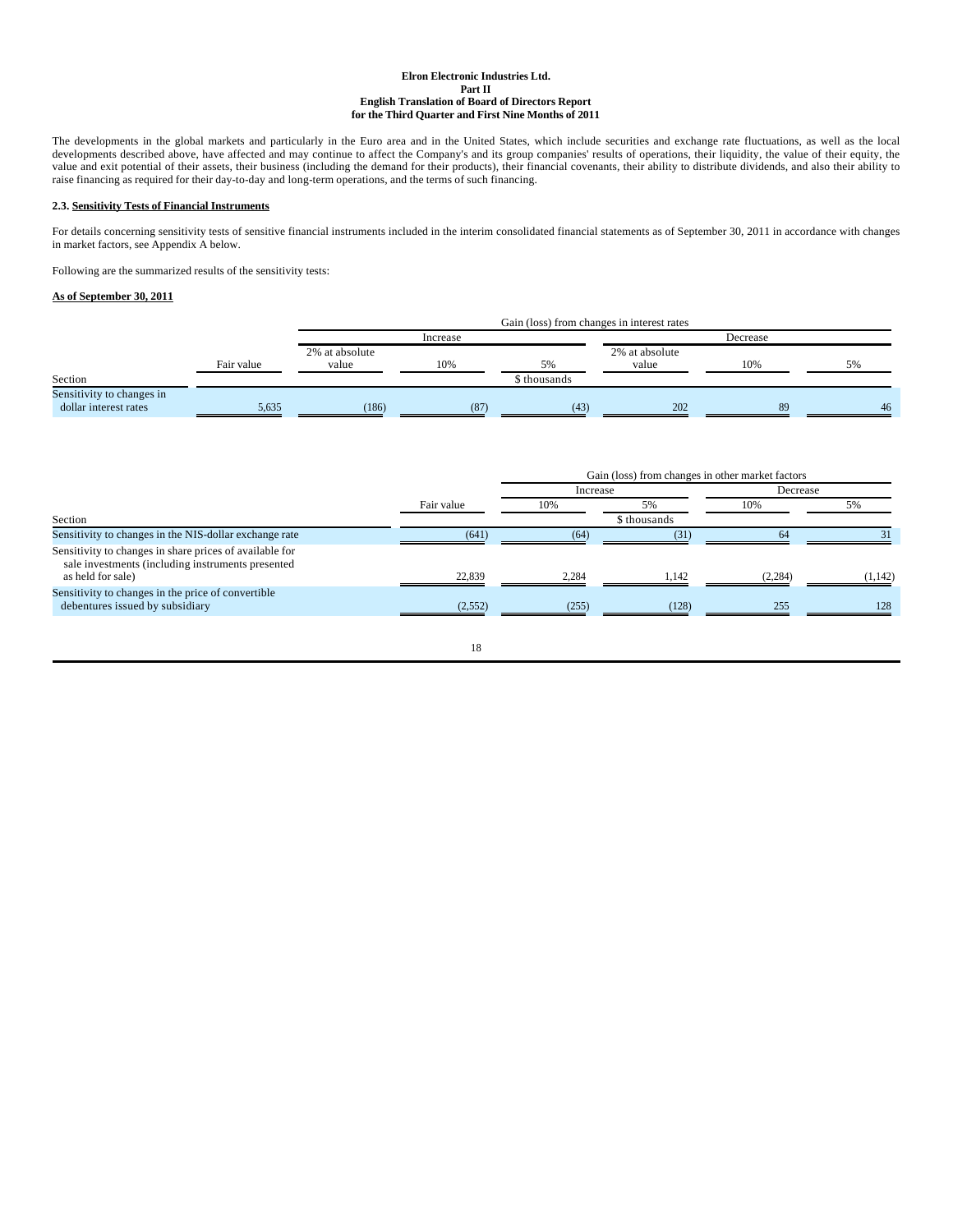The developments in the global markets and particularly in the Euro area and in the United States, which include securities and exchange rate fluctuations, as well as the local developments described above, have affected and may continue to affect the Company's and its group companies' results of operations, their liquidity, the value of their equity, the value and exit potential of their assets, their business (including the demand for their products), their financial covenants, their ability to distribute dividends, and also their ability to raise financing as required for their day-to-day and long-term operations, and the terms of such financing.

## **2.3. Sensitivity Tests of Financial Instruments**

For details concerning sensitivity tests of sensitive financial instruments included in the interim consolidated financial statements as of September 30, 2011 in accordance with changes in market factors, see Appendix A below.

Following are the summarized results of the sensitivity tests:

## **As of September 30, 2011**

|                                      |            |                         | Gain (loss) from changes in interest rates |              |                         |          |    |  |
|--------------------------------------|------------|-------------------------|--------------------------------------------|--------------|-------------------------|----------|----|--|
|                                      |            |                         | Increase                                   |              |                         | Decrease |    |  |
|                                      | Fair value | 2% at absolute<br>value | 10%                                        | 5%           | 2% at absolute<br>value | 10%      | 5% |  |
| Section<br>Sensitivity to changes in |            |                         |                                            | \$ thousands |                         |          |    |  |
| dollar interest rates                | 5,635      | (186)                   | (87)                                       | (43)         | 202                     | 89       | 46 |  |

|                                                                                                              |            | Gain (loss) from changes in other market factors |              |          |         |
|--------------------------------------------------------------------------------------------------------------|------------|--------------------------------------------------|--------------|----------|---------|
|                                                                                                              |            | Increase                                         |              | Decrease |         |
|                                                                                                              | Fair value | 10%                                              | 5%           | 10%      | 5%      |
| Section                                                                                                      |            |                                                  | \$ thousands |          |         |
| Sensitivity to changes in the NIS-dollar exchange rate                                                       | (641)      | (64)                                             | (31)         | 64       |         |
| Sensitivity to changes in share prices of available for<br>sale investments (including instruments presented |            |                                                  |              |          |         |
| as held for sale)                                                                                            | 22.839     | 2.284                                            | 1.142        | (2, 284) | (1.142) |
| Sensitivity to changes in the price of convertible<br>debentures issued by subsidiary                        | (2,552)    | (255)                                            | (128)        | 255      | 128     |
|                                                                                                              |            |                                                  |              |          |         |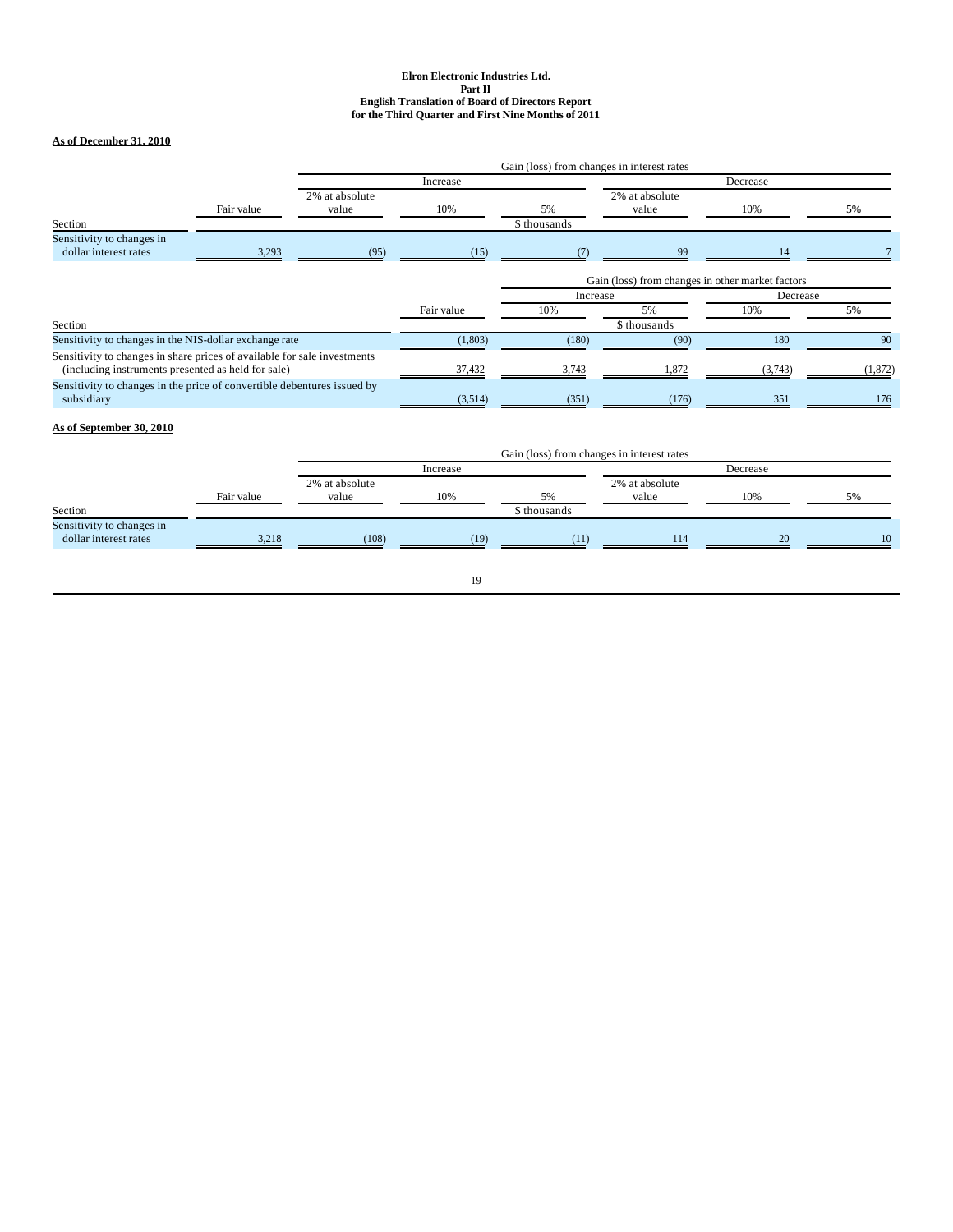## **As of December 31, 2010**

|                                                                                                                                |            |                         |                                                      | Gain (loss) from changes in interest rates |              |          |         |
|--------------------------------------------------------------------------------------------------------------------------------|------------|-------------------------|------------------------------------------------------|--------------------------------------------|--------------|----------|---------|
|                                                                                                                                |            | Increase                |                                                      | Decrease                                   |              |          |         |
| Section                                                                                                                        | Fair value | 2% at absolute<br>value | 2% at absolute<br>10%<br>5%<br>value<br>\$ thousands |                                            | 10%          | 5%       |         |
| Sensitivity to changes in<br>dollar interest rates                                                                             | 3,293      | (95)                    | (15)                                                 | (7)                                        | 99           | 14       |         |
|                                                                                                                                |            |                         | Gain (loss) from changes in other market factors     |                                            |              |          |         |
|                                                                                                                                |            |                         |                                                      | Increase                                   |              | Decrease |         |
|                                                                                                                                |            |                         | Fair value                                           | 10%                                        | 5%           | 10%      | 5%      |
| Section                                                                                                                        |            |                         |                                                      |                                            | \$ thousands |          |         |
| Sensitivity to changes in the NIS-dollar exchange rate                                                                         |            |                         | (1,803)                                              | (180)                                      | (90)         | 180      | 90      |
| Sensitivity to changes in share prices of available for sale investments<br>(including instruments presented as held for sale) |            |                         | 37,432                                               | 3.743                                      | .872         | (3.743)  | (1,872) |
| Sensitivity to changes in the price of convertible debentures issued by<br>subsidiary                                          |            |                         | (3,514)                                              | (351)                                      | (176)        | 351      | 176     |

# **As of September 30, 2010**

|                                                    |            | Gain (loss) from changes in interest rates |          |              |                         |     |    |
|----------------------------------------------------|------------|--------------------------------------------|----------|--------------|-------------------------|-----|----|
|                                                    |            |                                            | Increase |              |                         |     |    |
|                                                    | Fair value | 2% at absolute<br>value                    | 10%      | 5%           | 2% at absolute<br>value | 10% | 5% |
| Section                                            |            |                                            |          | \$ thousands |                         |     |    |
| Sensitivity to changes in<br>dollar interest rates | 3,218      | (108)                                      | (19)     | (11)         | 114                     | 20  | 10 |
|                                                    |            |                                            |          |              |                         |     |    |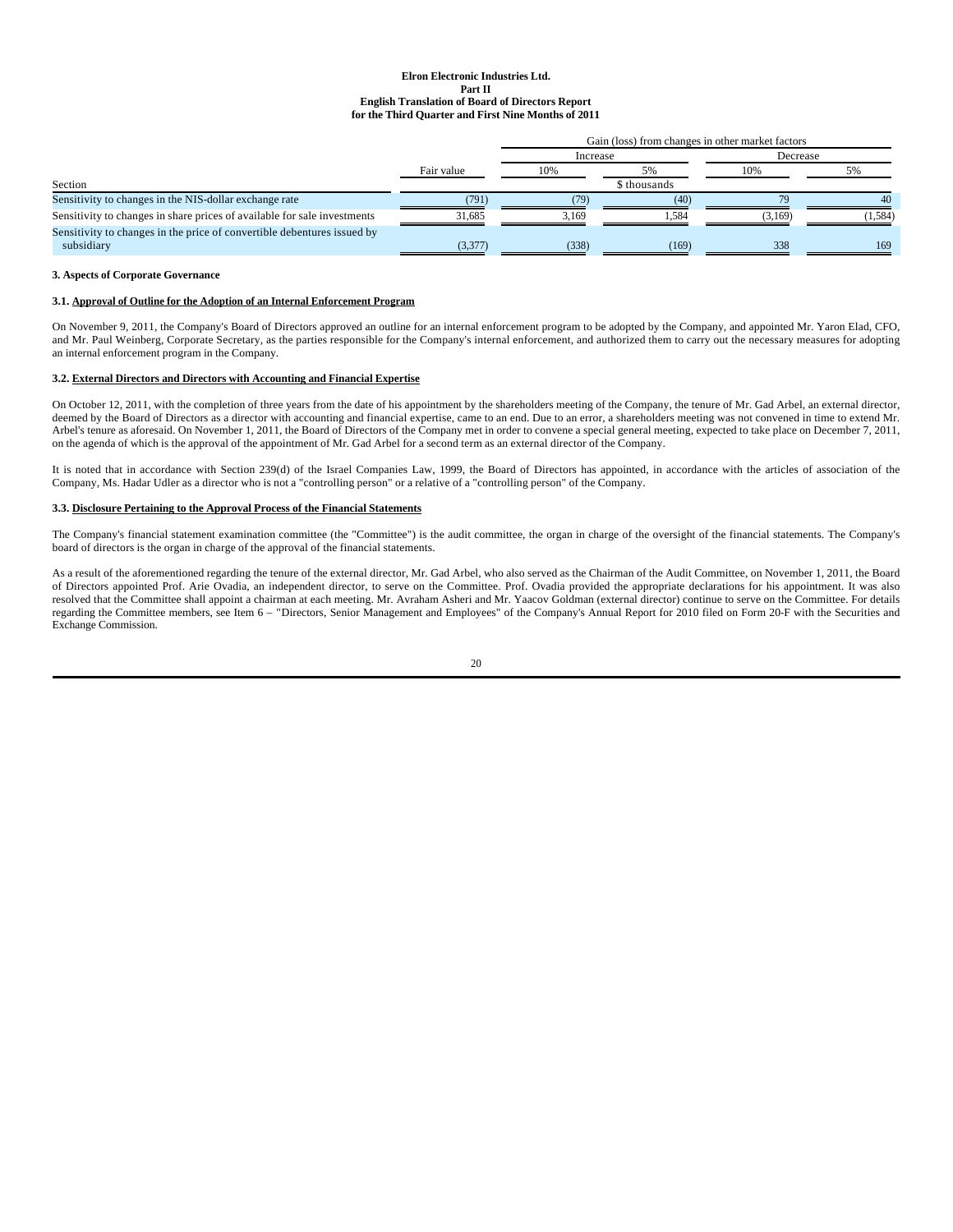|                                                                          |            | Gain (loss) from changes in other market factors |              |          |       |  |
|--------------------------------------------------------------------------|------------|--------------------------------------------------|--------------|----------|-------|--|
|                                                                          | Fair value | Increase                                         |              | Decrease |       |  |
|                                                                          |            | 10%                                              | .5%          | 10%      |       |  |
| Section                                                                  |            |                                                  | \$ thousands |          |       |  |
| Sensitivity to changes in the NIS-dollar exchange rate                   | (791)      | (79                                              | (40)         | 70       | 40    |  |
| Sensitivity to changes in share prices of available for sale investments | 31.685     | 3.169                                            | 1.584        | (3.169)  | 1.584 |  |
| Sensitivity to changes in the price of convertible debentures issued by  |            |                                                  |              |          |       |  |
| subsidiary                                                               | (3,377)    | (338)                                            | (169)        | 338      | 169   |  |

## **3. Aspects of Corporate Governance**

## **3.1. Approval of Outline for the Adoption of an Internal Enforcement Program**

On November 9, 2011, the Company's Board of Directors approved an outline for an internal enforcement program to be adopted by the Company, and appointed Mr. Yaron Elad, CFO, and Mr. Paul Weinberg, Corporate Secretary, as the parties responsible for the Company's internal enforcement, and authorized them to carry out the necessary measures for adopting an internal enforcement program in the Company.

### **3.2. External Directors and Directors with Accounting and Financial Expertise**

On October 12, 2011, with the completion of three years from the date of his appointment by the shareholders meeting of the Company, the tenure of Mr. Gad Arbel, an external director, deemed by the Board of Directors as a director with accounting and financial expertise, came to an end. Due to an error, a shareholders meeting was not convened in time to extend Mr. Arbel's tenure as aforesaid. On November 1, 2011, the Board of Directors of the Company met in order to convene a special general meeting, expected to take place on December 7, 2011, on the agenda of which is the approval of the appointment of Mr. Gad Arbel for a second term as an external director of the Company.

It is noted that in accordance with Section 239(d) of the Israel Companies Law, 1999, the Board of Directors has appointed, in accordance with the articles of association of the Company, Ms. Hadar Udler as a director who is not a "controlling person" or a relative of a "controlling person" of the Company.

### **3.3. Disclosure Pertaining to the Approval Process of the Financial Statements**

The Company's financial statement examination committee (the "Committee") is the audit committee, the organ in charge of the oversight of the financial statements. The Company's board of directors is the organ in charge of the approval of the financial statements.

As a result of the aforementioned regarding the tenure of the external director, Mr. Gad Arbel, who also served as the Chairman of the Audit Committee, on November 1, 2011, the Board of Directors appointed Prof. Arie Ovadia, an independent director, to serve on the Committee. Prof. Ovadia provided the appropriate declarations for his appointment. It was also resolved that the Committee shall appoint a chairman at each meeting. Mr. Avraham Asheri and Mr. Yaacov Goldman (external director) continue to serve on the Committee. For details regarding the Committee members, see Item 6 – "Directors, Senior Management and Employees" of the Company's Annual Report for 2010 filed on Form 20-F with the Securities and Exchange Commission.

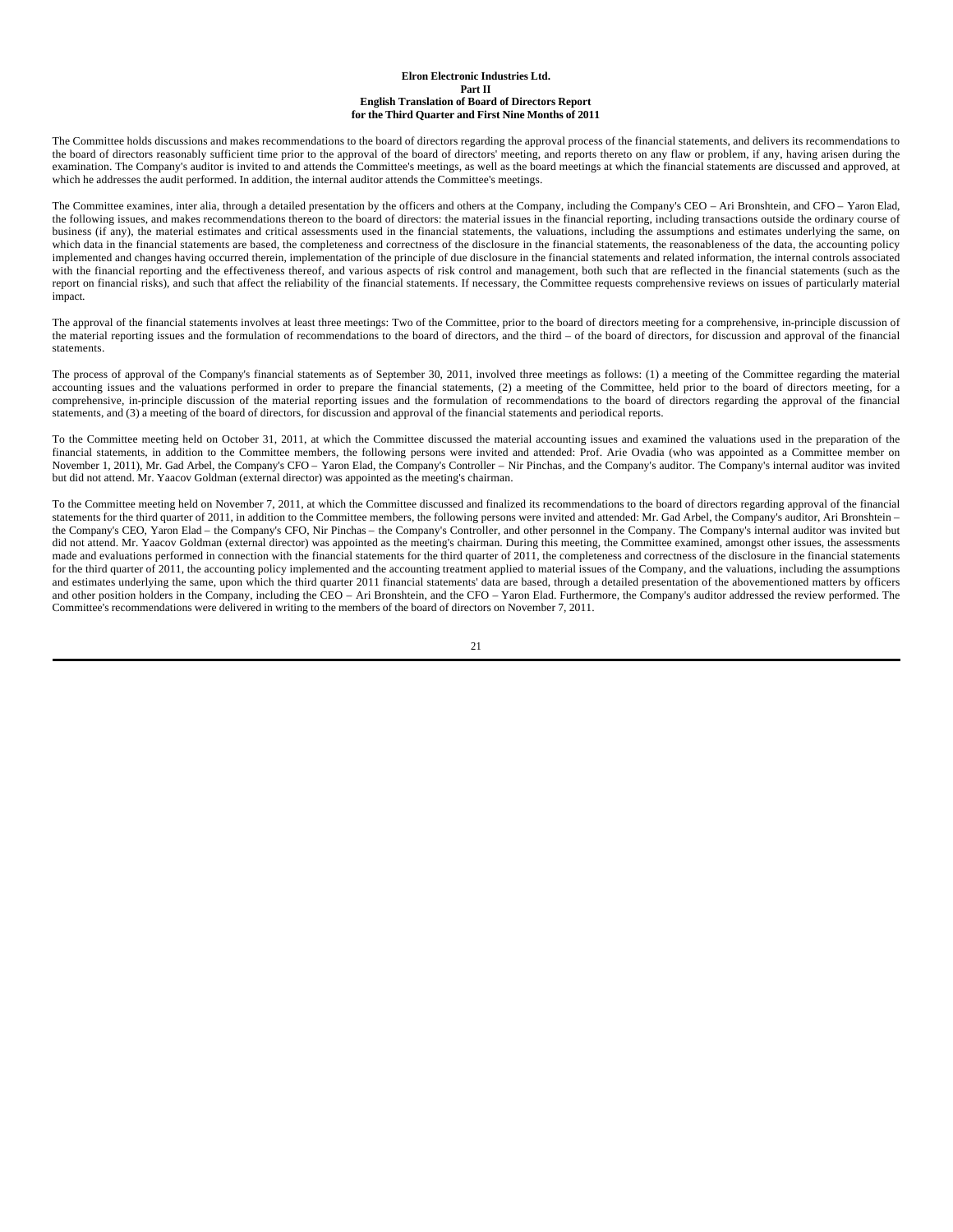The Committee holds discussions and makes recommendations to the board of directors regarding the approval process of the financial statements, and delivers its recommendations to the board of directors reasonably sufficient time prior to the approval of the board of directors' meeting, and reports thereto on any flaw or problem, if any, having arisen during the examination. The Company's auditor is invited to and attends the Committee's meetings, as well as the board meetings at which the financial statements are discussed and approved, at which he addresses the audit performed. In addition, the internal auditor attends the Committee's meetings.

The Committee examines, inter alia, through a detailed presentation by the officers and others at the Company, including the Company's CEO – Ari Bronshtein, and CFO – Yaron Elad, the following issues, and makes recommendations thereon to the board of directors: the material issues in the financial reporting, including transactions outside the ordinary course of business (if any), the material estimates and critical assessments used in the financial statements, the valuations, including the assumptions and estimates underlying the same, on which data in the financial statements are based, the completeness and correctness of the disclosure in the financial statements, the reasonableness of the data, the accounting policy implemented and changes having occurred therein, implementation of the principle of due disclosure in the financial statements and related information, the internal controls associated with the financial reporting and the effectiveness thereof, and various aspects of risk control and management, both such that are reflected in the financial statements (such as the report on financial risks), and such that affect the reliability of the financial statements. If necessary, the Committee requests comprehensive reviews on issues of particularly material impact.

The approval of the financial statements involves at least three meetings: Two of the Committee, prior to the board of directors meeting for a comprehensive, in-principle discussion of the material reporting issues and the formulation of recommendations to the board of directors, and the third – of the board of directors, for discussion and approval of the financial statements.

The process of approval of the Company's financial statements as of September 30, 2011, involved three meetings as follows: (1) a meeting of the Committee regarding the material accounting issues and the valuations performed in order to prepare the financial statements, (2) a meeting of the Committee, held prior to the board of directors meeting, for a comprehensive, in-principle discussion of the material reporting issues and the formulation of recommendations to the board of directors regarding the approval of the financial statements, and (3) a meeting of the board of directors, for discussion and approval of the financial statements and periodical reports.

To the Committee meeting held on October 31, 2011, at which the Committee discussed the material accounting issues and examined the valuations used in the preparation of the financial statements, in addition to the Committee members, the following persons were invited and attended: Prof. Arie Ovadia (who was appointed as a Committee member on November 1, 2011), Mr. Gad Arbel, the Company's CFO – Yaron Elad, the Company's Controller – Nir Pinchas, and the Company's auditor. The Company's internal auditor was invited but did not attend. Mr. Yaacov Goldman (external director) was appointed as the meeting's chairman.

To the Committee meeting held on November 7, 2011, at which the Committee discussed and finalized its recommendations to the board of directors regarding approval of the financial statements for the third quarter of 2011, in addition to the Committee members, the following persons were invited and attended: Mr. Gad Arbel, the Company's auditor, Ari Bronshtein – the Company's CEO, Yaron Elad – the Company's CFO, Nir Pinchas – the Company's Controller, and other personnel in the Company. The Company's internal auditor was invited but did not attend. Mr. Yaacov Goldman (external director) was appointed as the meeting's chairman. During this meeting, the Committee examined, amongst other issues, the assessments made and evaluations performed in connection with the financial statements for the third quarter of 2011, the completeness and correctness of the disclosure in the financial statements for the third quarter of 2011, the accounting policy implemented and the accounting treatment applied to material issues of the Company, and the valuations, including the assumptions and estimates underlying the same, upon which the third quarter 2011 financial statements' data are based, through a detailed presentation of the abovementioned matters by officers and other position holders in the Company, including the CEO – Ari Bronshtein, and the CFO – Yaron Elad. Furthermore, the Company's auditor addressed the review performed. The Committee's recommendations were delivered in writing to the members of the board of directors on November 7, 2011.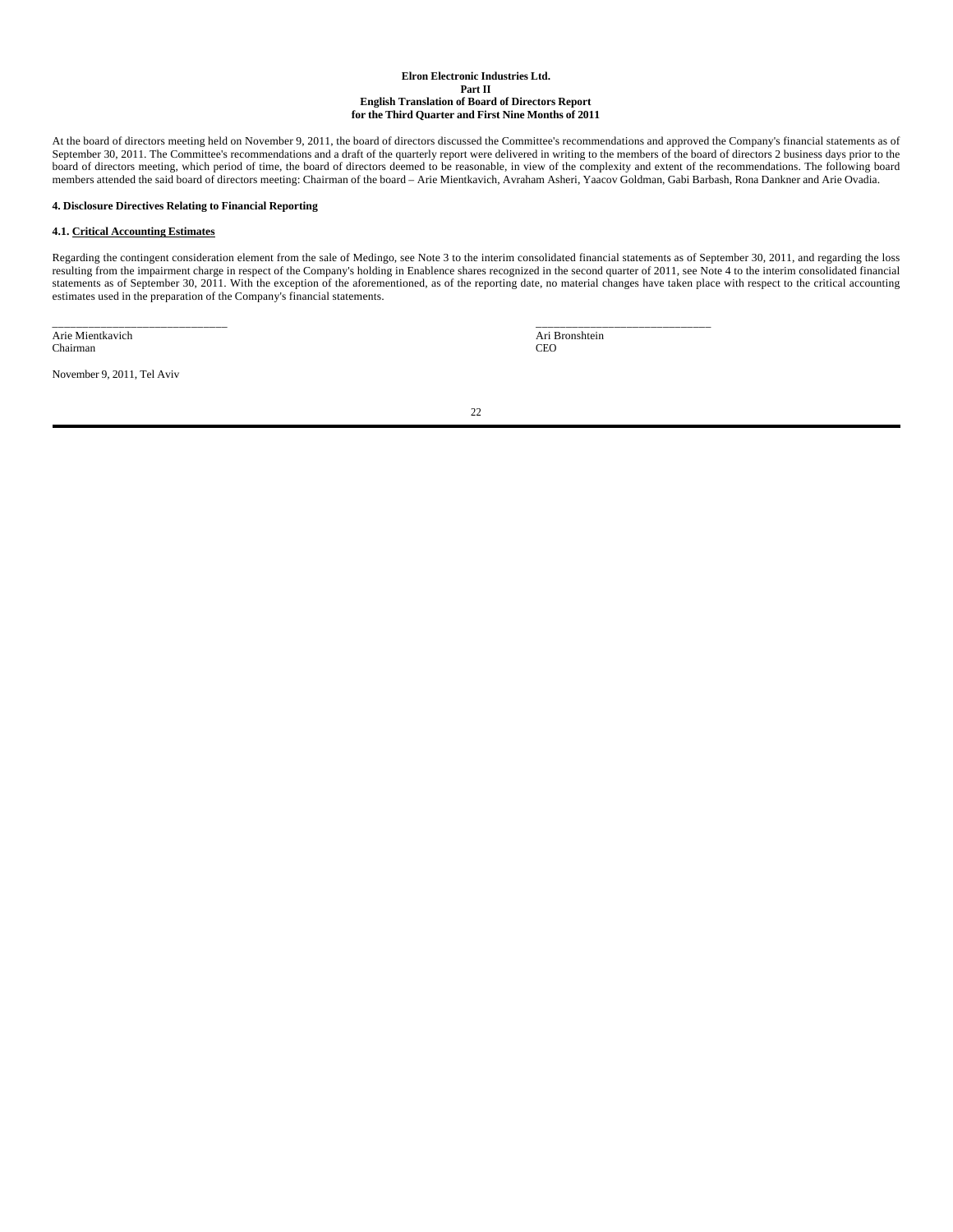At the board of directors meeting held on November 9, 2011, the board of directors discussed the Committee's recommendations and approved the Company's financial statements as of September 30, 2011. The Committee's recommendations and a draft of the quarterly report were delivered in writing to the members of the board of directors 2 business days prior to the board of directors meeting, which period of time, the board of directors deemed to be reasonable, in view of the complexity and extent of the recommendations. The following board members attended the said board of directors meeting: Chairman of the board – Arie Mientkavich, Avraham Asheri, Yaacov Goldman, Gabi Barbash, Rona Dankner and Arie Ovadia.

## **4. Disclosure Directives Relating to Financial Reporting**

## **4.1. Critical Accounting Estimates**

Regarding the contingent consideration element from the sale of Medingo, see Note 3 to the interim consolidated financial statements as of September 30, 2011, and regarding the loss resulting from the impairment charge in respect of the Company's holding in Enablence shares recognized in the second quarter of 2011, see Note 4 to the interim consolidated financial statements as of September 30, 2011. With the exception of the aforementioned, as of the reporting date, no material changes have taken place with respect to the critical accounting estimates used in the preparation of the Company's financial statements.

\_\_\_\_\_\_\_\_\_\_\_\_\_\_\_\_\_\_\_\_\_\_\_\_\_\_\_\_\_ Arie Mientkavich Chairman

November 9, 2011, Tel Aviv

 \_\_\_\_\_\_\_\_\_\_\_\_\_\_\_\_\_\_\_\_\_\_\_\_\_\_\_\_\_ Ari Bronshtein CEO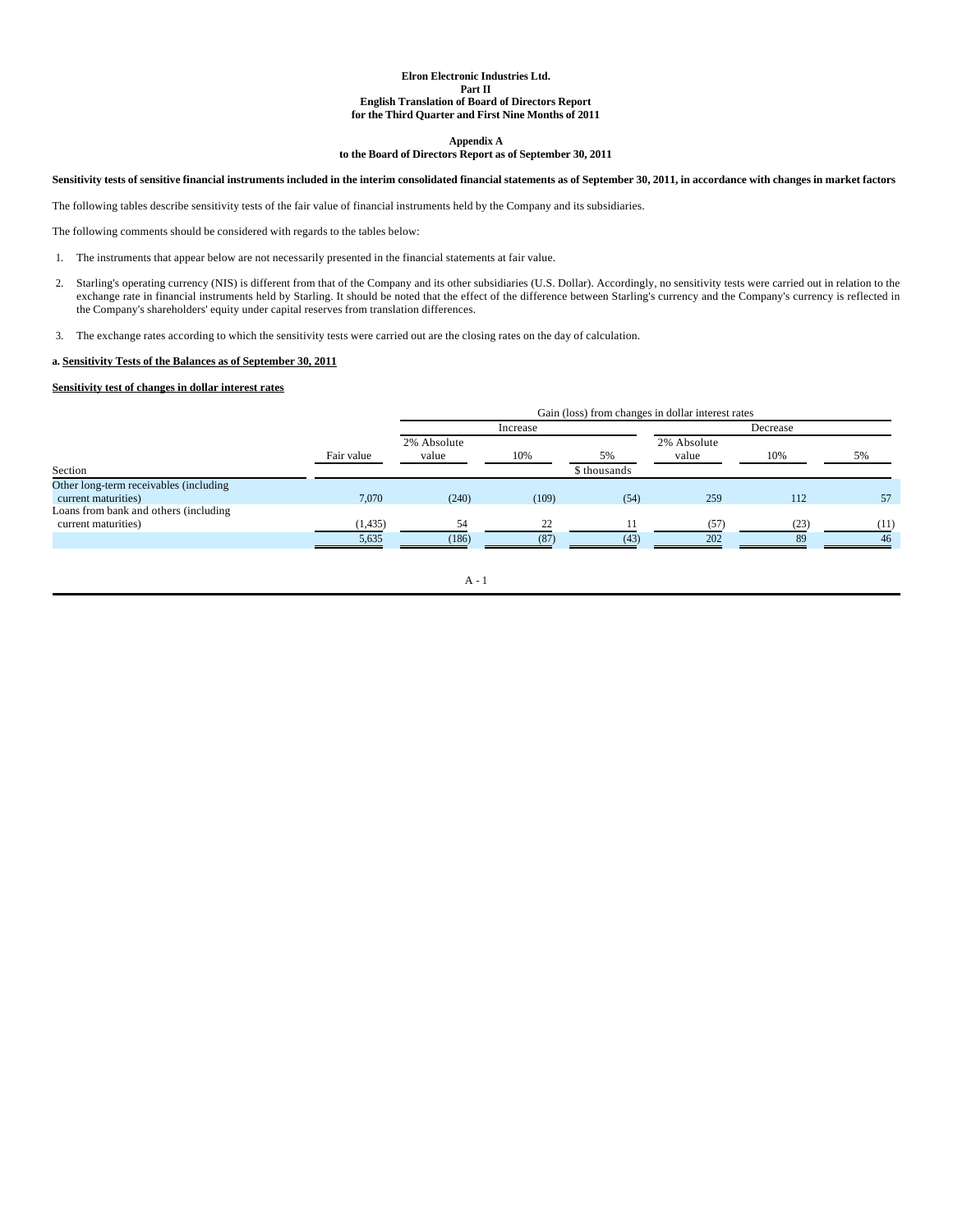**Appendix A**

## **to the Board of Directors Report as of September 30, 2011**

## **Sensitivity tests of sensitive financial instruments included in the interim consolidated financial statements as of September 30, 2011, in accordance with changes in market factors**

The following tables describe sensitivity tests of the fair value of financial instruments held by the Company and its subsidiaries.

The following comments should be considered with regards to the tables below:

- 1. The instruments that appear below are not necessarily presented in the financial statements at fair value.
- 2. Starling's operating currency (NIS) is different from that of the Company and its other subsidiaries (U.S. Dollar). Accordingly, no sensitivity tests were carried out in relation to the exchange rate in financial instruments held by Starling. It should be noted that the effect of the difference between Starling's currency and the Company's currency is reflected in the Company's shareholders' equity under capital reserves from translation differences.
- 3. The exchange rates according to which the sensitivity tests were carried out are the closing rates on the day of calculation.

## **a. Sensitivity Tests of the Balances as of September 30, 2011**

## **Sensitivity test of changes in dollar interest rates**

|                                                               |            | Gain (loss) from changes in dollar interest rates |            |                    |                      |            |            |
|---------------------------------------------------------------|------------|---------------------------------------------------|------------|--------------------|----------------------|------------|------------|
|                                                               |            |                                                   | Increase   |                    |                      | Decrease   |            |
| Section                                                       | Fair value | 2% Absolute<br>value                              | 10%        | 5%<br>\$ thousands | 2% Absolute<br>value | 10%        | 5%         |
|                                                               |            |                                                   |            |                    |                      |            |            |
| Other long-term receivables (including<br>current maturities) | 7,070      | (240)                                             | (109)      | (54)               | 259                  | 112        | 57         |
| Loans from bank and others (including                         |            |                                                   |            |                    |                      |            |            |
| current maturities)                                           | (1, 435)   | 54                                                | 22<br>(87) | (43)               | (57)<br>202          | (23)<br>89 | (11)<br>46 |
|                                                               | 5,635      | (186)                                             |            |                    |                      |            |            |

## A - 1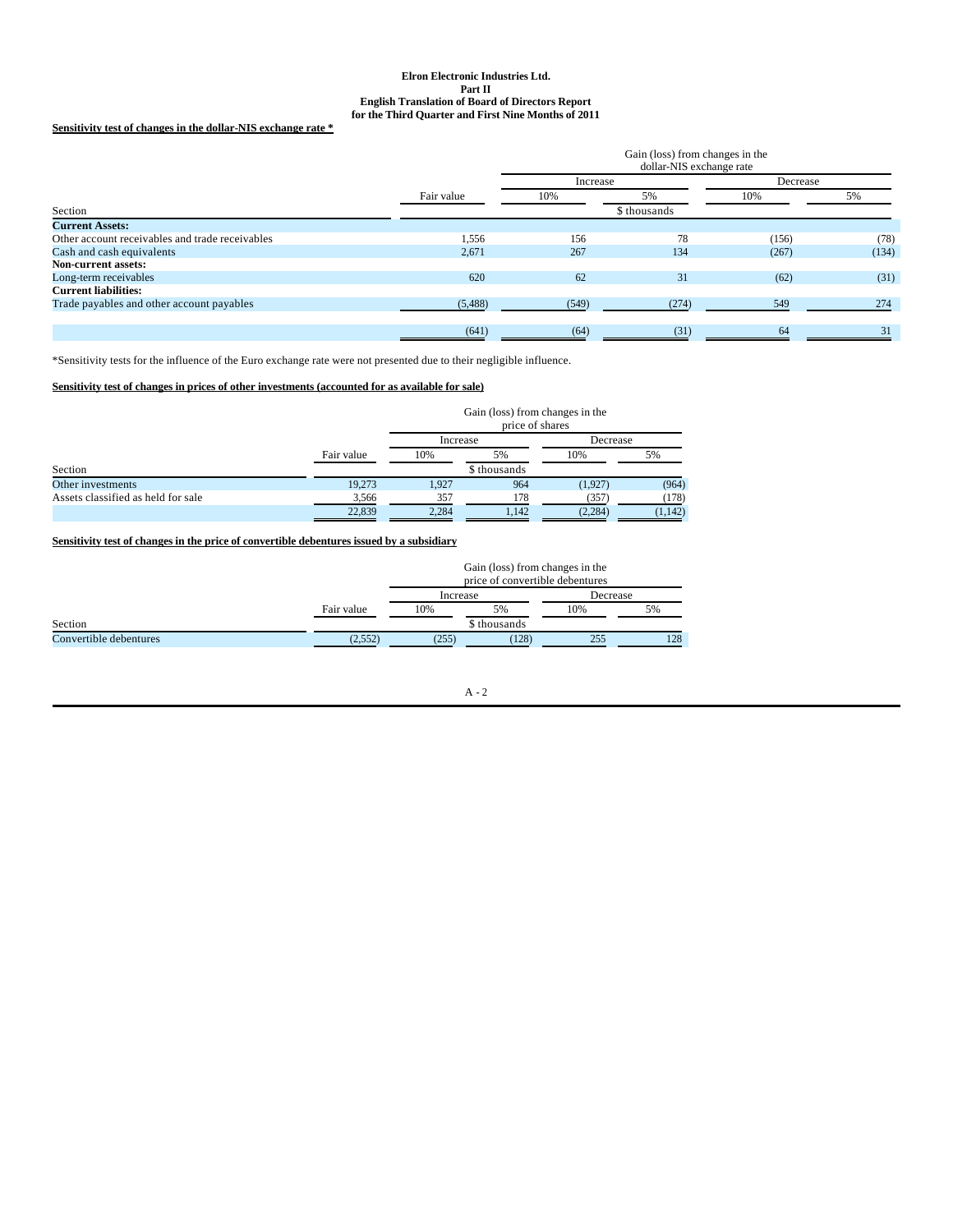## **Sensitivity test of changes in the dollar-NIS exchange rate \***

|            | Gain (loss) from changes in the<br>dollar-NIS exchange rate |              |       |          |  |
|------------|-------------------------------------------------------------|--------------|-------|----------|--|
|            | Increase                                                    |              |       | Decrease |  |
| Fair value | 10%                                                         | 5%           | 10%   | 5%       |  |
|            |                                                             | \$ thousands |       |          |  |
|            |                                                             |              |       |          |  |
| 1,556      | 156                                                         | 78           | (156) | (78)     |  |
| 2,671      | 267                                                         | 134          | (267) | (134)    |  |
|            |                                                             |              |       |          |  |
| 620        | 62                                                          | 31           | (62)  | (31)     |  |
|            |                                                             |              |       |          |  |
| (5,488)    | (549)                                                       | (274)        | 549   | 274      |  |
|            |                                                             |              |       |          |  |
| (641)      | (64)                                                        | (31)         | 64    | 31       |  |
|            |                                                             |              |       |          |  |

\*Sensitivity tests for the influence of the Euro exchange rate were not presented due to their negligible influence.

## **Sensitivity test of changes in prices of other investments (accounted for as available for sale)**

|                                    |            | Gain (loss) from changes in the<br>price of shares |              |          |          |  |
|------------------------------------|------------|----------------------------------------------------|--------------|----------|----------|--|
|                                    |            | Increase                                           |              | Decrease |          |  |
|                                    | Fair value | 10%                                                | 5%           | 10%      | 5%       |  |
| Section                            |            |                                                    | \$ thousands |          |          |  |
| Other investments                  | 19,273     | 1.927                                              | 964          | (1.927)  | (964)    |  |
| Assets classified as held for sale | 3.566      | 357                                                | 178          | (357)    | (178)    |  |
|                                    | 22,839     | 2.284                                              | 1.142        | (2, 284) | (1, 142) |  |

# **Sensitivity test of changes in the price of convertible debentures issued by a subsidiary**

|                        |            | Gain (loss) from changes in the<br>price of convertible debentures |              |     |          |  |
|------------------------|------------|--------------------------------------------------------------------|--------------|-----|----------|--|
|                        |            |                                                                    | Increase     |     | Decrease |  |
|                        | Fair value | 10%                                                                | 5%           | 10% | 5%       |  |
| Section                |            |                                                                    | \$ thousands |     |          |  |
| Convertible debentures | (2,552)    | (255)                                                              | (128)        | 255 | 128      |  |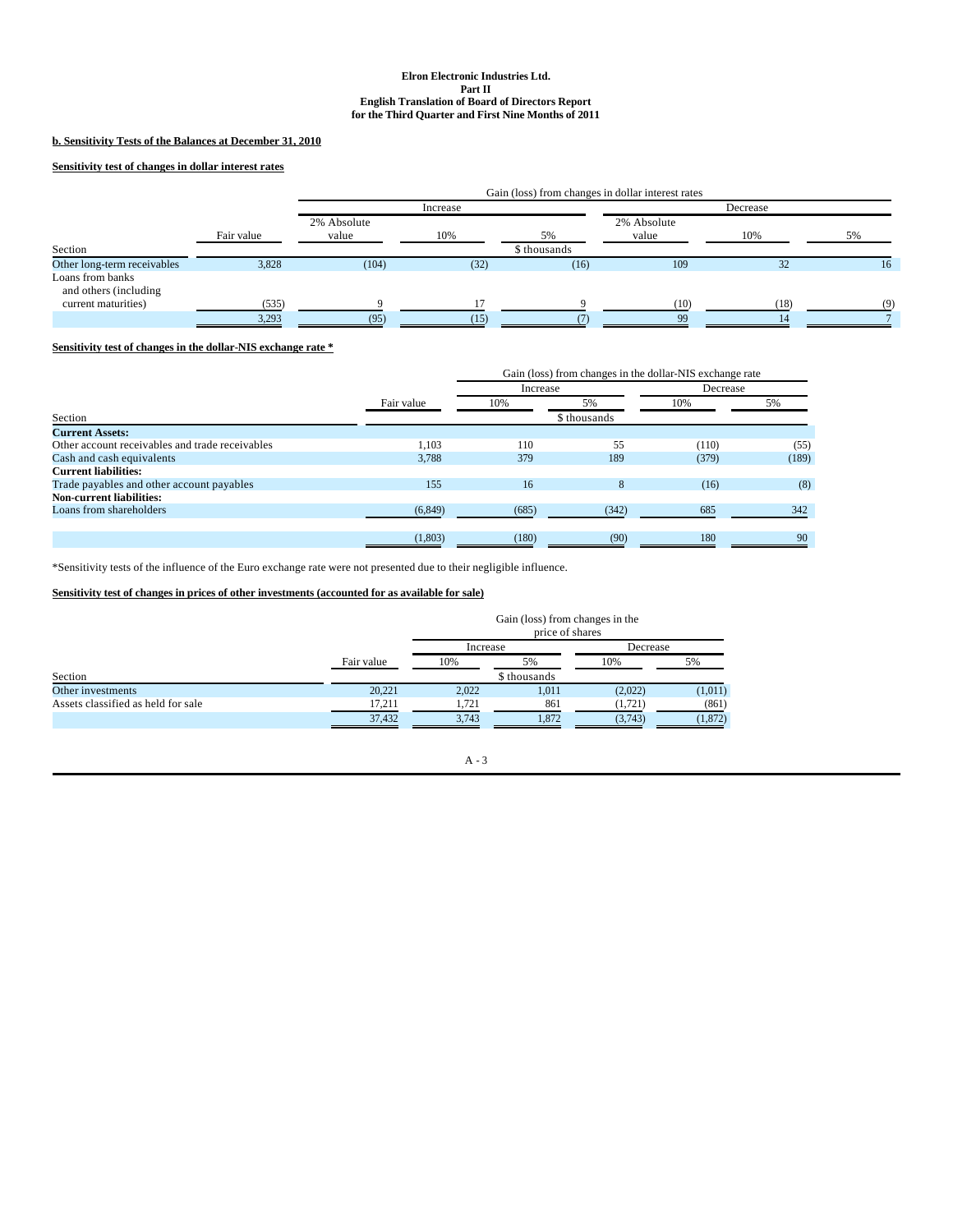## **b. Sensitivity Tests of the Balances at December 31, 2010**

## **Sensitivity test of changes in dollar interest rates**

|                                           |            | Gain (loss) from changes in dollar interest rates |          |              |                      |      |     |
|-------------------------------------------|------------|---------------------------------------------------|----------|--------------|----------------------|------|-----|
|                                           |            |                                                   | Increase |              | Decrease             |      |     |
|                                           | Fair value | 2% Absolute<br>value                              | 10%      | 5%           | 2% Absolute<br>value | 10%  | 5%  |
| Section                                   |            |                                                   |          | \$ thousands |                      |      |     |
| Other long-term receivables               | 3,828      | (104)                                             | (32)     | (16)         | 109                  | 32   | 16  |
| Loans from banks<br>and others (including |            |                                                   |          |              |                      |      |     |
| current maturities)                       | (535)      |                                                   |          |              | (10)                 | (18) | (9) |
|                                           | 3,293      | (95)                                              | (15)     |              | 99                   |      |     |

## **Sensitivity test of changes in the dollar-NIS exchange rate \***

|                                                 |            |          | Gain (loss) from changes in the dollar-NIS exchange rate |          |       |  |
|-------------------------------------------------|------------|----------|----------------------------------------------------------|----------|-------|--|
|                                                 |            | Increase |                                                          | Decrease |       |  |
|                                                 | Fair value | 10%      | 5%                                                       | 10%      | 5%    |  |
| Section                                         |            |          | \$ thousands                                             |          |       |  |
| <b>Current Assets:</b>                          |            |          |                                                          |          |       |  |
| Other account receivables and trade receivables | 1.103      | 110      | 55                                                       | (110)    | (55)  |  |
| Cash and cash equivalents                       | 3,788      | 379      | 189                                                      | (379)    | (189) |  |
| <b>Current liabilities:</b>                     |            |          |                                                          |          |       |  |
| Trade payables and other account payables       | 155        | 16       | 8                                                        | (16)     | (8)   |  |
| <b>Non-current liabilities:</b>                 |            |          |                                                          |          |       |  |
| Loans from shareholders                         | (6, 849)   | (685)    | (342)                                                    | 685      | 342   |  |
|                                                 |            |          |                                                          |          |       |  |
|                                                 | (1,803)    | (180)    | (90)                                                     | 180      | 90    |  |

\*Sensitivity tests of the influence of the Euro exchange rate were not presented due to their negligible influence.

## **Sensitivity test of changes in prices of other investments (accounted for as available for sale)**

|                                    |            |          | Gain (loss) from changes in the<br>price of shares |          |          |  |
|------------------------------------|------------|----------|----------------------------------------------------|----------|----------|--|
|                                    | Fair value | Increase |                                                    |          | Decrease |  |
|                                    |            | 10%      | 5%                                                 | 10%      | 5%       |  |
| Section                            |            |          | \$ thousands                                       |          |          |  |
| Other investments                  | 20.221     | 2,022    | 1.011                                              | (2,022)  | (1,011)  |  |
| Assets classified as held for sale | 17.211     | 1.721    | 861                                                | (1, 721) | (861)    |  |
|                                    | 37,432     | 3.743    | 1.872                                              | (3,743)  | (1, 872) |  |

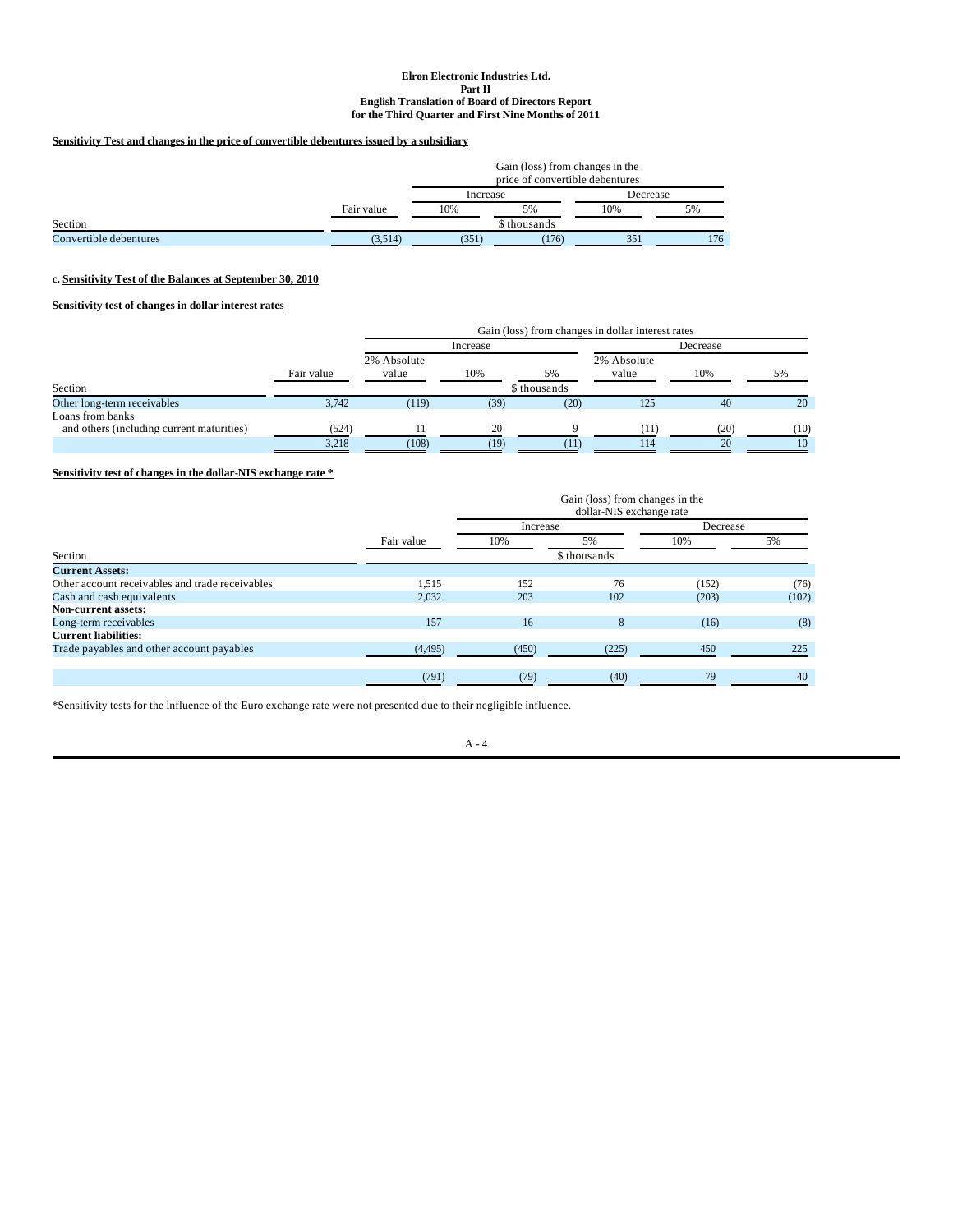## **Sensitivity Test and changes in the price of convertible debentures issued by a subsidiary**

|                        |            | Gain (loss) from changes in the<br>price of convertible debentures |              |     |          |  |
|------------------------|------------|--------------------------------------------------------------------|--------------|-----|----------|--|
|                        |            | Increase                                                           |              |     | Decrease |  |
|                        | Fair value | 10%                                                                | 5%           | 10% | 5%       |  |
| Section                |            |                                                                    | \$ thousands |     |          |  |
| Convertible debentures | (3.514)    | (351)<br>(176)<br>351                                              |              |     |          |  |

## **c. Sensitivity Test of the Balances at September 30, 2010**

# **Sensitivity test of changes in dollar interest rates**

|                                                               |            |                      |      |              | Gain (loss) from changes in dollar interest rates |      |      |  |
|---------------------------------------------------------------|------------|----------------------|------|--------------|---------------------------------------------------|------|------|--|
|                                                               |            | Increase             |      |              | Decrease                                          |      |      |  |
|                                                               | Fair value | 2% Absolute<br>value | 10%  | 5%           | 2% Absolute<br>value                              | 10%  | 5%   |  |
| Section                                                       |            |                      |      | \$ thousands |                                                   |      |      |  |
| Other long-term receivables                                   | 3,742      | (119)                | (39) | (20)         | 125                                               | 40   | 20   |  |
| Loans from banks<br>and others (including current maturities) | (524)      |                      | 20   |              | (11)                                              | (20) | (10) |  |
|                                                               | 3,218      | (108)                | (19) | ЛP           | 114                                               | 20   | 10   |  |

# **Sensitivity test of changes in the dollar-NIS exchange rate \***

|                                                 |              | Gain (loss) from changes in the<br>dollar-NIS exchange rate |       |          |       |  |
|-------------------------------------------------|--------------|-------------------------------------------------------------|-------|----------|-------|--|
|                                                 | Fair value   | Increase                                                    |       | Decrease |       |  |
|                                                 |              | 10%                                                         | 5%    | 10%      | 5%    |  |
| Section                                         | \$ thousands |                                                             |       |          |       |  |
| <b>Current Assets:</b>                          |              |                                                             |       |          |       |  |
| Other account receivables and trade receivables | 1,515        | 152                                                         | 76    | (152)    | (76)  |  |
| Cash and cash equivalents                       | 2,032        | 203                                                         | 102   | (203)    | (102) |  |
| <b>Non-current assets:</b>                      |              |                                                             |       |          |       |  |
| Long-term receivables                           | 157          | 16                                                          | 8     | (16)     | (8)   |  |
| <b>Current liabilities:</b>                     |              |                                                             |       |          |       |  |
| Trade payables and other account payables       | (4, 495)     | (450)                                                       | (225) | 450      | 225   |  |
|                                                 |              |                                                             |       |          |       |  |
|                                                 | (791)        | (79)                                                        | (40)  | 79       | 40    |  |

\*Sensitivity tests for the influence of the Euro exchange rate were not presented due to their negligible influence.

A - 4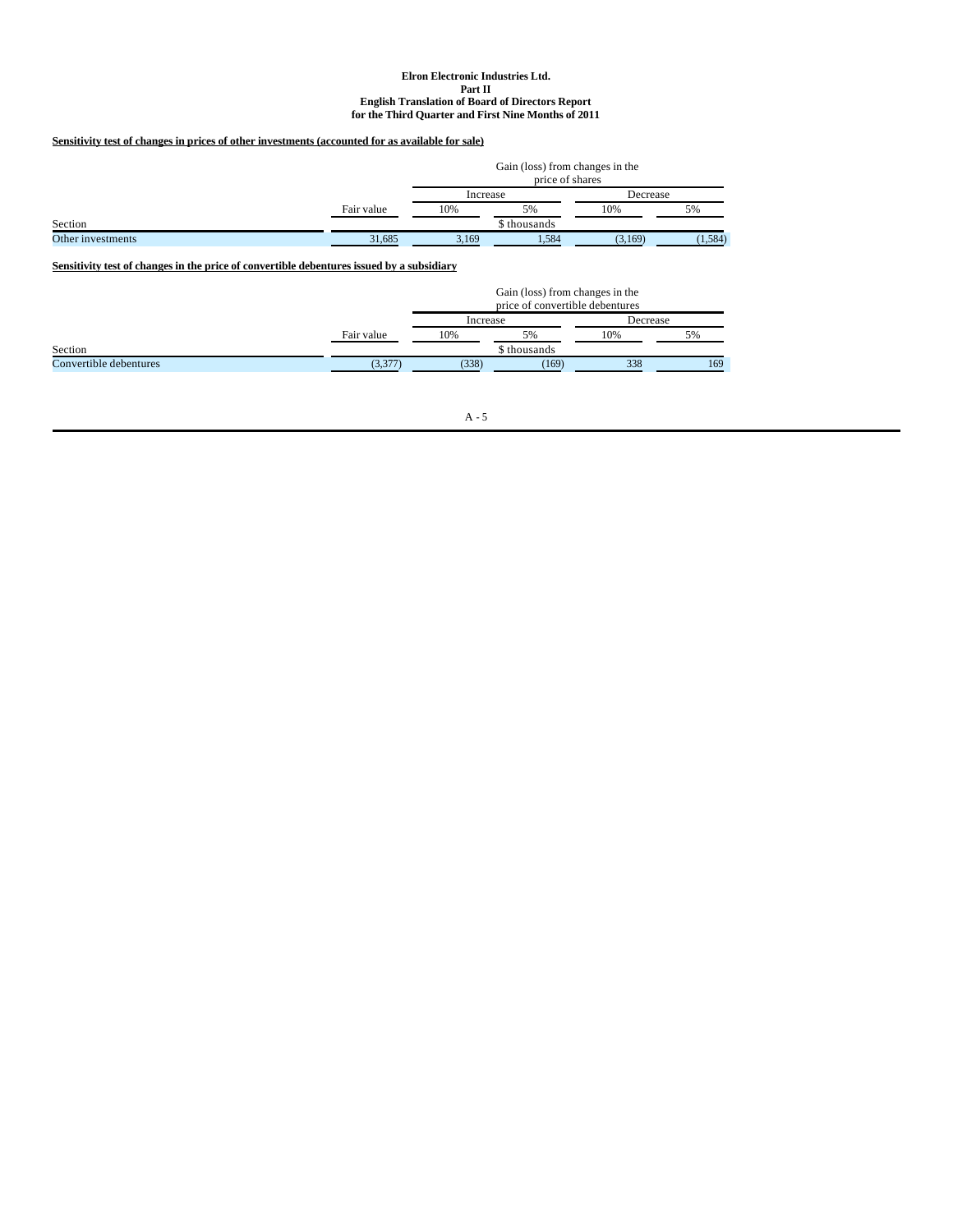# **Sensitivity test of changes in prices of other investments (accounted for as available for sale)**

|                   |            | Gain (loss) from changes in the<br>price of shares |              |          |         |  |
|-------------------|------------|----------------------------------------------------|--------------|----------|---------|--|
|                   |            | Increase                                           |              | Decrease |         |  |
|                   | Fair value | 10%                                                | 5%           | 10%      | 5%      |  |
| Section           |            |                                                    | \$ thousands |          |         |  |
| Other investments | 31.685     | 3.169                                              | 1.584        | (3.169)  | (1,584) |  |

**Sensitivity test of changes in the price of convertible debentures issued by a subsidiary**

|                        |            | Gain (loss) from changes in the<br>price of convertible debentures |              |          |     |  |  |
|------------------------|------------|--------------------------------------------------------------------|--------------|----------|-----|--|--|
|                        |            | Increase                                                           |              | Decrease |     |  |  |
|                        | Fair value | 10%                                                                | 5%           | 10%      | 5%  |  |  |
| Section                |            |                                                                    | \$ thousands |          |     |  |  |
| Convertible debentures | (3,377)    | (338)                                                              | (169)        | 338      | 169 |  |  |

 $\mathbf{A}$  -  $\mathbf{5}$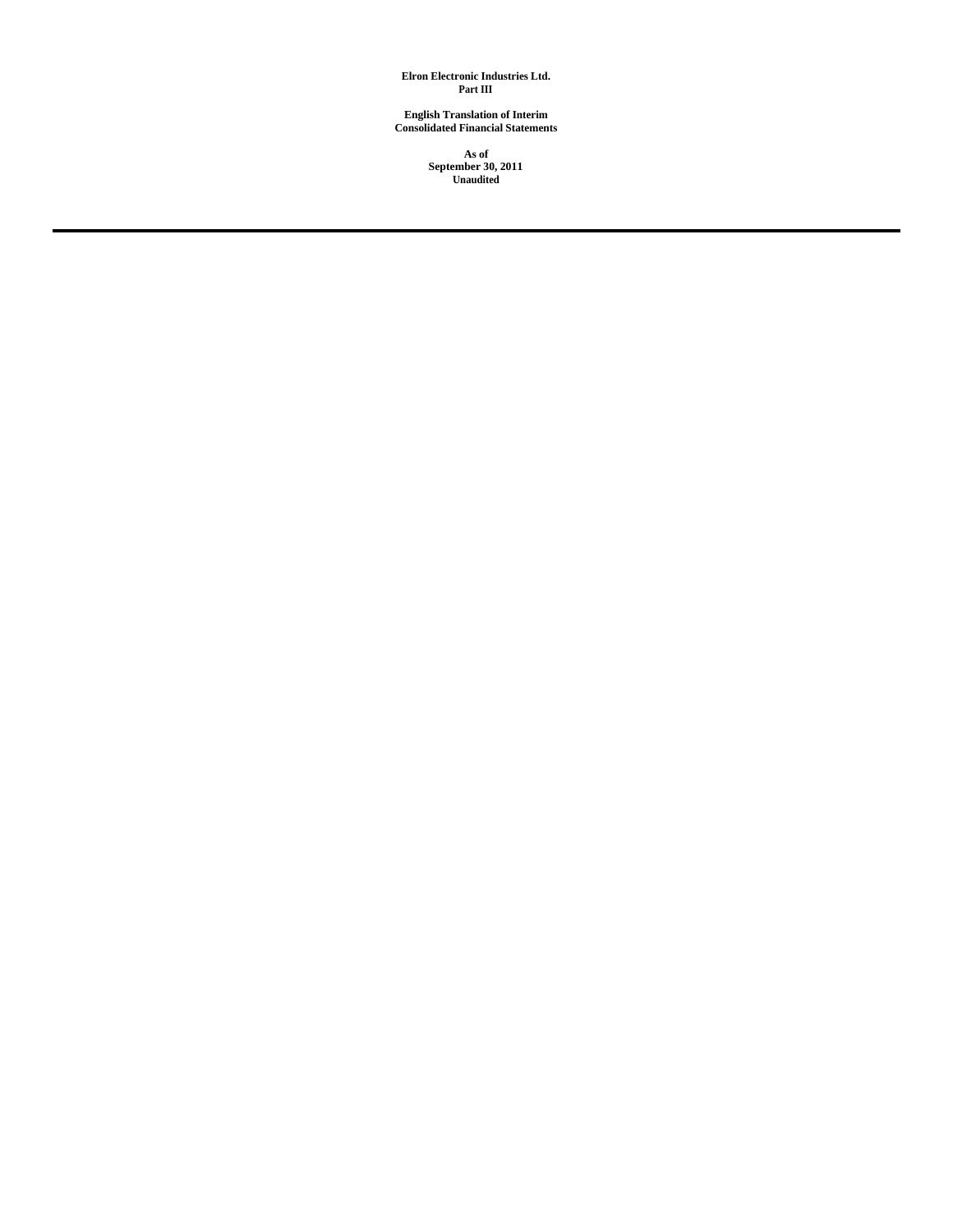**Elron Electronic Industries Ltd. Part III**

**English Translation of Interim Consolidated Financial Statements**

> **As of September 30, 2011 Unaudited**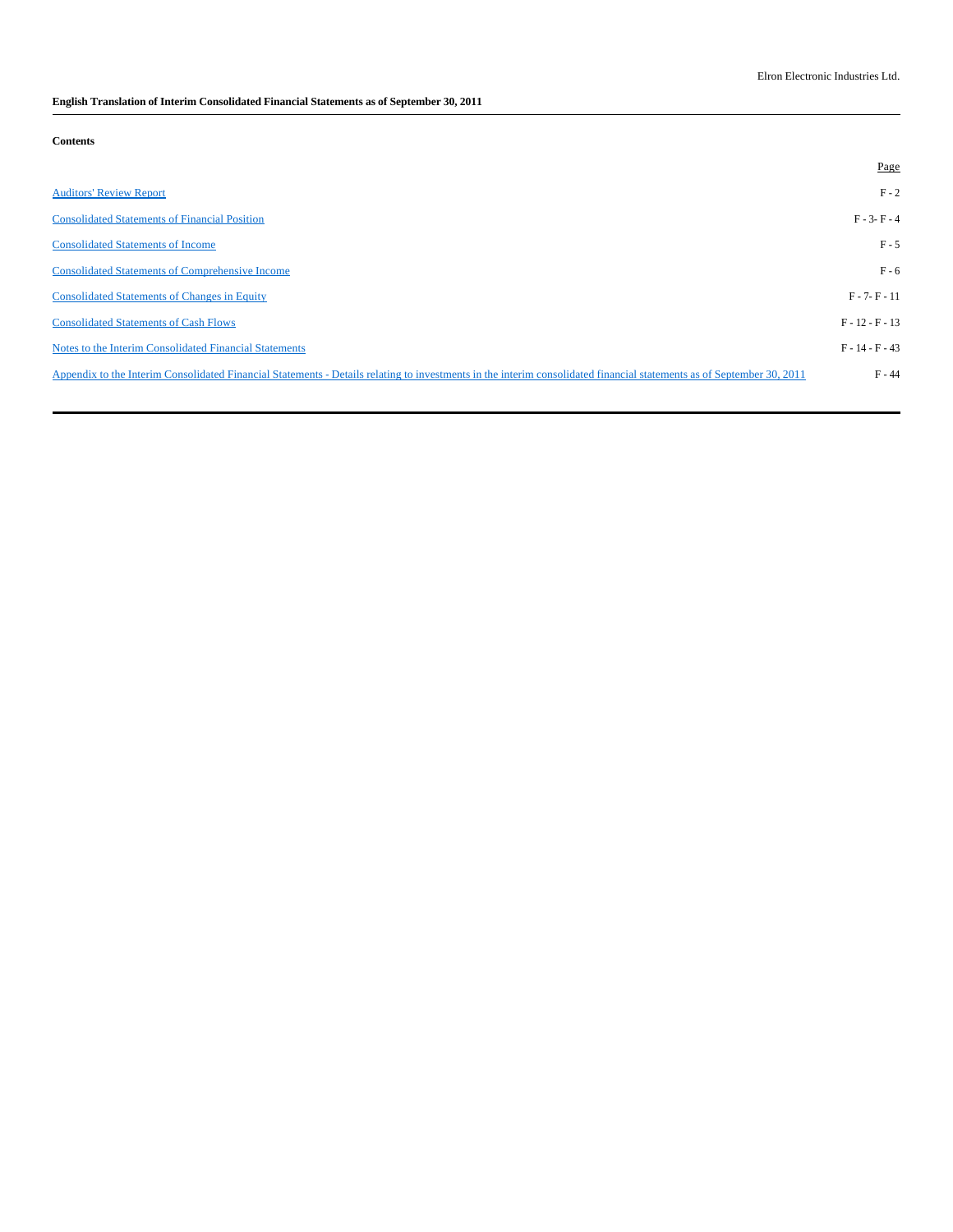# **English Translation of Interim Consolidated Financial Statements as of September 30, 2011**

# **Contents**

|                                                                                                                                                                       | Page              |
|-----------------------------------------------------------------------------------------------------------------------------------------------------------------------|-------------------|
| <b>Auditors' Review Report</b>                                                                                                                                        | $F - 2$           |
| <b>Consolidated Statements of Financial Position</b>                                                                                                                  | $F - 3 - F - 4$   |
| <b>Consolidated Statements of Income</b>                                                                                                                              | $F - 5$           |
| <b>Consolidated Statements of Comprehensive Income</b>                                                                                                                | $F - 6$           |
| <b>Consolidated Statements of Changes in Equity</b>                                                                                                                   | $F - 7 - F - 11$  |
| <b>Consolidated Statements of Cash Flows</b>                                                                                                                          | $F - 12 - F - 13$ |
| Notes to the Interim Consolidated Financial Statements                                                                                                                | $F - 14 - F - 43$ |
| Appendix to the Interim Consolidated Financial Statements - Details relating to investments in the interim consolidated financial statements as of September 30, 2011 | $F - 44$          |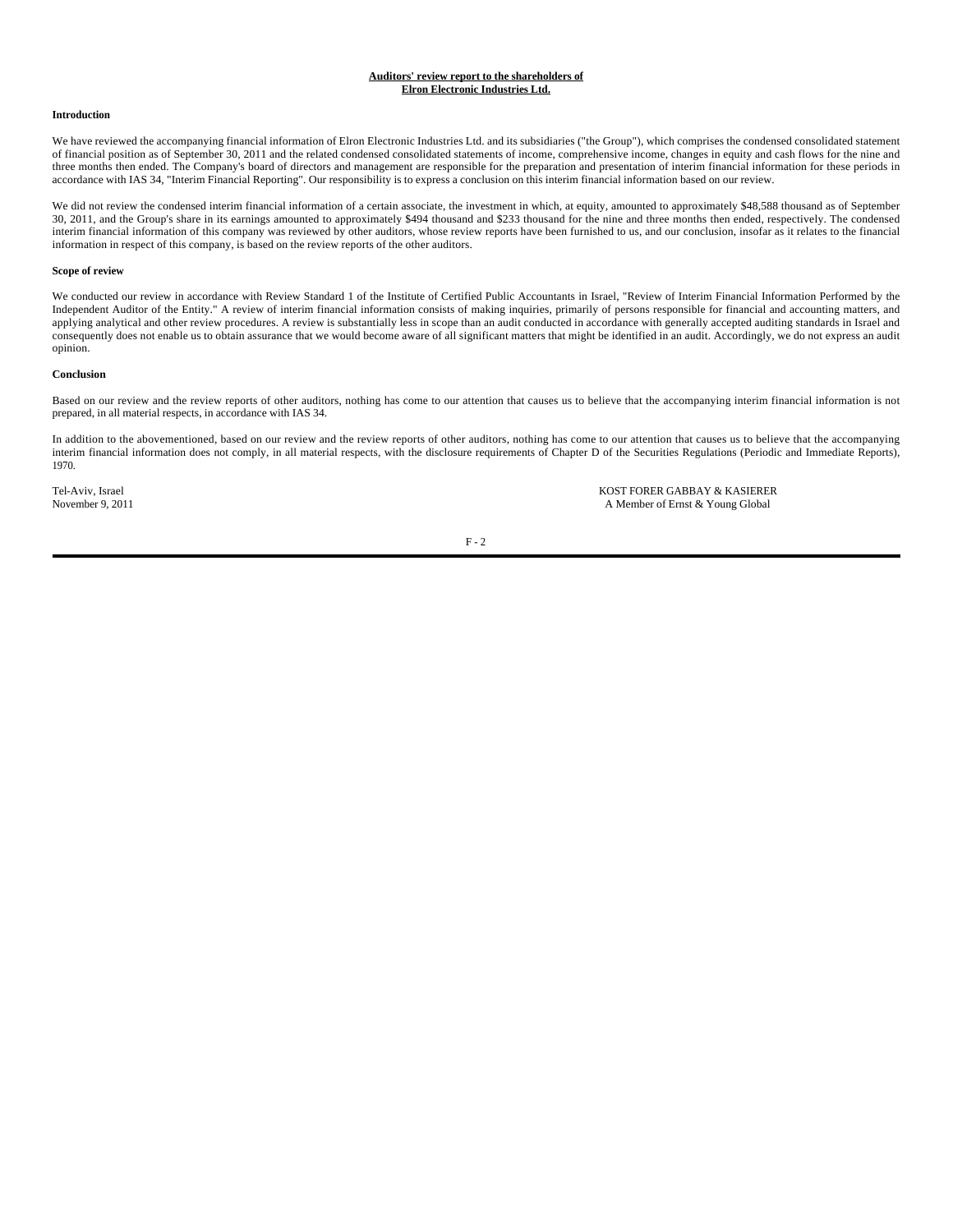# **Auditors' review report to the shareholders of Elron Electronic Industries Ltd.**

## **Introduction**

We have reviewed the accompanying financial information of Elron Electronic Industries Ltd. and its subsidiaries ("the Group"), which comprises the condensed consolidated statement of financial position as of September 30, 2011 and the related condensed consolidated statements of income, comprehensive income, changes in equity and cash flows for the nine and three months then ended. The Company's board of directors and management are responsible for the preparation and presentation of interim financial information for these periods in accordance with IAS 34, "Interim Financial Reporting". Our responsibility is to express a conclusion on this interim financial information based on our review.

We did not review the condensed interim financial information of a certain associate, the investment in which, at equity, amounted to approximately \$48,588 thousand as of September 30, 2011, and the Group's share in its earnings amounted to approximately \$494 thousand and \$233 thousand for the nine and three months then ended, respectively. The condensed interim financial information of this company was reviewed by other auditors, whose review reports have been furnished to us, and our conclusion, insofar as it relates to the financial information in respect of this company, is based on the review reports of the other auditors.

#### **Scope of review**

We conducted our review in accordance with Review Standard 1 of the Institute of Certified Public Accountants in Israel, "Review of Interim Financial Information Performed by the Independent Auditor of the Entity." A review of interim financial information consists of making inquiries, primarily of persons responsible for financial and accounting matters, and applying analytical and other review procedures. A review is substantially less in scope than an audit conducted in accordance with generally accepted auditing standards in Israel and consequently does not enable us to obtain assurance that we would become aware of all significant matters that might be identified in an audit. Accordingly, we do not express an audit opinion.

## **Conclusion**

Based on our review and the review reports of other auditors, nothing has come to our attention that causes us to believe that the accompanying interim financial information is not prepared, in all material respects, in accordance with IAS 34.

In addition to the abovementioned, based on our review and the review reports of other auditors, nothing has come to our attention that causes us to believe that the accompanying interim financial information does not comply, in all material respects, with the disclosure requirements of Chapter D of the Securities Regulations (Periodic and Immediate Reports), 1970.

Tel-Aviv, Israel KOST FORER GABBAY & KASIERER<br>
November 9, 2011 A Member of Ernst & Young Global

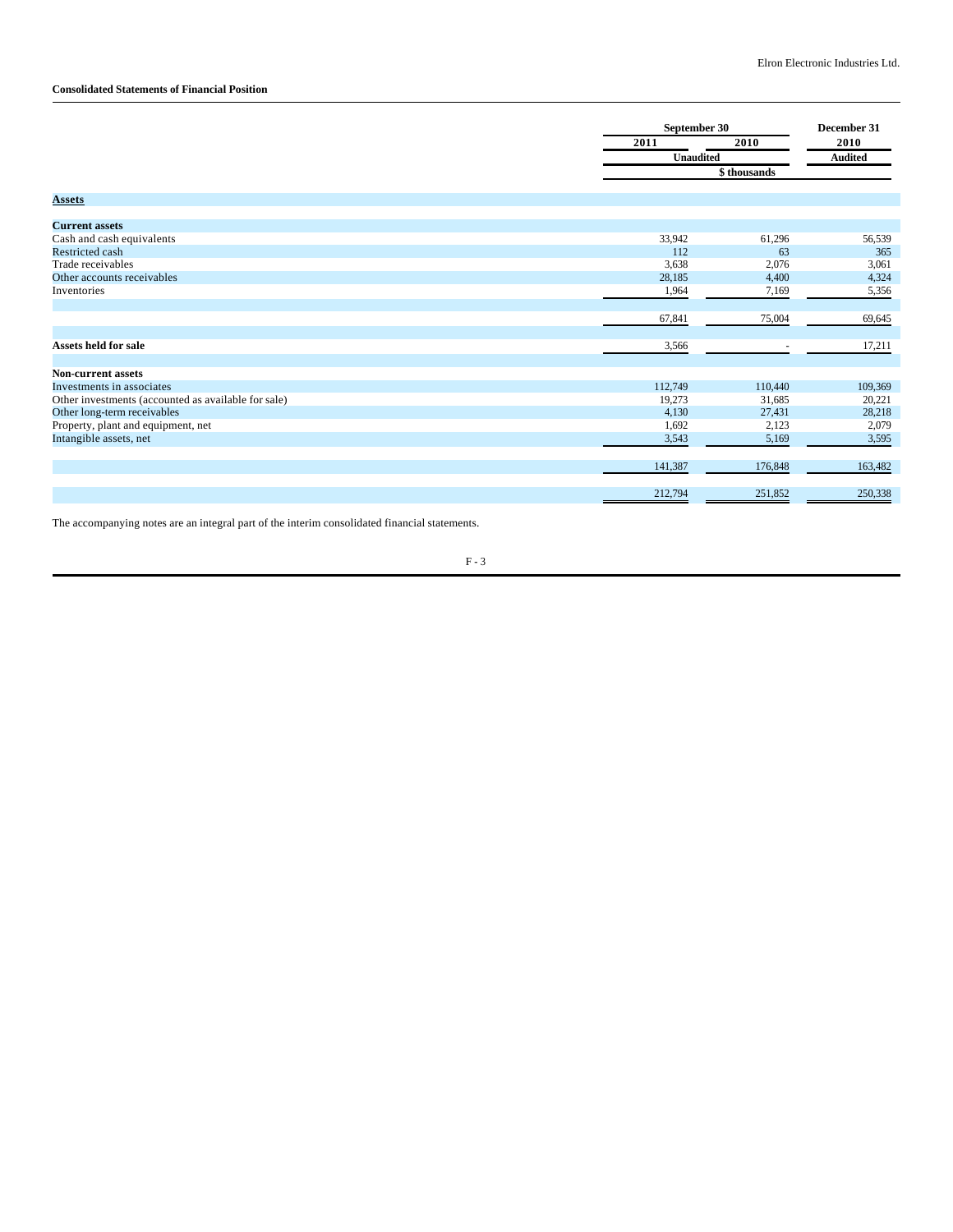# **Consolidated Statements of Financial Position**

|                                                     | September 30     |             | December 31    |
|-----------------------------------------------------|------------------|-------------|----------------|
|                                                     | 2011             | 2010        | 2010           |
|                                                     | <b>Unaudited</b> |             | <b>Audited</b> |
|                                                     |                  | \$thousands |                |
|                                                     |                  |             |                |
| <b>Assets</b>                                       |                  |             |                |
| <b>Current assets</b>                               |                  |             |                |
| Cash and cash equivalents                           | 33,942           | 61,296      | 56,539         |
| <b>Restricted cash</b>                              | 112              | 63          | 365            |
| Trade receivables                                   | 3,638            | 2,076       | 3,061          |
| Other accounts receivables                          | 28,185           | 4,400       | 4,324          |
| Inventories                                         | 1,964            | 7,169       | 5,356          |
|                                                     |                  |             |                |
|                                                     | 67,841           | 75,004      | 69,645         |
| Assets held for sale                                | 3,566            |             | 17,211         |
| <b>Non-current assets</b>                           |                  |             |                |
| Investments in associates                           | 112,749          | 110,440     | 109,369        |
| Other investments (accounted as available for sale) | 19,273           | 31,685      | 20,221         |
| Other long-term receivables                         | 4,130            | 27,431      | 28,218         |
| Property, plant and equipment, net                  | 1,692            | 2,123       | 2,079          |
| Intangible assets, net                              | 3,543            | 5,169       | 3,595          |
|                                                     |                  |             |                |
|                                                     | 141,387          | 176,848     | 163,482        |
|                                                     | 212,794          | 251,852     | 250,338        |

The accompanying notes are an integral part of the interim consolidated financial statements.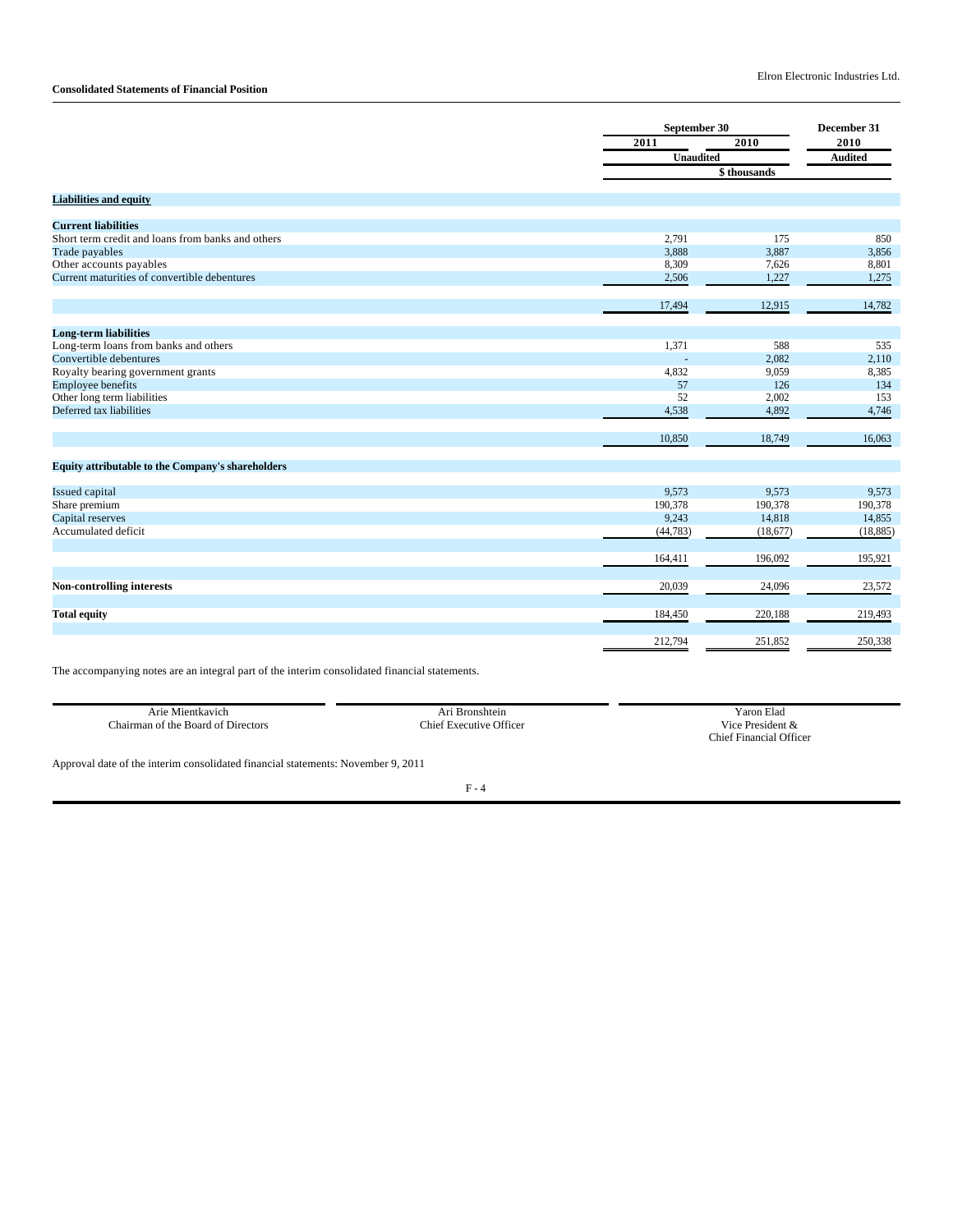# **Consolidated Statements of Financial Position**

|                                                   |                  | September 30 |                |  |
|---------------------------------------------------|------------------|--------------|----------------|--|
|                                                   | 2011             | 2010         | 2010           |  |
|                                                   | <b>Unaudited</b> |              | <b>Audited</b> |  |
|                                                   |                  | \$ thousands |                |  |
|                                                   |                  |              |                |  |
| <b>Liabilities and equity</b>                     |                  |              |                |  |
| <b>Current liabilities</b>                        |                  |              |                |  |
| Short term credit and loans from banks and others | 2,791            | 175          | 850            |  |
| Trade payables                                    | 3,888            | 3,887        | 3,856          |  |
| Other accounts payables                           | 8,309            | 7,626        | 8,801          |  |
| Current maturities of convertible debentures      | 2,506            | 1,227        | 1,275          |  |
|                                                   |                  |              |                |  |
|                                                   | 17,494           | 12,915       | 14,782         |  |
|                                                   |                  |              |                |  |
| <b>Long-term liabilities</b>                      |                  |              |                |  |
| Long-term loans from banks and others             | 1,371            | 588          | 535            |  |
| Convertible debentures                            |                  | 2,082        | 2,110          |  |
| Royalty bearing government grants                 | 4,832            | 9,059        | 8,385          |  |
| <b>Employee benefits</b>                          | 57               | 126          | 134            |  |
| Other long term liabilities                       | 52               | 2,002        | 153            |  |
| Deferred tax liabilities                          | 4,538            | 4,892        | 4,746          |  |
|                                                   |                  |              |                |  |
|                                                   | 10,850           | 18,749       | 16,063         |  |
| Equity attributable to the Company's shareholders |                  |              |                |  |
|                                                   |                  |              |                |  |
| <b>Issued capital</b>                             | 9,573            | 9,573        | 9,573          |  |
| Share premium                                     | 190,378          | 190,378      | 190,378        |  |
| Capital reserves                                  | 9,243            | 14,818       | 14,855         |  |
| Accumulated deficit                               | (44, 783)        | (18, 677)    | (18, 885)      |  |
|                                                   |                  |              |                |  |
|                                                   | 164,411          | 196,092      | 195,921        |  |
| <b>Non-controlling interests</b>                  | 20,039           | 24,096       | 23,572         |  |
|                                                   |                  |              |                |  |
| <b>Total equity</b>                               | 184,450          | 220,188      | 219,493        |  |
|                                                   |                  |              |                |  |
|                                                   | 212,794          | 251,852      | 250,338        |  |

The accompanying notes are an integral part of the interim consolidated financial statements.

| Arie Mientkavich                   | Ari Bronshtein          | Yaron Elad              |
|------------------------------------|-------------------------|-------------------------|
| Chairman of the Board of Directors | Chief Executive Officer | Vice President &        |
|                                    |                         | Chief Financial Officer |
|                                    |                         |                         |

Approval date of the interim consolidated financial statements: November 9, 2011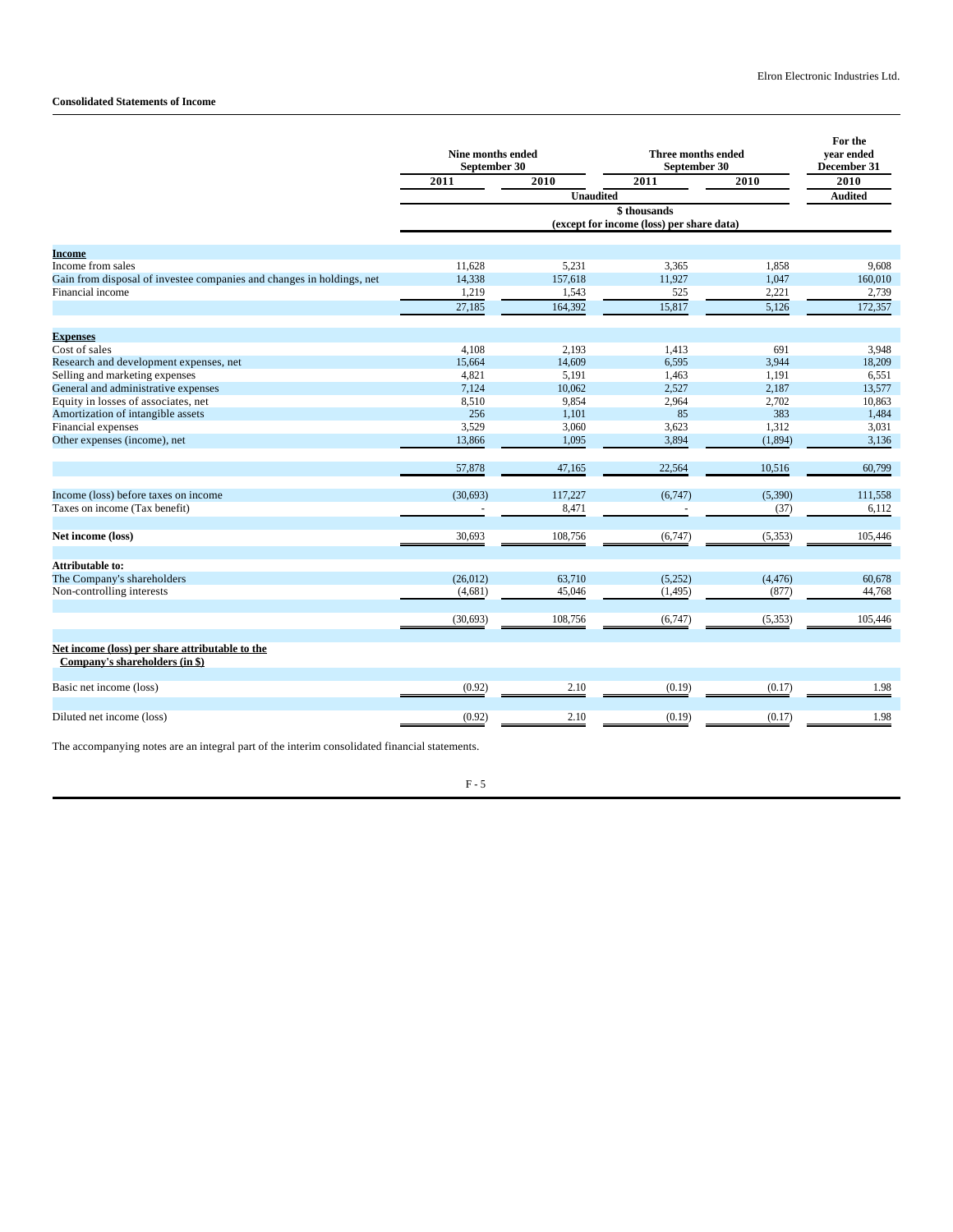# **Consolidated Statements of Income**

|                                                                                   | Nine months ended<br>September 30 |                  | Three months ended<br>September 30                       |          | For the<br>year ended<br>December 31 |
|-----------------------------------------------------------------------------------|-----------------------------------|------------------|----------------------------------------------------------|----------|--------------------------------------|
|                                                                                   | 2011                              | 2010             | 2011                                                     | 2010     | 2010                                 |
|                                                                                   |                                   | <b>Unaudited</b> |                                                          |          | <b>Audited</b>                       |
|                                                                                   |                                   |                  | \$thousands<br>(except for income (loss) per share data) |          |                                      |
| Income                                                                            |                                   |                  |                                                          |          |                                      |
| Income from sales                                                                 | 11,628                            | 5,231            | 3,365                                                    | 1,858    | 9,608                                |
| Gain from disposal of investee companies and changes in holdings, net             | 14,338                            | 157,618          | 11,927                                                   | 1,047    | 160,010                              |
| Financial income                                                                  | 1,219                             | 1,543            | 525                                                      | 2,221    | 2,739                                |
|                                                                                   | 27,185                            | 164,392          | 15,817                                                   | 5,126    | 172,357                              |
| <b>Expenses</b>                                                                   |                                   |                  |                                                          |          |                                      |
| Cost of sales                                                                     | 4,108                             | 2,193            | 1,413                                                    | 691      | 3,948                                |
| Research and development expenses, net                                            | 15,664                            | 14,609           | 6,595                                                    | 3,944    | 18,209                               |
| Selling and marketing expenses                                                    | 4,821                             | 5.191            | 1.463                                                    | 1.191    | 6,551                                |
| General and administrative expenses                                               | 7,124                             | 10,062           | 2,527                                                    | 2,187    | 13,577                               |
| Equity in losses of associates, net                                               | 8,510                             | 9,854            | 2,964                                                    | 2,702    | 10,863                               |
| Amortization of intangible assets                                                 | 256                               | 1.101            | 85                                                       | 383      | 1,484                                |
| Financial expenses                                                                | 3,529                             | 3,060            | 3,623                                                    | 1,312    | 3,031                                |
| Other expenses (income), net                                                      | 13,866                            | 1,095            | 3,894                                                    | (1,894)  | 3,136                                |
|                                                                                   | 57,878                            | 47,165           | 22,564                                                   | 10,516   | 60,799                               |
| Income (loss) before taxes on income                                              | (30,693)                          | 117,227          | (6,747)                                                  | (5,390)  | 111,558                              |
| Taxes on income (Tax benefit)                                                     |                                   | 8,471            |                                                          | (37)     | 6,112                                |
| Net income (loss)                                                                 | 30,693                            | 108,756          | (6,747)                                                  | (5, 353) | 105,446                              |
| Attributable to:                                                                  |                                   |                  |                                                          |          |                                      |
| The Company's shareholders                                                        | (26, 012)                         | 63,710           | (5,252)                                                  | (4, 476) | 60,678                               |
| Non-controlling interests                                                         | (4,681)                           | 45,046           | (1, 495)                                                 | (877)    | 44,768                               |
|                                                                                   | (30,693)                          | 108,756          | (6,747)                                                  | (5, 353) | 105,446                              |
| Net income (loss) per share attributable to the<br>Company's shareholders (in \$) |                                   |                  |                                                          |          |                                      |
| Basic net income (loss)                                                           | (0.92)                            | 2.10             | (0.19)                                                   | (0.17)   | 1.98                                 |
| Diluted net income (loss)                                                         | (0.92)                            | 2.10             | (0.19)                                                   | (0.17)   | 1.98                                 |

The accompanying notes are an integral part of the interim consolidated financial statements.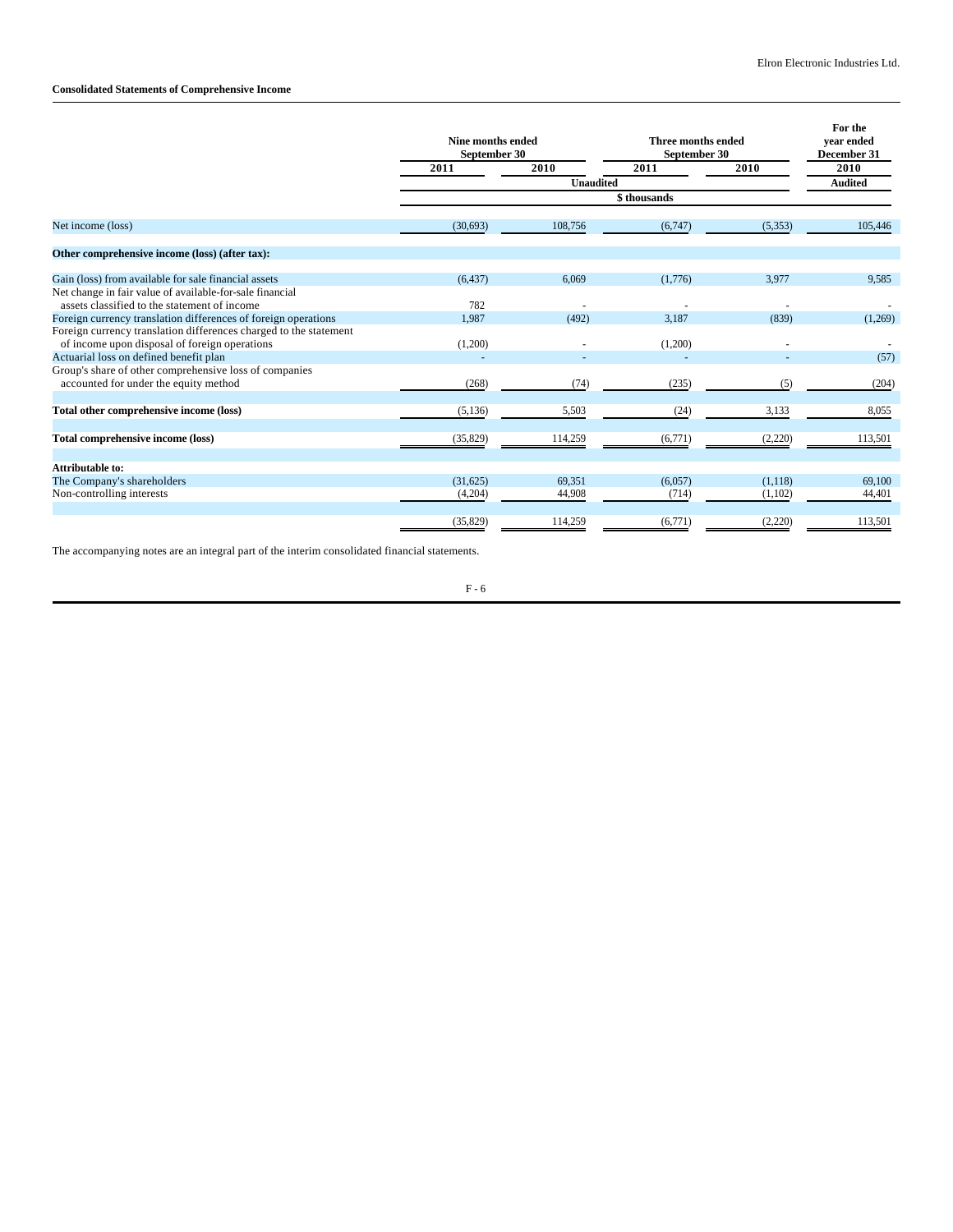# **Consolidated Statements of Comprehensive Income**

|                                                                                                                    | Nine months ended<br>September 30 |           | Three months ended<br>September 30 | For the<br>vear ended<br>December 31 |         |
|--------------------------------------------------------------------------------------------------------------------|-----------------------------------|-----------|------------------------------------|--------------------------------------|---------|
|                                                                                                                    | 2011                              | 2010      | 2011                               | 2010                                 | 2010    |
|                                                                                                                    |                                   | Unaudited |                                    | <b>Audited</b>                       |         |
|                                                                                                                    |                                   |           | \$thousands                        |                                      |         |
| Net income (loss)                                                                                                  | (30,693)                          | 108,756   | (6,747)                            | (5, 353)                             | 105,446 |
| Other comprehensive income (loss) (after tax):                                                                     |                                   |           |                                    |                                      |         |
| Gain (loss) from available for sale financial assets                                                               | (6, 437)                          | 6.069     | (1,776)                            | 3.977                                | 9,585   |
| Net change in fair value of available-for-sale financial<br>assets classified to the statement of income           | 782                               |           |                                    |                                      |         |
| Foreign currency translation differences of foreign operations                                                     | 1.987                             | (492)     | 3.187                              | (839)                                | (1,269) |
| Foreign currency translation differences charged to the statement<br>of income upon disposal of foreign operations | (1,200)                           |           | (1,200)                            |                                      |         |
| Actuarial loss on defined benefit plan                                                                             |                                   |           |                                    |                                      | (57)    |
| Group's share of other comprehensive loss of companies<br>accounted for under the equity method                    | (268)                             | (74)      | (235)                              | (5)                                  | (204)   |
| Total other comprehensive income (loss)                                                                            | (5, 136)                          | 5,503     | (24)                               | 3,133                                | 8,055   |
| Total comprehensive income (loss)                                                                                  | (35,829)                          | 114,259   | (6,771)                            | (2,220)                              | 113,501 |
| Attributable to:                                                                                                   |                                   |           |                                    |                                      |         |
| The Company's shareholders                                                                                         | (31,625)                          | 69,351    | (6,057)                            | (1,118)                              | 69,100  |
| Non-controlling interests                                                                                          | (4,204)                           | 44,908    | (714)                              | (1,102)                              | 44,401  |
|                                                                                                                    | (35,829)                          | 114,259   | (6,771)                            | (2,220)                              | 113,501 |

The accompanying notes are an integral part of the interim consolidated financial statements.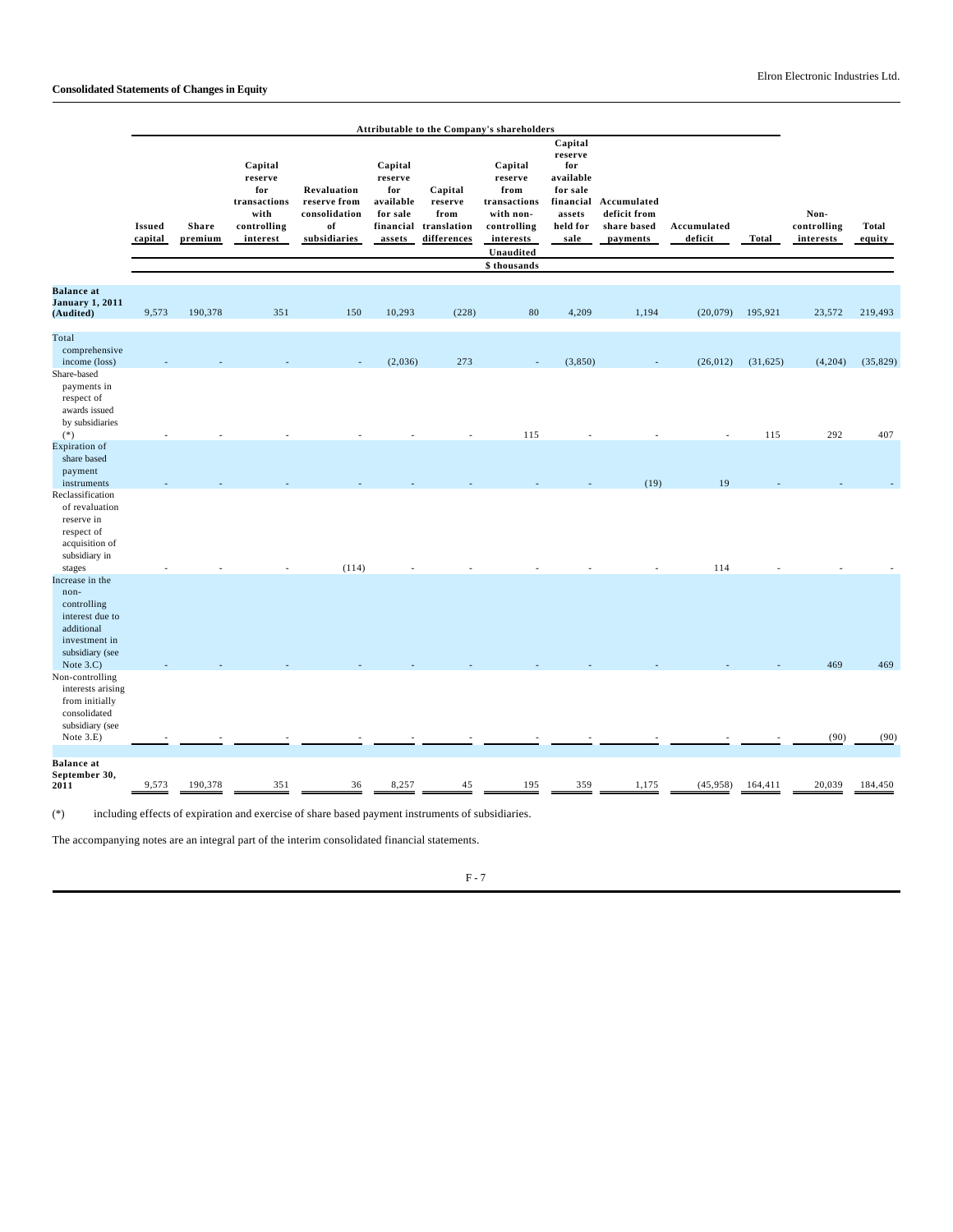|                                                                                                                         |                          |                         |                                                                              |                                                                    |                                                                           |                                                          | Attributable to the Company's shareholders                                                                       |                                                                                               |                                                        |                        |           |                                  |                        |
|-------------------------------------------------------------------------------------------------------------------------|--------------------------|-------------------------|------------------------------------------------------------------------------|--------------------------------------------------------------------|---------------------------------------------------------------------------|----------------------------------------------------------|------------------------------------------------------------------------------------------------------------------|-----------------------------------------------------------------------------------------------|--------------------------------------------------------|------------------------|-----------|----------------------------------|------------------------|
|                                                                                                                         | <b>Issued</b><br>capital | <b>Share</b><br>premium | Capital<br>reserve<br>for<br>transactions<br>with<br>controlling<br>interest | Revaluation<br>reserve from<br>consolidation<br>of<br>subsidiaries | Capital<br>reserve<br>for<br>available<br>for sale<br>financial<br>assets | Capital<br>reserve<br>from<br>translation<br>differences | Capital<br>reserve<br>from<br>transactions<br>with non-<br>controlling<br>interests<br>Unaudited<br>\$ thousands | Capital<br>reserve<br>for<br>available<br>for sale<br>financial<br>assets<br>held for<br>sale | Accumulated<br>deficit from<br>share based<br>payments | Accumulated<br>deficit | Total     | Non-<br>controlling<br>interests | <b>Total</b><br>equity |
| <b>Balance</b> at<br><b>January 1, 2011</b><br>(Audited)                                                                | 9,573                    | 190,378                 | 351                                                                          | 150                                                                | 10,293                                                                    | (228)                                                    | 80                                                                                                               | 4,209                                                                                         | 1,194                                                  | (20,079)               | 195,921   | 23,572                           | 219,493                |
| Total<br>comprehensive<br>income (loss)<br>Share-based<br>payments in<br>respect of<br>awards issued<br>by subsidiaries |                          |                         |                                                                              |                                                                    | (2,036)                                                                   | 273                                                      |                                                                                                                  | (3,850)                                                                                       |                                                        | (26, 012)              | (31, 625) | (4,204)                          | (35, 829)              |
| $(*)$<br><b>Expiration</b> of<br>share based<br>payment<br>instruments                                                  |                          |                         |                                                                              |                                                                    |                                                                           |                                                          | 115                                                                                                              |                                                                                               | (19)                                                   | 19                     | 115       | 292                              | 407                    |
| Reclassification<br>of revaluation<br>reserve in<br>respect of<br>acquisition of<br>subsidiary in<br>stages             |                          |                         |                                                                              | (114)                                                              |                                                                           |                                                          |                                                                                                                  |                                                                                               |                                                        | 114                    |           |                                  |                        |
| Increase in the<br>non-<br>controlling<br>interest due to<br>additional<br>investment in<br>subsidiary (see             |                          |                         |                                                                              |                                                                    |                                                                           |                                                          |                                                                                                                  |                                                                                               |                                                        |                        |           |                                  |                        |
| Note $3.C$ )<br>Non-controlling<br>interests arising<br>from initially<br>consolidated<br>subsidiary (see<br>Note 3.E)  |                          |                         |                                                                              |                                                                    |                                                                           |                                                          |                                                                                                                  |                                                                                               |                                                        |                        |           | 469<br>(90)                      | 469<br>(90)            |
| <b>Balance</b> at<br>September 30,<br>2011                                                                              | 9,573                    | 190,378                 | 351                                                                          | 36                                                                 | 8,257                                                                     | 45                                                       | 195                                                                                                              | 359                                                                                           | 1,175                                                  | (45,958)               | 164,411   | 20,039                           | 184,450                |

(\*) including effects of expiration and exercise of share based payment instruments of subsidiaries.

The accompanying notes are an integral part of the interim consolidated financial statements.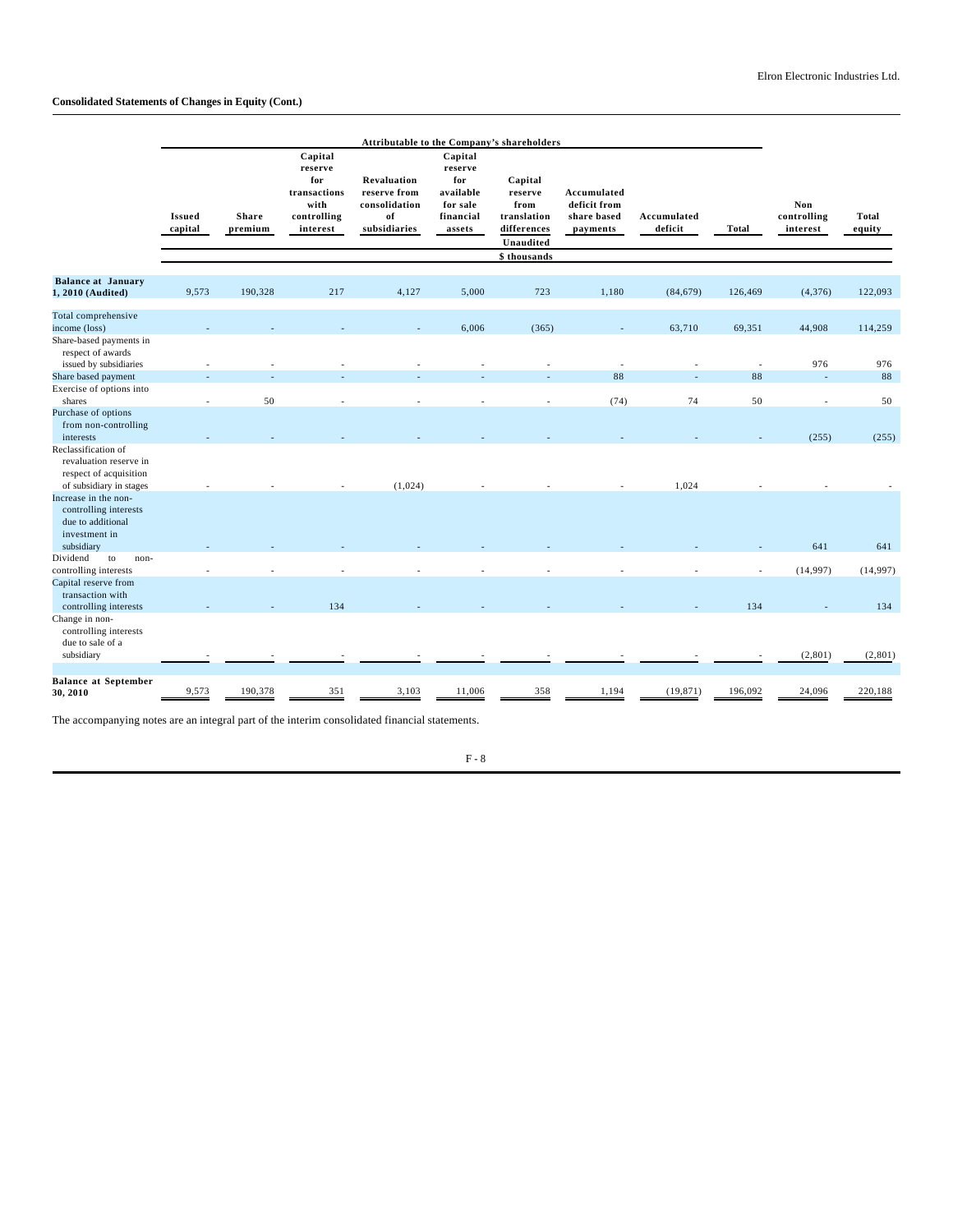# **Consolidated Statements of Changes in Equity (Cont.)**

|                                                                                                    | Attributable to the Company's shareholders |                         |                                                                              |                                                                           |                                                                           |                                                                                       |                                                        |                        |                |                                |                        |  |
|----------------------------------------------------------------------------------------------------|--------------------------------------------|-------------------------|------------------------------------------------------------------------------|---------------------------------------------------------------------------|---------------------------------------------------------------------------|---------------------------------------------------------------------------------------|--------------------------------------------------------|------------------------|----------------|--------------------------------|------------------------|--|
|                                                                                                    | <b>Issued</b><br>capital                   | <b>Share</b><br>premium | Capital<br>reserve<br>for<br>transactions<br>with<br>controlling<br>interest | <b>Revaluation</b><br>reserve from<br>consolidation<br>of<br>subsidiaries | Capital<br>reserve<br>for<br>available<br>for sale<br>financial<br>assets | Capital<br>reserve<br>from<br>translation<br>differences<br>Unaudited<br>\$ thousands | Accumulated<br>deficit from<br>share based<br>payments | Accumulated<br>deficit | <b>Total</b>   | Non<br>controlling<br>interest | <b>Total</b><br>equity |  |
|                                                                                                    |                                            |                         |                                                                              |                                                                           |                                                                           |                                                                                       |                                                        |                        |                |                                |                        |  |
| <b>Balance at January</b><br>1, 2010 (Audited)                                                     | 9,573                                      | 190,328                 | 217                                                                          | 4,127                                                                     | 5,000                                                                     | 723                                                                                   | 1,180                                                  | (84, 679)              | 126,469        | (4,376)                        | 122,093                |  |
| Total comprehensive<br>income (loss)                                                               |                                            |                         |                                                                              |                                                                           | 6,006                                                                     | (365)                                                                                 |                                                        | 63,710                 | 69,351         | 44,908                         | 114,259                |  |
| Share-based payments in<br>respect of awards<br>issued by subsidiaries                             |                                            |                         |                                                                              |                                                                           |                                                                           |                                                                                       |                                                        |                        | $\overline{a}$ | 976                            | 976                    |  |
| Share based payment                                                                                |                                            |                         |                                                                              |                                                                           |                                                                           |                                                                                       | 88                                                     |                        | 88             | $\overline{a}$                 | 88                     |  |
| Exercise of options into                                                                           |                                            |                         |                                                                              |                                                                           |                                                                           |                                                                                       |                                                        |                        |                |                                |                        |  |
| shares                                                                                             | $\overline{a}$                             | 50                      |                                                                              |                                                                           |                                                                           |                                                                                       | (74)                                                   | 74                     | 50             | $\sim$                         | 50                     |  |
| Purchase of options<br>from non-controlling<br>interests                                           |                                            |                         |                                                                              |                                                                           |                                                                           |                                                                                       |                                                        |                        |                | (255)                          | (255)                  |  |
| Reclassification of<br>revaluation reserve in<br>respect of acquisition<br>of subsidiary in stages |                                            |                         |                                                                              | (1,024)                                                                   |                                                                           |                                                                                       |                                                        | 1,024                  |                |                                |                        |  |
| Increase in the non-<br>controlling interests<br>due to additional                                 |                                            |                         |                                                                              |                                                                           |                                                                           |                                                                                       |                                                        |                        |                |                                |                        |  |
| investment in                                                                                      |                                            |                         |                                                                              |                                                                           |                                                                           |                                                                                       |                                                        |                        |                |                                |                        |  |
| subsidiary<br>Dividend<br>to                                                                       |                                            |                         |                                                                              |                                                                           |                                                                           |                                                                                       |                                                        |                        |                | 641                            | 641                    |  |
| non-<br>controlling interests                                                                      |                                            |                         |                                                                              |                                                                           |                                                                           |                                                                                       |                                                        |                        |                | (14,997)                       | (14,997)               |  |
| Capital reserve from<br>transaction with                                                           |                                            |                         | 134                                                                          |                                                                           |                                                                           |                                                                                       |                                                        |                        | 134            |                                | 134                    |  |
| controlling interests<br>Change in non-<br>controlling interests<br>due to sale of a               |                                            |                         |                                                                              |                                                                           |                                                                           |                                                                                       |                                                        |                        |                |                                |                        |  |
| subsidiary                                                                                         |                                            |                         |                                                                              |                                                                           |                                                                           |                                                                                       |                                                        |                        |                | (2,801)                        | (2,801)                |  |
|                                                                                                    |                                            |                         |                                                                              |                                                                           |                                                                           |                                                                                       |                                                        |                        |                |                                |                        |  |
| <b>Balance at September</b><br>30, 2010                                                            | 9,573                                      | 190,378                 | 351                                                                          | 3,103                                                                     | 11,006                                                                    | 358                                                                                   | 1,194                                                  | (19, 871)              | 196,092        | 24,096                         | 220,188                |  |

The accompanying notes are an integral part of the interim consolidated financial statements.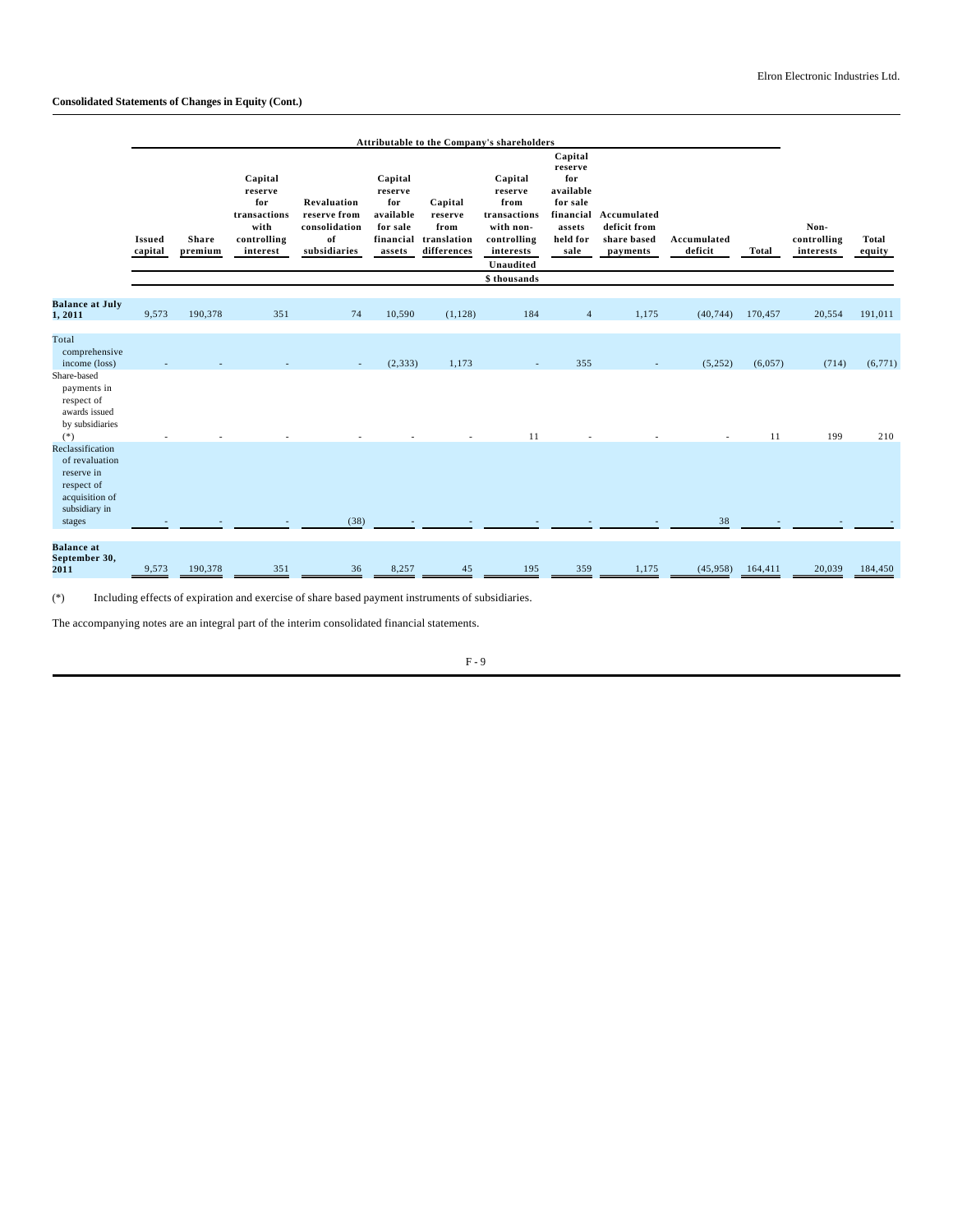|                                                                                                   | Attributable to the Company's shareholders |                         |                                                                              |                                                                    |                                                                           |                                                          |                                                                                                                  |                                                                                               |                                                        |                        |         |                                  |                        |
|---------------------------------------------------------------------------------------------------|--------------------------------------------|-------------------------|------------------------------------------------------------------------------|--------------------------------------------------------------------|---------------------------------------------------------------------------|----------------------------------------------------------|------------------------------------------------------------------------------------------------------------------|-----------------------------------------------------------------------------------------------|--------------------------------------------------------|------------------------|---------|----------------------------------|------------------------|
|                                                                                                   | <b>Issued</b><br>capital                   | <b>Share</b><br>premium | Capital<br>reserve<br>for<br>transactions<br>with<br>controlling<br>interest | Revaluation<br>reserve from<br>consolidation<br>of<br>subsidiaries | Capital<br>reserve<br>for<br>available<br>for sale<br>financial<br>assets | Capital<br>reserve<br>from<br>translation<br>differences | Capital<br>reserve<br>from<br>transactions<br>with non-<br>controlling<br>interests<br>Unaudited<br>\$ thousands | Capital<br>reserve<br>for<br>available<br>for sale<br>financial<br>assets<br>held for<br>sale | Accumulated<br>deficit from<br>share based<br>payments | Accumulated<br>deficit | Total   | Non-<br>controlling<br>interests | <b>Total</b><br>equity |
| <b>Balance at July</b><br>1,2011                                                                  | 9,573                                      | 190,378                 | 351                                                                          | 74                                                                 | 10,590                                                                    | (1, 128)                                                 | 184                                                                                                              | $\overline{4}$                                                                                | 1,175                                                  | (40, 744)              | 170,457 | 20,554                           | 191,011                |
|                                                                                                   |                                            |                         |                                                                              |                                                                    |                                                                           |                                                          |                                                                                                                  |                                                                                               |                                                        |                        |         |                                  |                        |
| Total<br>comprehensive<br>income (loss)                                                           |                                            |                         |                                                                              |                                                                    | (2, 333)                                                                  | 1,173                                                    |                                                                                                                  | 355                                                                                           |                                                        | (5,252)                | (6,057) | (714)                            | (6,771)                |
| Share-based<br>payments in<br>respect of<br>awards issued<br>by subsidiaries<br>$(*)$             |                                            |                         |                                                                              |                                                                    |                                                                           |                                                          | 11                                                                                                               |                                                                                               |                                                        |                        | 11      | 199                              | 210                    |
| Reclassification<br>of revaluation<br>reserve in<br>respect of<br>acquisition of<br>subsidiary in |                                            |                         |                                                                              |                                                                    |                                                                           |                                                          |                                                                                                                  |                                                                                               |                                                        | 38                     |         |                                  |                        |
| stages                                                                                            |                                            |                         |                                                                              | (38)                                                               |                                                                           |                                                          |                                                                                                                  |                                                                                               |                                                        |                        |         |                                  |                        |
| <b>Balance</b> at<br>September 30,<br>2011                                                        | 9,573                                      | 190,378                 | 351                                                                          | 36                                                                 | 8,257                                                                     | 45                                                       | 195                                                                                                              | 359                                                                                           | 1,175                                                  | (45,958)               | 164,411 | 20,039                           | 184,450                |

(\*) Including effects of expiration and exercise of share based payment instruments of subsidiaries.

The accompanying notes are an integral part of the interim consolidated financial statements.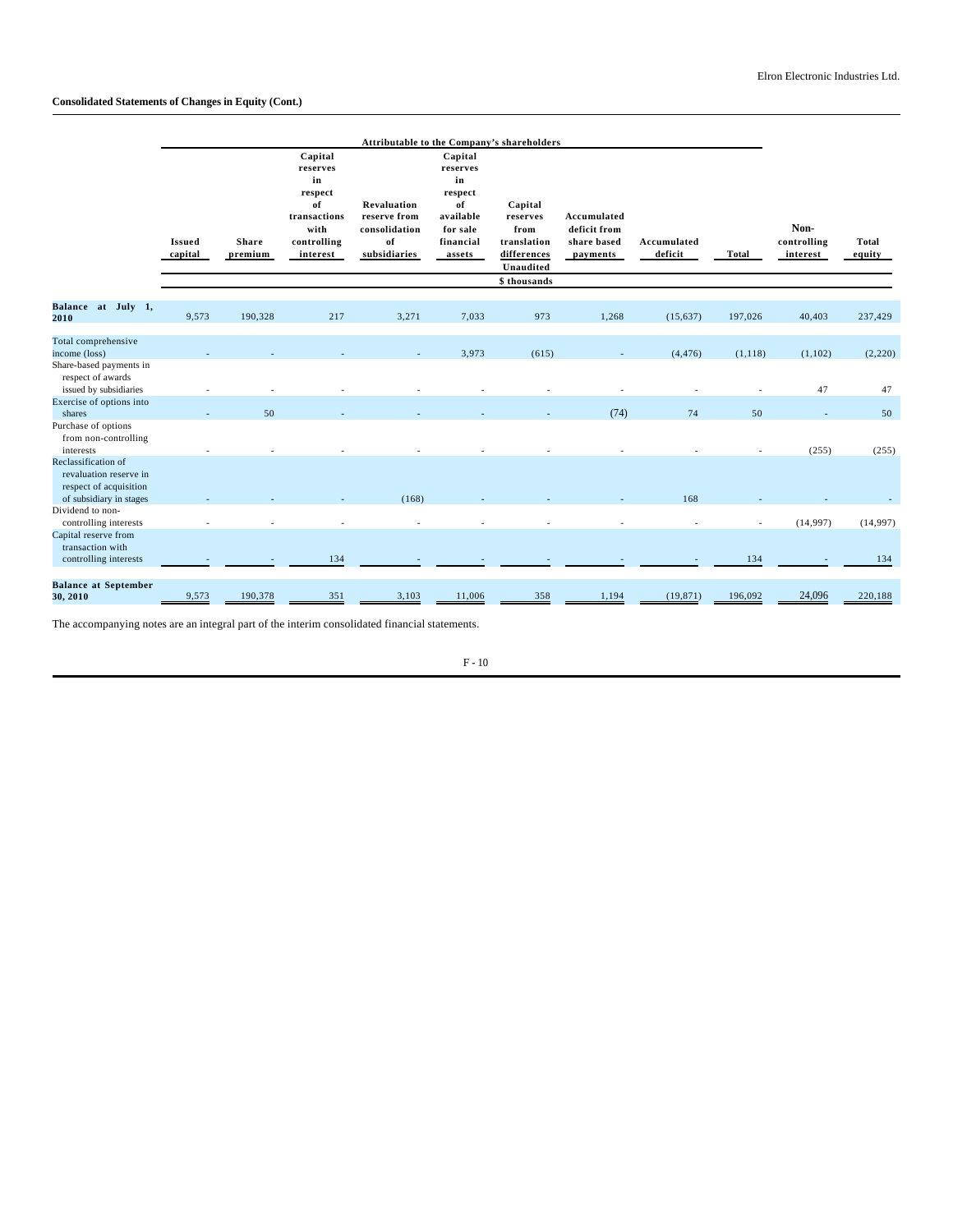# **Consolidated Statements of Changes in Equity (Cont.)**

|                                                                         |                          |                         |                                                                                               | Attributable to the Company's shareholders                         |                                                                                            |                                                                                        |                                                        |                        |              |                                 |                 |
|-------------------------------------------------------------------------|--------------------------|-------------------------|-----------------------------------------------------------------------------------------------|--------------------------------------------------------------------|--------------------------------------------------------------------------------------------|----------------------------------------------------------------------------------------|--------------------------------------------------------|------------------------|--------------|---------------------------------|-----------------|
|                                                                         | <b>Issued</b><br>capital | <b>Share</b><br>premium | Capital<br>reserves<br>in<br>respect<br>of<br>transactions<br>with<br>controlling<br>interest | Revaluation<br>reserve from<br>consolidation<br>of<br>subsidiaries | Capital<br>reserves<br>in<br>respect<br>of<br>available<br>for sale<br>financial<br>assets | Capital<br>reserves<br>from<br>translation<br>differences<br>Unaudited<br>\$ thousands | Accumulated<br>deficit from<br>share based<br>payments | Accumulated<br>deficit | <b>Total</b> | Non-<br>controlling<br>interest | Total<br>equity |
|                                                                         |                          |                         |                                                                                               |                                                                    |                                                                                            |                                                                                        |                                                        |                        |              |                                 |                 |
| Balance at July 1,<br>2010                                              | 9,573                    | 190,328                 | 217                                                                                           | 3,271                                                              | 7,033                                                                                      | 973                                                                                    | 1,268                                                  | (15,637)               | 197,026      | 40,403                          | 237,429         |
| Total comprehensive                                                     |                          |                         |                                                                                               |                                                                    |                                                                                            |                                                                                        |                                                        |                        |              |                                 |                 |
| income (loss)<br>Share-based payments in                                |                          |                         |                                                                                               |                                                                    | 3,973                                                                                      | (615)                                                                                  |                                                        | (4, 476)               | (1, 118)     | (1,102)                         | (2,220)         |
| respect of awards<br>issued by subsidiaries                             |                          |                         |                                                                                               |                                                                    |                                                                                            |                                                                                        |                                                        |                        |              | 47                              | 47              |
| Exercise of options into                                                |                          | 50                      |                                                                                               |                                                                    |                                                                                            |                                                                                        | (74)                                                   | 74                     | 50           |                                 |                 |
| shares<br>Purchase of options                                           |                          |                         |                                                                                               |                                                                    |                                                                                            |                                                                                        |                                                        |                        |              | $\overline{\phantom{a}}$        | 50              |
| from non-controlling<br>interests                                       |                          |                         |                                                                                               |                                                                    |                                                                                            |                                                                                        |                                                        |                        |              | (255)                           | (255)           |
| Reclassification of<br>revaluation reserve in<br>respect of acquisition |                          |                         |                                                                                               | (168)                                                              |                                                                                            |                                                                                        |                                                        | 168                    |              |                                 |                 |
| of subsidiary in stages<br>Dividend to non-                             |                          |                         |                                                                                               |                                                                    |                                                                                            |                                                                                        |                                                        |                        |              |                                 |                 |
| controlling interests                                                   |                          |                         |                                                                                               |                                                                    |                                                                                            |                                                                                        |                                                        |                        |              | (14, 997)                       | (14,997)        |
| Capital reserve from<br>transaction with                                |                          |                         |                                                                                               |                                                                    |                                                                                            |                                                                                        |                                                        |                        |              |                                 |                 |
| controlling interests                                                   |                          |                         | 134                                                                                           |                                                                    |                                                                                            |                                                                                        |                                                        |                        | 134          |                                 | 134             |
| <b>Balance at September</b><br>30, 2010                                 | 9,573                    | 190,378                 | 351                                                                                           | 3,103                                                              | 11,006                                                                                     | 358                                                                                    | 1,194                                                  | (19, 871)              | 196,092      | 24,096                          | 220,188         |

The accompanying notes are an integral part of the interim consolidated financial statements.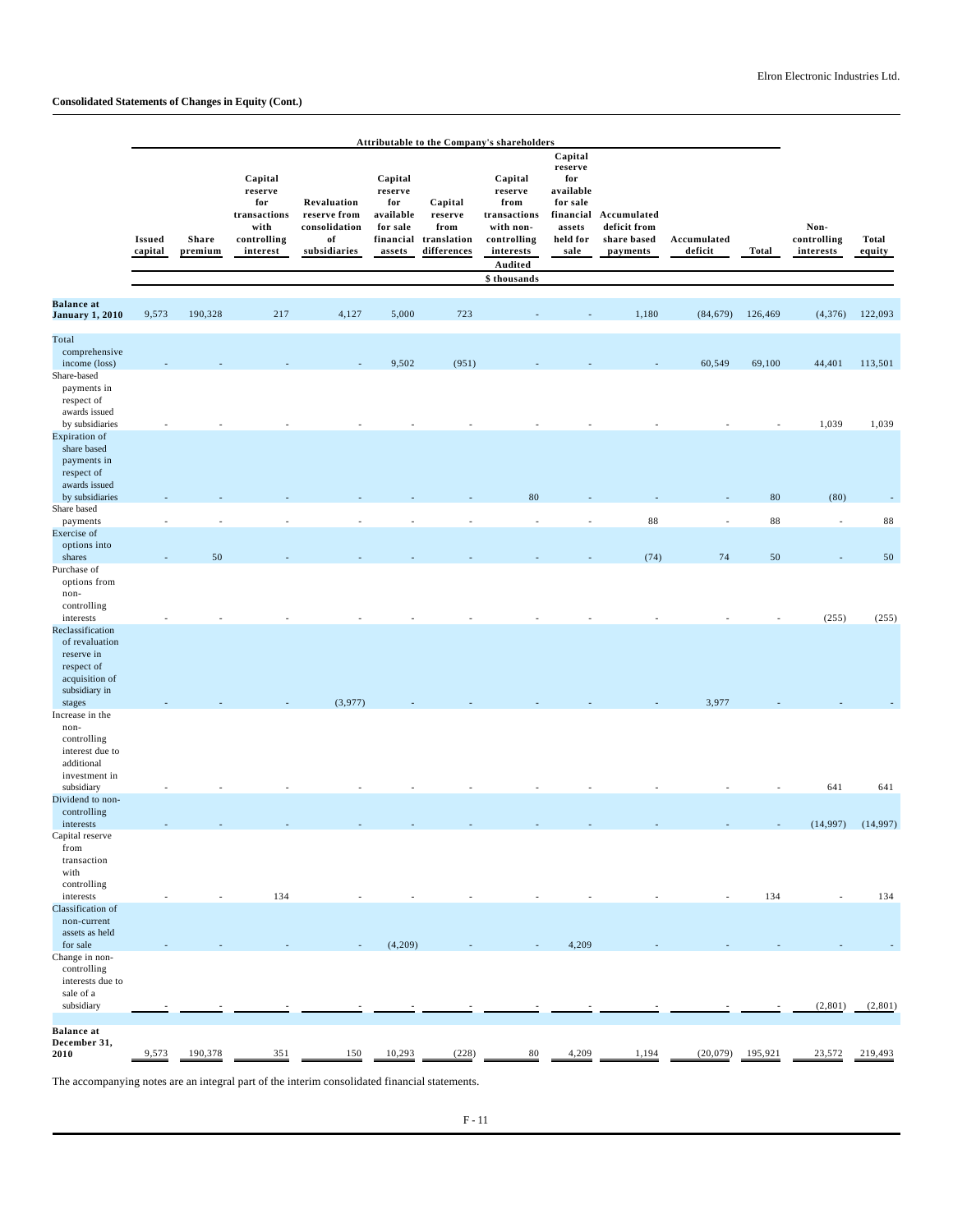|                                                                                                                |                          |                  |                                                                              |                                                                    |                                                                           |                                                          | Attributable to the Company's shareholders                                                     |                                                                                               |                                                        |                          |            |                                  |                        |
|----------------------------------------------------------------------------------------------------------------|--------------------------|------------------|------------------------------------------------------------------------------|--------------------------------------------------------------------|---------------------------------------------------------------------------|----------------------------------------------------------|------------------------------------------------------------------------------------------------|-----------------------------------------------------------------------------------------------|--------------------------------------------------------|--------------------------|------------|----------------------------------|------------------------|
|                                                                                                                | <b>Issued</b><br>capital | Share<br>premium | Capital<br>reserve<br>for<br>transactions<br>with<br>controlling<br>interest | Revaluation<br>reserve from<br>consolidation<br>of<br>subsidiaries | Capital<br>reserve<br>for<br>available<br>for sale<br>financial<br>assets | Capital<br>reserve<br>from<br>translation<br>differences | Capital<br>reserve<br>from<br>transactions<br>with non-<br>controlling<br>interests<br>Audited | Capital<br>reserve<br>for<br>available<br>for sale<br>financial<br>assets<br>held for<br>sale | Accumulated<br>deficit from<br>share based<br>payments | Accumulated<br>deficit   | Total      | Non-<br>controlling<br>interests | <b>Total</b><br>equity |
|                                                                                                                |                          |                  |                                                                              |                                                                    |                                                                           |                                                          | \$ thousands                                                                                   |                                                                                               |                                                        |                          |            |                                  |                        |
| <b>Balance</b> at<br><b>January 1, 2010</b>                                                                    | 9,573                    | 190,328          | 217                                                                          | 4,127                                                              | 5,000                                                                     | 723                                                      |                                                                                                |                                                                                               | 1,180                                                  | (84, 679)                | 126,469    | (4,376)                          | 122,093                |
| Total<br>comprehensive<br>income (loss)<br>Share-based<br>payments in<br>respect of                            |                          |                  |                                                                              |                                                                    | 9,502                                                                     | (951)                                                    |                                                                                                |                                                                                               |                                                        | 60,549                   | 69,100     | 44,401                           | 113,501                |
| awards issued<br>by subsidiaries                                                                               |                          |                  |                                                                              |                                                                    |                                                                           |                                                          |                                                                                                |                                                                                               |                                                        |                          |            | 1,039                            | 1,039                  |
| Expiration of<br>share based<br>payments in<br>respect of<br>awards issued                                     |                          |                  |                                                                              |                                                                    |                                                                           |                                                          |                                                                                                |                                                                                               |                                                        |                          |            |                                  |                        |
| by subsidiaries<br>Share based                                                                                 |                          |                  |                                                                              |                                                                    |                                                                           |                                                          | 80                                                                                             |                                                                                               |                                                        |                          | ${\bf 80}$ | (80)                             |                        |
| payments                                                                                                       |                          |                  |                                                                              | $\overline{\phantom{a}}$                                           |                                                                           |                                                          |                                                                                                | ÷                                                                                             | 88                                                     | $\overline{\phantom{a}}$ | 88         | $\overline{\phantom{a}}$         | $\bf 88$               |
| Exercise of<br>options into<br>shares                                                                          |                          | 50               |                                                                              |                                                                    |                                                                           |                                                          |                                                                                                |                                                                                               | (74)                                                   | 74                       | 50         |                                  | 50                     |
| Purchase of<br>options from<br>non-<br>controlling                                                             |                          |                  |                                                                              |                                                                    |                                                                           |                                                          |                                                                                                |                                                                                               |                                                        |                          |            |                                  |                        |
| interests<br>Reclassification<br>of revaluation<br>reserve in<br>respect of<br>acquisition of<br>subsidiary in |                          |                  |                                                                              |                                                                    |                                                                           |                                                          |                                                                                                |                                                                                               |                                                        |                          |            | (255)                            | (255)                  |
| stages<br>Increase in the                                                                                      |                          |                  |                                                                              | (3,977)                                                            |                                                                           |                                                          |                                                                                                |                                                                                               |                                                        | 3,977                    |            |                                  |                        |
| non-<br>controlling<br>interest due to<br>additional<br>investment in                                          |                          |                  |                                                                              |                                                                    |                                                                           |                                                          |                                                                                                |                                                                                               |                                                        |                          |            |                                  |                        |
| subsidiary<br>Dividend to non-                                                                                 |                          |                  |                                                                              |                                                                    |                                                                           |                                                          |                                                                                                |                                                                                               |                                                        |                          |            | 641                              | 641                    |
| controlling<br>interests                                                                                       |                          |                  |                                                                              |                                                                    |                                                                           |                                                          |                                                                                                |                                                                                               |                                                        |                          |            |                                  | $(14,997)$ $(14,997)$  |
| Capital reserve<br>from<br>transaction<br>with                                                                 |                          |                  |                                                                              |                                                                    |                                                                           |                                                          |                                                                                                |                                                                                               |                                                        |                          |            |                                  |                        |
| controlling<br>interests                                                                                       |                          |                  | 134                                                                          |                                                                    |                                                                           |                                                          |                                                                                                |                                                                                               |                                                        |                          | 134        |                                  | 134                    |
| Classification of<br>non-current<br>assets as held                                                             |                          |                  |                                                                              |                                                                    |                                                                           |                                                          |                                                                                                |                                                                                               |                                                        |                          |            |                                  |                        |
| for sale<br>Change in non-                                                                                     |                          |                  |                                                                              |                                                                    | (4,209)                                                                   |                                                          |                                                                                                | 4,209                                                                                         |                                                        |                          |            |                                  |                        |
| controlling<br>interests due to<br>sale of a<br>subsidiary                                                     |                          |                  |                                                                              |                                                                    |                                                                           |                                                          |                                                                                                |                                                                                               |                                                        |                          |            | (2,801)                          | (2,801)                |
|                                                                                                                |                          |                  |                                                                              |                                                                    |                                                                           |                                                          |                                                                                                |                                                                                               |                                                        |                          |            |                                  |                        |
| <b>Balance</b> at<br>December 31,<br>2010                                                                      | 9,573                    | 190,378          | 351                                                                          | 150                                                                | 10,293                                                                    | (228)                                                    | $80\,$                                                                                         | 4,209                                                                                         | 1,194                                                  | (20,079)                 | 195,921    | 23,572                           | 219,493                |

The accompanying notes are an integral part of the interim consolidated financial statements.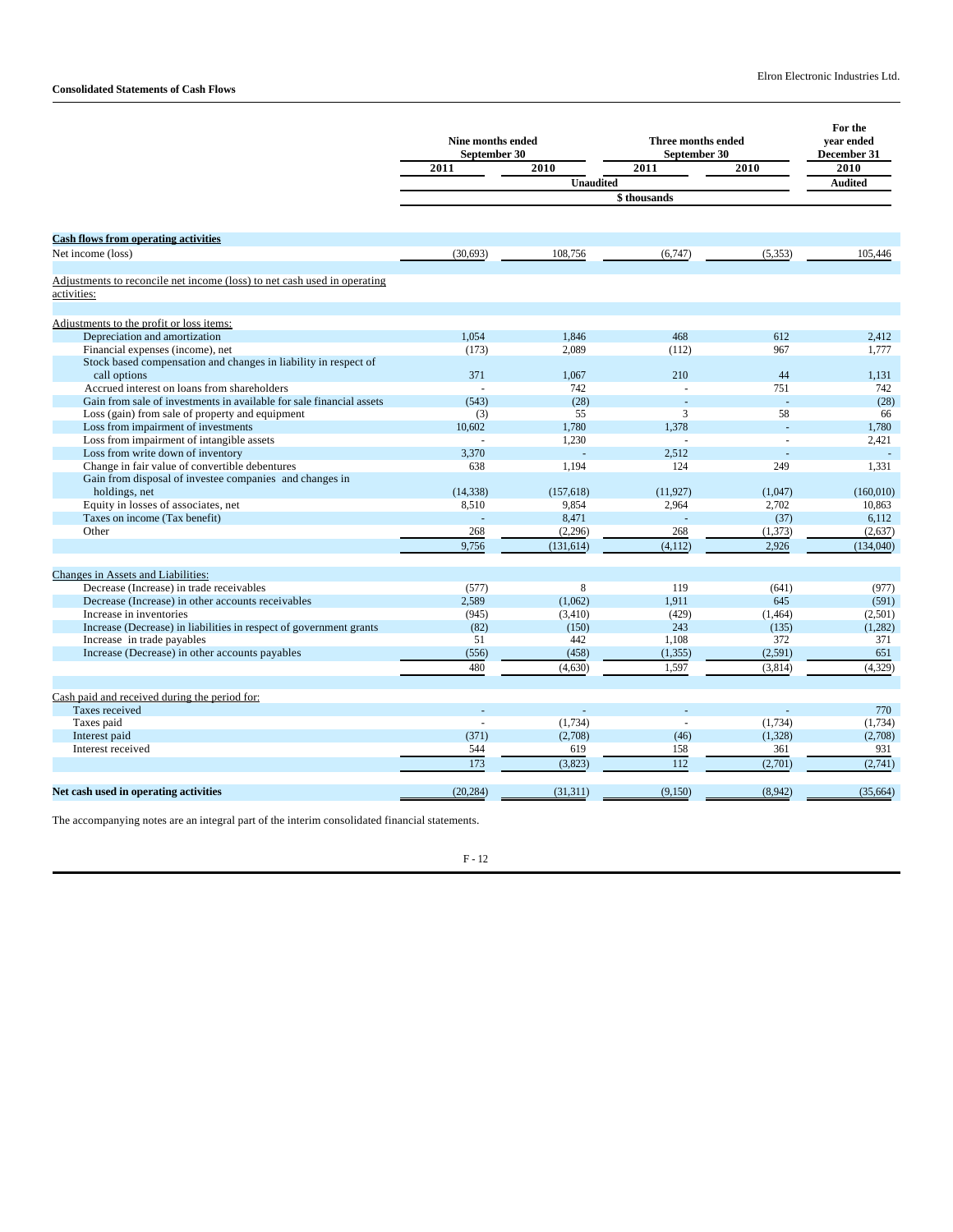|                                                                                  | <b>Nine months ended</b><br>September 30 |                  | Three months ended<br>September 30 |          | For the<br>year ended<br>December 31 |
|----------------------------------------------------------------------------------|------------------------------------------|------------------|------------------------------------|----------|--------------------------------------|
|                                                                                  | 2011                                     | 2010             | 2011                               | 2010     | 2010                                 |
|                                                                                  |                                          | <b>Unaudited</b> |                                    |          | <b>Audited</b>                       |
|                                                                                  |                                          |                  | \$thousands                        |          |                                      |
|                                                                                  |                                          |                  |                                    |          |                                      |
| <b>Cash flows from operating activities</b>                                      |                                          |                  |                                    |          |                                      |
| Net income (loss)                                                                | (30,693)                                 | 108,756          | (6,747)                            | (5, 353) | 105,446                              |
|                                                                                  |                                          |                  |                                    |          |                                      |
| Adjustments to reconcile net income (loss) to net cash used in operating         |                                          |                  |                                    |          |                                      |
| activities:                                                                      |                                          |                  |                                    |          |                                      |
|                                                                                  |                                          |                  |                                    |          |                                      |
| Adjustments to the profit or loss items:                                         |                                          |                  |                                    |          |                                      |
| Depreciation and amortization                                                    | 1.054                                    | 1.846            | 468                                | 612      | 2,412                                |
| Financial expenses (income), net                                                 | (173)                                    | 2,089            | (112)                              | 967      | 1,777                                |
| Stock based compensation and changes in liability in respect of                  |                                          |                  |                                    |          |                                      |
| call options                                                                     | 371                                      | 1.067            | 210                                | 44       | 1.131                                |
| Accrued interest on loans from shareholders                                      |                                          | 742              |                                    | 751      | 742                                  |
| Gain from sale of investments in available for sale financial assets             | (543)                                    | (28)             |                                    | ÷,       | (28)                                 |
| Loss (gain) from sale of property and equipment                                  | (3)                                      | 55               | 3                                  | 58       | 66                                   |
| Loss from impairment of investments<br>Loss from impairment of intangible assets | 10.602                                   | 1.780            | 1.378                              |          | 1.780                                |
| Loss from write down of inventory                                                | 3,370                                    | 1,230            | 2,512                              |          | 2,421                                |
| Change in fair value of convertible debentures                                   | 638                                      | 1,194            | 124                                | 249      | 1.331                                |
| Gain from disposal of investee companies and changes in                          |                                          |                  |                                    |          |                                      |
| holdings, net                                                                    | (14, 338)                                | (157.618)        | (11.927)                           | (1.047)  | (160.010)                            |
| Equity in losses of associates, net                                              | 8,510                                    | 9.854            | 2,964                              | 2,702    | 10,863                               |
| Taxes on income (Tax benefit)                                                    |                                          | 8,471            |                                    | (37)     | 6,112                                |
| Other                                                                            | 268                                      | (2,296)          | 268                                | (1, 373) | (2,637)                              |
|                                                                                  | 9,756                                    | (131, 614)       | (4, 112)                           | 2,926    | (134,040)                            |
|                                                                                  |                                          |                  |                                    |          |                                      |
| Changes in Assets and Liabilities:                                               |                                          |                  |                                    |          |                                      |
| Decrease (Increase) in trade receivables                                         | (577)                                    | 8                | 119                                | (641)    | (977)                                |
| Decrease (Increase) in other accounts receivables                                | 2,589                                    | (1,062)          | 1.911                              | 645      | (591)                                |
| Increase in inventories                                                          | (945)                                    | (3,410)          | (429)                              | (1, 464) | (2,501)                              |
| Increase (Decrease) in liabilities in respect of government grants               | (82)                                     | (150)            | 243                                | (135)    | (1,282)                              |
| Increase in trade payables                                                       | 51                                       | 442              | 1.108                              | 372      | 371                                  |
| Increase (Decrease) in other accounts payables                                   | (556)                                    | (458)            | (1, 355)                           | (2,591)  | 651                                  |
|                                                                                  | 480                                      | (4,630)          | 1,597                              | (3,814)  | (4,329)                              |
|                                                                                  |                                          |                  |                                    |          |                                      |
| Cash paid and received during the period for:                                    |                                          |                  |                                    |          |                                      |
| Taxes received                                                                   |                                          |                  |                                    |          | 770                                  |
| Taxes paid                                                                       |                                          | (1,734)          |                                    | (1,734)  | (1,734)                              |
| Interest paid                                                                    | (371)                                    | (2,708)          | (46)                               | (1,328)  | (2,708)                              |
| Interest received                                                                | 544                                      | 619              | 158                                | 361      | 931                                  |
|                                                                                  | 173                                      | (3,823)          | 112                                | (2,701)  | (2,741)                              |
|                                                                                  |                                          |                  |                                    |          |                                      |
| Net cash used in operating activities                                            | (20, 284)                                | (31, 311)        | (9,150)                            | (8,942)  | (35,664)                             |
|                                                                                  |                                          |                  |                                    |          |                                      |

The accompanying notes are an integral part of the interim consolidated financial statements.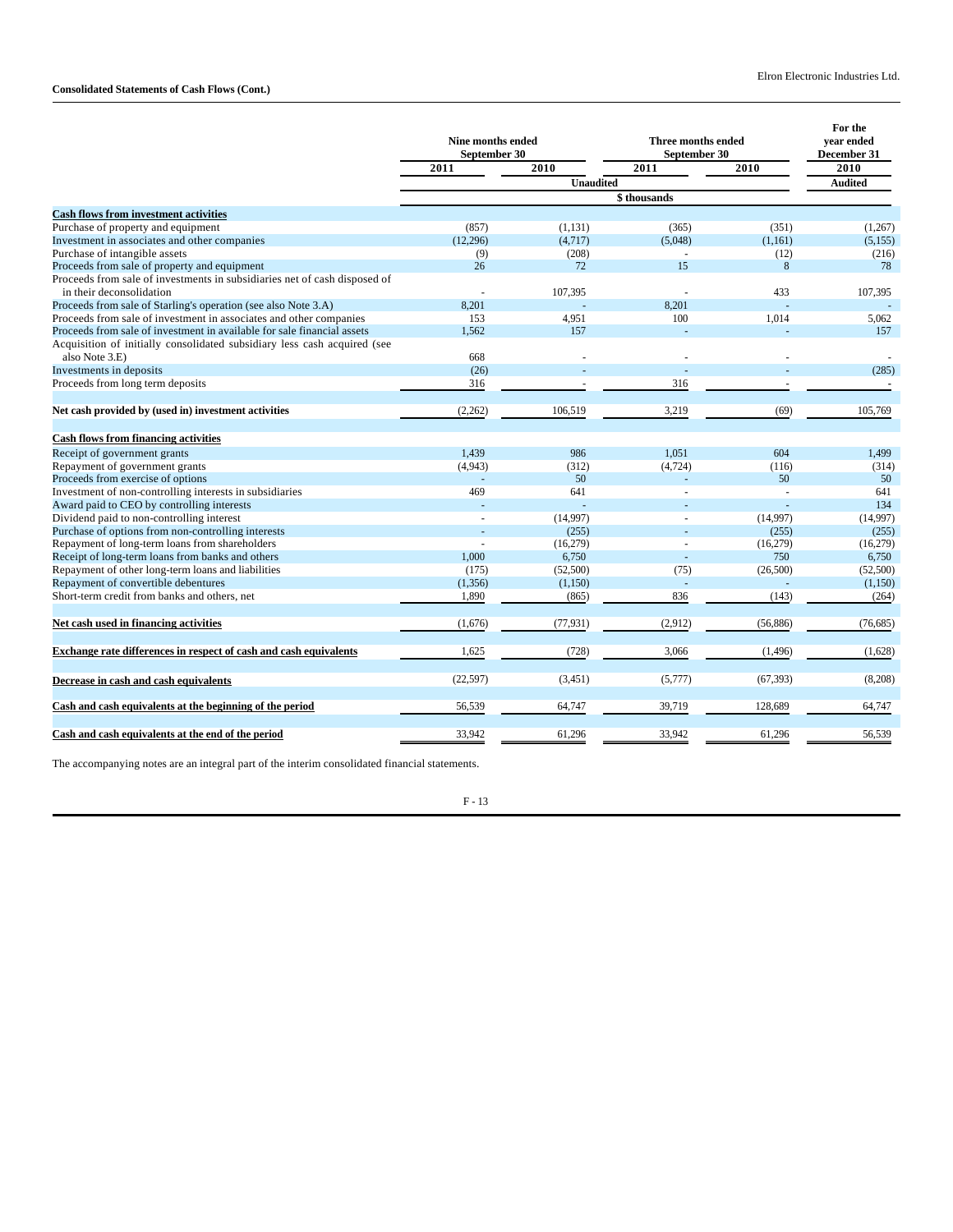|                                                                           | <b>Nine months ended</b><br>September 30 |                  | Three months ended<br>September 30 |           | For the<br>year ended<br>December 31 |
|---------------------------------------------------------------------------|------------------------------------------|------------------|------------------------------------|-----------|--------------------------------------|
|                                                                           | 2011                                     | 2010             | 2011                               | 2010      | 2010                                 |
|                                                                           |                                          | <b>Unaudited</b> |                                    |           | <b>Audited</b>                       |
|                                                                           | \$thousands                              |                  |                                    |           |                                      |
| <b>Cash flows from investment activities</b>                              |                                          |                  |                                    |           |                                      |
| Purchase of property and equipment                                        | (857)                                    | (1, 131)         | (365)                              | (351)     | (1,267)                              |
| Investment in associates and other companies                              | (12,296)                                 | (4,717)          | (5,048)                            | (1,161)   | (5, 155)                             |
| Purchase of intangible assets                                             | (9)                                      | (208)            |                                    | (12)      | (216)                                |
| Proceeds from sale of property and equipment                              | 26                                       | 72               | 15                                 | 8         | 78                                   |
| Proceeds from sale of investments in subsidiaries net of cash disposed of |                                          |                  |                                    |           |                                      |
| in their deconsolidation                                                  |                                          | 107.395          |                                    | 433       | 107.395                              |
| Proceeds from sale of Starling's operation (see also Note 3.A)            | 8,201                                    |                  | 8.201                              |           |                                      |
| Proceeds from sale of investment in associates and other companies        | 153                                      | 4,951            | 100                                | 1,014     | 5,062                                |
| Proceeds from sale of investment in available for sale financial assets   | 1.562                                    | 157              |                                    |           | 157                                  |
| Acquisition of initially consolidated subsidiary less cash acquired (see  |                                          |                  |                                    |           |                                      |
| also Note 3.E)                                                            | 668                                      |                  |                                    |           |                                      |
| Investments in deposits                                                   | (26)                                     |                  |                                    |           | (285)                                |
| Proceeds from long term deposits                                          | 316                                      |                  | 316                                |           |                                      |
| Net cash provided by (used in) investment activities                      | (2,262)                                  | 106,519          | 3,219                              | (69)      | 105,769                              |
| <b>Cash flows from financing activities</b>                               |                                          |                  |                                    |           |                                      |
| Receipt of government grants                                              | 1,439                                    | 986              | 1,051                              | 604       | 1,499                                |
| Repayment of government grants                                            | (4,943)                                  | (312)            | (4, 724)                           | (116)     | (314)                                |
| Proceeds from exercise of options                                         |                                          | 50               |                                    | 50        | 50                                   |
| Investment of non-controlling interests in subsidiaries                   | 469                                      | 641              | L.                                 |           | 641                                  |
| Award paid to CEO by controlling interests                                |                                          |                  |                                    |           | 134                                  |
| Dividend paid to non-controlling interest                                 | $\overline{a}$                           | (14,997)         |                                    | (14,997)  | (14,997)                             |
| Purchase of options from non-controlling interests                        |                                          | (255)            |                                    | (255)     | (255)                                |
| Repayment of long-term loans from shareholders                            |                                          | (16,279)         |                                    | (16,279)  | (16,279)                             |
| Receipt of long-term loans from banks and others                          | 1,000                                    | 6,750            |                                    | 750       | 6,750                                |
| Repayment of other long-term loans and liabilities                        | (175)                                    | (52,500)         | (75)                               | (26,500)  | (52,500)                             |
| Repayment of convertible debentures                                       | (1, 356)                                 | (1,150)          | $\overline{a}$                     |           | (1,150)                              |
| Short-term credit from banks and others, net                              | 1,890                                    | (865)            | 836                                | (143)     | (264)                                |
|                                                                           |                                          |                  |                                    |           |                                      |
| Net cash used in financing activities                                     | (1,676)                                  | (77, 931)        | (2,912)                            | (56, 886) | (76,685)                             |
| Exchange rate differences in respect of cash and cash equivalents         | 1,625                                    | (728)            | 3,066                              | (1, 496)  | (1,628)                              |
| Decrease in cash and cash equivalents                                     | (22, 597)                                | (3,451)          | (5,777)                            | (67, 393) | (8,208)                              |
| Cash and cash equivalents at the beginning of the period                  | 56,539                                   | 64,747           | 39,719                             | 128,689   | 64,747                               |
| Cash and cash equivalents at the end of the period                        | 33,942                                   | 61,296           | 33,942                             | 61,296    | 56,539                               |

The accompanying notes are an integral part of the interim consolidated financial statements.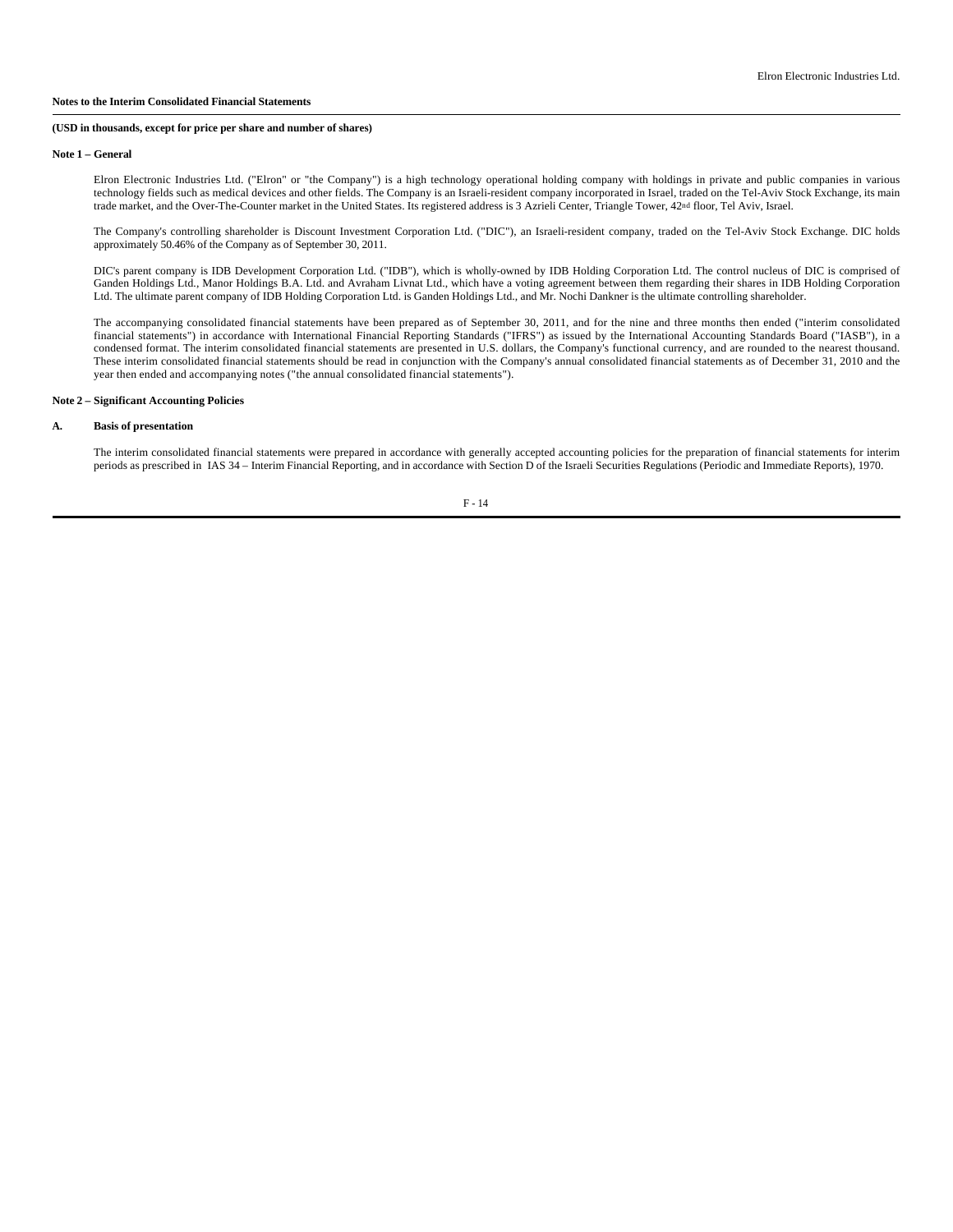#### **Note 1 – General**

Elron Electronic Industries Ltd. ("Elron" or "the Company") is a high technology operational holding company with holdings in private and public companies in various technology fields such as medical devices and other fields. The Company is an Israeli-resident company incorporated in Israel, traded on the Tel-Aviv Stock Exchange, its main trade market, and the Over-The-Counter market in the United States. Its registered address is 3 Azrieli Center, Triangle Tower, 42nd floor, Tel Aviv, Israel.

The Company's controlling shareholder is Discount Investment Corporation Ltd. ("DIC"), an Israeli-resident company, traded on the Tel-Aviv Stock Exchange. DIC holds approximately 50.46% of the Company as of September 30, 2011.

DIC's parent company is IDB Development Corporation Ltd. ("IDB"), which is wholly-owned by IDB Holding Corporation Ltd. The control nucleus of DIC is comprised of Ganden Holdings Ltd., Manor Holdings B.A. Ltd. and Avraham Livnat Ltd., which have a voting agreement between them regarding their shares in IDB Holding Corporation Ltd. The ultimate parent company of IDB Holding Corporation Ltd. is Ganden Holdings Ltd., and Mr. Nochi Dankner is the ultimate controlling shareholder.

The accompanying consolidated financial statements have been prepared as of September 30, 2011, and for the nine and three months then ended ("interim consolidated financial statements") in accordance with International Financial Reporting Standards ("IFRS") as issued by the International Accounting Standards Board ("IASB"), in a condensed format. The interim consolidated financial statements are presented in U.S. dollars, the Company's functional currency, and are rounded to the nearest thousand. These interim consolidated financial statements should be read in conjunction with the Company's annual consolidated financial statements as of December 31, 2010 and the year then ended and accompanying notes ("the annual consolidated financial statements").

# **Note 2 – Significant Accounting Policies**

# **A. Basis of presentation**

The interim consolidated financial statements were prepared in accordance with generally accepted accounting policies for the preparation of financial statements for interim periods as prescribed in IAS 34 – Interim Financial Reporting, and in accordance with Section D of the Israeli Securities Regulations (Periodic and Immediate Reports), 1970.

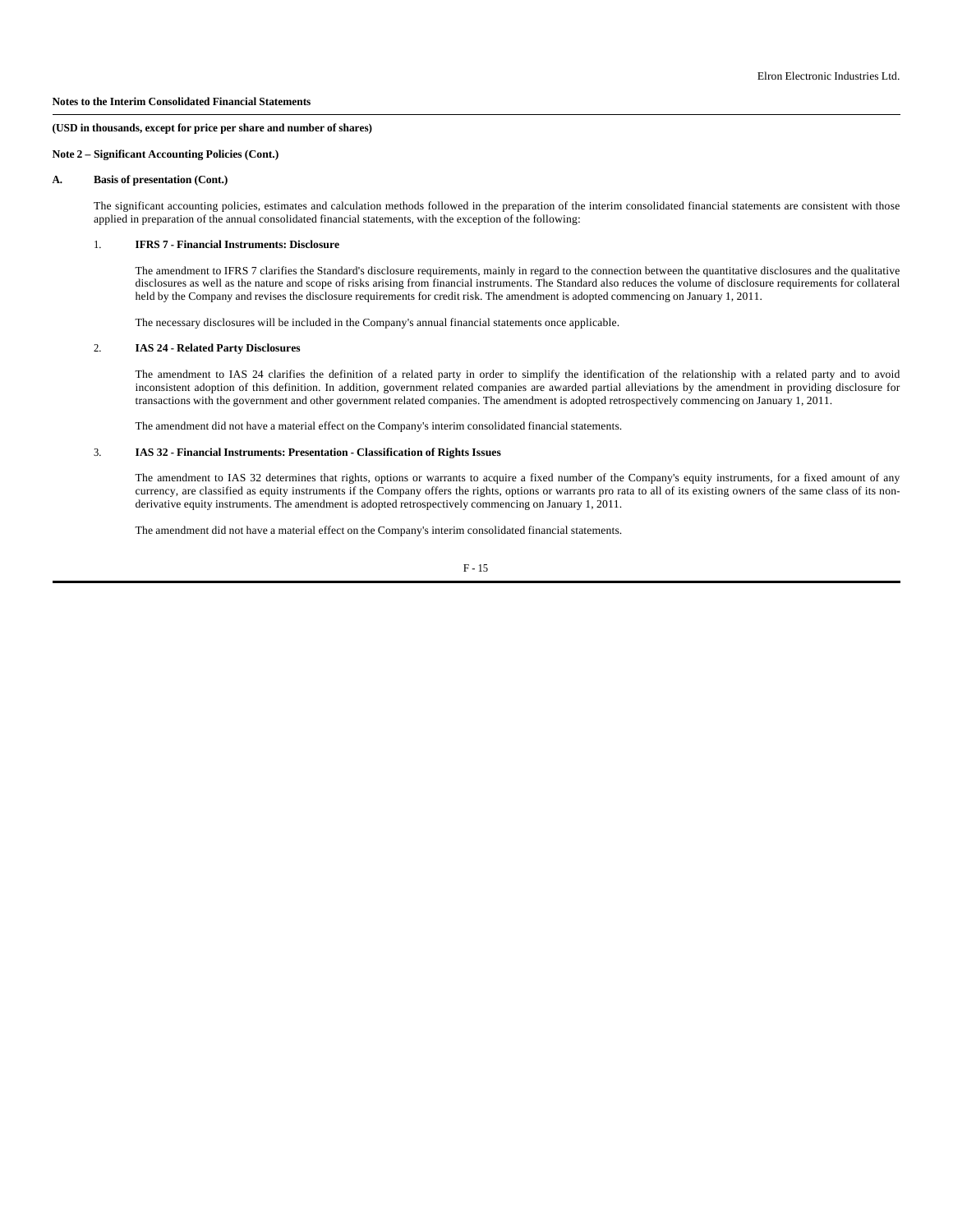#### **Notes to the Interim Consolidated Financial Statements**

#### **(USD in thousands, except for price per share and number of shares)**

## **Note 2 – Significant Accounting Policies (Cont.)**

#### **A. Basis of presentation (Cont.)**

The significant accounting policies, estimates and calculation methods followed in the preparation of the interim consolidated financial statements are consistent with those applied in preparation of the annual consolidated financial statements, with the exception of the following:

#### 1. **IFRS 7 - Financial Instruments: Disclosure**

The amendment to IFRS 7 clarifies the Standard's disclosure requirements, mainly in regard to the connection between the quantitative disclosures and the qualitative disclosures as well as the nature and scope of risks arising from financial instruments. The Standard also reduces the volume of disclosure requirements for collateral held by the Company and revises the disclosure requirements for credit risk. The amendment is adopted commencing on January 1, 2011.

The necessary disclosures will be included in the Company's annual financial statements once applicable.

#### 2. **IAS 24 - Related Party Disclosures**

The amendment to IAS 24 clarifies the definition of a related party in order to simplify the identification of the relationship with a related party and to avoid inconsistent adoption of this definition. In addition, government related companies are awarded partial alleviations by the amendment in providing disclosure for transactions with the government and other government related companies. The amendment is adopted retrospectively commencing on January 1, 2011.

The amendment did not have a material effect on the Company's interim consolidated financial statements.

#### 3. **IAS 32 - Financial Instruments: Presentation - Classification of Rights Issues**

The amendment to IAS 32 determines that rights, options or warrants to acquire a fixed number of the Company's equity instruments, for a fixed amount of any currency, are classified as equity instruments if the Company offers the rights, options or warrants pro rata to all of its existing owners of the same class of its nonderivative equity instruments. The amendment is adopted retrospectively commencing on January 1, 2011.

The amendment did not have a material effect on the Company's interim consolidated financial statements.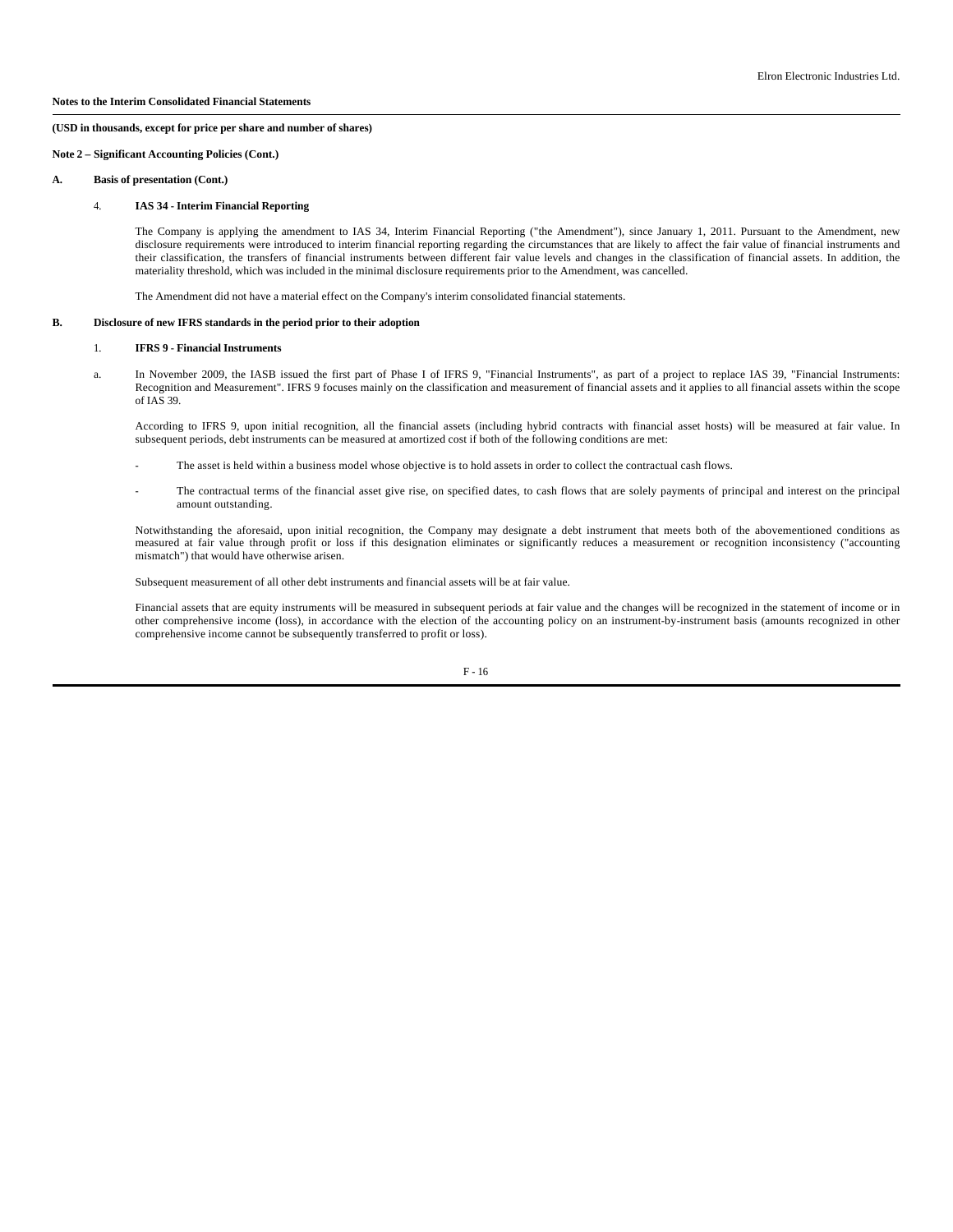**Note 2 – Significant Accounting Policies (Cont.)**

**A. Basis of presentation (Cont.)**

#### 4. **IAS 34 - Interim Financial Reporting**

The Company is applying the amendment to IAS 34, Interim Financial Reporting ("the Amendment"), since January 1, 2011. Pursuant to the Amendment, new disclosure requirements were introduced to interim financial reporting regarding the circumstances that are likely to affect the fair value of financial instruments and their classification, the transfers of financial instruments between different fair value levels and changes in the classification of financial assets. In addition, the materiality threshold, which was included in the minimal disclosure requirements prior to the Amendment, was cancelled.

The Amendment did not have a material effect on the Company's interim consolidated financial statements.

#### **B. Disclosure of new IFRS standards in the period prior to their adoption**

## 1. **IFRS 9 - Financial Instruments**

 a. In November 2009, the IASB issued the first part of Phase I of IFRS 9, "Financial Instruments", as part of a project to replace IAS 39, "Financial Instruments: Recognition and Measurement". IFRS 9 focuses mainly on the classification and measurement of financial assets and it applies to all financial assets within the scope  $of IAS$  39.

According to IFRS 9, upon initial recognition, all the financial assets (including hybrid contracts with financial asset hosts) will be measured at fair value. In subsequent periods, debt instruments can be measured at amortized cost if both of the following conditions are met:

- The asset is held within a business model whose objective is to hold assets in order to collect the contractual cash flows.
- The contractual terms of the financial asset give rise, on specified dates, to cash flows that are solely payments of principal and interest on the principal amount outstanding.

Notwithstanding the aforesaid, upon initial recognition, the Company may designate a debt instrument that meets both of the abovementioned conditions as measured at fair value through profit or loss if this designation eliminates or significantly reduces a measurement or recognition inconsistency ("accounting mismatch") that would have otherwise arisen.

Subsequent measurement of all other debt instruments and financial assets will be at fair value.

Financial assets that are equity instruments will be measured in subsequent periods at fair value and the changes will be recognized in the statement of income or in other comprehensive income (loss), in accordance with the election of the accounting policy on an instrument-by-instrument basis (amounts recognized in other comprehensive income cannot be subsequently transferred to profit or loss).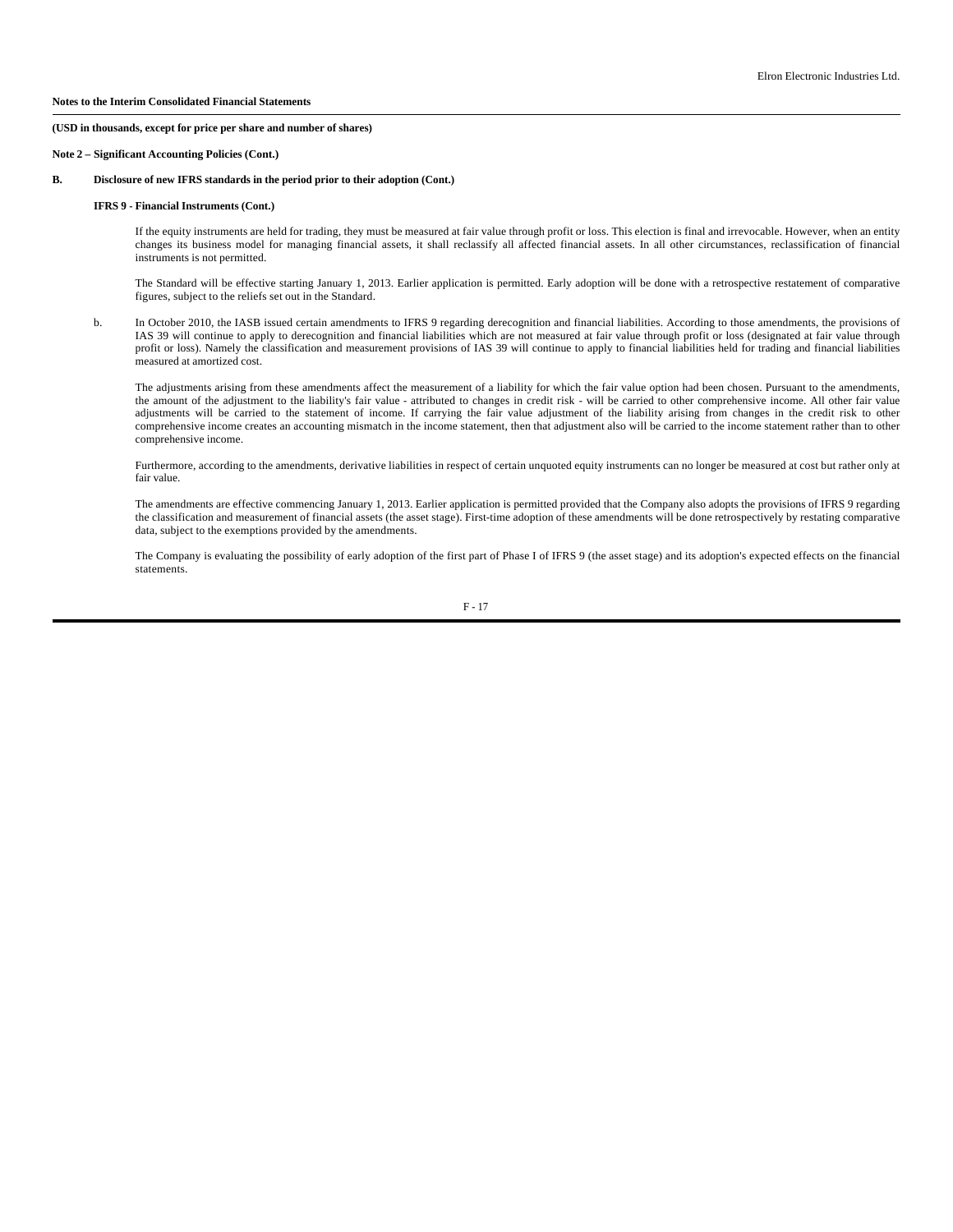**Note 2 – Significant Accounting Policies (Cont.)**

#### **B. Disclosure of new IFRS standards in the period prior to their adoption (Cont.)**

## **IFRS 9 - Financial Instruments (Cont.)**

If the equity instruments are held for trading, they must be measured at fair value through profit or loss. This election is final and irrevocable. However, when an entity changes its business model for managing financial assets, it shall reclassify all affected financial assets. In all other circumstances, reclassification of financial instruments is not permitted.

The Standard will be effective starting January 1, 2013. Earlier application is permitted. Early adoption will be done with a retrospective restatement of comparative figures, subject to the reliefs set out in the Standard.

 b. In October 2010, the IASB issued certain amendments to IFRS 9 regarding derecognition and financial liabilities. According to those amendments, the provisions of IAS 39 will continue to apply to derecognition and financial liabilities which are not measured at fair value through profit or loss (designated at fair value through profit or loss). Namely the classification and measurement provisions of IAS 39 will continue to apply to financial liabilities held for trading and financial liabilities measured at amortized cost.

The adjustments arising from these amendments affect the measurement of a liability for which the fair value option had been chosen. Pursuant to the amendments, the amount of the adjustment to the liability's fair value - attributed to changes in credit risk - will be carried to other comprehensive income. All other fair value adjustments will be carried to the statement of income. If carrying the fair value adjustment of the liability arising from changes in the credit risk to other comprehensive income creates an accounting mismatch in the income statement, then that adjustment also will be carried to the income statement rather than to other comprehensive income.

Furthermore, according to the amendments, derivative liabilities in respect of certain unquoted equity instruments can no longer be measured at cost but rather only at fair value.

The amendments are effective commencing January 1, 2013. Earlier application is permitted provided that the Company also adopts the provisions of IFRS 9 regarding the classification and measurement of financial assets (the asset stage). First-time adoption of these amendments will be done retrospectively by restating comparative data, subject to the exemptions provided by the amendments.

The Company is evaluating the possibility of early adoption of the first part of Phase I of IFRS 9 (the asset stage) and its adoption's expected effects on the financial statements.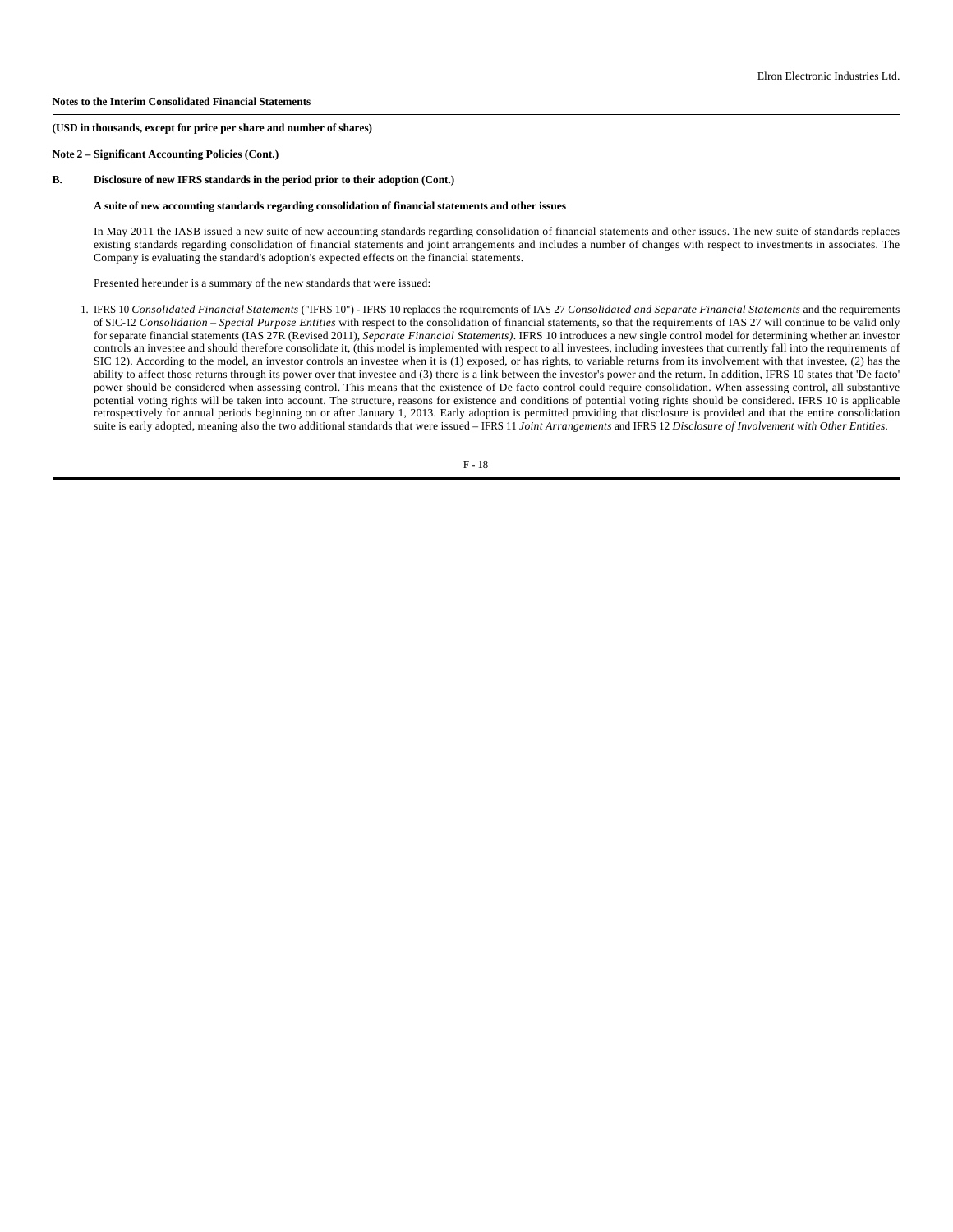**Note 2 – Significant Accounting Policies (Cont.)**

#### **B. Disclosure of new IFRS standards in the period prior to their adoption (Cont.)**

## **A suite of new accounting standards regarding consolidation of financial statements and other issues**

In May 2011 the IASB issued a new suite of new accounting standards regarding consolidation of financial statements and other issues. The new suite of standards replaces existing standards regarding consolidation of financial statements and joint arrangements and includes a number of changes with respect to investments in associates. The Company is evaluating the standard's adoption's expected effects on the financial statements.

Presented hereunder is a summary of the new standards that were issued:

 1. IFRS 10 *Consolidated Financial Statements* ("IFRS 10") - IFRS 10 replaces the requirements of IAS 27 *Consolidated and Separate Financial Statements* and the requirements of SIC-12 *Consolidation – Special Purpose Entities* with respect to the consolidation of financial statements, so that the requirements of IAS 27 will continue to be valid only for separate financial statements (IAS 27R (Revised 2011), *Separate Financial Statements)*. IFRS 10 introduces a new single control model for determining whether an investor controls an investee and should therefore consolidate it, (this model is implemented with respect to all investees, including investees that currently fall into the requirements of SIC 12). According to the model, an investor controls an investee when it is (1) exposed, or has rights, to variable returns from its involvement with that investee, (2) has the ability to affect those returns through its power over that investee and (3) there is a link between the investor's power and the return. In addition, IFRS 10 states that 'De facto' power should be considered when assessing control. This means that the existence of De facto control could require consolidation. When assessing control, all substantive potential voting rights will be taken into account. The structure, reasons for existence and conditions of potential voting rights should be considered. IFRS 10 is applicable retrospectively for annual periods beginning on or after January 1, 2013. Early adoption is permitted providing that disclosure is provided and that the entire consolidation suite is early adopted, meaning also the two additional standards that were issued – IFRS 11 *Joint Arrangements* and IFRS 12 *Disclosure of Involvement with Other Entities*.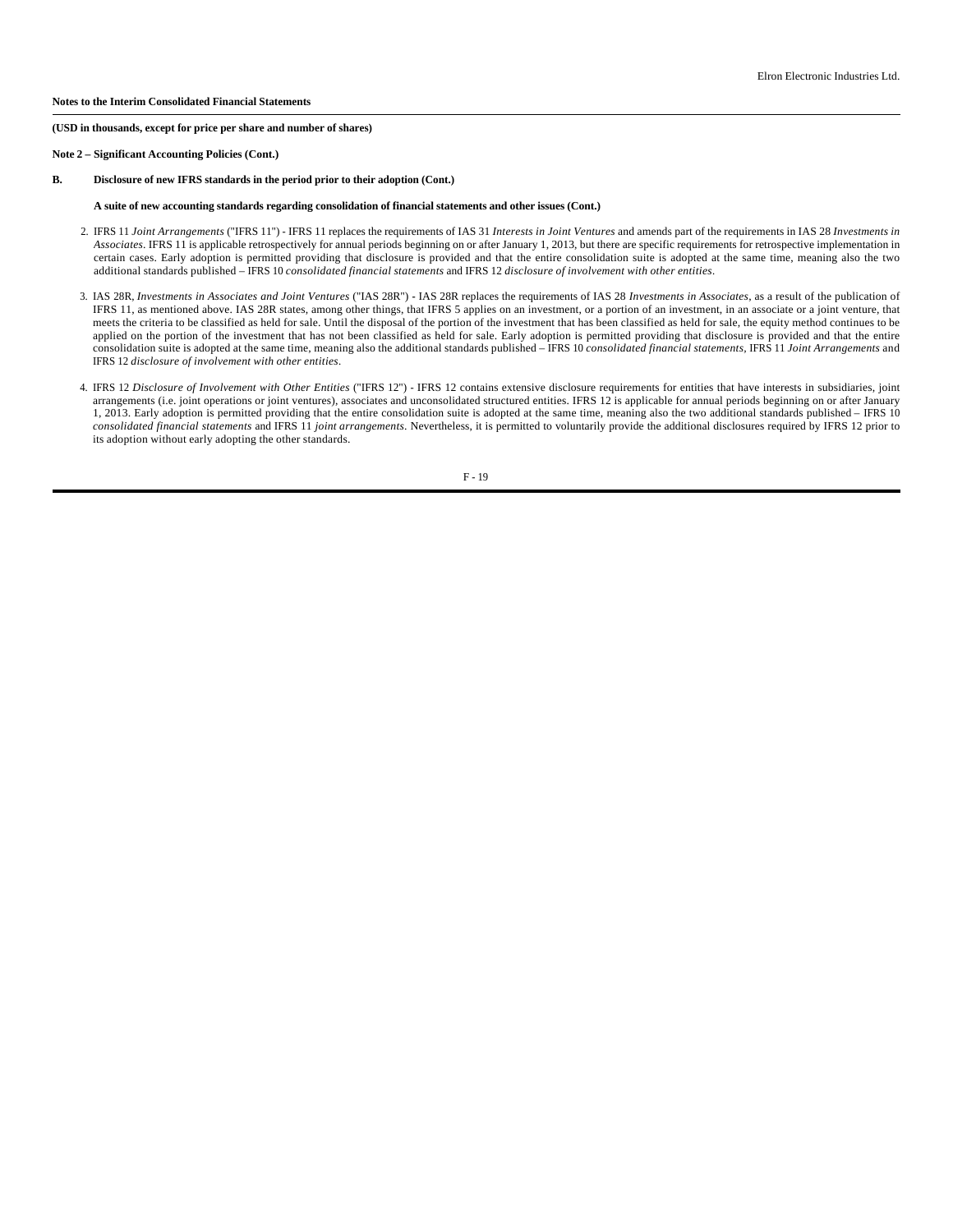## **Notes to the Interim Consolidated Financial Statements**

**(USD in thousands, except for price per share and number of shares)**

**Note 2 – Significant Accounting Policies (Cont.)**

#### **B. Disclosure of new IFRS standards in the period prior to their adoption (Cont.)**

#### **A suite of new accounting standards regarding consolidation of financial statements and other issues (Cont.)**

- 2. IFRS 11 *Joint Arrangements* ("IFRS 11") IFRS 11 replaces the requirements of IAS 31 *Interests in Joint Ventures* and amends part of the requirements in IAS 28 *Investments in Associates*. IFRS 11 is applicable retrospectively for annual periods beginning on or after January 1, 2013, but there are specific requirements for retrospective implementation in certain cases. Early adoption is permitted providing that disclosure is provided and that the entire consolidation suite is adopted at the same time, meaning also the two additional standards published – IFRS 10 *consolidated financial statements* and IFRS 12 *disclosure of involvement with other entities*.
- 3. IAS 28R, *Investments in Associates and Joint Ventures* ("IAS 28R") **-** IAS 28R replaces the requirements of IAS 28 *Investments in Associates*, as a result of the publication of IFRS 11, as mentioned above. IAS 28R states, among other things, that IFRS 5 applies on an investment, or a portion of an investment, in an associate or a joint venture, that meets the criteria to be classified as held for sale. Until the disposal of the portion of the investment that has been classified as held for sale, the equity method continues to be applied on the portion of the investment that has not been classified as held for sale. Early adoption is permitted providing that disclosure is provided and that the entire consolidation suite is adopted at the same time, meaning also the additional standards published – IFRS 10 *consolidated financial statements,* IFRS 11 *Joint Arrangements* and IFRS 12 *disclosure of involvement with other entities*.
- 4. IFRS 12 *Disclosure of Involvement with Other Entities* ("IFRS 12") IFRS 12 contains extensive disclosure requirements for entities that have interests in subsidiaries, joint arrangements (i.e. joint operations or joint ventures), associates and unconsolidated structured entities. IFRS 12 is applicable for annual periods beginning on or after January 1, 2013. Early adoption is permitted providing that the entire consolidation suite is adopted at the same time, meaning also the two additional standards published – IFRS 10 *consolidated financial statements* and IFRS 11 *joint arrangements*. Nevertheless, it is permitted to voluntarily provide the additional disclosures required by IFRS 12 prior to its adoption without early adopting the other standards.

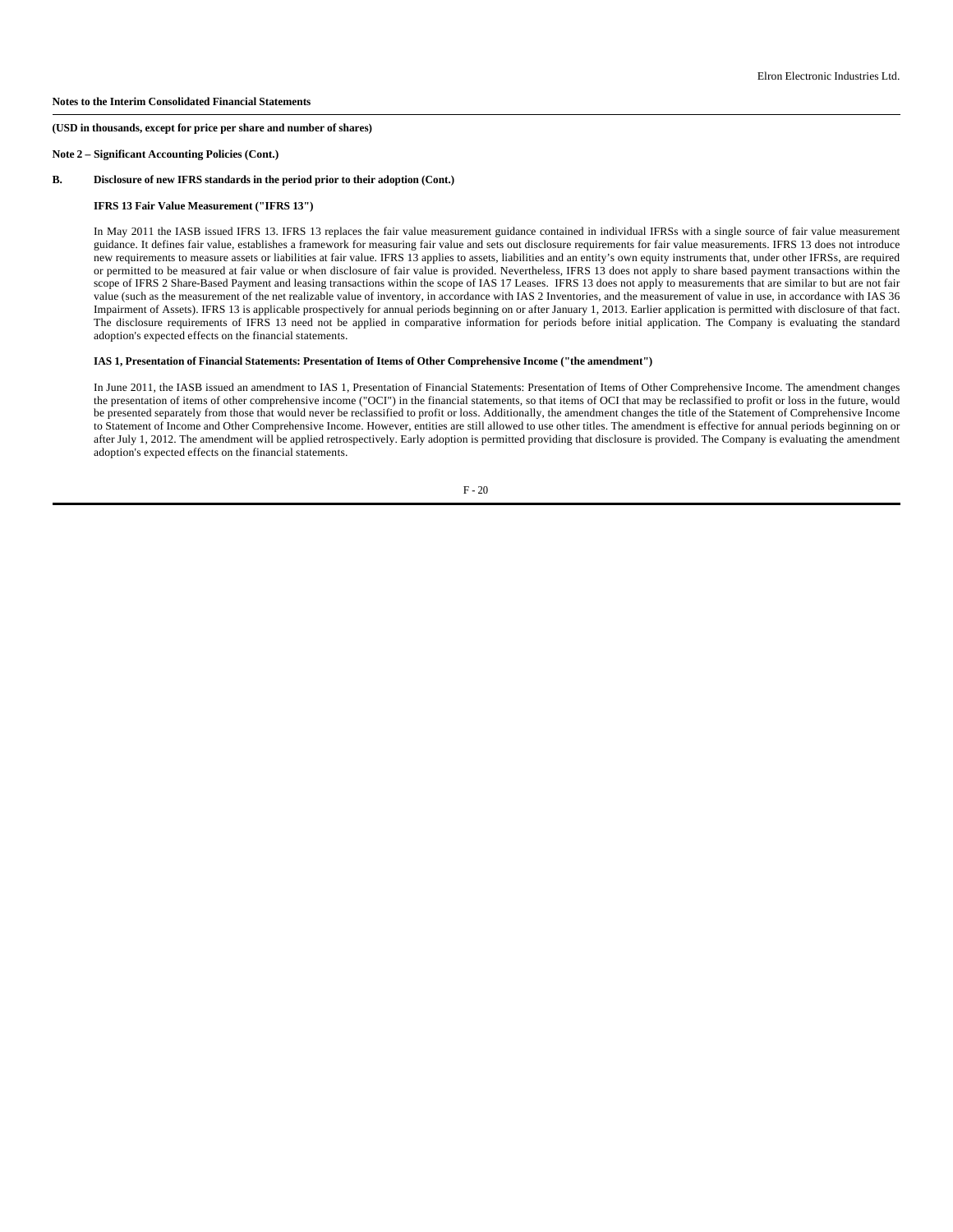**Note 2 – Significant Accounting Policies (Cont.)**

#### **B. Disclosure of new IFRS standards in the period prior to their adoption (Cont.)**

#### **IFRS 13 Fair Value Measurement ("IFRS 13")**

In May 2011 the IASB issued IFRS 13. IFRS 13 replaces the fair value measurement guidance contained in individual IFRSs with a single source of fair value measurement guidance. It defines fair value, establishes a framework for measuring fair value and sets out disclosure requirements for fair value measurements. IFRS 13 does not introduce new requirements to measure assets or liabilities at fair value. IFRS 13 applies to assets, liabilities and an entity's own equity instruments that, under other IFRSs, are required or permitted to be measured at fair value or when disclosure of fair value is provided. Nevertheless, IFRS 13 does not apply to share based payment transactions within the scope of IFRS 2 Share-Based Payment and leasing transactions within the scope of IAS 17 Leases. IFRS 13 does not apply to measurements that are similar to but are not fair value (such as the measurement of the net realizable value of inventory, in accordance with IAS 2 Inventories, and the measurement of value in use, in accordance with IAS 36 Impairment of Assets). IFRS 13 is applicable prospectively for annual periods beginning on or after January 1, 2013. Earlier application is permitted with disclosure of that fact. The disclosure requirements of IFRS 13 need not be applied in comparative information for periods before initial application. The Company is evaluating the standard adoption's expected effects on the financial statements.

# **IAS 1, Presentation of Financial Statements: Presentation of Items of Other Comprehensive Income ("the amendment")**

In June 2011, the IASB issued an amendment to IAS 1, Presentation of Financial Statements: Presentation of Items of Other Comprehensive Income. The amendment changes the presentation of items of other comprehensive income ("OCI") in the financial statements, so that items of OCI that may be reclassified to profit or loss in the future, would be presented separately from those that would never be reclassified to profit or loss. Additionally, the amendment changes the title of the Statement of Comprehensive Income to Statement of Income and Other Comprehensive Income. However, entities are still allowed to use other titles. The amendment is effective for annual periods beginning on or after July 1, 2012. The amendment will be applied retrospectively. Early adoption is permitted providing that disclosure is provided. The Company is evaluating the amendment adoption's expected effects on the financial statements.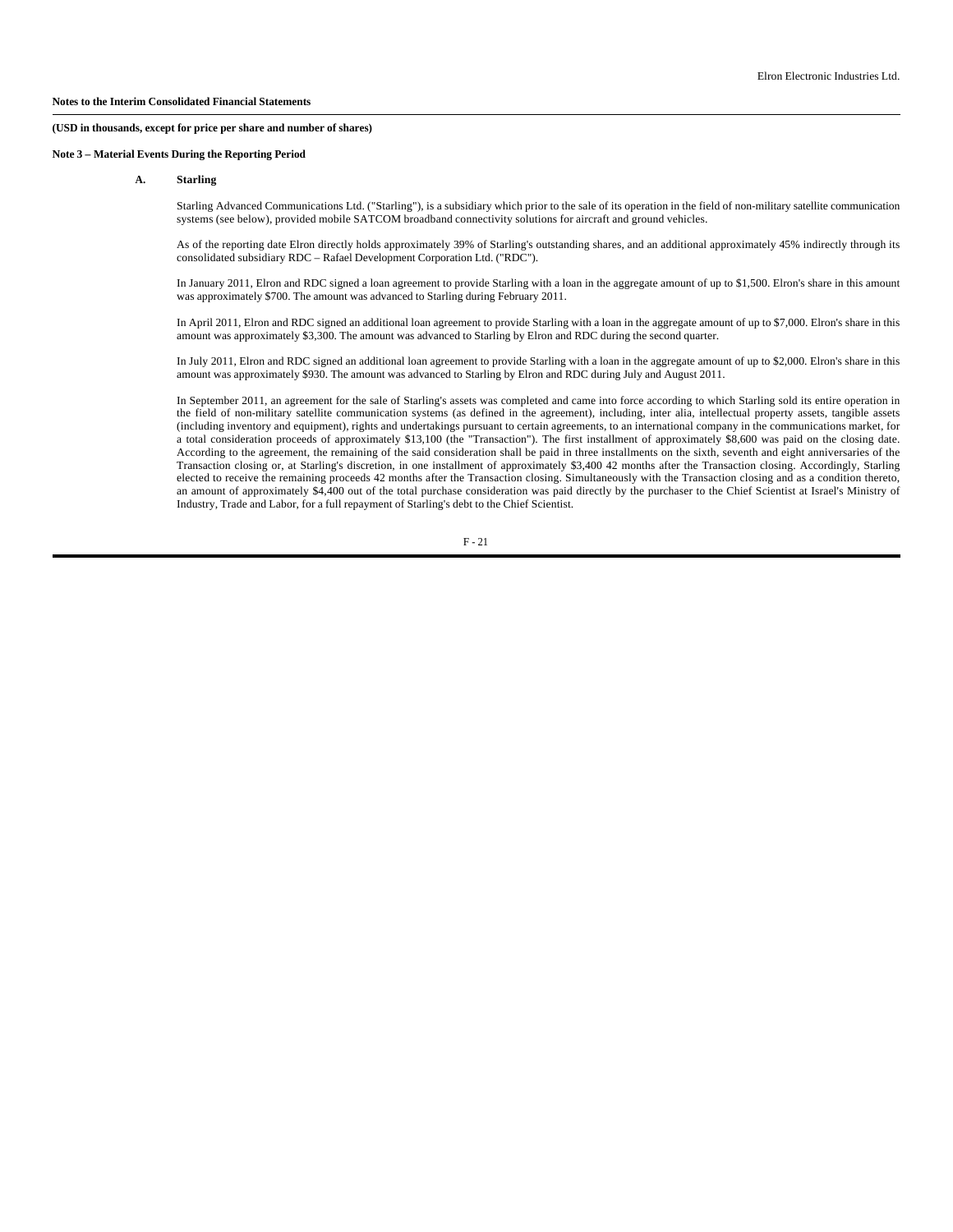# **Note 3 – Material Events During the Reporting Period**

**(USD in thousands, except for price per share and number of shares)**

# **A. Starling**

Starling Advanced Communications Ltd. ("Starling"), is a subsidiary which prior to the sale of its operation in the field of non-military satellite communication systems (see below), provided mobile SATCOM broadband connectivity solutions for aircraft and ground vehicles.

As of the reporting date Elron directly holds approximately 39% of Starling's outstanding shares, and an additional approximately 45% indirectly through its consolidated subsidiary RDC – Rafael Development Corporation Ltd. ("RDC").

In January 2011, Elron and RDC signed a loan agreement to provide Starling with a loan in the aggregate amount of up to \$1,500. Elron's share in this amount was approximately \$700. The amount was advanced to Starling during February 2011.

In April 2011, Elron and RDC signed an additional loan agreement to provide Starling with a loan in the aggregate amount of up to \$7,000. Elron's share in this amount was approximately \$3,300. The amount was advanced to Starling by Elron and RDC during the second quarter.

In July 2011, Elron and RDC signed an additional loan agreement to provide Starling with a loan in the aggregate amount of up to \$2,000. Elron's share in this amount was approximately \$930. The amount was advanced to Starling by Elron and RDC during July and August 2011.

In September 2011, an agreement for the sale of Starling's assets was completed and came into force according to which Starling sold its entire operation in the field of non-military satellite communication systems (as defined in the agreement), including, inter alia, intellectual property assets, tangible assets (including inventory and equipment), rights and undertakings pursuant to certain agreements, to an international company in the communications market, for a total consideration proceeds of approximately \$13,100 (the "Transaction"). The first installment of approximately \$8,600 was paid on the closing date. According to the agreement, the remaining of the said consideration shall be paid in three installments on the sixth, seventh and eight anniversaries of the Transaction closing or, at Starling's discretion, in one installment of approximately \$3,400 42 months after the Transaction closing. Accordingly, Starling elected to receive the remaining proceeds 42 months after the Transaction closing. Simultaneously with the Transaction closing and as a condition thereto, an amount of approximately \$4,400 out of the total purchase consideration was paid directly by the purchaser to the Chief Scientist at Israel's Ministry of Industry, Trade and Labor, for a full repayment of Starling's debt to the Chief Scientist.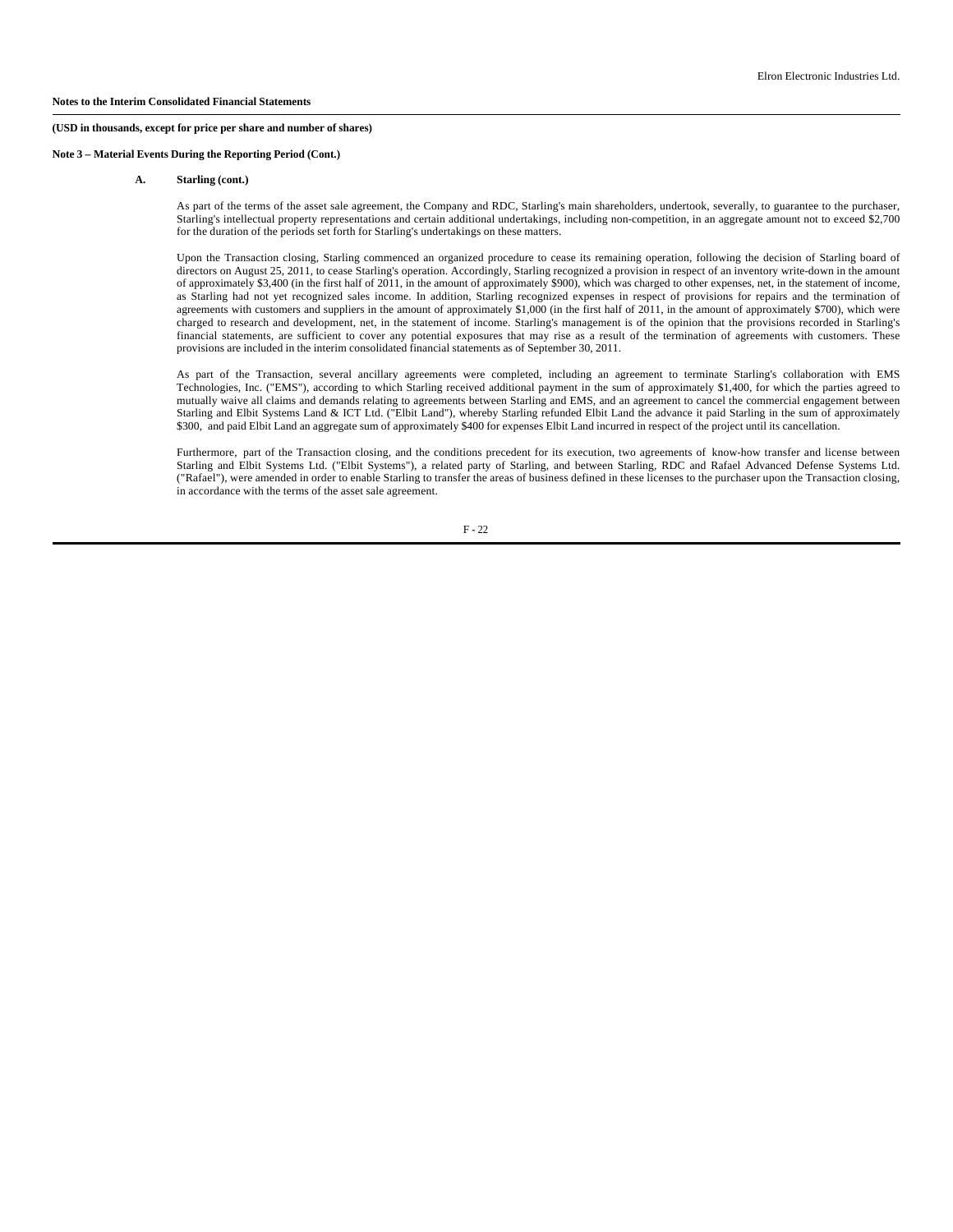**Note 3 – Material Events During the Reporting Period (Cont.)**

#### **A. Starling (cont.)**

As part of the terms of the asset sale agreement, the Company and RDC, Starling's main shareholders, undertook, severally, to guarantee to the purchaser, Starling's intellectual property representations and certain additional undertakings, including non-competition, in an aggregate amount not to exceed \$2,700 for the duration of the periods set forth for Starling's undertakings on these matters.

Upon the Transaction closing, Starling commenced an organized procedure to cease its remaining operation, following the decision of Starling board of directors on August 25, 2011, to cease Starling's operation. Accordingly, Starling recognized a provision in respect of an inventory write-down in the amount of approximately \$3,400 (in the first half of 2011, in the amount of approximately \$900), which was charged to other expenses, net, in the statement of income, as Starling had not yet recognized sales income. In addition, Starling recognized expenses in respect of provisions for repairs and the termination of agreements with customers and suppliers in the amount of approximately \$1,000 (in the first half of 2011, in the amount of approximately \$700), which were charged to research and development, net, in the statement of income. Starling's management is of the opinion that the provisions recorded in Starling's financial statements, are sufficient to cover any potential exposures that may rise as a result of the termination of agreements with customers. These provisions are included in the interim consolidated financial statements as of September 30, 2011.

As part of the Transaction, several ancillary agreements were completed, including an agreement to terminate Starling's collaboration with EMS Technologies, Inc. ("EMS"), according to which Starling received additional payment in the sum of approximately \$1,400, for which the parties agreed to mutually waive all claims and demands relating to agreements between Starling and EMS, and an agreement to cancel the commercial engagement between Starling and Elbit Systems Land & ICT Ltd. ("Elbit Land"), whereby Starling refunded Elbit Land the advance it paid Starling in the sum of approximately \$300, and paid Elbit Land an aggregate sum of approximately \$400 for expenses Elbit Land incurred in respect of the project until its cancellation.

Furthermore, part of the Transaction closing, and the conditions precedent for its execution, two agreements of know-how transfer and license between Starling and Elbit Systems Ltd. ("Elbit Systems"), a related party of Starling, and between Starling, RDC and Rafael Advanced Defense Systems Ltd. ("Rafael"), were amended in order to enable Starling to transfer the areas of business defined in these licenses to the purchaser upon the Transaction closing, in accordance with the terms of the asset sale agreement.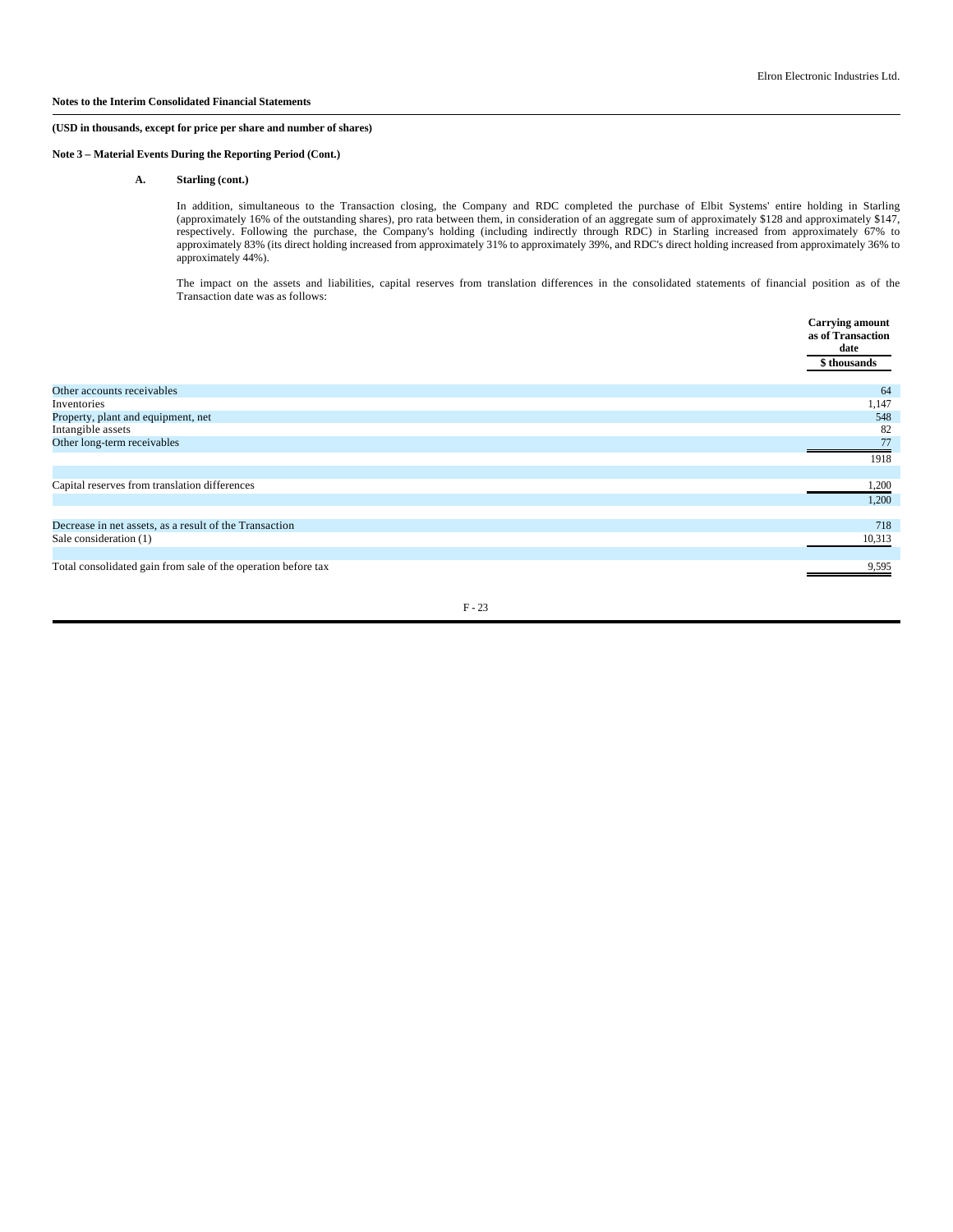## **Notes to the Interim Consolidated Financial Statements**

# **(USD in thousands, except for price per share and number of shares)**

**Note 3 – Material Events During the Reporting Period (Cont.)**

**A. Starling (cont.)**

In addition, simultaneous to the Transaction closing, the Company and RDC completed the purchase of Elbit Systems' entire holding in Starling (approximately 16% of the outstanding shares), pro rata between them, in consideration of an aggregate sum of approximately \$128 and approximately \$147, respectively. Following the purchase, the Company's holding (including indirectly through RDC) in Starling increased from approximately 67% to approximately 83% (its direct holding increased from approximately 31% to approximately 39%, and RDC's direct holding increased from approximately 36% to approximately 44%).

The impact on the assets and liabilities, capital reserves from translation differences in the consolidated statements of financial position as of the Transaction date was as follows:

|                                                               | <b>Carrying amount</b><br>as of Transaction<br>date<br>\$ thousands |
|---------------------------------------------------------------|---------------------------------------------------------------------|
| Other accounts receivables                                    | 64                                                                  |
| Inventories                                                   | 1,147                                                               |
| Property, plant and equipment, net                            | 548                                                                 |
| Intangible assets                                             | 82                                                                  |
| Other long-term receivables                                   | 77                                                                  |
|                                                               | 1918                                                                |
|                                                               |                                                                     |
| Capital reserves from translation differences                 | 1,200                                                               |
|                                                               | 1,200                                                               |
|                                                               |                                                                     |
| Decrease in net assets, as a result of the Transaction        | 718                                                                 |
| Sale consideration (1)                                        | 10,313                                                              |
| Total consolidated gain from sale of the operation before tax | 9,595                                                               |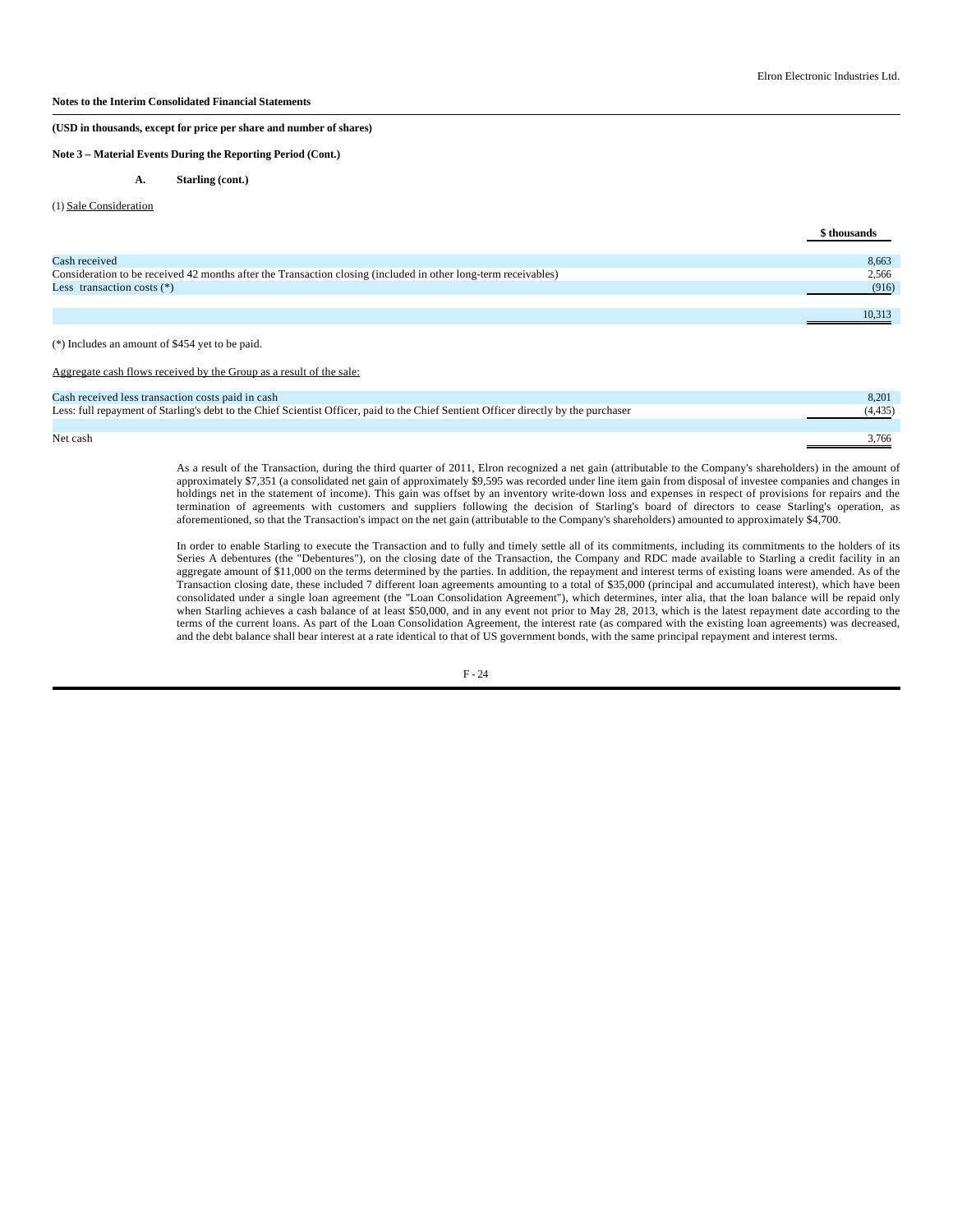# **Notes to the Interim Consolidated Financial Statements**

**(USD in thousands, except for price per share and number of shares)**

**Note 3 – Material Events During the Reporting Period (Cont.)**

**A. Starling (cont.)**

#### (1) Sale Consideration

|                                                                                                                | \$ thousands |
|----------------------------------------------------------------------------------------------------------------|--------------|
|                                                                                                                |              |
| Cash received                                                                                                  | 8,663        |
| Consideration to be received 42 months after the Transaction closing (included in other long-term receivables) | 2,566        |
| Less transaction costs $(*)$                                                                                   | (916)        |
|                                                                                                                |              |
|                                                                                                                | 10.313       |

(\*) Includes an amount of \$454 yet to be paid.

Aggregate cash flows received by the Group as a result of the sale:

| Cash received less transaction costs paid in cash                                                                                    | 8.201    |
|--------------------------------------------------------------------------------------------------------------------------------------|----------|
| Less: full repayment of Starling's debt to the Chief Scientist Officer, paid to the Chief Sentient Officer directly by the purchaser | (4, 435) |
|                                                                                                                                      |          |
| Net cash                                                                                                                             | 3.766    |

As a result of the Transaction, during the third quarter of 2011, Elron recognized a net gain (attributable to the Company's shareholders) in the amount of approximately \$7,351 (a consolidated net gain of approximately \$9,595 was recorded under line item gain from disposal of investee companies and changes in holdings net in the statement of income). This gain was offset by an inventory write-down loss and expenses in respect of provisions for repairs and the termination of agreements with customers and suppliers following the decision of Starling's board of directors to cease Starling's operation, as aforementioned, so that the Transaction's impact on the net gain (attributable to the Company's shareholders) amounted to approximately \$4,700.

In order to enable Starling to execute the Transaction and to fully and timely settle all of its commitments, including its commitments to the holders of its Series A debentures (the "Debentures"), on the closing date of the Transaction, the Company and RDC made available to Starling a credit facility in an aggregate amount of \$11,000 on the terms determined by the parties. In addition, the repayment and interest terms of existing loans were amended. As of the Transaction closing date, these included 7 different loan agreements amounting to a total of \$35,000 (principal and accumulated interest), which have been consolidated under a single loan agreement (the "Loan Consolidation Agreement"), which determines, inter alia, that the loan balance will be repaid only when Starling achieves a cash balance of at least \$50,000, and in any event not prior to May 28, 2013, which is the latest repayment date according to the terms of the current loans. As part of the Loan Consolidation Agreement, the interest rate (as compared with the existing loan agreements) was decreased, and the debt balance shall bear interest at a rate identical to that of US government bonds, with the same principal repayment and interest terms.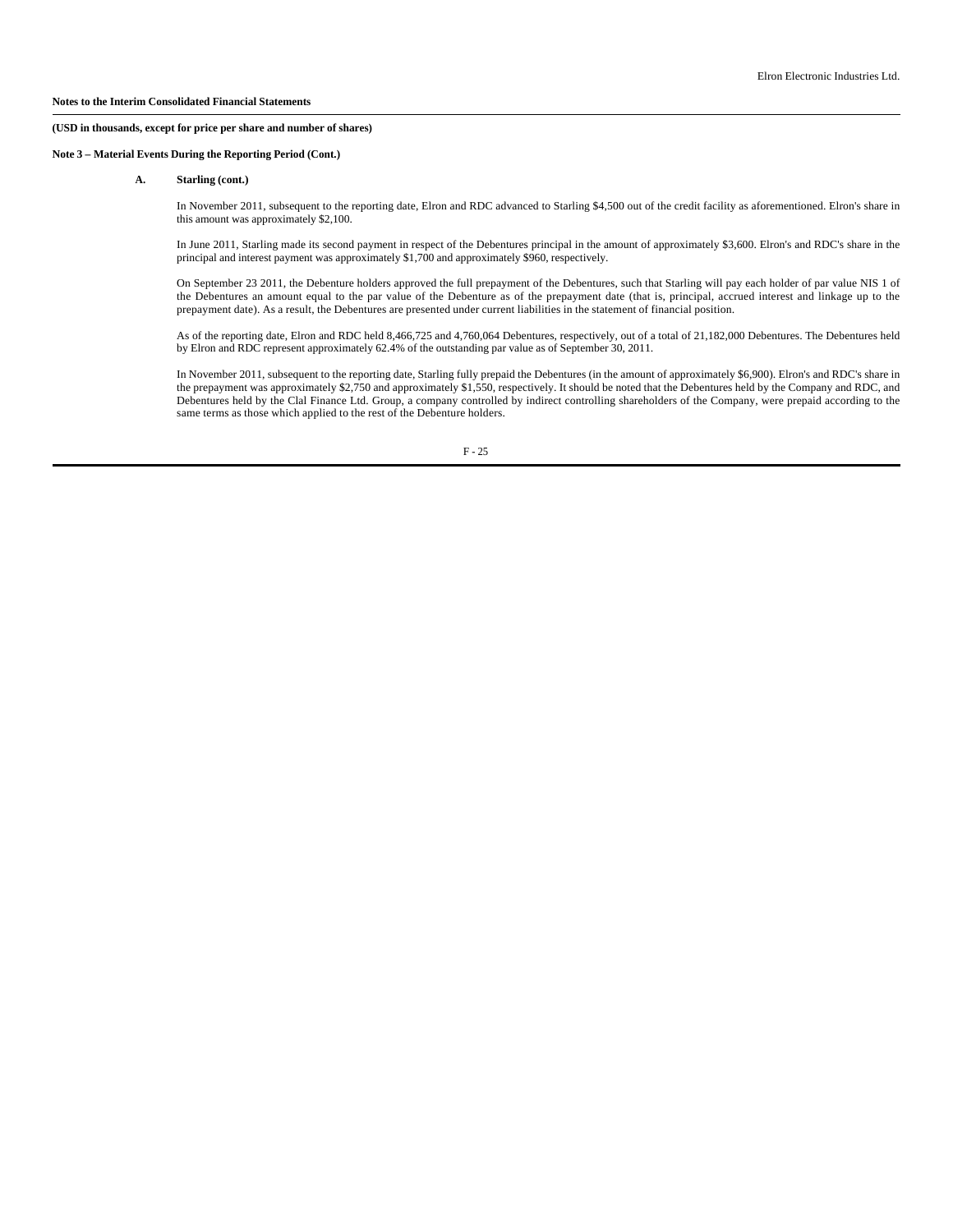**Note 3 – Material Events During the Reporting Period (Cont.)**

#### **A. Starling (cont.)**

In November 2011, subsequent to the reporting date, Elron and RDC advanced to Starling \$4,500 out of the credit facility as aforementioned. Elron's share in this amount was approximately \$2,100.

In June 2011, Starling made its second payment in respect of the Debentures principal in the amount of approximately \$3,600. Elron's and RDC's share in the principal and interest payment was approximately \$1,700 and approximately \$960, respectively.

On September 23 2011, the Debenture holders approved the full prepayment of the Debentures, such that Starling will pay each holder of par value NIS 1 of the Debentures an amount equal to the par value of the Debenture as of the prepayment date (that is, principal, accrued interest and linkage up to the prepayment date). As a result, the Debentures are presented under current liabilities in the statement of financial position.

As of the reporting date, Elron and RDC held 8,466,725 and 4,760,064 Debentures, respectively, out of a total of 21,182,000 Debentures. The Debentures held by Elron and RDC represent approximately 62.4% of the outstanding par value as of September 30, 2011.

In November 2011, subsequent to the reporting date, Starling fully prepaid the Debentures (in the amount of approximately \$6,900). Elron's and RDC's share in the prepayment was approximately \$2,750 and approximately \$1,550, respectively. It should be noted that the Debentures held by the Company and RDC, and Debentures held by the Clal Finance Ltd. Group, a company controlled by indirect controlling shareholders of the Company, were prepaid according to the same terms as those which applied to the rest of the Debenture holders.

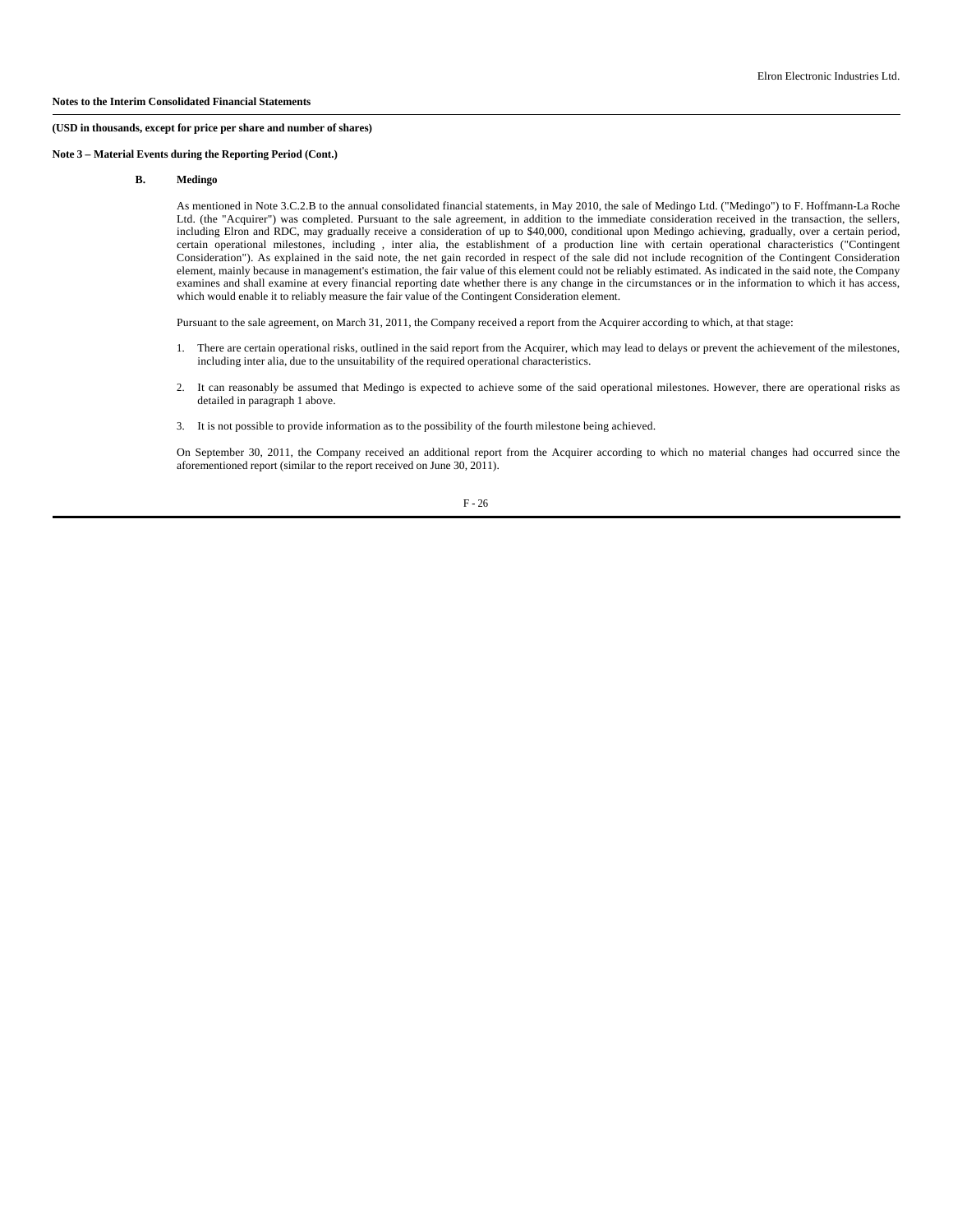## **Note 3 – Material Events during the Reporting Period (Cont.)**

#### **B. Medingo**

As mentioned in Note 3.C.2.B to the annual consolidated financial statements, in May 2010, the sale of Medingo Ltd. ("Medingo") to F. Hoffmann-La Roche Ltd. (the "Acquirer") was completed. Pursuant to the sale agreement, in addition to the immediate consideration received in the transaction, the sellers, including Elron and RDC, may gradually receive a consideration of up to \$40,000, conditional upon Medingo achieving, gradually, over a certain period, certain operational milestones, including , inter alia, the establishment of a production line with certain operational characteristics ("Contingent Consideration"). As explained in the said note, the net gain recorded in respect of the sale did not include recognition of the Contingent Consideration element, mainly because in management's estimation, the fair value of this element could not be reliably estimated. As indicated in the said note, the Company examines and shall examine at every financial reporting date whether there is any change in the circumstances or in the information to which it has access, which would enable it to reliably measure the fair value of the Contingent Consideration element.

Pursuant to the sale agreement, on March 31, 2011, the Company received a report from the Acquirer according to which, at that stage:

- 1. There are certain operational risks, outlined in the said report from the Acquirer, which may lead to delays or prevent the achievement of the milestones, including inter alia, due to the unsuitability of the required operational characteristics.
- 2. It can reasonably be assumed that Medingo is expected to achieve some of the said operational milestones. However, there are operational risks as detailed in paragraph 1 above.
- 3. It is not possible to provide information as to the possibility of the fourth milestone being achieved.

On September 30, 2011, the Company received an additional report from the Acquirer according to which no material changes had occurred since the aforementioned report (similar to the report received on June 30, 2011).

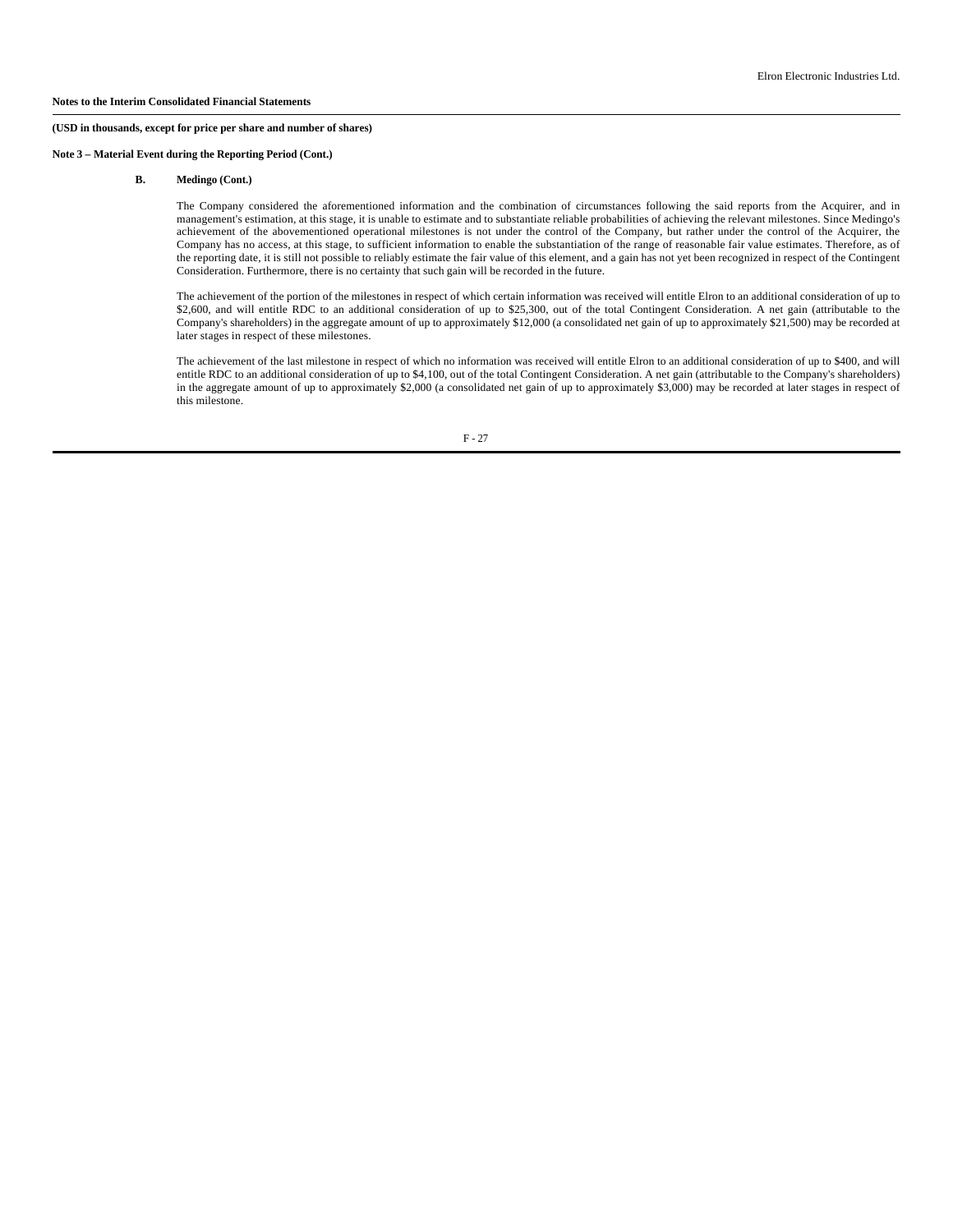**Note 3 – Material Event during the Reporting Period (Cont.)**

#### **B. Medingo (Cont.)**

The Company considered the aforementioned information and the combination of circumstances following the said reports from the Acquirer, and in management's estimation, at this stage, it is unable to estimate and to substantiate reliable probabilities of achieving the relevant milestones. Since Medingo's achievement of the abovementioned operational milestones is not under the control of the Company, but rather under the control of the Acquirer, the Company has no access, at this stage, to sufficient information to enable the substantiation of the range of reasonable fair value estimates. Therefore, as of the reporting date, it is still not possible to reliably estimate the fair value of this element, and a gain has not yet been recognized in respect of the Contingent Consideration. Furthermore, there is no certainty that such gain will be recorded in the future.

The achievement of the portion of the milestones in respect of which certain information was received will entitle Elron to an additional consideration of up to \$2,600, and will entitle RDC to an additional consideration of up to \$25,300, out of the total Contingent Consideration. A net gain (attributable to the Company's shareholders) in the aggregate amount of up to approximately \$12,000 (a consolidated net gain of up to approximately \$21,500) may be recorded at later stages in respect of these milestones.

The achievement of the last milestone in respect of which no information was received will entitle Elron to an additional consideration of up to \$400, and will entitle RDC to an additional consideration of up to \$4,100, out of the total Contingent Consideration. A net gain (attributable to the Company's shareholders) in the aggregate amount of up to approximately \$2,000 (a consolidated net gain of up to approximately \$3,000) may be recorded at later stages in respect of this milestone.

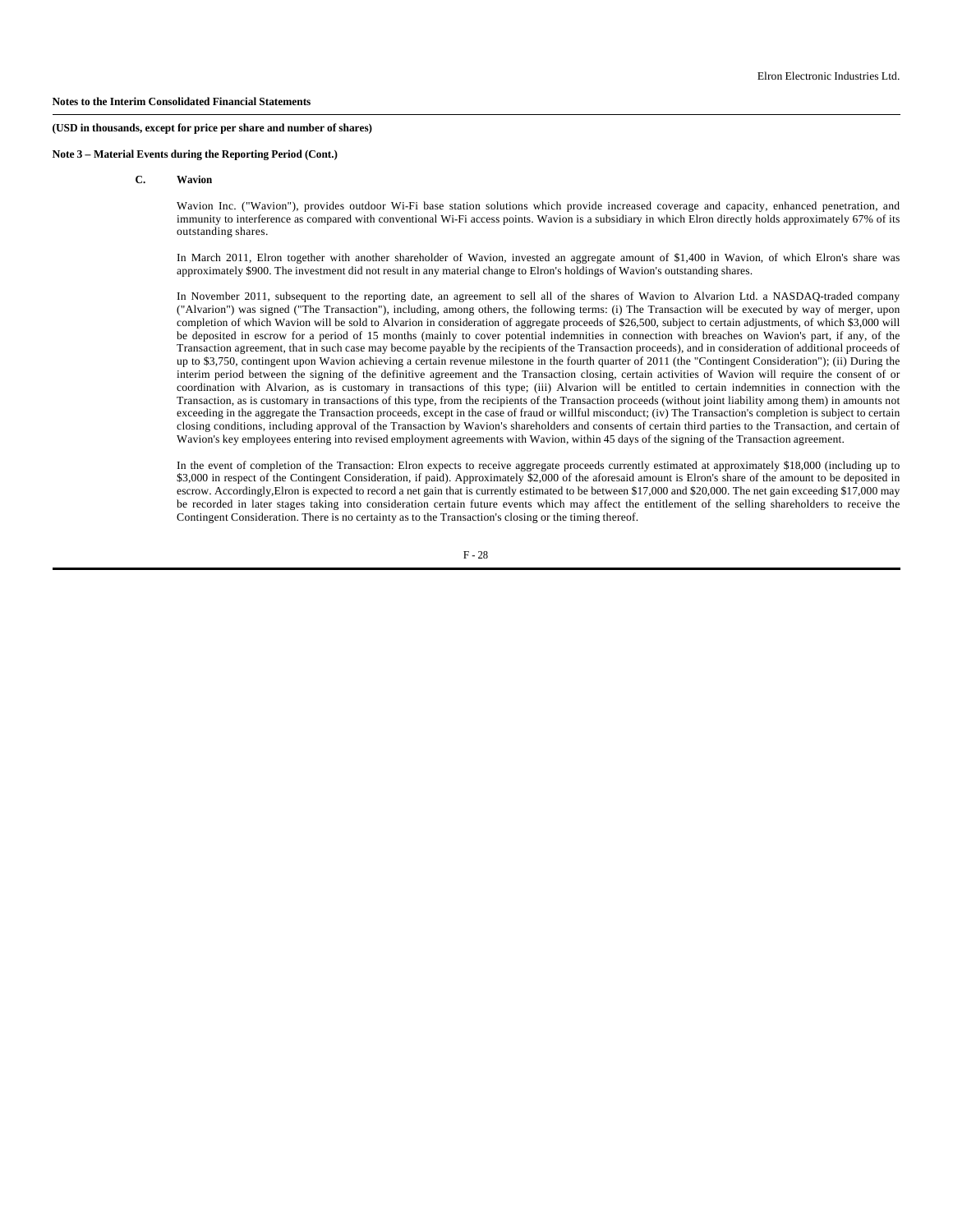# **Note 3 – Material Events during the Reporting Period (Cont.)**

#### **C. Wavion**

Wavion Inc. ("Wavion"), provides outdoor Wi-Fi base station solutions which provide increased coverage and capacity, enhanced penetration, and immunity to interference as compared with conventional Wi-Fi access points. Wavion is a subsidiary in which Elron directly holds approximately 67% of its outstanding shares.

In March 2011, Elron together with another shareholder of Wavion, invested an aggregate amount of \$1,400 in Wavion, of which Elron's share was approximately \$900. The investment did not result in any material change to Elron's holdings of Wavion's outstanding shares.

In November 2011, subsequent to the reporting date, an agreement to sell all of the shares of Wavion to Alvarion Ltd. a NASDAQ-traded company ("Alvarion") was signed ("The Transaction"), including, among others, the following terms: (i) The Transaction will be executed by way of merger, upon completion of which Wavion will be sold to Alvarion in consideration of aggregate proceeds of \$26,500, subject to certain adjustments, of which \$3,000 will be deposited in escrow for a period of 15 months (mainly to cover potential indemnities in connection with breaches on Wavion's part, if any, of the Transaction agreement, that in such case may become payable by the recipients of the Transaction proceeds), and in consideration of additional proceeds of up to \$3,750, contingent upon Wavion achieving a certain revenue milestone in the fourth quarter of 2011 (the "Contingent Consideration"); (ii) During the interim period between the signing of the definitive agreement and the Transaction closing, certain activities of Wavion will require the consent of or coordination with Alvarion, as is customary in transactions of this type; (iii) Alvarion will be entitled to certain indemnities in connection with the Transaction, as is customary in transactions of this type, from the recipients of the Transaction proceeds (without joint liability among them) in amounts not exceeding in the aggregate the Transaction proceeds, except in the case of fraud or willful misconduct; (iv) The Transaction's completion is subject to certain closing conditions, including approval of the Transaction by Wavion's shareholders and consents of certain third parties to the Transaction, and certain of Wavion's key employees entering into revised employment agreements with Wavion, within 45 days of the signing of the Transaction agreement.

In the event of completion of the Transaction: Elron expects to receive aggregate proceeds currently estimated at approximately \$18,000 (including up to \$3,000 in respect of the Contingent Consideration, if paid). Approximately \$2,000 of the aforesaid amount is Elron's share of the amount to be deposited in escrow. Accordingly,Elron is expected to record a net gain that is currently estimated to be between \$17,000 and \$20,000. The net gain exceeding \$17,000 may be recorded in later stages taking into consideration certain future events which may affect the entitlement of the selling shareholders to receive the Contingent Consideration. There is no certainty as to the Transaction's closing or the timing thereof.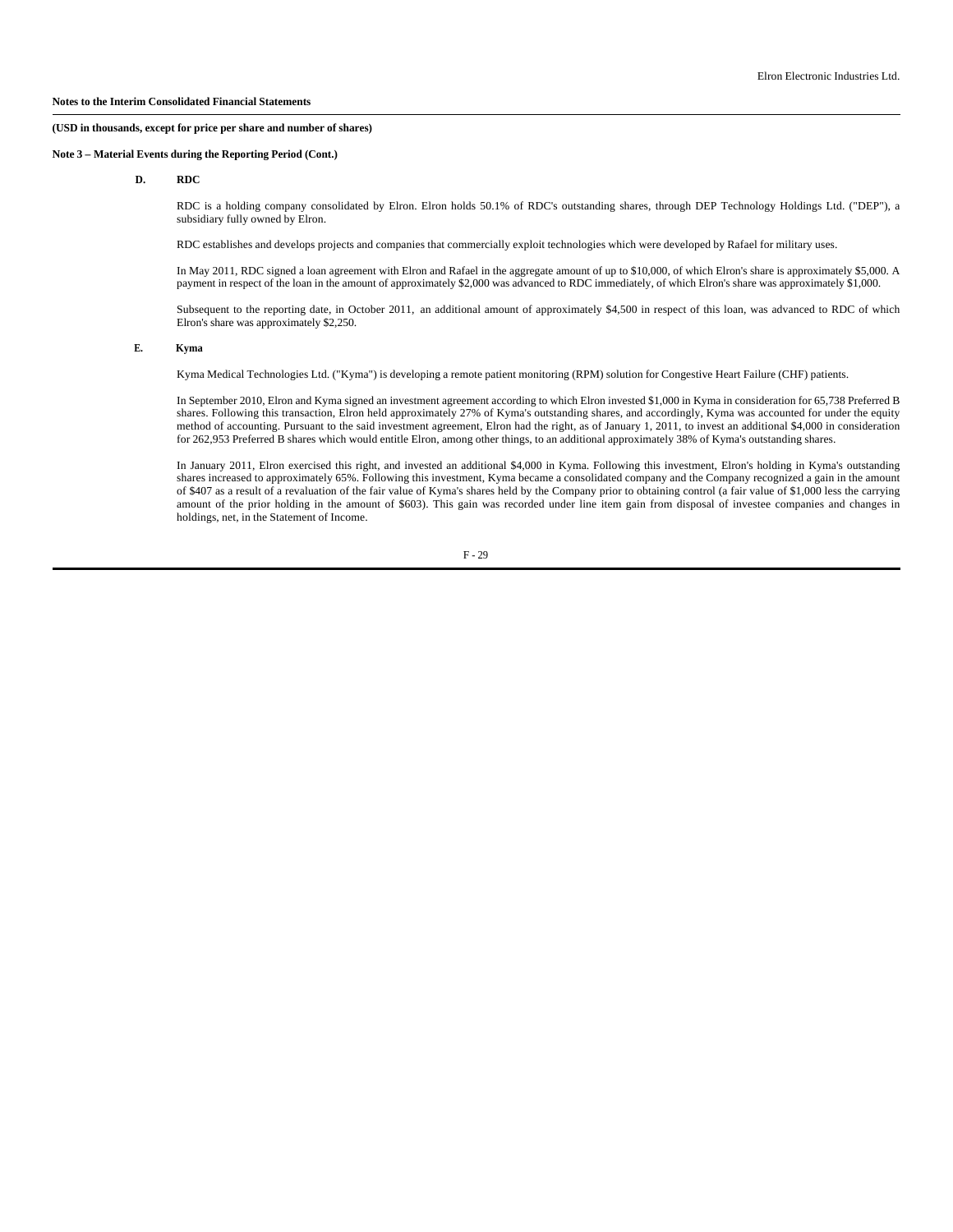**Note 3 – Material Events during the Reporting Period (Cont.)**

**D. RDC**

RDC is a holding company consolidated by Elron. Elron holds 50.1% of RDC's outstanding shares, through DEP Technology Holdings Ltd. ("DEP"), a subsidiary fully owned by Elron.

RDC establishes and develops projects and companies that commercially exploit technologies which were developed by Rafael for military uses.

In May 2011, RDC signed a loan agreement with Elron and Rafael in the aggregate amount of up to \$10,000, of which Elron's share is approximately \$5,000. A payment in respect of the loan in the amount of approximately \$2,000 was advanced to RDC immediately, of which Elron's share was approximately \$1,000.

Subsequent to the reporting date, in October 2011, an additional amount of approximately \$4,500 in respect of this loan, was advanced to RDC of which Elron's share was approximately \$2,250.

## **E. Kyma**

Kyma Medical Technologies Ltd. ("Kyma") is developing a remote patient monitoring (RPM) solution for Congestive Heart Failure (CHF) patients.

In September 2010, Elron and Kyma signed an investment agreement according to which Elron invested \$1,000 in Kyma in consideration for 65,738 Preferred B shares. Following this transaction, Elron held approximately 27% of Kyma's outstanding shares, and accordingly, Kyma was accounted for under the equity method of accounting. Pursuant to the said investment agreement, Elron had the right, as of January 1, 2011, to invest an additional \$4,000 in consideration for 262,953 Preferred B shares which would entitle Elron, among other things, to an additional approximately 38% of Kyma's outstanding shares.

In January 2011, Elron exercised this right, and invested an additional \$4,000 in Kyma. Following this investment, Elron's holding in Kyma's outstanding shares increased to approximately 65%. Following this investment, Kyma became a consolidated company and the Company recognized a gain in the amount of \$407 as a result of a revaluation of the fair value of Kyma's shares held by the Company prior to obtaining control (a fair value of \$1,000 less the carrying amount of the prior holding in the amount of \$603). This gain was recorded under line item gain from disposal of investee companies and changes in holdings, net, in the Statement of Income.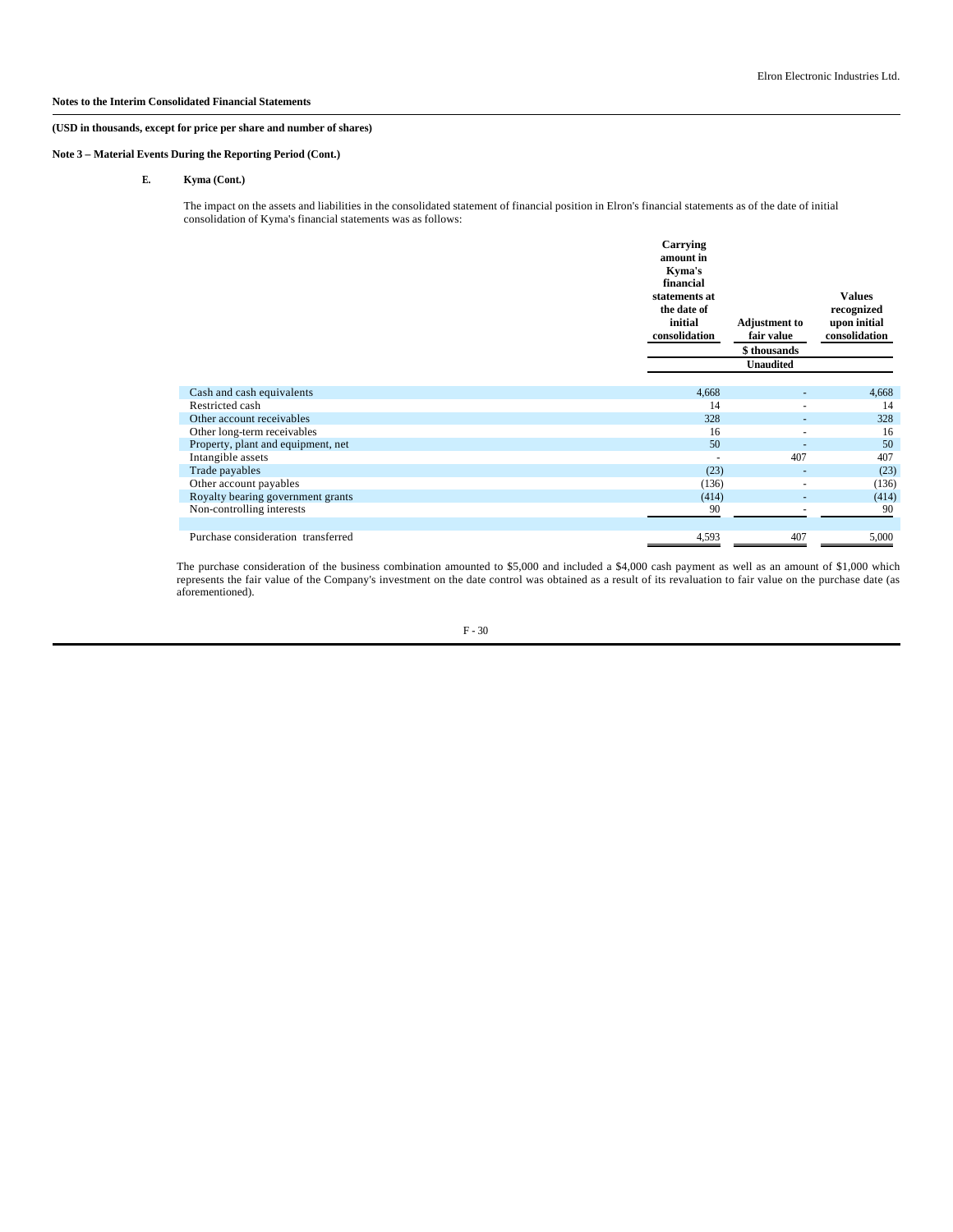## **Notes to the Interim Consolidated Financial Statements**

# **(USD in thousands, except for price per share and number of shares)**

**Note 3 – Material Events During the Reporting Period (Cont.)**

**E. Kyma (Cont.)**

The impact on the assets and liabilities in the consolidated statement of financial position in Elron's financial statements as of the date of initial consolidation of Kyma's financial statements was as follows:

|                                    | Carrying<br>amount in<br>Kyma's<br>financial<br>statements at<br>the date of<br>initial<br>consolidation | <b>Adjustment</b> to<br>fair value<br>\$thousands<br><b>Unaudited</b> | <b>Values</b><br>recognized<br>upon initial<br>consolidation |
|------------------------------------|----------------------------------------------------------------------------------------------------------|-----------------------------------------------------------------------|--------------------------------------------------------------|
| Cash and cash equivalents          | 4,668                                                                                                    |                                                                       | 4,668                                                        |
| Restricted cash                    | 14                                                                                                       | ٠                                                                     | 14                                                           |
| Other account receivables          | 328                                                                                                      | ٠                                                                     | 328                                                          |
| Other long-term receivables        | 16                                                                                                       | $\overline{\phantom{a}}$                                              | 16                                                           |
| Property, plant and equipment, net | 50                                                                                                       |                                                                       | 50                                                           |
| Intangible assets                  |                                                                                                          | 407                                                                   | 407                                                          |
| Trade payables                     | (23)                                                                                                     | $\overline{\phantom{a}}$                                              | (23)                                                         |
| Other account payables             | (136)                                                                                                    | ٠                                                                     | (136)                                                        |
| Royalty bearing government grants  | (414)                                                                                                    |                                                                       | (414)                                                        |
| Non-controlling interests          | 90                                                                                                       |                                                                       | 90                                                           |
| Purchase consideration transferred | 4,593                                                                                                    | 407                                                                   | 5,000                                                        |

The purchase consideration of the business combination amounted to \$5,000 and included a \$4,000 cash payment as well as an amount of \$1,000 which represents the fair value of the Company's investment on the date control was obtained as a result of its revaluation to fair value on the purchase date (as aforementioned).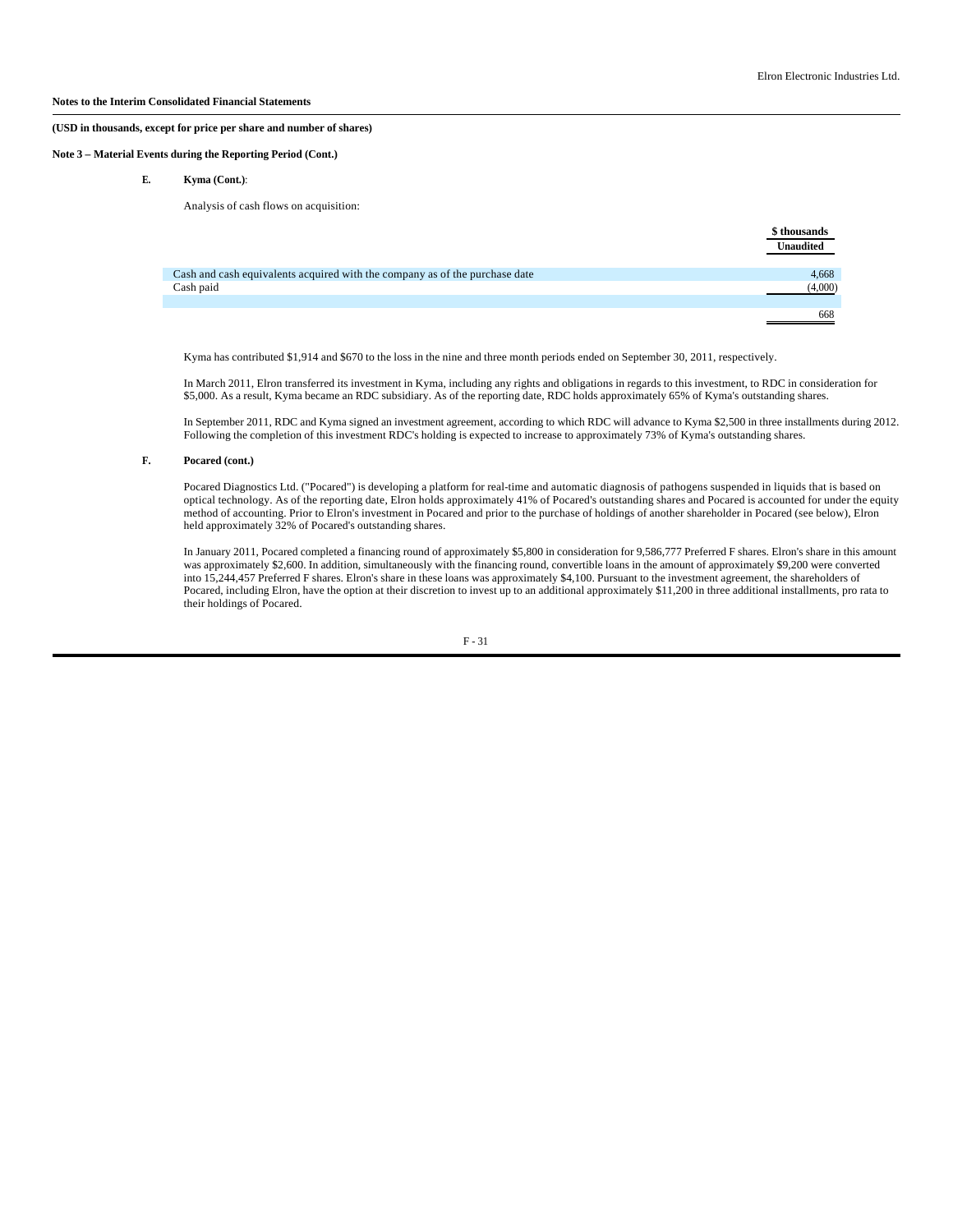## **Notes to the Interim Consolidated Financial Statements**

#### **(USD in thousands, except for price per share and number of shares)**

## **Note 3 – Material Events during the Reporting Period (Cont.)**

**E. Kyma (Cont.)**:

Analysis of cash flows on acquisition:

|                                                                             | \$ thousands     |
|-----------------------------------------------------------------------------|------------------|
|                                                                             | <b>Unaudited</b> |
|                                                                             |                  |
| Cash and cash equivalents acquired with the company as of the purchase date | 4,668            |
| Cash paid                                                                   | (4,000)          |
|                                                                             |                  |
|                                                                             | 668              |

Kyma has contributed \$1,914 and \$670 to the loss in the nine and three month periods ended on September 30, 2011, respectively.

In March 2011, Elron transferred its investment in Kyma, including any rights and obligations in regards to this investment, to RDC in consideration for \$5,000. As a result, Kyma became an RDC subsidiary. As of the reporting date, RDC holds approximately 65% of Kyma's outstanding shares.

In September 2011, RDC and Kyma signed an investment agreement, according to which RDC will advance to Kyma \$2,500 in three installments during 2012. Following the completion of this investment RDC's holding is expected to increase to approximately 73% of Kyma's outstanding shares.

# **F. Pocared (cont.)**

Pocared Diagnostics Ltd. ("Pocared") is developing a platform for real-time and automatic diagnosis of pathogens suspended in liquids that is based on optical technology. As of the reporting date, Elron holds approximately 41% of Pocared's outstanding shares and Pocared is accounted for under the equity method of accounting. Prior to Elron's investment in Pocared and prior to the purchase of holdings of another shareholder in Pocared (see below), Elron held approximately 32% of Pocared's outstanding shares.

In January 2011, Pocared completed a financing round of approximately \$5,800 in consideration for 9,586,777 Preferred F shares. Elron's share in this amount was approximately \$2,600. In addition, simultaneously with the financing round, convertible loans in the amount of approximately \$9,200 were converted into 15,244,457 Preferred F shares. Elron's share in these loans was approximately \$4,100. Pursuant to the investment agreement, the shareholders of Pocared, including Elron, have the option at their discretion to invest up to an additional approximately \$11,200 in three additional installments, pro rata to their holdings of Pocared.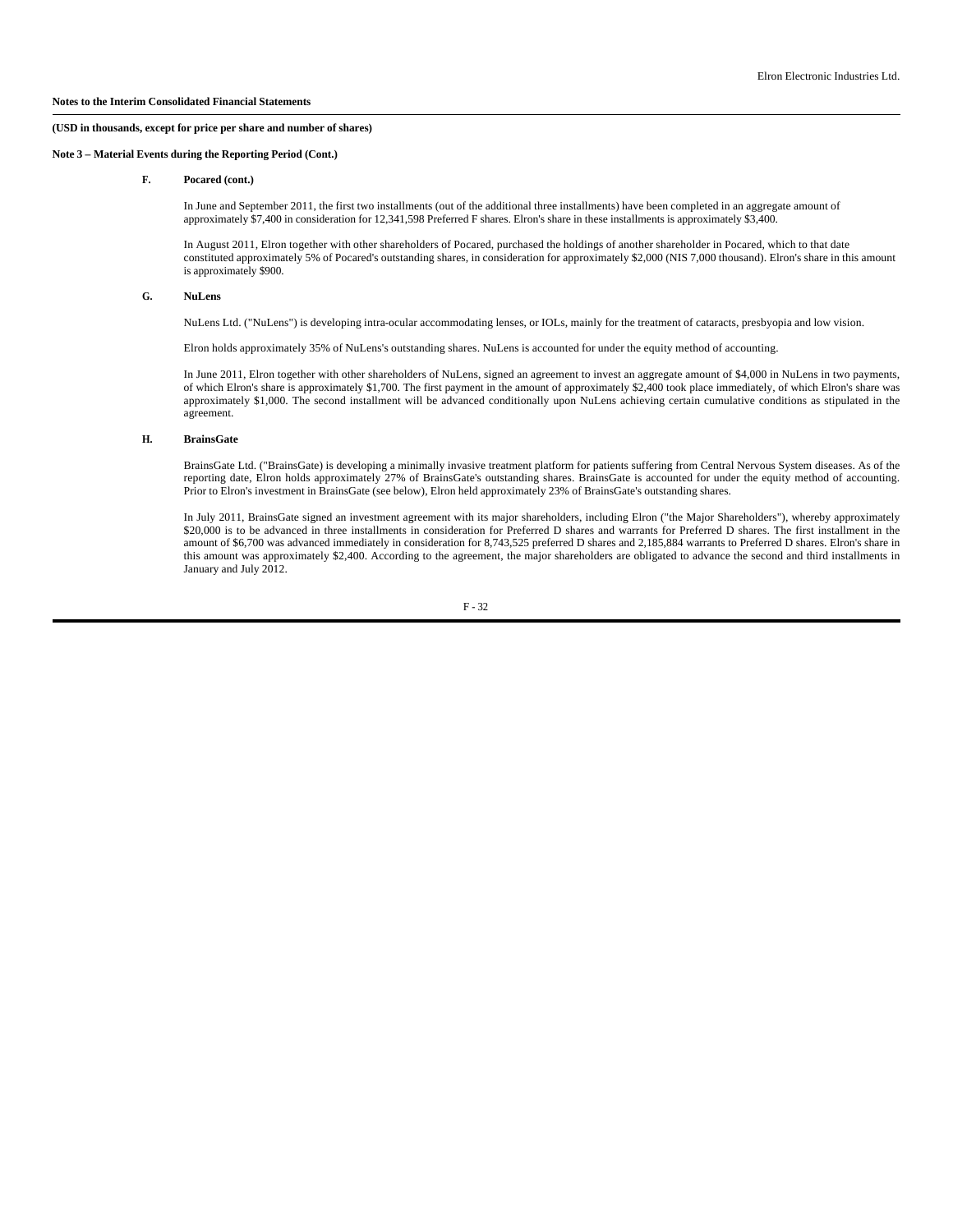**Note 3 – Material Events during the Reporting Period (Cont.)**

#### **F. Pocared (cont.)**

In June and September 2011, the first two installments (out of the additional three installments) have been completed in an aggregate amount of approximately \$7,400 in consideration for 12,341,598 Preferred F shares. Elron's share in these installments is approximately \$3,400.

In August 2011, Elron together with other shareholders of Pocared, purchased the holdings of another shareholder in Pocared, which to that date constituted approximately 5% of Pocared's outstanding shares, in consideration for approximately \$2,000 (NIS 7,000 thousand). Elron's share in this amount is approximately \$900.

#### **G. NuLens**

NuLens Ltd. ("NuLens") is developing intra-ocular accommodating lenses, or IOLs, mainly for the treatment of cataracts, presbyopia and low vision.

Elron holds approximately 35% of NuLens's outstanding shares. NuLens is accounted for under the equity method of accounting.

In June 2011, Elron together with other shareholders of NuLens, signed an agreement to invest an aggregate amount of \$4,000 in NuLens in two payments, of which Elron's share is approximately \$1,700. The first payment in the amount of approximately \$2,400 took place immediately, of which Elron's share was approximately \$1,000. The second installment will be advanced conditionally upon NuLens achieving certain cumulative conditions as stipulated in the agreement.

#### **H. BrainsGate**

BrainsGate Ltd. ("BrainsGate) is developing a minimally invasive treatment platform for patients suffering from Central Nervous System diseases. As of the reporting date, Elron holds approximately 27% of BrainsGate's outstanding shares. BrainsGate is accounted for under the equity method of accounting. Prior to Elron's investment in BrainsGate (see below), Elron held approximately 23% of BrainsGate's outstanding shares.

In July 2011, BrainsGate signed an investment agreement with its major shareholders, including Elron ("the Major Shareholders"), whereby approximately \$20,000 is to be advanced in three installments in consideration for Preferred D shares and warrants for Preferred D shares. The first installment in the amount of \$6,700 was advanced immediately in consideration for 8,743,525 preferred D shares and 2,185,884 warrants to Preferred D shares. Elron's share in this amount was approximately \$2,400. According to the agreement, the major shareholders are obligated to advance the second and third installments in January and July 2012.

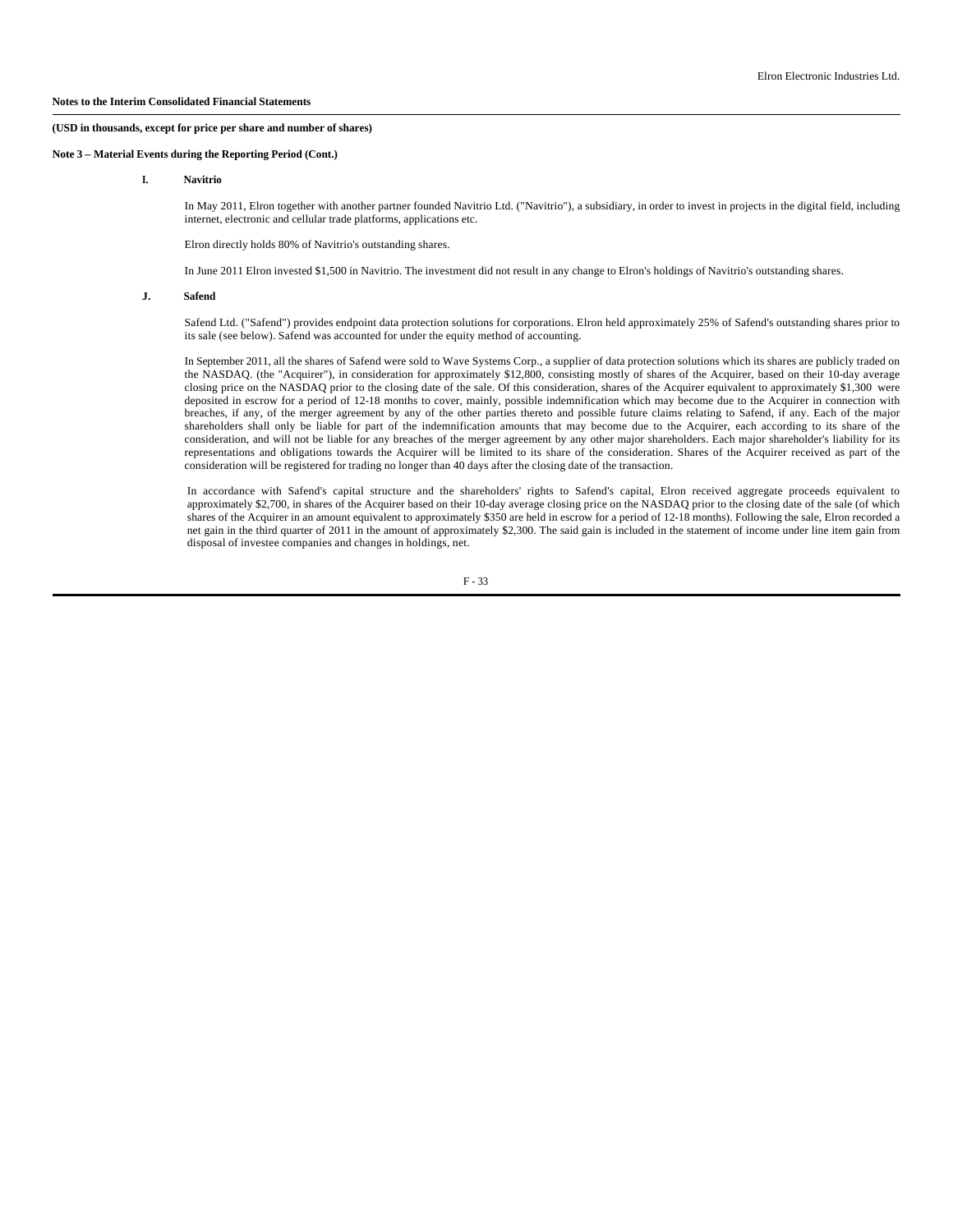**Note 3 – Material Events during the Reporting Period (Cont.)**

**I. Navitrio**

 In May 2011, Elron together with another partner founded Navitrio Ltd. ("Navitrio"), a subsidiary, in order to invest in projects in the digital field, including internet, electronic and cellular trade platforms, applications etc.

Elron directly holds 80% of Navitrio's outstanding shares.

In June 2011 Elron invested \$1,500 in Navitrio. The investment did not result in any change to Elron's holdings of Navitrio's outstanding shares.

#### **J. Safend**

 Safend Ltd. ("Safend") provides endpoint data protection solutions for corporations. Elron held approximately 25% of Safend's outstanding shares prior to its sale (see below). Safend was accounted for under the equity method of accounting.

 In September 2011, all the shares of Safend were sold to Wave Systems Corp., a supplier of data protection solutions which its shares are publicly traded on the NASDAQ. (the "Acquirer"), in consideration for approximately \$12,800, consisting mostly of shares of the Acquirer, based on their 10-day average closing price on the NASDAQ prior to the closing date of the sale. Of this consideration, shares of the Acquirer equivalent to approximately \$1,300 were deposited in escrow for a period of 12-18 months to cover, mainly, possible indemnification which may become due to the Acquirer in connection with breaches, if any, of the merger agreement by any of the other parties thereto and possible future claims relating to Safend, if any. Each of the major shareholders shall only be liable for part of the indemnification amounts that may become due to the Acquirer, each according to its share of the consideration, and will not be liable for any breaches of the merger agreement by any other major shareholders. Each major shareholder's liability for its representations and obligations towards the Acquirer will be limited to its share of the consideration. Shares of the Acquirer received as part of the consideration will be registered for trading no longer than 40 days after the closing date of the transaction.

In accordance with Safend's capital structure and the shareholders' rights to Safend's capital, Elron received aggregate proceeds equivalent to approximately \$2,700, in shares of the Acquirer based on their 10-day average closing price on the NASDAQ prior to the closing date of the sale (of which shares of the Acquirer in an amount equivalent to approximately \$350 are held in escrow for a period of 12-18 months). Following the sale, Elron recorded a net gain in the third quarter of 2011 in the amount of approximately \$2,300. The said gain is included in the statement of income under line item gain from disposal of investee companies and changes in holdings, net.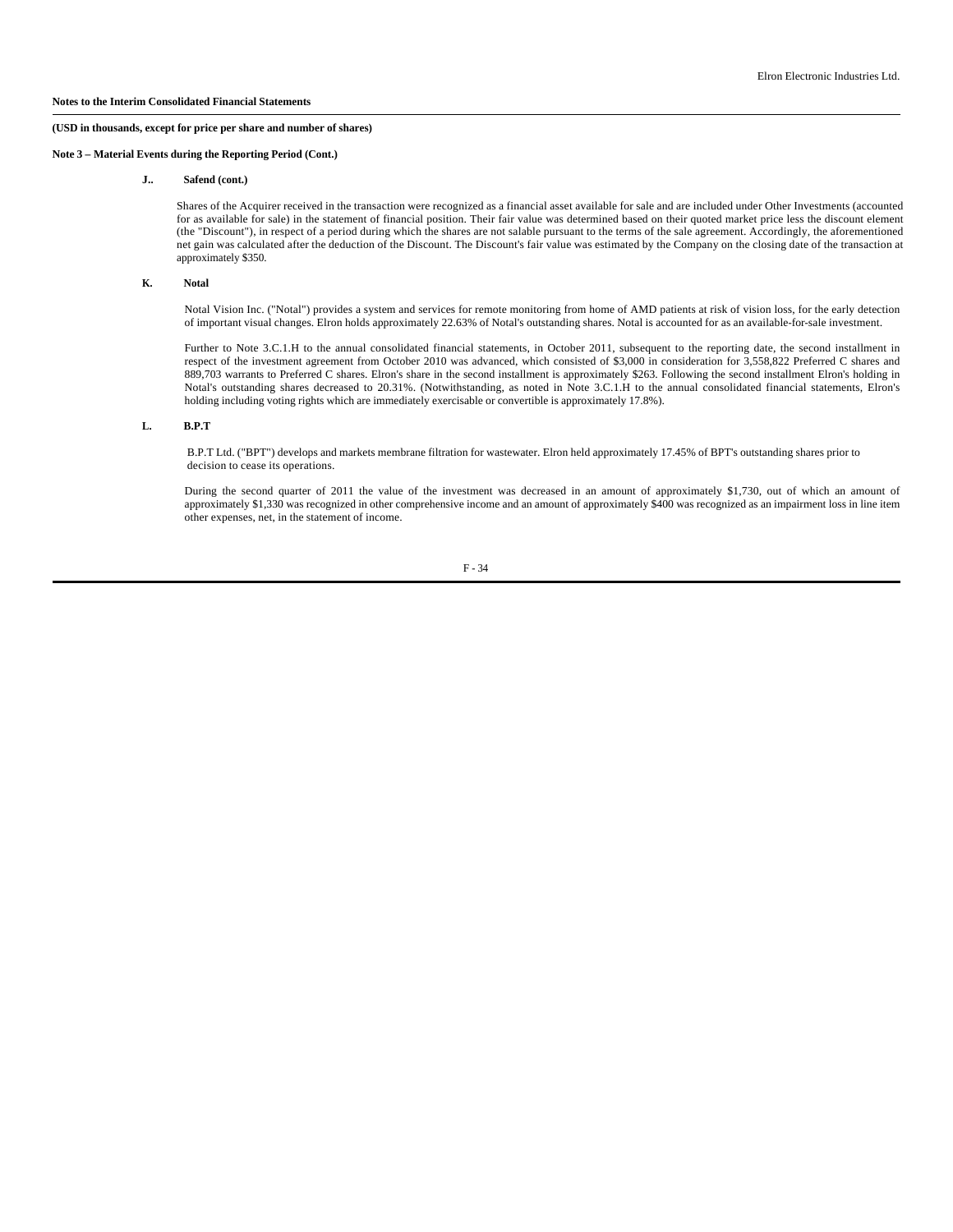**Note 3 – Material Events during the Reporting Period (Cont.)**

#### **J.. Safend (cont.)**

Shares of the Acquirer received in the transaction were recognized as a financial asset available for sale and are included under Other Investments (accounted for as available for sale) in the statement of financial position. Their fair value was determined based on their quoted market price less the discount element (the "Discount"), in respect of a period during which the shares are not salable pursuant to the terms of the sale agreement. Accordingly, the aforementioned net gain was calculated after the deduction of the Discount. The Discount's fair value was estimated by the Company on the closing date of the transaction at approximately \$350.

#### **K. Notal**

 Notal Vision Inc. ("Notal") provides a system and services for remote monitoring from home of AMD patients at risk of vision loss, for the early detection of important visual changes. Elron holds approximately 22.63% of Notal's outstanding shares. Notal is accounted for as an available-for-sale investment.

 Further to Note 3.C.1.H to the annual consolidated financial statements, in October 2011, subsequent to the reporting date, the second installment in respect of the investment agreement from October 2010 was advanced, which consisted of \$3,000 in consideration for 3,558,822 Preferred C shares and 889,703 warrants to Preferred C shares. Elron's share in the second installment is approximately \$263. Following the second installment Elron's holding in Notal's outstanding shares decreased to 20.31%. (Notwithstanding, as noted in Note 3.C.1.H to the annual consolidated financial statements, Elron's holding including voting rights which are immediately exercisable or convertible is approximately 17.8%).

# **L. B.P.T**

B.P.T Ltd. ("BPT") develops and markets membrane filtration for wastewater. Elron held approximately 17.45% of BPT's outstanding shares prior to decision to cease its operations.

 During the second quarter of 2011 the value of the investment was decreased in an amount of approximately \$1,730, out of which an amount of approximately \$1,330 was recognized in other comprehensive income and an amount of approximately \$400 was recognized as an impairment loss in line item other expenses, net, in the statement of income.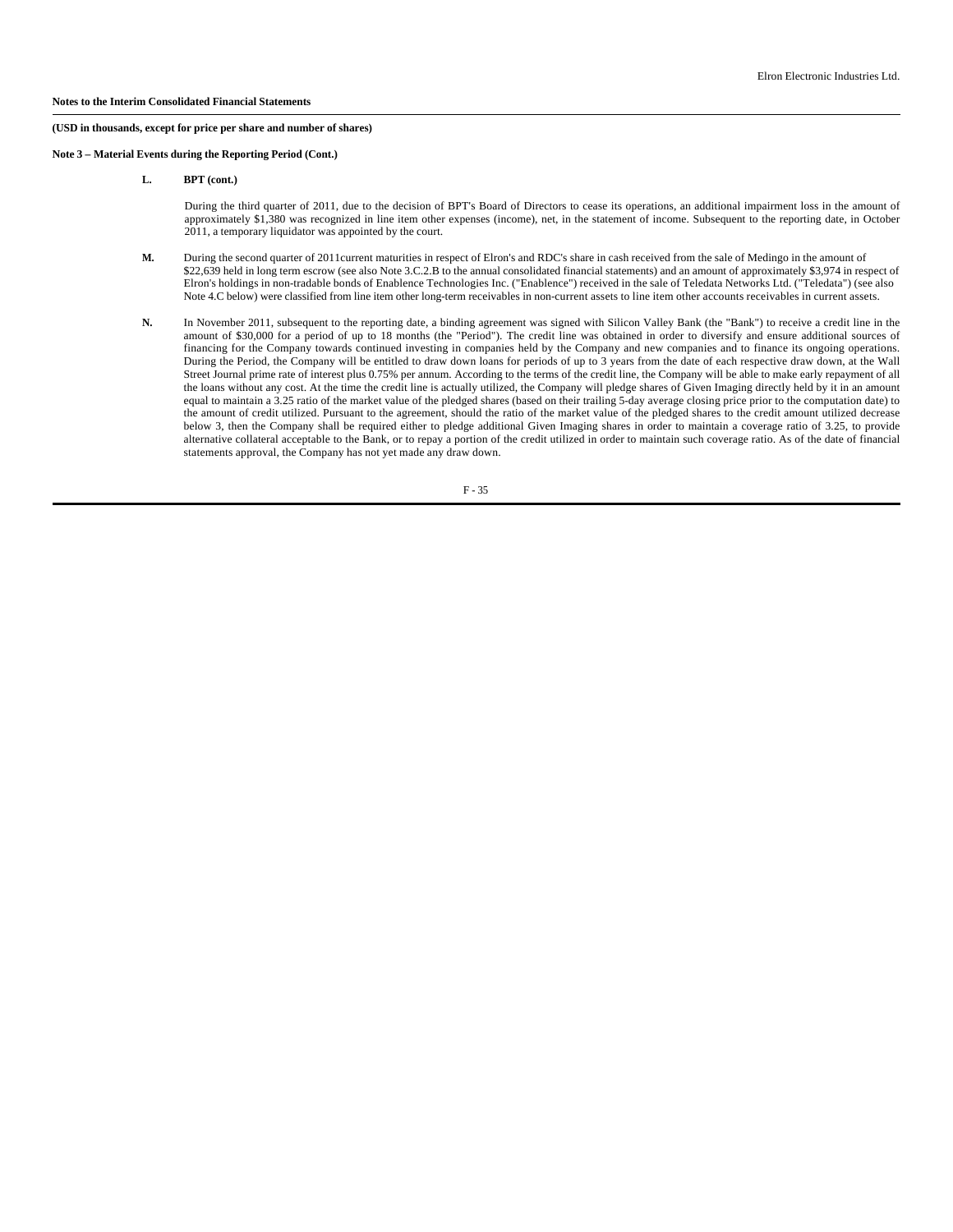**Note 3 – Material Events during the Reporting Period (Cont.)**

**L. BPT (cont.)**

 During the third quarter of 2011, due to the decision of BPT's Board of Directors to cease its operations, an additional impairment loss in the amount of approximately \$1,380 was recognized in line item other expenses (income), net, in the statement of income. Subsequent to the reporting date, in October 2011, a temporary liquidator was appointed by the court.

- **M.** During the second quarter of 2011current maturities in respect of Elron's and RDC's share in cash received from the sale of Medingo in the amount of \$22,639 held in long term escrow (see also Note 3.C.2.B to the annual consolidated financial statements) and an amount of approximately \$3,974 in respect of Elron's holdings in non-tradable bonds of Enablence Technologies Inc. ("Enablence") received in the sale of Teledata Networks Ltd. ("Teledata") (see also Note 4.C below) were classified from line item other long-term receivables in non-current assets to line item other accounts receivables in current assets.
- **N.** In November 2011, subsequent to the reporting date, a binding agreement was signed with Silicon Valley Bank (the "Bank") to receive a credit line in the amount of \$30,000 for a period of up to 18 months (the "Period"). The credit line was obtained in order to diversify and ensure additional sources of financing for the Company towards continued investing in companies held by the Company and new companies and to finance its ongoing operations. During the Period, the Company will be entitled to draw down loans for periods of up to 3 years from the date of each respective draw down, at the Wall Street Journal prime rate of interest plus 0.75% per annum. According to the terms of the credit line, the Company will be able to make early repayment of all the loans without any cost. At the time the credit line is actually utilized, the Company will pledge shares of Given Imaging directly held by it in an amount equal to maintain a 3.25 ratio of the market value of the pledged shares (based on their trailing 5-day average closing price prior to the computation date) to the amount of credit utilized. Pursuant to the agreement, should the ratio of the market value of the pledged shares to the credit amount utilized decrease below 3, then the Company shall be required either to pledge additional Given Imaging shares in order to maintain a coverage ratio of 3.25, to provide alternative collateral acceptable to the Bank, or to repay a portion of the credit utilized in order to maintain such coverage ratio. As of the date of financial statements approval, the Company has not yet made any draw down.

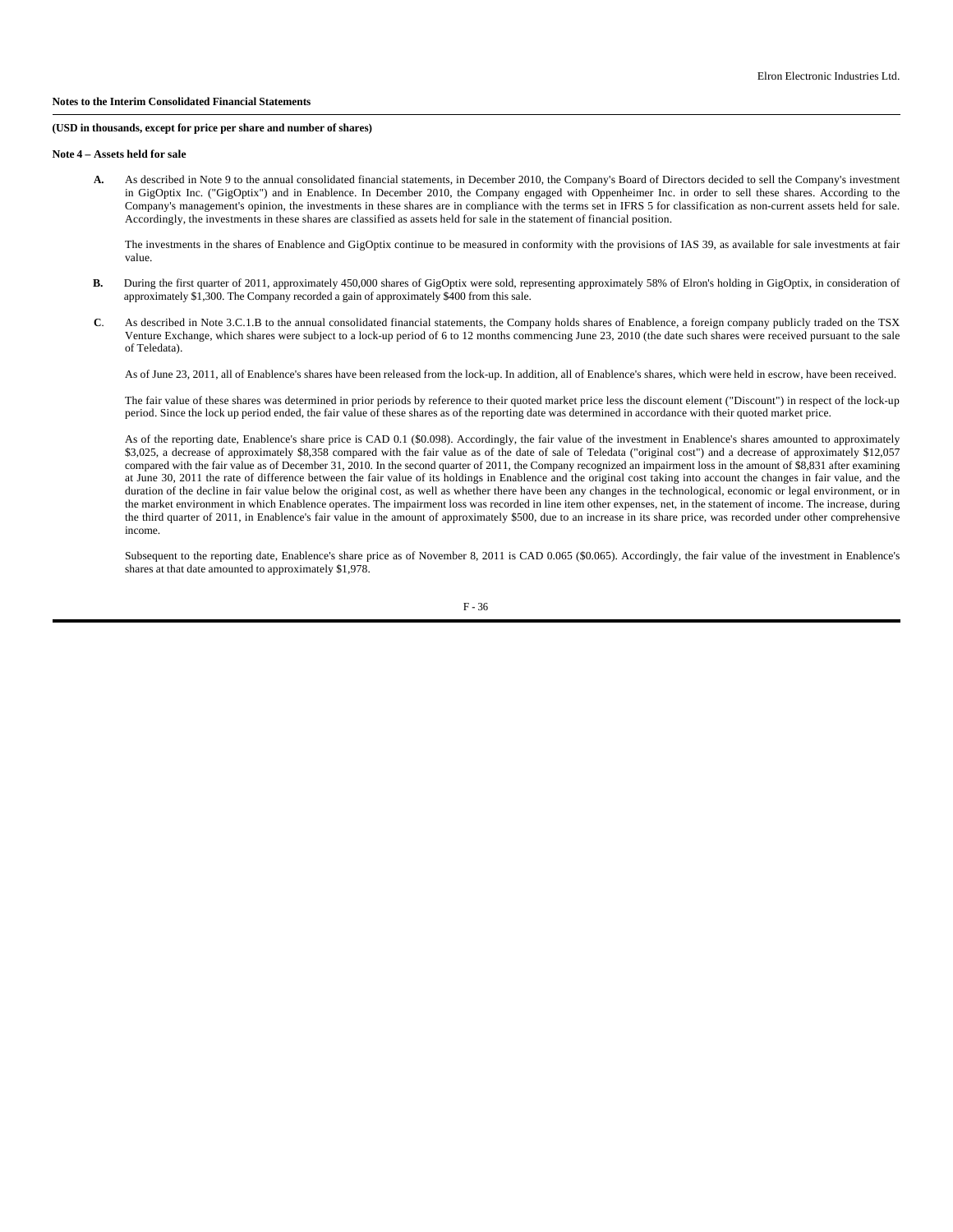#### **(USD in thousands, except for price per share and number of shares)**

#### **Note 4 – Assets held for sale**

 **A.** As described in Note 9 to the annual consolidated financial statements, in December 2010, the Company's Board of Directors decided to sell the Company's investment in GigOptix Inc. ("GigOptix") and in Enablence. In December 2010, the Company engaged with Oppenheimer Inc. in order to sell these shares. According to the Company's management's opinion, the investments in these shares are in compliance with the terms set in IFRS 5 for classification as non-current assets held for sale. Accordingly, the investments in these shares are classified as assets held for sale in the statement of financial position.

The investments in the shares of Enablence and GigOptix continue to be measured in conformity with the provisions of IAS 39, as available for sale investments at fair value.

- B. During the first quarter of 2011, approximately 450,000 shares of GigOptix were sold, representing approximately 58% of Elron's holding in GigOptix, in consideration of approximately \$1,300. The Company recorded a gain of approximately \$400 from this sale.
- **C**. As described in Note 3.C.1.B to the annual consolidated financial statements, the Company holds shares of Enablence, a foreign company publicly traded on the TSX Venture Exchange, which shares were subject to a lock-up period of 6 to 12 months commencing June 23, 2010 (the date such shares were received pursuant to the sale of Teledata).

As of June 23, 2011, all of Enablence's shares have been released from the lock-up. In addition, all of Enablence's shares, which were held in escrow, have been received.

The fair value of these shares was determined in prior periods by reference to their quoted market price less the discount element ("Discount") in respect of the lock-up period. Since the lock up period ended, the fair value of these shares as of the reporting date was determined in accordance with their quoted market price.

As of the reporting date, Enablence's share price is CAD 0.1 (\$0.098). Accordingly, the fair value of the investment in Enablence's shares amounted to approximately \$3,025, a decrease of approximately \$8,358 compared with the fair value as of the date of sale of Teledata ("original cost") and a decrease of approximately \$12,057 compared with the fair value as of December 31, 2010. In the second quarter of 2011, the Company recognized an impairment loss in the amount of \$8,831 after examining at June 30, 2011 the rate of difference between the fair value of its holdings in Enablence and the original cost taking into account the changes in fair value, and the duration of the decline in fair value below the original cost, as well as whether there have been any changes in the technological, economic or legal environment, or in the market environment in which Enablence operates. The impairment loss was recorded in line item other expenses, net, in the statement of income. The increase, during the third quarter of 2011, in Enablence's fair value in the amount of approximately \$500, due to an increase in its share price, was recorded under other comprehensive income.

Subsequent to the reporting date, Enablence's share price as of November 8, 2011 is CAD 0.065 (\$0.065). Accordingly, the fair value of the investment in Enablence's shares at that date amounted to approximately \$1,978.

F - 36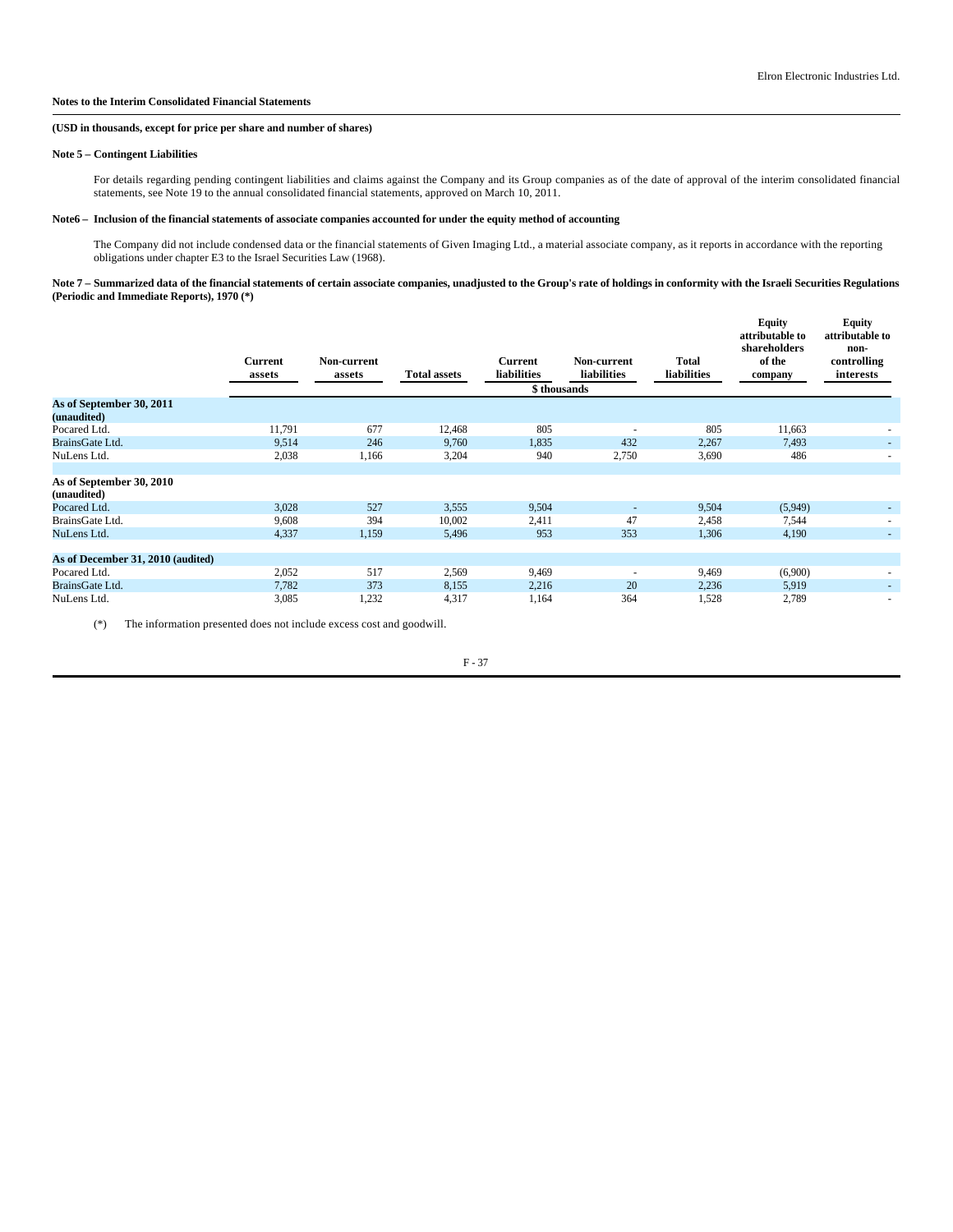#### **(USD in thousands, except for price per share and number of shares)**

### **Note 5 – Contingent Liabilities**

For details regarding pending contingent liabilities and claims against the Company and its Group companies as of the date of approval of the interim consolidated financial statements, see Note 19 to the annual consolidated financial statements, approved on March 10, 2011.

## **Note6 – Inclusion of the financial statements of associate companies accounted for under the equity method of accounting**

The Company did not include condensed data or the financial statements of Given Imaging Ltd., a material associate company, as it reports in accordance with the reporting obligations under chapter E3 to the Israel Securities Law (1968).

#### Note 7 – Summarized data of the financial statements of certain associate companies, unadjusted to the Group's rate of holdings in conformity with the Israeli Securities Regulations **(Periodic and Immediate Reports), 1970 (\*)**

|                                         | Current<br>assets | Non-current<br>assets | <b>Total assets</b> | <b>Current</b><br><b>liabilities</b> | Non-current<br><b>liabilities</b> | Total<br>liabilities | <b>Equity</b><br>attributable to<br>shareholders<br>of the<br>company | <b>Equity</b><br>attributable to<br>non-<br>controlling<br>interests |
|-----------------------------------------|-------------------|-----------------------|---------------------|--------------------------------------|-----------------------------------|----------------------|-----------------------------------------------------------------------|----------------------------------------------------------------------|
|                                         |                   |                       |                     | \$thousands                          |                                   |                      |                                                                       |                                                                      |
| As of September 30, 2011<br>(unaudited) |                   |                       |                     |                                      |                                   |                      |                                                                       |                                                                      |
| Pocared Ltd.                            | 11,791            | 677                   | 12,468              | 805                                  | ٠                                 | 805                  | 11,663                                                                | $\sim$                                                               |
| BrainsGate Ltd.                         | 9,514             | 246                   | 9,760               | 1,835                                | 432                               | 2,267                | 7,493                                                                 | $\sim$                                                               |
| NuLens Ltd.                             | 2,038             | 1,166                 | 3,204               | 940                                  | 2,750                             | 3,690                | 486                                                                   | $\overline{\phantom{a}}$                                             |
|                                         |                   |                       |                     |                                      |                                   |                      |                                                                       |                                                                      |
| As of September 30, 2010<br>(unaudited) |                   |                       |                     |                                      |                                   |                      |                                                                       |                                                                      |
| Pocared Ltd.                            | 3,028             | 527                   | 3,555               | 9.504                                |                                   | 9,504                | (5,949)                                                               | ۰.                                                                   |
| BrainsGate Ltd.                         | 9,608             | 394                   | 10,002              | 2,411                                | 47                                | 2,458                | 7,544                                                                 | $\overline{\phantom{a}}$                                             |
| NuLens Ltd.                             | 4,337             | 1,159                 | 5,496               | 953                                  | 353                               | 1,306                | 4,190                                                                 | $\sim$                                                               |
|                                         |                   |                       |                     |                                      |                                   |                      |                                                                       |                                                                      |
| As of December 31, 2010 (audited)       |                   |                       |                     |                                      |                                   |                      |                                                                       |                                                                      |
| Pocared Ltd.                            | 2,052             | 517                   | 2,569               | 9,469                                | $\overline{\phantom{a}}$          | 9,469                | (6,900)                                                               | ٠                                                                    |
| BrainsGate Ltd.                         | 7,782             | 373                   | 8,155               | 2,216                                | 20                                | 2,236                | 5,919                                                                 | $\sim$                                                               |
| NuLens Ltd.                             | 3,085             | 1,232                 | 4,317               | 1,164                                | 364                               | 1,528                | 2,789                                                                 | -                                                                    |

(\*) The information presented does not include excess cost and goodwill.

F - 37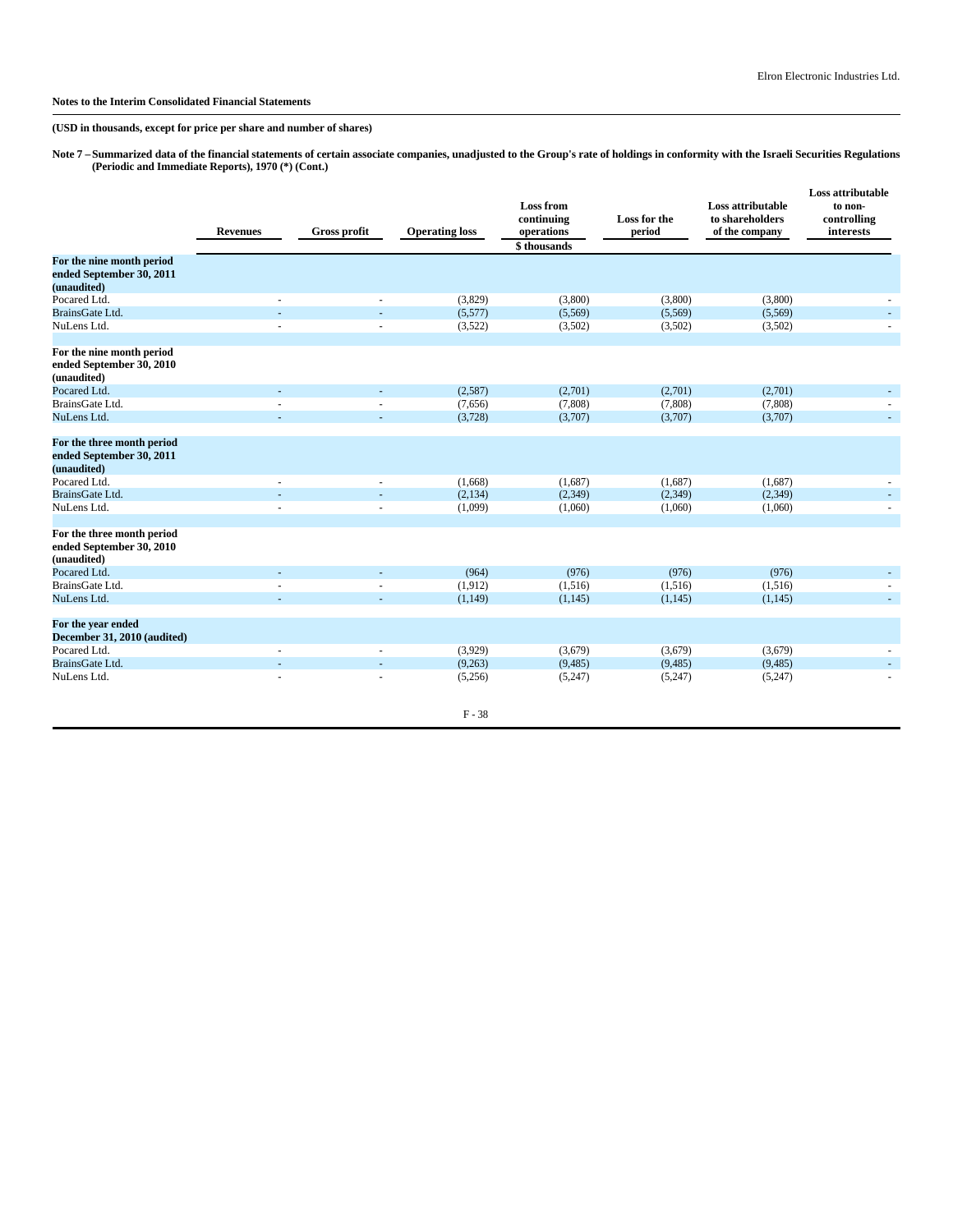**(USD in thousands, except for price per share and number of shares)**

**Note 7 –Summarized data of the financial statements of certain associate companies, unadjusted to the Group's rate of holdings in conformity with the Israeli Securities Regulations (Periodic and Immediate Reports), 1970 (\*) (Cont.)**

|                                                                       | <b>Revenues</b> | <b>Gross profit</b> | <b>Operating loss</b> | <b>Loss from</b><br>continuing<br>operations<br>\$thousands | Loss for the<br>period | Loss attributable<br>to shareholders<br>of the company | Loss attributable<br>to non-<br>controlling<br>interests |
|-----------------------------------------------------------------------|-----------------|---------------------|-----------------------|-------------------------------------------------------------|------------------------|--------------------------------------------------------|----------------------------------------------------------|
| For the nine month period<br>ended September 30, 2011<br>(unaudited)  |                 |                     |                       |                                                             |                        |                                                        |                                                          |
| Pocared Ltd.                                                          |                 |                     | (3,829)               | (3,800)                                                     | (3,800)                | (3,800)                                                |                                                          |
| BrainsGate Ltd.                                                       |                 |                     | (5,577)               | (5,569)                                                     | (5,569)                | (5,569)                                                |                                                          |
| NuLens Ltd.                                                           |                 |                     | (3,522)               | (3,502)                                                     | (3,502)                | (3,502)                                                |                                                          |
| For the nine month period<br>ended September 30, 2010<br>(unaudited)  |                 |                     |                       |                                                             |                        |                                                        |                                                          |
| Pocared Ltd.                                                          |                 |                     | (2,587)               | (2,701)                                                     | (2,701)                | (2,701)                                                |                                                          |
| BrainsGate Ltd.                                                       |                 |                     | (7,656)               | (7,808)                                                     | (7,808)                | (7,808)                                                |                                                          |
| NuLens Ltd.                                                           |                 |                     | (3,728)               | (3,707)                                                     | (3,707)                | (3,707)                                                |                                                          |
| For the three month period<br>ended September 30, 2011<br>(unaudited) |                 |                     |                       |                                                             |                        |                                                        |                                                          |
| Pocared Ltd.                                                          |                 |                     | (1,668)               | (1,687)                                                     | (1,687)                | (1,687)                                                |                                                          |
| BrainsGate Ltd.                                                       |                 |                     | (2, 134)              | (2,349)                                                     | (2,349)                | (2,349)                                                |                                                          |
| NuLens Ltd.                                                           |                 |                     | (1,099)               | (1,060)                                                     | (1,060)                | (1,060)                                                |                                                          |
| For the three month period<br>ended September 30, 2010<br>(unaudited) |                 |                     |                       |                                                             |                        |                                                        |                                                          |
| Pocared Ltd.                                                          |                 |                     | (964)                 | (976)                                                       | (976)                  | (976)                                                  |                                                          |
| BrainsGate Ltd.                                                       |                 |                     | (1,912)               | (1,516)                                                     | (1,516)                | (1,516)                                                |                                                          |
| NuLens Ltd.                                                           | ÷.              |                     | (1, 149)              | (1,145)                                                     | (1, 145)               | (1, 145)                                               |                                                          |
| For the year ended<br>December 31, 2010 (audited)                     |                 |                     |                       |                                                             |                        |                                                        |                                                          |
| Pocared Ltd.                                                          |                 |                     | (3,929)               | (3,679)                                                     | (3,679)                | (3,679)                                                |                                                          |
| BrainsGate Ltd.                                                       |                 |                     | (9,263)               | (9, 485)                                                    | (9, 485)               | (9, 485)                                               |                                                          |
| NuLens Ltd.                                                           |                 |                     | (5,256)               | (5,247)                                                     | (5,247)                | (5,247)                                                |                                                          |
|                                                                       |                 |                     | $F - 38$              |                                                             |                        |                                                        |                                                          |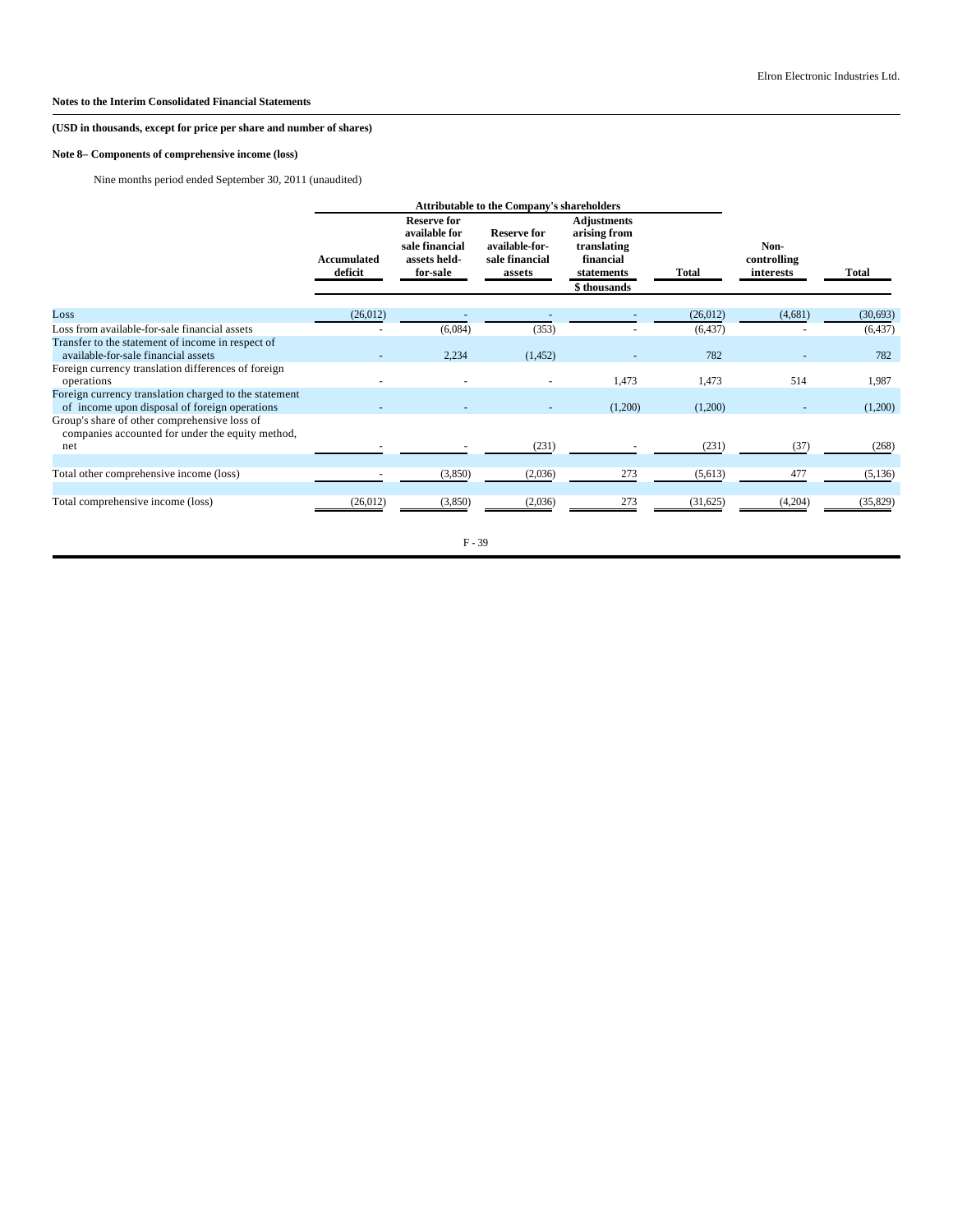# **Note 8– Components of comprehensive income (loss)**

Nine months period ended September 30, 2011 (unaudited)

|                                                                                                        |                        | <b>Attributable to the Company's shareholders</b>                                 |                                                                  |                                                                                             |          |                                  |              |
|--------------------------------------------------------------------------------------------------------|------------------------|-----------------------------------------------------------------------------------|------------------------------------------------------------------|---------------------------------------------------------------------------------------------|----------|----------------------------------|--------------|
|                                                                                                        | Accumulated<br>deficit | <b>Reserve for</b><br>available for<br>sale financial<br>assets held-<br>for-sale | <b>Reserve for</b><br>available-for-<br>sale financial<br>assets | <b>Adjustments</b><br>arising from<br>translating<br>financial<br>statements<br>\$thousands | Total    | Non-<br>controlling<br>interests | <b>Total</b> |
| Loss                                                                                                   | (26,012)               |                                                                                   |                                                                  |                                                                                             | (26,012) | (4,681)                          | (30,693)     |
| Loss from available-for-sale financial assets                                                          |                        | (6,084)                                                                           | (353)                                                            |                                                                                             | (6, 437) |                                  | (6, 437)     |
| Transfer to the statement of income in respect of<br>available-for-sale financial assets               |                        | 2,234                                                                             | (1, 452)                                                         |                                                                                             | 782      |                                  | 782          |
| Foreign currency translation differences of foreign<br>operations                                      |                        |                                                                                   |                                                                  | 1,473                                                                                       | 1,473    | 514                              | 1,987        |
| Foreign currency translation charged to the statement<br>of income upon disposal of foreign operations |                        |                                                                                   |                                                                  | (1,200)                                                                                     | (1,200)  |                                  | (1,200)      |
| Group's share of other comprehensive loss of<br>companies accounted for under the equity method,       |                        |                                                                                   |                                                                  |                                                                                             |          |                                  |              |
| net                                                                                                    |                        |                                                                                   | (231)                                                            |                                                                                             | (231)    | (37)                             | (268)        |
| Total other comprehensive income (loss)                                                                |                        | (3,850)                                                                           | (2,036)                                                          | 273                                                                                         | (5,613)  | 477                              | (5, 136)     |
| Total comprehensive income (loss)                                                                      | (26, 012)              | (3,850)                                                                           | (2,036)                                                          | 273                                                                                         | (31,625) | (4,204)                          | (35,829)     |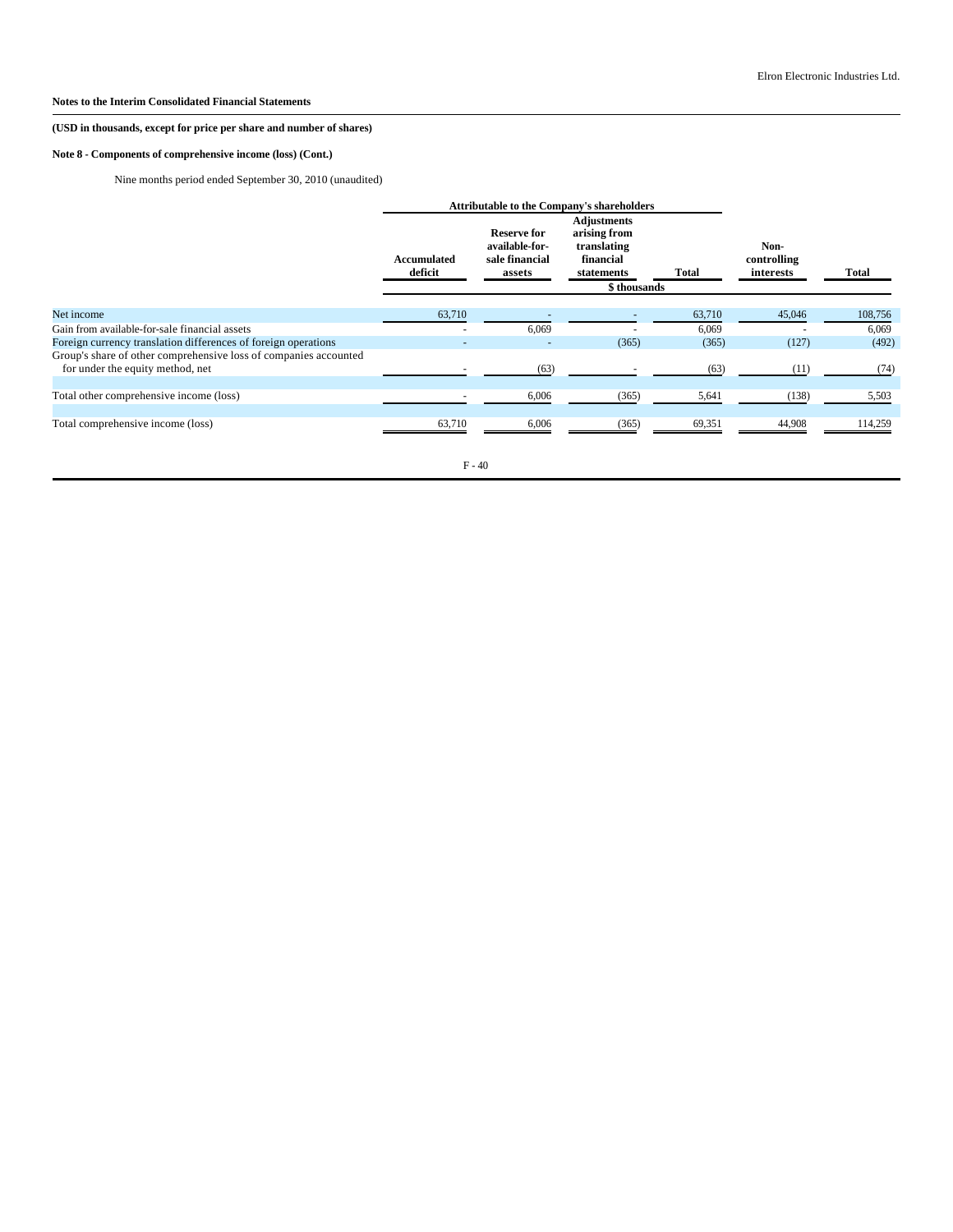# **(USD in thousands, except for price per share and number of shares)**

# **Note 8 - Components of comprehensive income (loss) (Cont.)**

Nine months period ended September 30, 2010 (unaudited)

|                                                                                                      |                          | <b>Attributable to the Company's shareholders</b>                |                                                                                              |        |                                  |         |
|------------------------------------------------------------------------------------------------------|--------------------------|------------------------------------------------------------------|----------------------------------------------------------------------------------------------|--------|----------------------------------|---------|
|                                                                                                      | Accumulated<br>deficit   | <b>Reserve for</b><br>available-for-<br>sale financial<br>assets | <b>Adjustments</b><br>arising from<br>translating<br>financial<br>statements<br>\$ thousands | Total  | Non-<br>controlling<br>interests | Total   |
| Net income                                                                                           | 63,710                   |                                                                  |                                                                                              | 63,710 | 45,046                           | 108,756 |
| Gain from available-for-sale financial assets                                                        | $\overline{\phantom{a}}$ | 6,069                                                            |                                                                                              | 6,069  |                                  | 6,069   |
| Foreign currency translation differences of foreign operations                                       |                          |                                                                  | (365)                                                                                        | (365)  | (127)                            | (492)   |
| Group's share of other comprehensive loss of companies accounted<br>for under the equity method, net |                          | (63)                                                             |                                                                                              | (63)   | (11)                             | (74)    |
| Total other comprehensive income (loss)                                                              |                          | 6,006                                                            | (365)                                                                                        | 5,641  | (138)                            | 5,503   |
| Total comprehensive income (loss)                                                                    | 63,710                   | 6,006                                                            | (365)                                                                                        | 69,351 | 44,908                           | 114,259 |

F - 40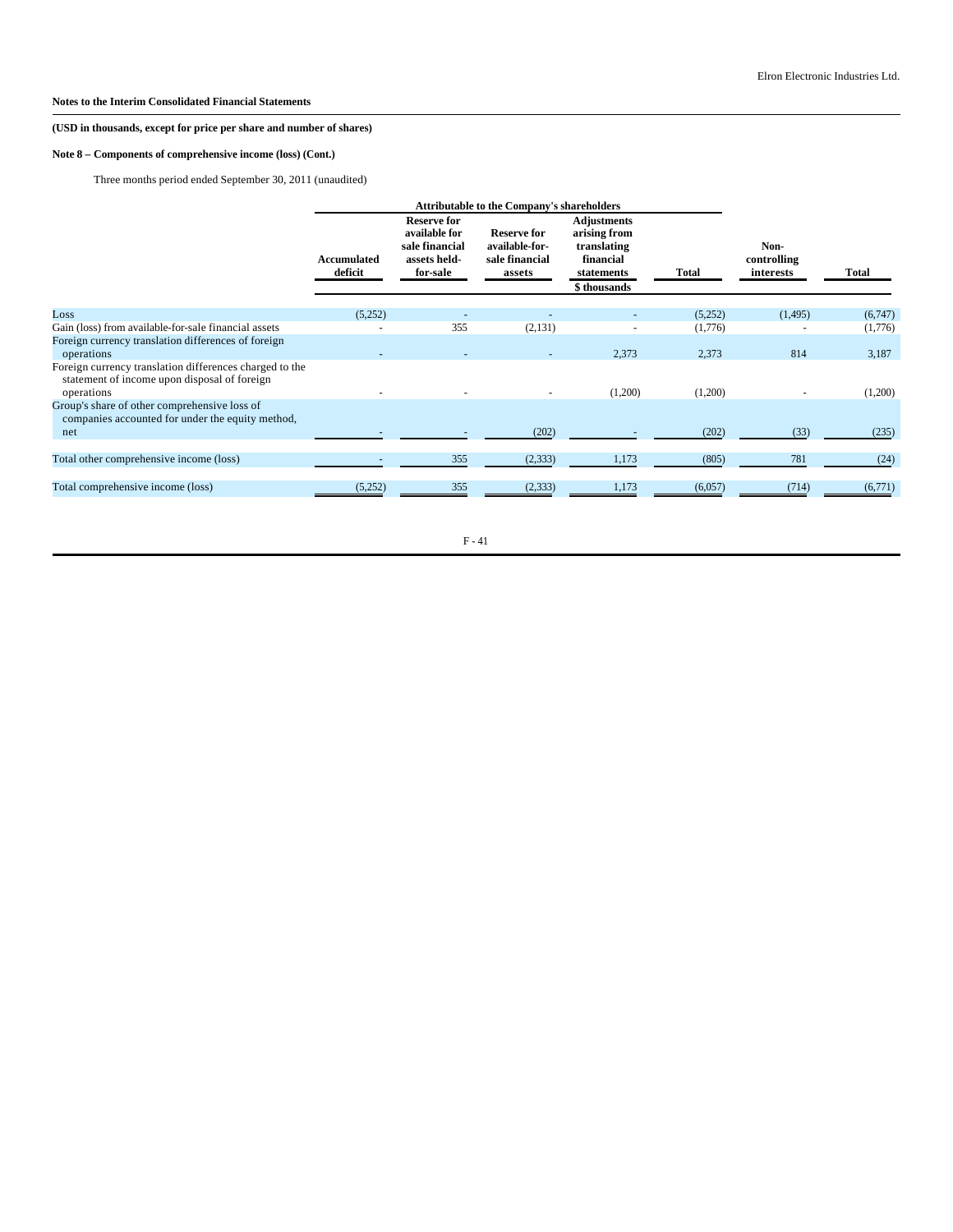# **(USD in thousands, except for price per share and number of shares)**

# **Note 8 – Components of comprehensive income (loss) (Cont.)**

Three months period ended September 30, 2011 (unaudited)

|                                                                                                                       |                        | <b>Attributable to the Company's shareholders</b>                                 |                                                                  |                                                                                             |         |                                  |              |
|-----------------------------------------------------------------------------------------------------------------------|------------------------|-----------------------------------------------------------------------------------|------------------------------------------------------------------|---------------------------------------------------------------------------------------------|---------|----------------------------------|--------------|
|                                                                                                                       | Accumulated<br>deficit | <b>Reserve for</b><br>available for<br>sale financial<br>assets held-<br>for-sale | <b>Reserve for</b><br>available-for-<br>sale financial<br>assets | <b>Adjustments</b><br>arising from<br>translating<br>financial<br>statements<br>\$thousands | Total   | Non-<br>controlling<br>interests | <b>Total</b> |
| Loss                                                                                                                  | (5,252)                |                                                                                   |                                                                  |                                                                                             | (5,252) | (1, 495)                         | (6,747)      |
| Gain (loss) from available-for-sale financial assets                                                                  |                        | 355                                                                               | (2,131)                                                          |                                                                                             | (1,776) |                                  | (1,776)      |
| Foreign currency translation differences of foreign<br>operations                                                     |                        |                                                                                   |                                                                  | 2,373                                                                                       | 2,373   | 814                              | 3,187        |
| Foreign currency translation differences charged to the<br>statement of income upon disposal of foreign<br>operations |                        |                                                                                   |                                                                  | (1,200)                                                                                     | (1,200) |                                  | (1,200)      |
| Group's share of other comprehensive loss of<br>companies accounted for under the equity method,                      |                        |                                                                                   |                                                                  |                                                                                             |         |                                  |              |
| net                                                                                                                   |                        |                                                                                   | (202)                                                            |                                                                                             | (202)   | (33)                             | (235)        |
|                                                                                                                       |                        |                                                                                   |                                                                  |                                                                                             |         |                                  |              |
| Total other comprehensive income (loss)                                                                               |                        | 355                                                                               | (2, 333)                                                         | 1,173                                                                                       | (805)   | 781                              | (24)         |
| Total comprehensive income (loss)                                                                                     | (5,252)                | 355                                                                               | (2, 333)                                                         | 1,173                                                                                       | (6,057) | (714)                            | (6,771)      |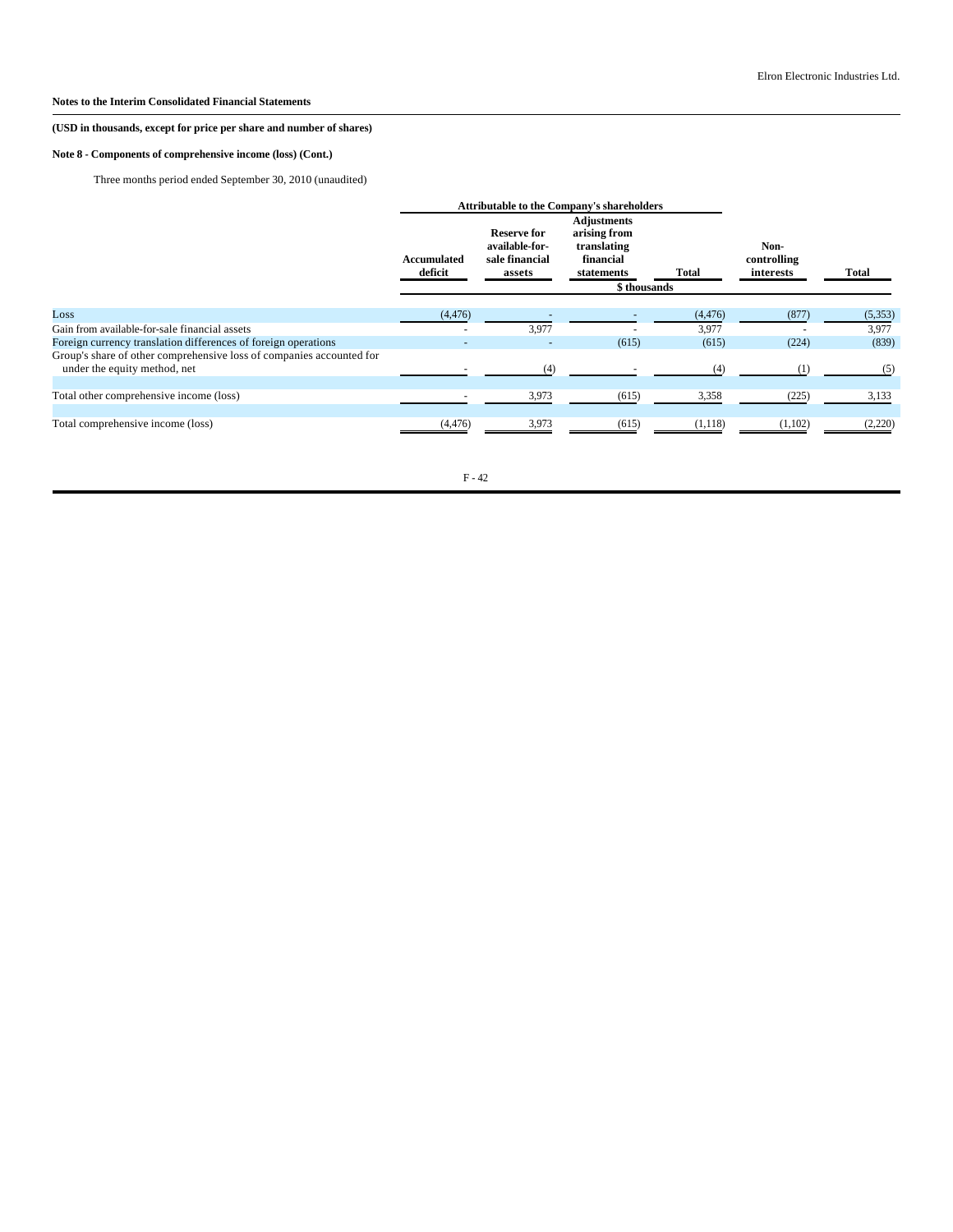# **(USD in thousands, except for price per share and number of shares)**

# **Note 8 - Components of comprehensive income (loss) (Cont.)**

Three months period ended September 30, 2010 (unaudited)

|                                                                                                      | <b>Attributable to the Company's shareholders</b> |                                                                  |                                                                                             |          |                                  |          |
|------------------------------------------------------------------------------------------------------|---------------------------------------------------|------------------------------------------------------------------|---------------------------------------------------------------------------------------------|----------|----------------------------------|----------|
|                                                                                                      | Accumulated<br>deficit                            | <b>Reserve for</b><br>available-for-<br>sale financial<br>assets | <b>Adjustments</b><br>arising from<br>translating<br>financial<br>statements<br>\$thousands | Total    | Non-<br>controlling<br>interests | Total    |
| Loss                                                                                                 | (4, 476)                                          |                                                                  |                                                                                             | (4, 476) | (877)                            | (5, 353) |
| Gain from available-for-sale financial assets                                                        |                                                   | 3,977                                                            |                                                                                             | 3,977    |                                  | 3,977    |
| Foreign currency translation differences of foreign operations                                       |                                                   |                                                                  | (615)                                                                                       | (615)    | (224)                            | (839)    |
| Group's share of other comprehensive loss of companies accounted for<br>under the equity method, net |                                                   | (4)                                                              |                                                                                             | (4)      | (1)                              | (5)      |
|                                                                                                      |                                                   |                                                                  |                                                                                             |          |                                  |          |
| Total other comprehensive income (loss)                                                              |                                                   | 3,973                                                            | (615)                                                                                       | 3,358    | (225)                            | 3,133    |
| Total comprehensive income (loss)                                                                    | (4, 476)                                          | 3,973                                                            | (615)                                                                                       | (1,118)  | (1,102)                          | (2,220)  |

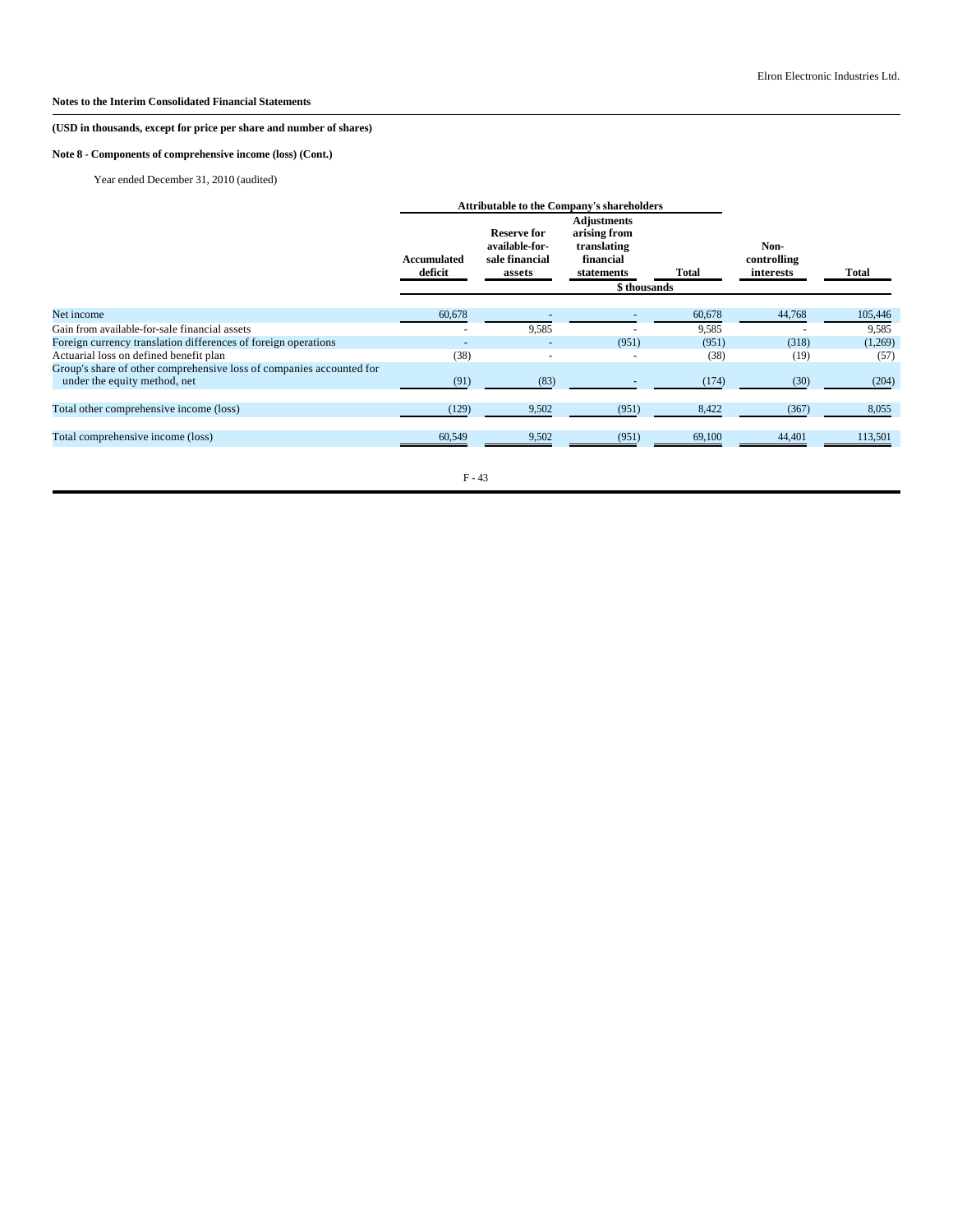# **(USD in thousands, except for price per share and number of shares)**

# **Note 8 - Components of comprehensive income (loss) (Cont.)**

Year ended December 31, 2010 (audited)

|                                                                      |                        | <b>Attributable to the Company's shareholders</b>                |                                                                              |        |                                  |         |
|----------------------------------------------------------------------|------------------------|------------------------------------------------------------------|------------------------------------------------------------------------------|--------|----------------------------------|---------|
|                                                                      | Accumulated<br>deficit | <b>Reserve for</b><br>available-for-<br>sale financial<br>assets | <b>Adjustments</b><br>arising from<br>translating<br>financial<br>statements | Total  | Non-<br>controlling<br>interests | Total   |
|                                                                      |                        |                                                                  | \$thousands                                                                  |        |                                  |         |
| Net income                                                           | 60,678                 |                                                                  |                                                                              | 60,678 | 44,768                           | 105,446 |
| Gain from available-for-sale financial assets                        |                        | 9,585                                                            |                                                                              | 9,585  |                                  | 9,585   |
| Foreign currency translation differences of foreign operations       |                        |                                                                  | (951)                                                                        | (951)  | (318)                            | (1,269) |
| Actuarial loss on defined benefit plan                               | (38)                   |                                                                  |                                                                              | (38)   | (19)                             | (57)    |
| Group's share of other comprehensive loss of companies accounted for |                        |                                                                  |                                                                              |        |                                  |         |
| under the equity method, net                                         | (91)                   | (83)                                                             |                                                                              | (174)  | (30)                             | (204)   |
| Total other comprehensive income (loss)                              | (129)                  | 9,502                                                            | (951)                                                                        | 8,422  | (367)                            | 8,055   |
| Total comprehensive income (loss)                                    | 60,549                 | 9,502                                                            | (951)                                                                        | 69,100 | 44,401                           | 113,501 |
|                                                                      |                        |                                                                  |                                                                              |        |                                  |         |

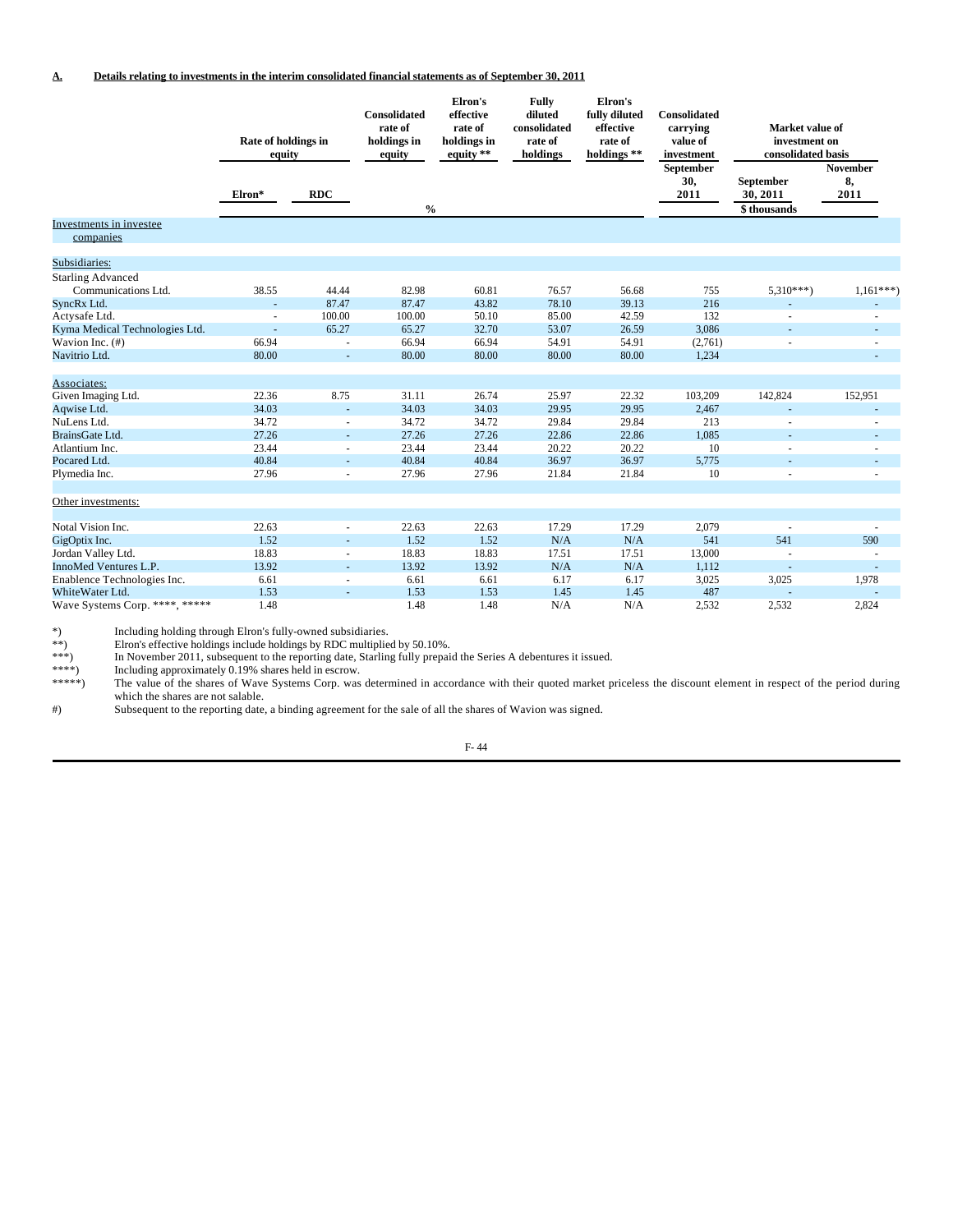|                                      | Rate of holdings in<br>equity |                | Consolidated<br>rate of<br>holdings in<br>equity | Elron's<br>effective<br>rate of<br>holdings in<br>equity $**$ | <b>Fully</b><br>diluted<br>consolidated<br>rate of<br>holdings | Elron's<br>fully diluted<br>effective<br>rate of<br>holdings ** | Consolidated<br>carrying<br>value of<br>investment | Market value of<br>investment on<br>consolidated basis |                               |
|--------------------------------------|-------------------------------|----------------|--------------------------------------------------|---------------------------------------------------------------|----------------------------------------------------------------|-----------------------------------------------------------------|----------------------------------------------------|--------------------------------------------------------|-------------------------------|
|                                      | Elron*                        | <b>RDC</b>     | $\frac{0}{0}$                                    |                                                               |                                                                |                                                                 | September<br>30,<br>2011                           | September<br>30, 2011<br>\$thousands                   | <b>November</b><br>8,<br>2011 |
| Investments in investee<br>companies |                               |                |                                                  |                                                               |                                                                |                                                                 |                                                    |                                                        |                               |
| Subsidiaries:                        |                               |                |                                                  |                                                               |                                                                |                                                                 |                                                    |                                                        |                               |
| <b>Starling Advanced</b>             |                               |                |                                                  |                                                               |                                                                |                                                                 |                                                    |                                                        |                               |
| Communications Ltd.                  | 38.55                         | 44.44          | 82.98                                            | 60.81                                                         | 76.57                                                          | 56.68                                                           | 755                                                | $5,310***$                                             | $1,161***$                    |
| SyncRx Ltd.                          | ÷.                            | 87.47          | 87.47                                            | 43.82                                                         | 78.10                                                          | 39.13                                                           | 216                                                |                                                        |                               |
| Actysafe Ltd.                        | $\overline{a}$                | 100.00         | 100.00                                           | 50.10                                                         | 85.00                                                          | 42.59                                                           | 132                                                |                                                        |                               |
| Kyma Medical Technologies Ltd.       | $\blacksquare$                | 65.27          | 65.27                                            | 32.70                                                         | 53.07                                                          | 26.59                                                           | 3,086                                              |                                                        |                               |
| Wavion Inc. (#)                      | 66.94                         |                | 66.94                                            | 66.94                                                         | 54.91                                                          | 54.91                                                           | (2,761)                                            |                                                        |                               |
| Navitrio Ltd.                        | 80.00                         | $\blacksquare$ | 80.00                                            | 80.00                                                         | 80.00                                                          | 80.00                                                           | 1,234                                              |                                                        |                               |
| Associates:                          |                               |                |                                                  |                                                               |                                                                |                                                                 |                                                    |                                                        |                               |
| Given Imaging Ltd.                   | 22.36                         | 8.75           | 31.11                                            | 26.74                                                         | 25.97                                                          | 22.32                                                           | 103,209                                            | 142,824                                                | 152,951                       |
| Aqwise Ltd.                          | 34.03                         |                | 34.03                                            | 34.03                                                         | 29.95                                                          | 29.95                                                           | 2,467                                              |                                                        |                               |
| NuLens Ltd.                          | 34.72                         |                | 34.72                                            | 34.72                                                         | 29.84                                                          | 29.84                                                           | 213                                                |                                                        |                               |
| BrainsGate Ltd.                      | 27.26                         |                | 27.26                                            | 27.26                                                         | 22.86                                                          | 22.86                                                           | 1,085                                              | ä,                                                     | $\overline{a}$                |
| Atlantium Inc.                       | 23.44                         |                | 23.44                                            | 23.44                                                         | 20.22                                                          | 20.22                                                           | 10                                                 |                                                        |                               |
| Pocared Ltd.                         | 40.84                         |                | 40.84                                            | 40.84                                                         | 36.97                                                          | 36.97                                                           | 5,775                                              |                                                        |                               |
| Plymedia Inc.                        | 27.96                         |                | 27.96                                            | 27.96                                                         | 21.84                                                          | 21.84                                                           | 10                                                 |                                                        |                               |
| Other investments:                   |                               |                |                                                  |                                                               |                                                                |                                                                 |                                                    |                                                        |                               |
| Notal Vision Inc.                    | 22.63                         |                | 22.63                                            | 22.63                                                         | 17.29                                                          | 17.29                                                           | 2,079                                              |                                                        |                               |
| GigOptix Inc.                        | 1.52                          |                | 1.52                                             | 1.52                                                          | N/A                                                            | N/A                                                             | 541                                                | 541                                                    | 590                           |
| Jordan Valley Ltd.                   | 18.83                         |                | 18.83                                            | 18.83                                                         | 17.51                                                          | 17.51                                                           | 13,000                                             | $\overline{a}$                                         |                               |
| InnoMed Ventures L.P.                | 13.92                         |                | 13.92                                            | 13.92                                                         | N/A                                                            | N/A                                                             | 1,112                                              |                                                        |                               |
| Enablence Technologies Inc.          | 6.61                          |                | 6.61                                             | 6.61                                                          | 6.17                                                           | 6.17                                                            | 3,025                                              | 3,025                                                  | 1,978                         |
| White Water Ltd.                     | 1.53                          |                | 1.53                                             | 1.53                                                          | 1.45                                                           | 1.45                                                            | 487                                                |                                                        |                               |
| Wave Systems Corp. ****, *****       | 1.48                          |                | 1.48                                             | 1.48                                                          | N/A                                                            | N/A                                                             | 2.532                                              | 2,532                                                  | 2.824                         |

Elron's effective holdings include holdings by RDC multiplied by 50.10%.

\*) Including holding through Elron's fully-owned subsidiaries.<br>
\*\*) Elron's effective holdings include holdings by RDC multiplie<br>
\*\*\*) In November 2011, subsequent to the reporting date, Starlin \*\*\*) In November 2011, subsequent to the reporting date, Starling fully prepaid the Series A debentures it issued.

\*\*\*\*) Including approximately 0.19% shares held in escrow.

\*\*\*\*\*) The value of the shares of Wave Systems Corp. was determined in accordance with their quoted market priceless the discount element in respect of the period during which the shares are not salable.

#) Subsequent to the reporting date, a binding agreement for the sale of all the shares of Wavion was signed.

F- 44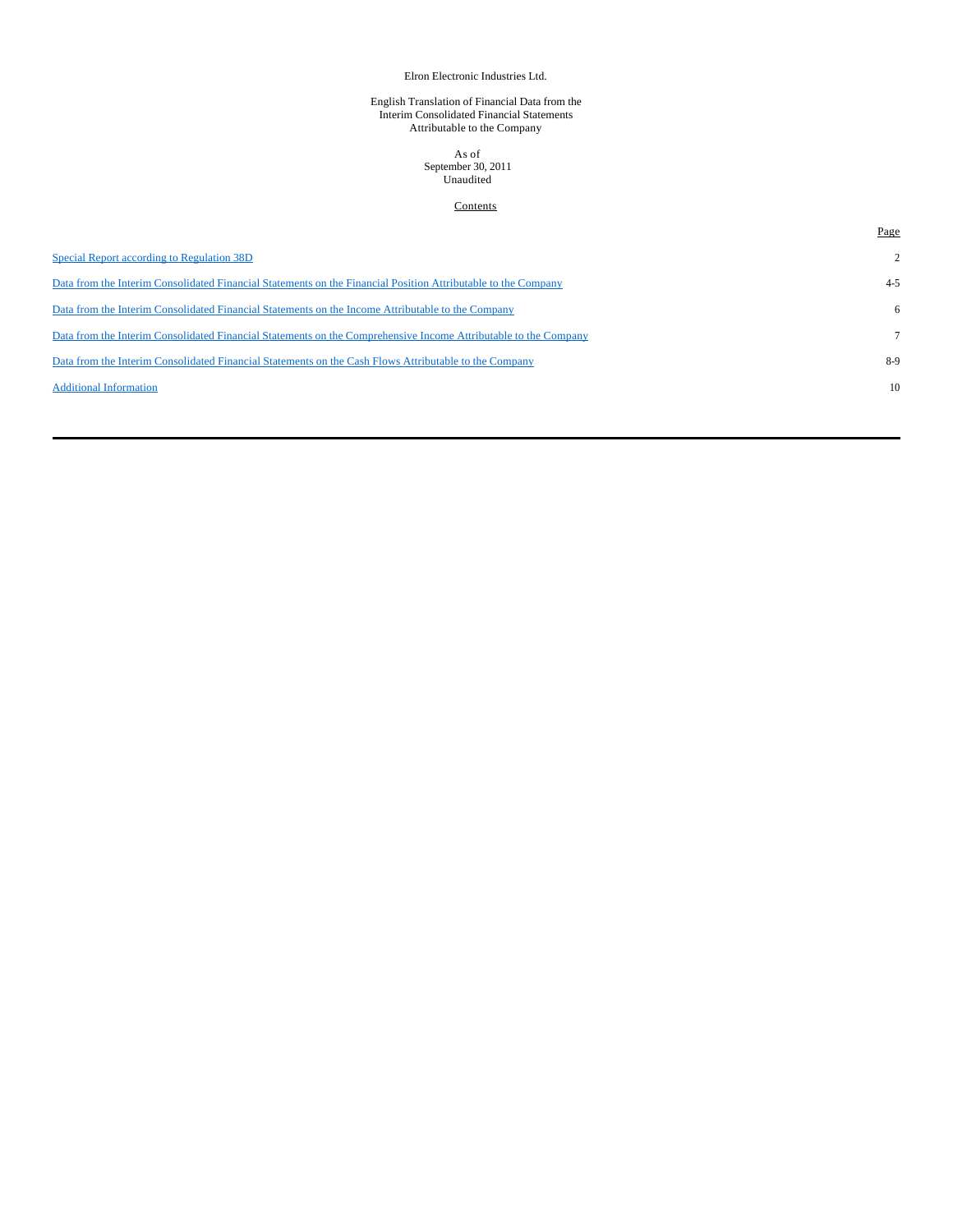## Elron Electronic Industries Ltd.

#### English Translation of Financial Data from the Interim Consolidated Financial Statements Attributable to the Company

#### As of September 30, 2011 Unaudited

# **Contents**

|                                                                                                                 | Page           |
|-----------------------------------------------------------------------------------------------------------------|----------------|
| Special Report according to Regulation 38D                                                                      | $\overline{2}$ |
| Data from the Interim Consolidated Financial Statements on the Financial Position Attributable to the Company   | $4 - 5$        |
| Data from the Interim Consolidated Financial Statements on the Income Attributable to the Company               | 6              |
| Data from the Interim Consolidated Financial Statements on the Comprehensive Income Attributable to the Company |                |
| Data from the Interim Consolidated Financial Statements on the Cash Flows Attributable to the Company           | $8-9$          |
| <b>Additional Information</b>                                                                                   | 10             |
|                                                                                                                 |                |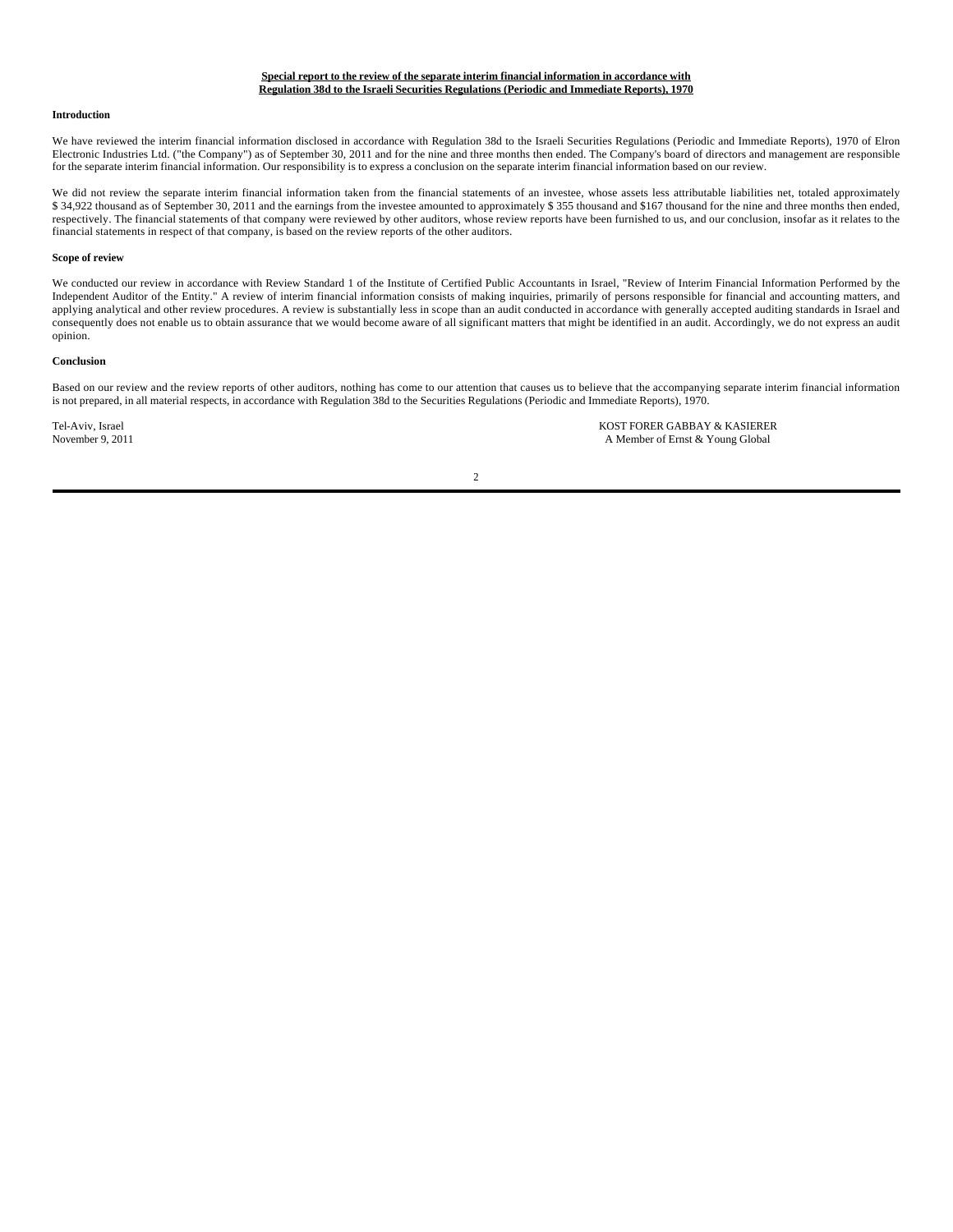### **Special report to the review of the separate interim financial information in accordance with Regulation 38d to the Israeli Securities Regulations (Periodic and Immediate Reports), 1970**

#### **Introduction**

We have reviewed the interim financial information disclosed in accordance with Regulation 38d to the Israeli Securities Regulations (Periodic and Immediate Reports), 1970 of Elron Electronic Industries Ltd. ("the Company") as of September 30, 2011 and for the nine and three months then ended. The Company's board of directors and management are responsible for the separate interim financial information. Our responsibility is to express a conclusion on the separate interim financial information based on our review.

We did not review the separate interim financial information taken from the financial statements of an investee, whose assets less attributable liabilities net, totaled approximately \$ 34,922 thousand as of September 30, 2011 and the earnings from the investee amounted to approximately \$ 355 thousand and \$167 thousand for the nine and three months then ended, respectively. The financial statements of that company were reviewed by other auditors, whose review reports have been furnished to us, and our conclusion, insofar as it relates to the financial statements in respect of that company, is based on the review reports of the other auditors.

#### **Scope of review**

We conducted our review in accordance with Review Standard 1 of the Institute of Certified Public Accountants in Israel, "Review of Interim Financial Information Performed by the Independent Auditor of the Entity." A review of interim financial information consists of making inquiries, primarily of persons responsible for financial and accounting matters, and applying analytical and other review procedures. A review is substantially less in scope than an audit conducted in accordance with generally accepted auditing standards in Israel and consequently does not enable us to obtain assurance that we would become aware of all significant matters that might be identified in an audit. Accordingly, we do not express an audit opinion.

#### **Conclusion**

Based on our review and the review reports of other auditors, nothing has come to our attention that causes us to believe that the accompanying separate interim financial information is not prepared, in all material respects, in accordance with Regulation 38d to the Securities Regulations (Periodic and Immediate Reports), 1970.

Tel-Aviv, Israel **KOST FORER GABBAY & KASIERER**<br>November 9, 2011 **A Member of Ernst & Young Global** A Member of Ernst & Young Global

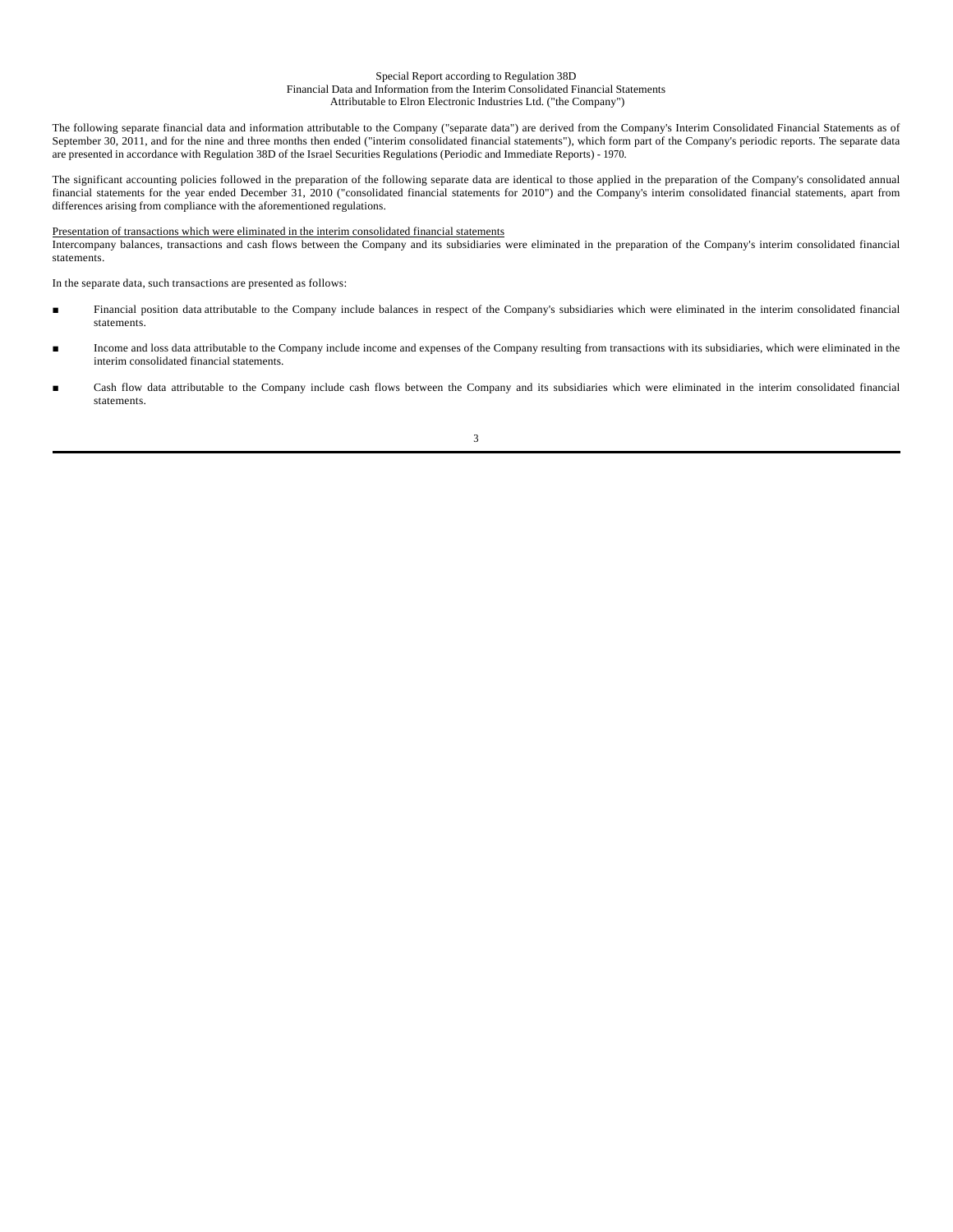#### Special Report according to Regulation 38D Financial Data and Information from the Interim Consolidated Financial Statements Attributable to Elron Electronic Industries Ltd. ("the Company")

The following separate financial data and information attributable to the Company ("separate data") are derived from the Company's Interim Consolidated Financial Statements as of September 30, 2011, and for the nine and three months then ended ("interim consolidated financial statements"), which form part of the Company's periodic reports. The separate data are presented in accordance with Regulation 38D of the Israel Securities Regulations (Periodic and Immediate Reports) - 1970.

The significant accounting policies followed in the preparation of the following separate data are identical to those applied in the preparation of the Company's consolidated annual financial statements for the year ended December 31, 2010 ("consolidated financial statements for 2010") and the Company's interim consolidated financial statements, apart from differences arising from compliance with the aforementioned regulations.

## Presentation of transactions which were eliminated in the interim consolidated financial statements

Intercompany balances, transactions and cash flows between the Company and its subsidiaries were eliminated in the preparation of the Company's interim consolidated financial statements.

In the separate data, such transactions are presented as follows:

- Financial position data attributable to the Company include balances in respect of the Company's subsidiaries which were eliminated in the interim consolidated financial statements.
- Income and loss data attributable to the Company include income and expenses of the Company resulting from transactions with its subsidiaries, which were eliminated in the interim consolidated financial statements.
- Cash flow data attributable to the Company include cash flows between the Company and its subsidiaries which were eliminated in the interim consolidated financial statements.

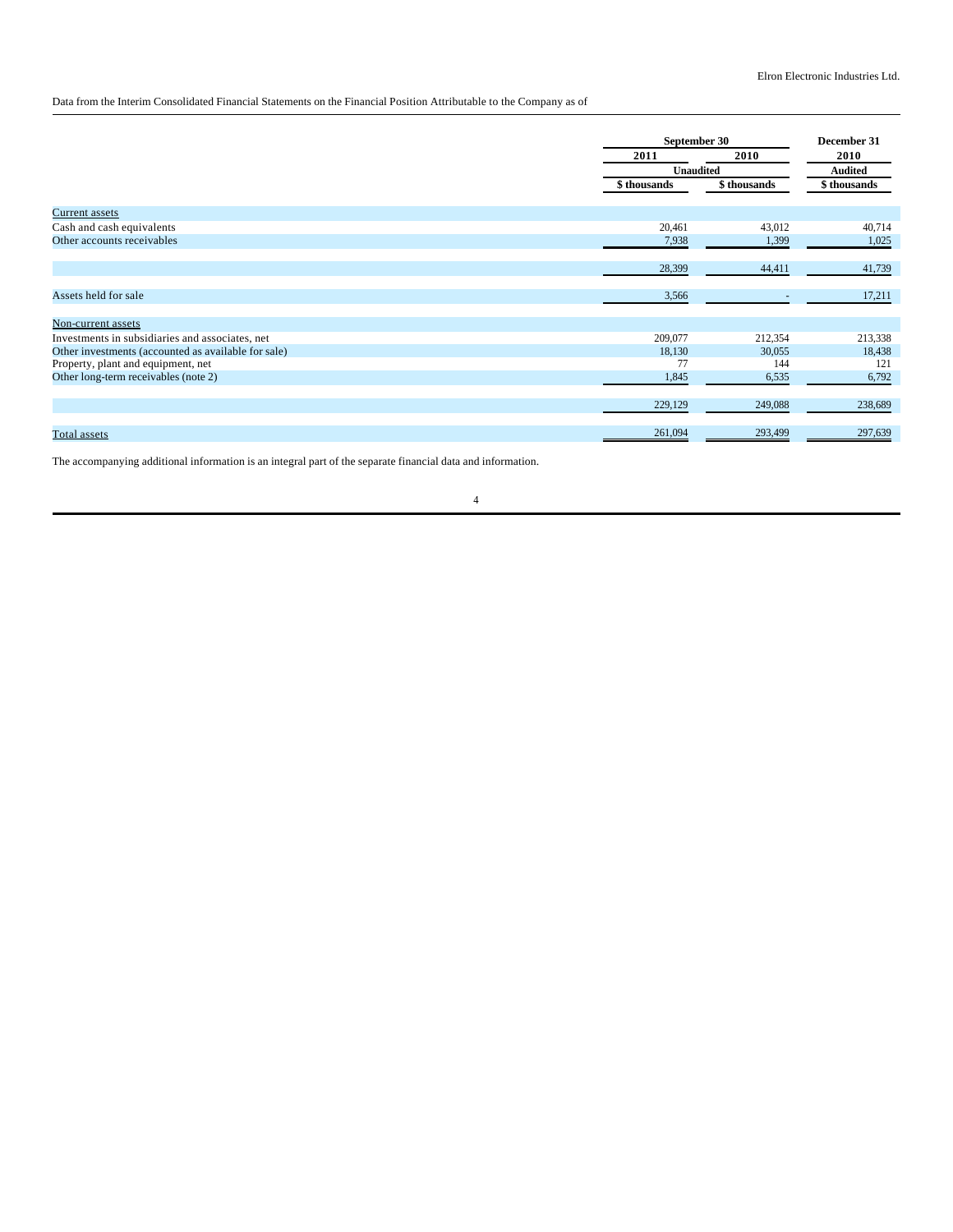# Data from the Interim Consolidated Financial Statements on the Financial Position Attributable to the Company as of

|                                                     | September 30     | December 31 |                |
|-----------------------------------------------------|------------------|-------------|----------------|
|                                                     | 2011             | 2010        | 2010           |
|                                                     | <b>Unaudited</b> |             | <b>Audited</b> |
|                                                     | \$thousands      | \$thousands | \$thousands    |
| Current assets                                      |                  |             |                |
| Cash and cash equivalents                           | 20,461           | 43,012      | 40,714         |
| Other accounts receivables                          | 7,938            | 1,399       | 1,025          |
|                                                     | 28,399           | 44,411      | 41,739         |
| Assets held for sale                                | 3,566            |             | 17,211         |
| Non-current assets                                  |                  |             |                |
| Investments in subsidiaries and associates, net     | 209,077          | 212,354     | 213,338        |
| Other investments (accounted as available for sale) | 18,130           | 30,055      | 18,438         |
| Property, plant and equipment, net                  | 77               | 144         | 121            |
| Other long-term receivables (note 2)                | 1,845            | 6,535       | 6,792          |
|                                                     | 229,129          | 249,088     | 238,689        |
| Total assets                                        | 261,094          | 293,499     | 297,639        |

The accompanying additional information is an integral part of the separate financial data and information.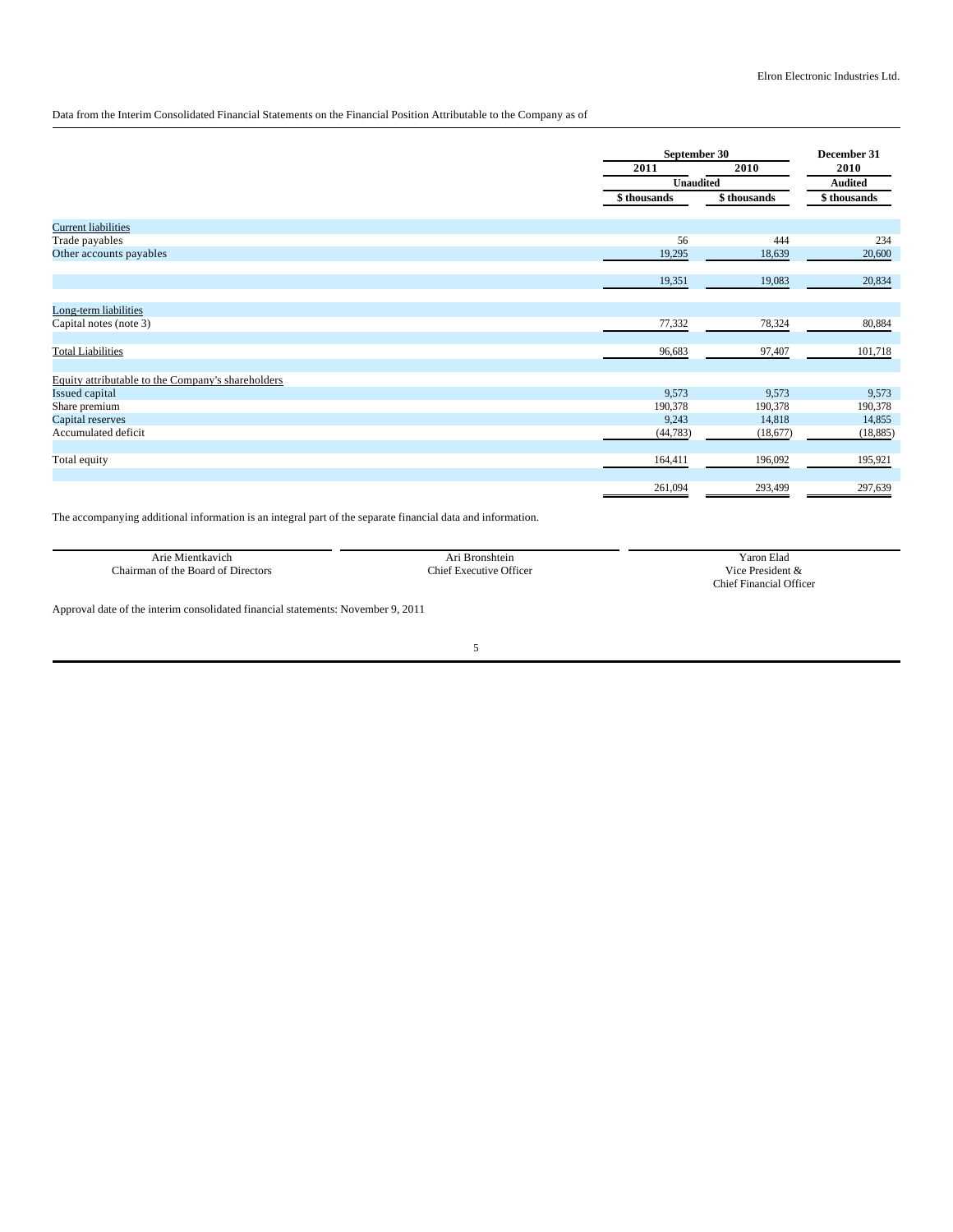## Data from the Interim Consolidated Financial Statements on the Financial Position Attributable to the Company as of

|                                                   |             | September 30     |             |  |
|---------------------------------------------------|-------------|------------------|-------------|--|
|                                                   | 2011        | 2010             | 2010        |  |
|                                                   |             | <b>Unaudited</b> |             |  |
|                                                   | \$thousands | \$thousands      | \$thousands |  |
| <b>Current liabilities</b>                        |             |                  |             |  |
| Trade payables                                    | 56          | 444              | 234         |  |
| Other accounts payables                           | 19,295      | 18,639           | 20,600      |  |
|                                                   | 19,351      | 19,083           | 20,834      |  |
| Long-term liabilities                             |             |                  |             |  |
| Capital notes (note 3)                            | 77,332      | 78,324           | 80,884      |  |
| <b>Total Liabilities</b>                          | 96,683      | 97,407           | 101,718     |  |
| Equity attributable to the Company's shareholders |             |                  |             |  |
| Issued capital                                    | 9,573       | 9,573            | 9,573       |  |
| Share premium                                     | 190,378     | 190,378          | 190,378     |  |
| Capital reserves                                  | 9,243       | 14,818           | 14,855      |  |
| Accumulated deficit                               | (44, 783)   | (18,677)         | (18, 885)   |  |
| Total equity                                      | 164,411     | 196,092          | 195,921     |  |
|                                                   | 261,094     | 293,499          | 297,639     |  |

The accompanying additional information is an integral part of the separate financial data and information.

| Arıe<br>Mientkavich                                       | <b>Bronshtein</b>                          | $\sim$<br>Yaron Elad                       |
|-----------------------------------------------------------|--------------------------------------------|--------------------------------------------|
| $\sim$<br>Board<br>of the<br>:hairman<br>Directors<br>ໍດາ | $^\circ$<br>:hiet<br><b>Executive</b><br>. | .<br>$\sim$<br>dont<br>√1с€<br>.           |
|                                                           |                                            | <sup>1</sup> Officer<br>Financial<br>:hief |

Approval date of the interim consolidated financial statements: November 9, 2011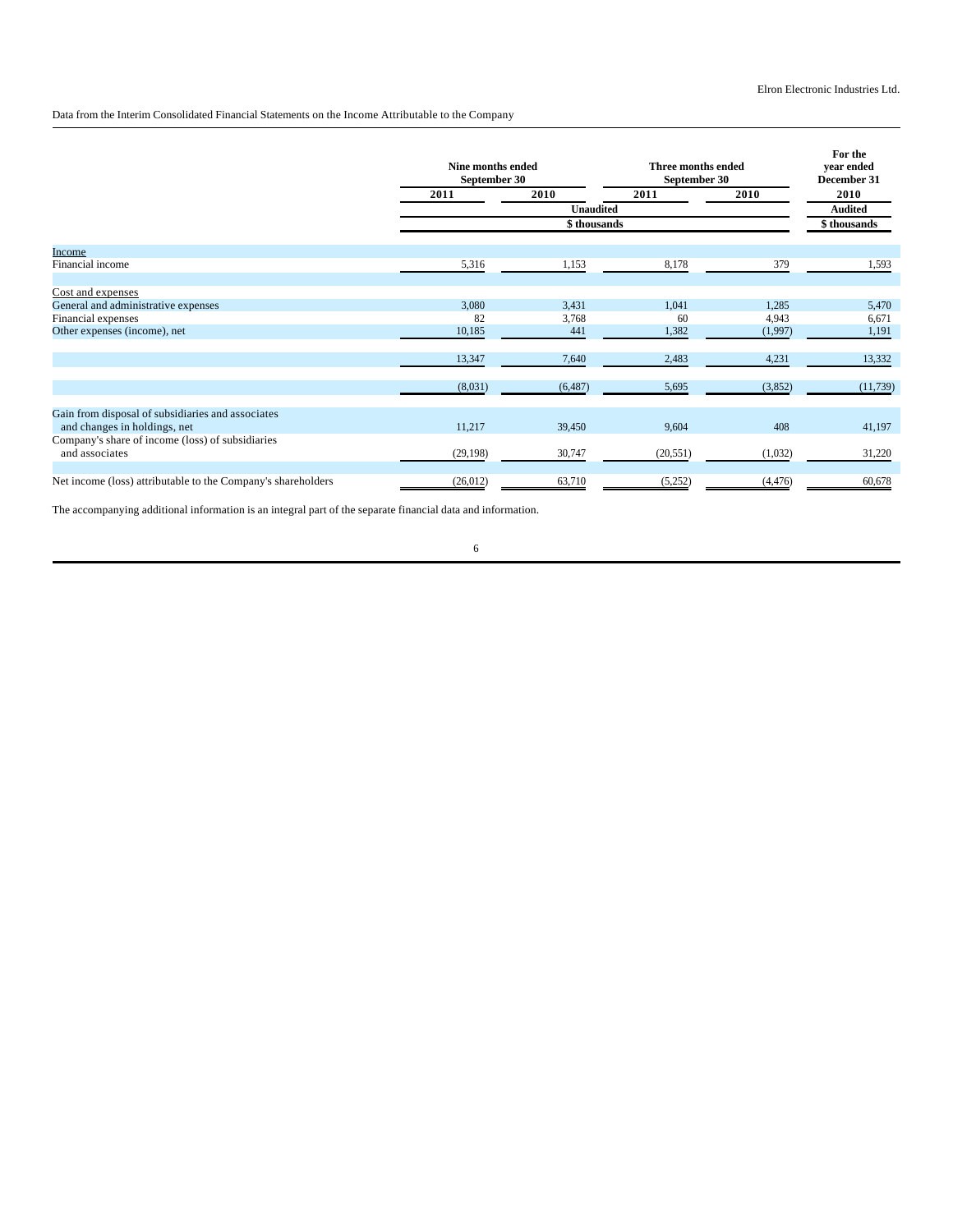## Data from the Interim Consolidated Financial Statements on the Income Attributable to the Company

|                                                                    | Nine months ended<br>September 30 |                  | Three months ended<br>September 30 |          | For the<br>vear ended<br>December 31 |
|--------------------------------------------------------------------|-----------------------------------|------------------|------------------------------------|----------|--------------------------------------|
|                                                                    | 2011                              | 2010             | 2011                               | 2010     | 2010                                 |
|                                                                    |                                   | <b>Unaudited</b> |                                    |          | <b>Audited</b>                       |
|                                                                    |                                   | \$thousands      |                                    |          | \$thousands                          |
| Income                                                             |                                   |                  |                                    |          |                                      |
| Financial income                                                   | 5,316                             | 1,153            | 8,178                              | 379      | 1,593                                |
| Cost and expenses                                                  |                                   |                  |                                    |          |                                      |
| General and administrative expenses                                | 3,080                             | 3,431            | 1,041                              | 1,285    | 5,470                                |
| Financial expenses                                                 | 82                                | 3,768            | 60                                 | 4,943    | 6,671                                |
| Other expenses (income), net                                       | 10,185                            | 441              | 1,382                              | (1,997)  | 1,191                                |
|                                                                    | 13,347                            | 7,640            | 2,483                              | 4,231    | 13,332                               |
|                                                                    | (8,031)                           | (6, 487)         | 5,695                              | (3,852)  | (11, 739)                            |
| Gain from disposal of subsidiaries and associates                  |                                   |                  |                                    |          |                                      |
| and changes in holdings, net                                       | 11,217                            | 39,450           | 9,604                              | 408      | 41,197                               |
| Company's share of income (loss) of subsidiaries<br>and associates | (29, 198)                         | 30,747           | (20, 551)                          | (1,032)  | 31,220                               |
|                                                                    |                                   |                  |                                    |          |                                      |
| Net income (loss) attributable to the Company's shareholders       | (26,012)                          | 63,710           | (5,252)                            | (4, 476) | 60,678                               |

The accompanying additional information is an integral part of the separate financial data and information.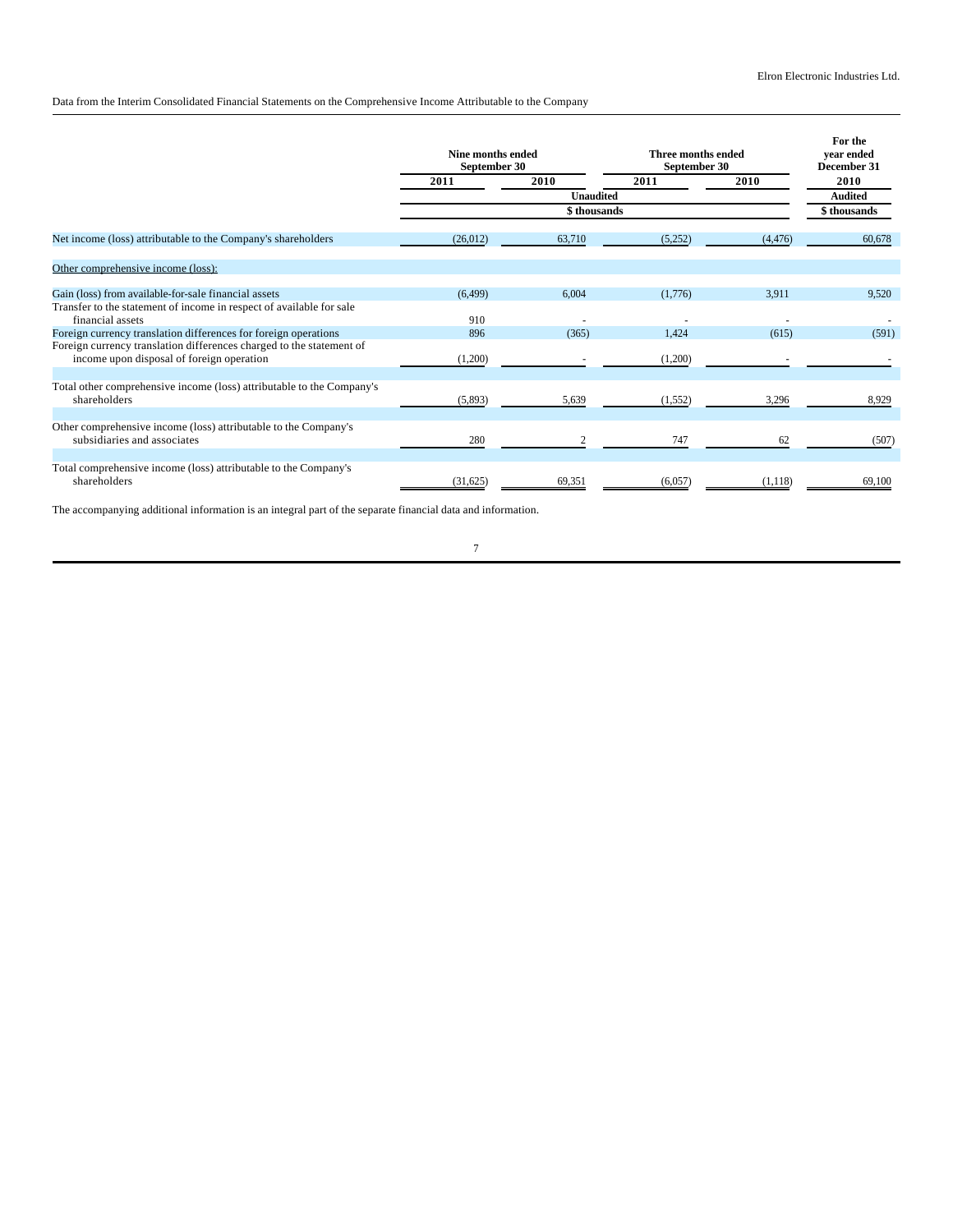Data from the Interim Consolidated Financial Statements on the Comprehensive Income Attributable to the Company

|                                                                                                                   | Nine months ended<br>September 30 |                  | Three months ended<br>September 30 |          | For the<br>vear ended<br>December 31 |  |
|-------------------------------------------------------------------------------------------------------------------|-----------------------------------|------------------|------------------------------------|----------|--------------------------------------|--|
|                                                                                                                   | 2011                              | 2010             | 2011                               | 2010     |                                      |  |
|                                                                                                                   |                                   | <b>Unaudited</b> |                                    |          | <b>Audited</b>                       |  |
|                                                                                                                   |                                   | \$thousands      |                                    |          | \$thousands                          |  |
| Net income (loss) attributable to the Company's shareholders                                                      | (26,012)                          | 63,710           | (5,252)                            | (4, 476) | 60.678                               |  |
| Other comprehensive income (loss):                                                                                |                                   |                  |                                    |          |                                      |  |
| Gain (loss) from available-for-sale financial assets                                                              | (6, 499)                          | 6,004            | (1,776)                            | 3,911    | 9.520                                |  |
| Transfer to the statement of income in respect of available for sale<br>financial assets                          | 910                               |                  |                                    |          |                                      |  |
| Foreign currency translation differences for foreign operations                                                   | 896                               | (365)            | 1,424                              | (615)    | (591)                                |  |
| Foreign currency translation differences charged to the statement of<br>income upon disposal of foreign operation | (1,200)                           |                  | (1,200)                            |          |                                      |  |
|                                                                                                                   |                                   |                  |                                    |          |                                      |  |
| Total other comprehensive income (loss) attributable to the Company's<br>shareholders                             | (5,893)                           | 5,639            | (1, 552)                           | 3,296    | 8,929                                |  |
| Other comprehensive income (loss) attributable to the Company's<br>subsidiaries and associates                    | 280                               |                  | 747                                | 62       | (507)                                |  |
|                                                                                                                   |                                   |                  |                                    |          |                                      |  |
| Total comprehensive income (loss) attributable to the Company's<br>shareholders                                   | (31,625)                          | 69,351           | (6,057)                            | (1,118)  | 69,100                               |  |

The accompanying additional information is an integral part of the separate financial data and information.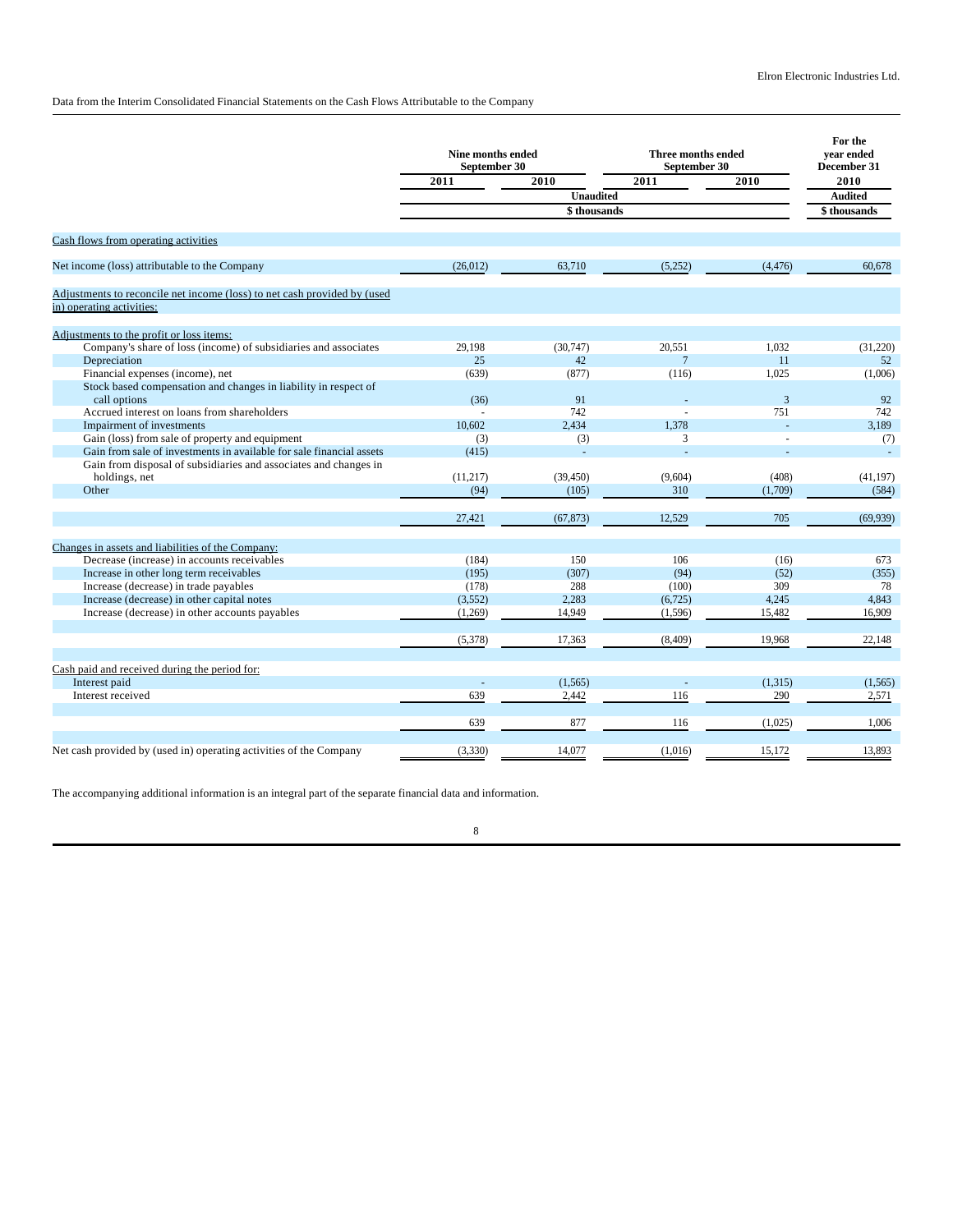Data from the Interim Consolidated Financial Statements on the Cash Flows Attributable to the Company

|                                                                                                                         | Nine months ended<br>Three months ended<br>September 30<br>September 30 |                     |                 | For the<br>vear ended<br>December 31 |                 |
|-------------------------------------------------------------------------------------------------------------------------|-------------------------------------------------------------------------|---------------------|-----------------|--------------------------------------|-----------------|
|                                                                                                                         | 2011                                                                    | 2010                | 2011            | 2010                                 | 2010            |
|                                                                                                                         |                                                                         | <b>Unaudited</b>    |                 |                                      | <b>Audited</b>  |
|                                                                                                                         |                                                                         | \$thousands         |                 |                                      | \$thousands     |
| Cash flows from operating activities                                                                                    |                                                                         |                     |                 |                                      |                 |
| Net income (loss) attributable to the Company                                                                           | (26, 012)                                                               | 63,710              | (5,252)         | (4, 476)                             | 60,678          |
| Adjustments to reconcile net income (loss) to net cash provided by (used                                                |                                                                         |                     |                 |                                      |                 |
| in) operating activities:                                                                                               |                                                                         |                     |                 |                                      |                 |
| Adjustments to the profit or loss items:                                                                                |                                                                         |                     |                 |                                      |                 |
| Company's share of loss (income) of subsidiaries and associates                                                         | 29,198                                                                  | (30,747)            | 20,551          | 1.032                                | (31,220)        |
| Depreciation                                                                                                            | 25                                                                      | 42                  | $7\phantom{.0}$ | 11                                   | 52              |
| Financial expenses (income), net                                                                                        | (639)                                                                   | (877)               | (116)           | 1.025                                | (1,006)         |
| Stock based compensation and changes in liability in respect of                                                         |                                                                         |                     |                 |                                      |                 |
| call options                                                                                                            | (36)                                                                    | 91                  |                 | $\overline{3}$                       | 92              |
| Accrued interest on loans from shareholders                                                                             |                                                                         | 742                 |                 | 751                                  | 742             |
| Impairment of investments                                                                                               | 10.602                                                                  | 2.434               | 1.378<br>3      | ÷.                                   | 3.189           |
| Gain (loss) from sale of property and equipment<br>Gain from sale of investments in available for sale financial assets | (3)<br>(415)                                                            | (3)<br>$\mathbf{r}$ | L.              | L,                                   | (7)<br>$\omega$ |
| Gain from disposal of subsidiaries and associates and changes in                                                        |                                                                         |                     |                 |                                      |                 |
| holdings, net                                                                                                           | (11,217)                                                                | (39, 450)           | (9,604)         | (408)                                | (41, 197)       |
| Other                                                                                                                   | (94)                                                                    | (105)               | 310             | (1,709)                              | (584)           |
|                                                                                                                         |                                                                         |                     |                 |                                      |                 |
|                                                                                                                         | 27,421                                                                  | (67, 873)           | 12,529          | 705                                  | (69, 939)       |
| Changes in assets and liabilities of the Company:                                                                       |                                                                         |                     |                 |                                      |                 |
| Decrease (increase) in accounts receivables                                                                             | (184)                                                                   | 150                 | 106             | (16)                                 | 673             |
| Increase in other long term receivables                                                                                 | (195)                                                                   | (307)               | (94)            | (52)                                 | (355)           |
| Increase (decrease) in trade payables                                                                                   | (178)                                                                   | 288                 | (100)           | 309                                  | 78              |
| Increase (decrease) in other capital notes                                                                              | (3,552)                                                                 | 2,283               | (6, 725)        | 4,245                                | 4,843           |
| Increase (decrease) in other accounts payables                                                                          | (1,269)                                                                 | 14,949              | (1,596)         | 15,482                               | 16,909          |
|                                                                                                                         | (5,378)                                                                 | 17,363              | (8, 409)        | 19,968                               | 22,148          |
| Cash paid and received during the period for:                                                                           |                                                                         |                     |                 |                                      |                 |
| Interest paid                                                                                                           |                                                                         | (1,565)             |                 | (1,315)                              | (1,565)         |
| Interest received                                                                                                       | 639                                                                     | 2,442               | 116             | 290                                  | 2,571           |
|                                                                                                                         | 639                                                                     | 877                 | 116             | (1,025)                              | 1,006           |
|                                                                                                                         |                                                                         |                     |                 |                                      |                 |
| Net cash provided by (used in) operating activities of the Company                                                      | (3, 330)                                                                | 14,077              | (1,016)         | 15,172                               | 13,893          |

The accompanying additional information is an integral part of the separate financial data and information.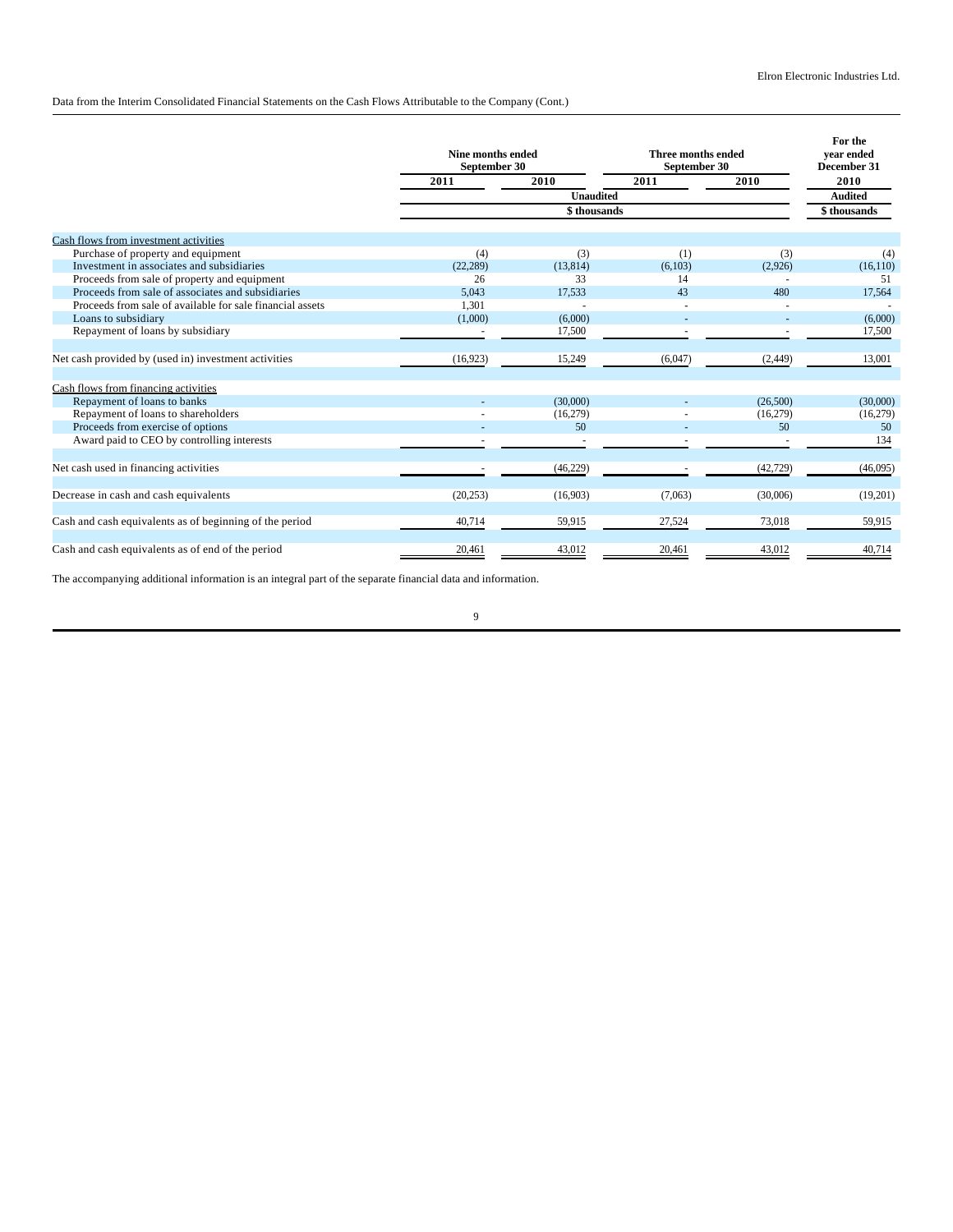Data from the Interim Consolidated Financial Statements on the Cash Flows Attributable to the Company (Cont.)

|                                                           | Nine months ended<br>September 30 |                  | Three months ended<br>September 30 |           | For the<br>vear ended<br>December 31 |
|-----------------------------------------------------------|-----------------------------------|------------------|------------------------------------|-----------|--------------------------------------|
|                                                           | 2011                              | 2010             | 2011                               | 2010      | 2010                                 |
|                                                           |                                   | <b>Unaudited</b> |                                    |           | <b>Audited</b>                       |
|                                                           |                                   | \$thousands      |                                    |           | \$thousands                          |
| Cash flows from investment activities                     |                                   |                  |                                    |           |                                      |
| Purchase of property and equipment                        | (4)                               | (3)              | (1)                                | (3)       | (4)                                  |
| Investment in associates and subsidiaries                 | (22, 289)                         | (13, 814)        | (6,103)                            | (2,926)   | (16, 110)                            |
| Proceeds from sale of property and equipment              | 26                                | 33               | 14                                 |           | 51                                   |
| Proceeds from sale of associates and subsidiaries         | 5,043                             | 17,533           | 43                                 | 480       | 17,564                               |
| Proceeds from sale of available for sale financial assets | 1.301                             |                  |                                    |           |                                      |
| Loans to subsidiary                                       | (1,000)                           | (6,000)          |                                    |           | (6,000)                              |
| Repayment of loans by subsidiary                          |                                   | 17,500           |                                    |           | 17,500                               |
| Net cash provided by (used in) investment activities      | (16, 923)                         | 15,249           | (6,047)                            | (2, 449)  | 13,001                               |
| Cash flows from financing activities                      |                                   |                  |                                    |           |                                      |
| Repayment of loans to banks                               |                                   | (30,000)         |                                    | (26,500)  | (30,000)                             |
| Repayment of loans to shareholders                        |                                   | (16,279)         |                                    | (16,279)  | (16,279)                             |
| Proceeds from exercise of options                         |                                   | 50               |                                    | 50        | 50                                   |
| Award paid to CEO by controlling interests                |                                   |                  |                                    |           | 134                                  |
| Net cash used in financing activities                     |                                   | (46, 229)        |                                    | (42, 729) | (46,095)                             |
| Decrease in cash and cash equivalents                     | (20, 253)                         | (16,903)         | (7,063)                            | (30,006)  | (19,201)                             |
| Cash and cash equivalents as of beginning of the period   | 40,714                            | 59,915           | 27,524                             | 73,018    | 59,915                               |
| Cash and cash equivalents as of end of the period         | 20,461                            | 43,012           | 20,461                             | 43,012    | 40,714                               |

The accompanying additional information is an integral part of the separate financial data and information.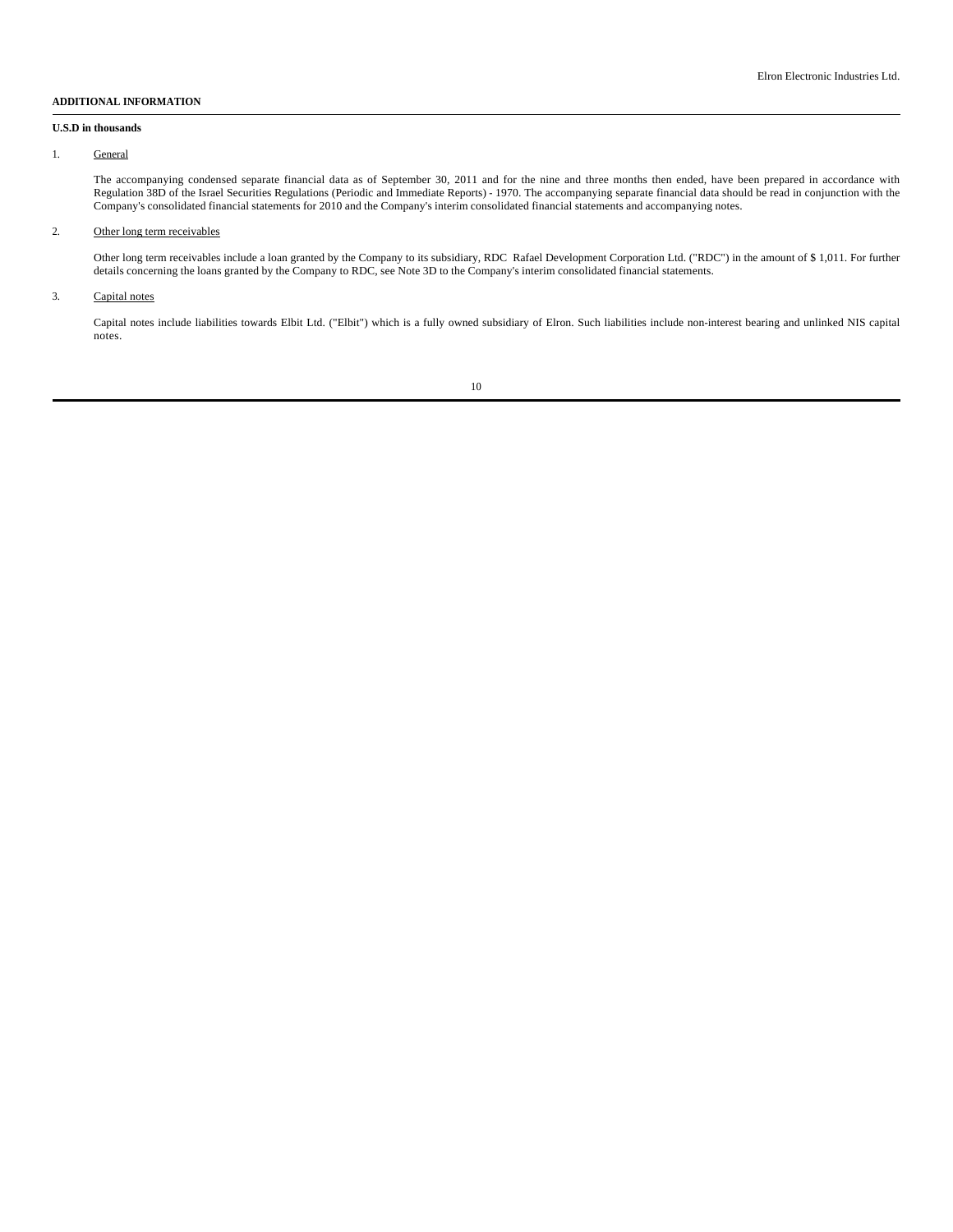## **ADDITIONAL INFORMATION**

## **U.S.D in thousands**

## 1. General

The accompanying condensed separate financial data as of September 30, 2011 and for the nine and three months then ended, have been prepared in accordance with Regulation 38D of the Israel Securities Regulations (Periodic and Immediate Reports) - 1970. The accompanying separate financial data should be read in conjunction with the Company's consolidated financial statements for 2010 and the Company's interim consolidated financial statements and accompanying notes.

# 2. Other long term receivables

Other long term receivables include a loan granted by the Company to its subsidiary, RDC Rafael Development Corporation Ltd. ("RDC") in the amount of \$ 1,011. For further details concerning the loans granted by the Company to RDC, see Note 3D to the Company's interim consolidated financial statements.

### 3. Capital notes

Capital notes include liabilities towards Elbit Ltd. ("Elbit") which is a fully owned subsidiary of Elron. Such liabilities include non-interest bearing and unlinked NIS capital notes.

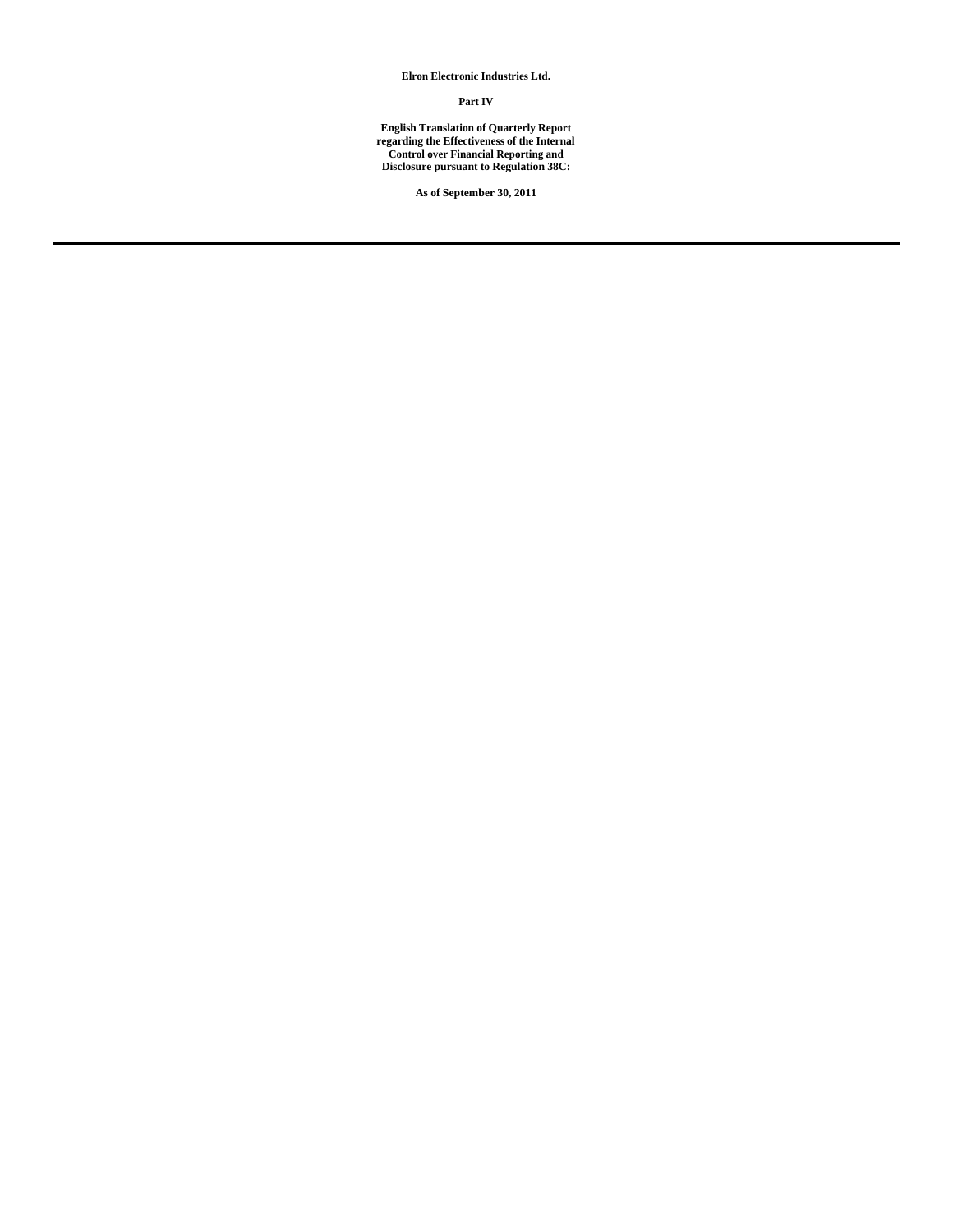**Elron Electronic Industries Ltd.**

## **Part IV**

**English Translation of Quarterly Report regarding the Effectiveness of the Internal Control over Financial Reporting and Disclosure pursuant to Regulation 38C:**

**As of September 30, 2011**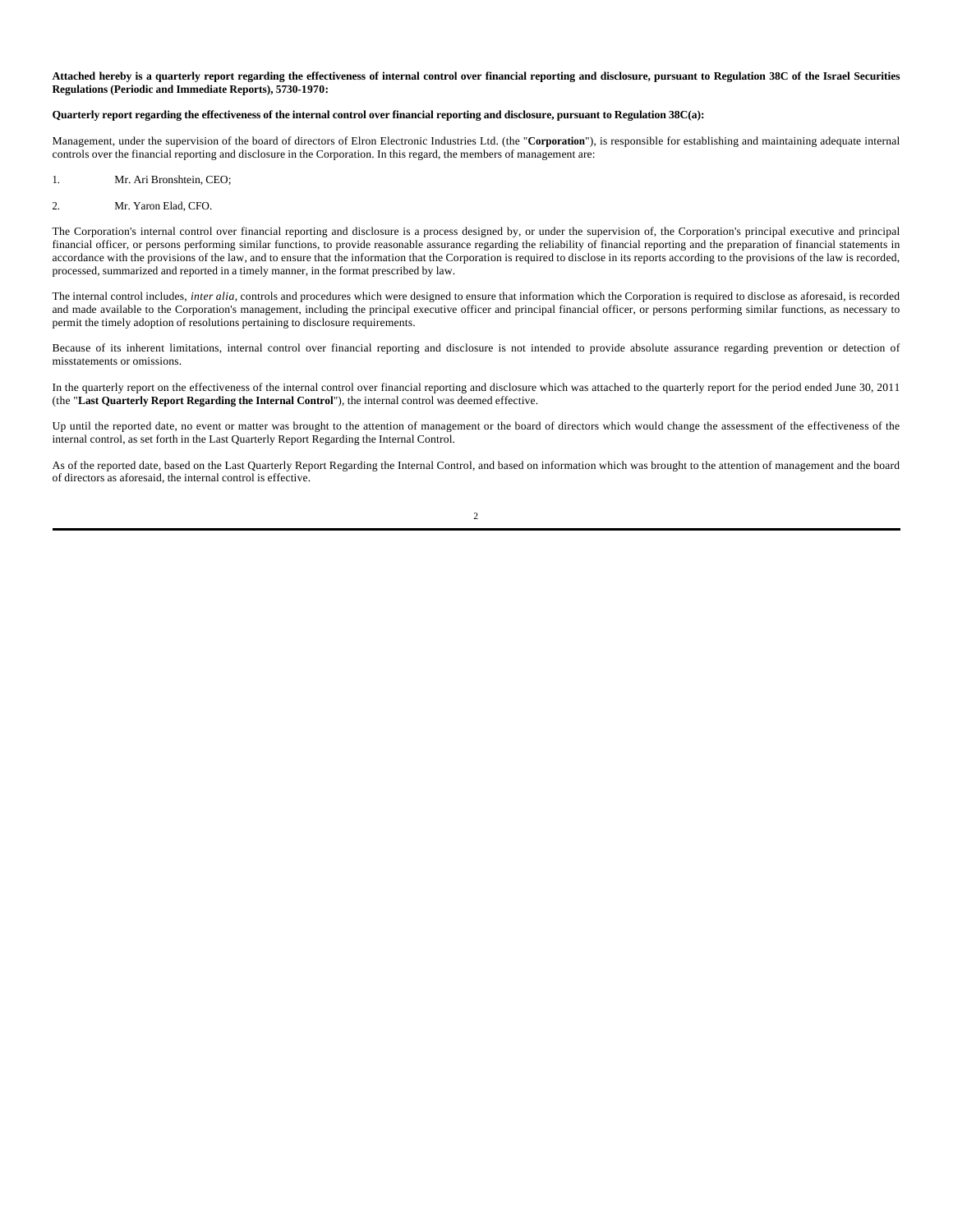**Attached hereby is a quarterly report regarding the effectiveness of internal control over financial reporting and disclosure, pursuant to Regulation 38C of the Israel Securities Regulations (Periodic and Immediate Reports), 5730-1970:**

#### **Quarterly report regarding the effectiveness of the internal control over financial reporting and disclosure, pursuant to Regulation 38C(a):**

Management, under the supervision of the board of directors of Elron Electronic Industries Ltd. (the "**Corporation**"), is responsible for establishing and maintaining adequate internal controls over the financial reporting and disclosure in the Corporation. In this regard, the members of management are:

1. Mr. Ari Bronshtein, CEO;

#### 2. Mr. Yaron Elad, CFO.

The Corporation's internal control over financial reporting and disclosure is a process designed by, or under the supervision of, the Corporation's principal executive and principal financial officer, or persons performing similar functions, to provide reasonable assurance regarding the reliability of financial reporting and the preparation of financial statements in accordance with the provisions of the law, and to ensure that the information that the Corporation is required to disclose in its reports according to the provisions of the law is recorded, processed, summarized and reported in a timely manner, in the format prescribed by law.

The internal control includes, *inter alia*, controls and procedures which were designed to ensure that information which the Corporation is required to disclose as aforesaid, is recorded and made available to the Corporation's management, including the principal executive officer and principal financial officer, or persons performing similar functions, as necessary to permit the timely adoption of resolutions pertaining to disclosure requirements.

Because of its inherent limitations, internal control over financial reporting and disclosure is not intended to provide absolute assurance regarding prevention or detection of misstatements or omissions.

In the quarterly report on the effectiveness of the internal control over financial reporting and disclosure which was attached to the quarterly report for the period ended June 30, 2011 (the "**Last Quarterly Report Regarding the Internal Control**"), the internal control was deemed effective.

Up until the reported date, no event or matter was brought to the attention of management or the board of directors which would change the assessment of the effectiveness of the internal control, as set forth in the Last Quarterly Report Regarding the Internal Control.

As of the reported date, based on the Last Quarterly Report Regarding the Internal Control, and based on information which was brought to the attention of management and the board of directors as aforesaid, the internal control is effective.

 $\overline{2}$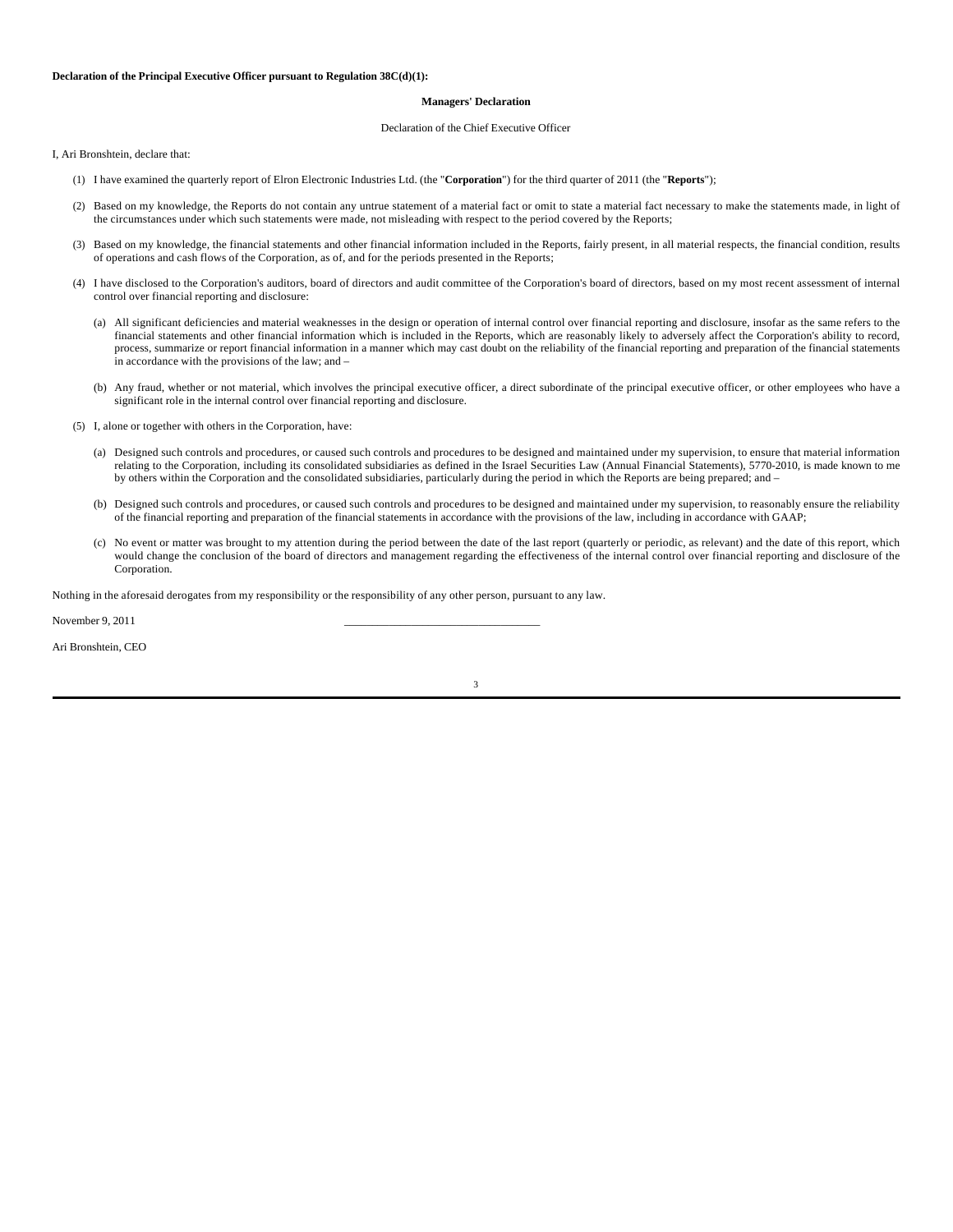### **Managers' Declaration**

#### Declaration of the Chief Executive Officer

I, Ari Bronshtein, declare that:

- (1) I have examined the quarterly report of Elron Electronic Industries Ltd. (the "**Corporation**") for the third quarter of 2011 (the "**Reports**");
- (2) Based on my knowledge, the Reports do not contain any untrue statement of a material fact or omit to state a material fact necessary to make the statements made, in light of the circumstances under which such statements were made, not misleading with respect to the period covered by the Reports;
- (3) Based on my knowledge, the financial statements and other financial information included in the Reports, fairly present, in all material respects, the financial condition, results of operations and cash flows of the Corporation, as of, and for the periods presented in the Reports;
- (4) I have disclosed to the Corporation's auditors, board of directors and audit committee of the Corporation's board of directors, based on my most recent assessment of internal control over financial reporting and disclosure:
	- (a) All significant deficiencies and material weaknesses in the design or operation of internal control over financial reporting and disclosure, insofar as the same refers to the financial statements and other financial information which is included in the Reports, which are reasonably likely to adversely affect the Corporation's ability to record, process, summarize or report financial information in a manner which may cast doubt on the reliability of the financial reporting and preparation of the financial statements in accordance with the provisions of the law; and –
	- (b) Any fraud, whether or not material, which involves the principal executive officer, a direct subordinate of the principal executive officer, or other employees who have a significant role in the internal control over financial reporting and disclosure.
- (5) I, alone or together with others in the Corporation, have:
	- (a) Designed such controls and procedures, or caused such controls and procedures to be designed and maintained under my supervision, to ensure that material information relating to the Corporation, including its consolidated subsidiaries as defined in the Israel Securities Law (Annual Financial Statements), 5770-2010, is made known to me by others within the Corporation and the consolidated subsidiaries, particularly during the period in which the Reports are being prepared; and –
	- (b) Designed such controls and procedures, or caused such controls and procedures to be designed and maintained under my supervision, to reasonably ensure the reliability of the financial reporting and preparation of the financial statements in accordance with the provisions of the law, including in accordance with GAAP;
	- (c) No event or matter was brought to my attention during the period between the date of the last report (quarterly or periodic, as relevant) and the date of this report, which would change the conclusion of the board of directors and management regarding the effectiveness of the internal control over financial reporting and disclosure of the Corporation.

Nothing in the aforesaid derogates from my responsibility or the responsibility of any other person, pursuant to any law.

November 9, 2011

Ari Bronshtein, CEO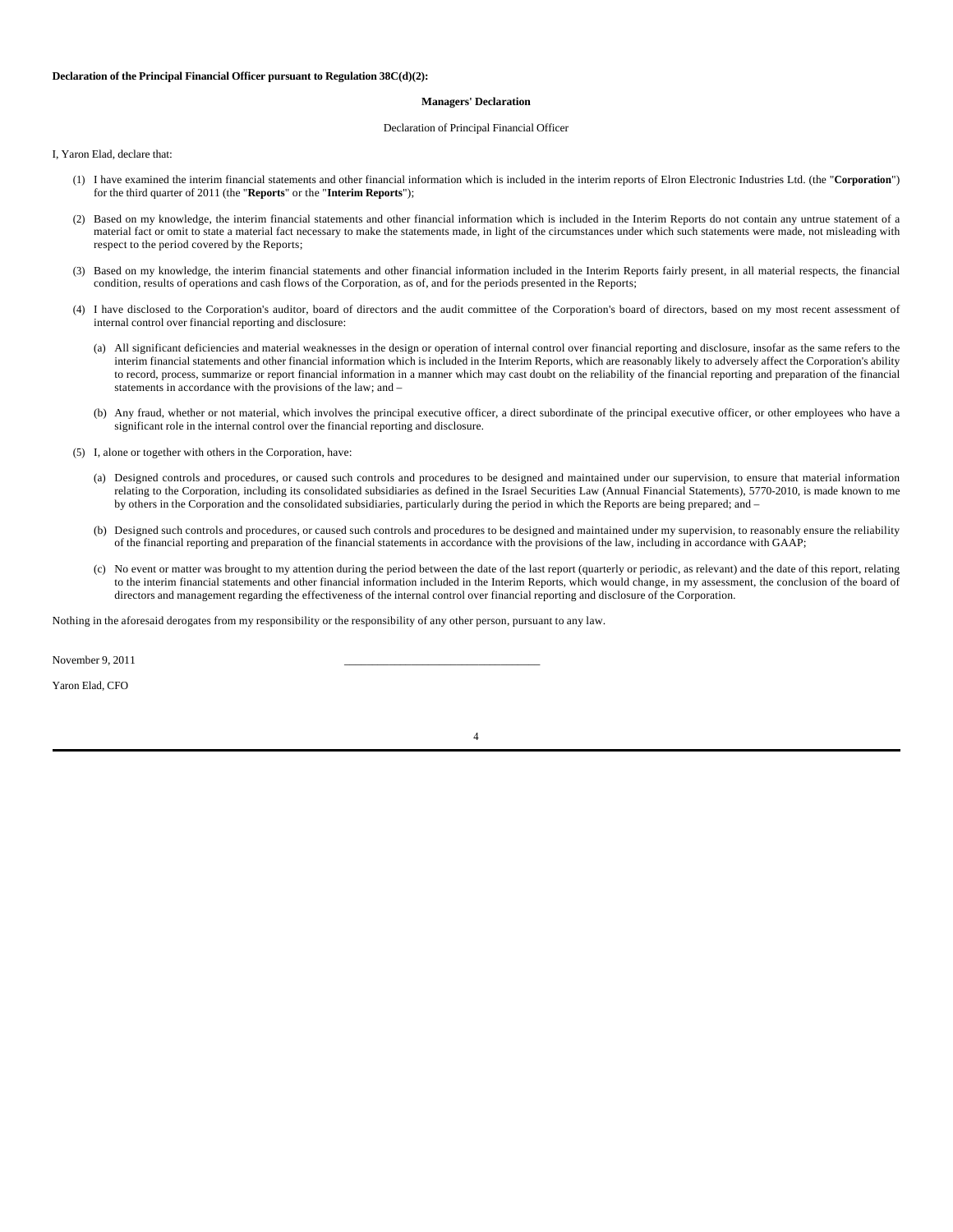#### **Managers' Declaration**

#### Declaration of Principal Financial Officer

I, Yaron Elad, declare that:

- (1) I have examined the interim financial statements and other financial information which is included in the interim reports of Elron Electronic Industries Ltd. (the "**Corporation**") for the third quarter of 2011 (the "**Reports**" or the "**Interim Reports**");
- (2) Based on my knowledge, the interim financial statements and other financial information which is included in the Interim Reports do not contain any untrue statement of a material fact or omit to state a material fact necessary to make the statements made, in light of the circumstances under which such statements were made, not misleading with respect to the period covered by the Reports;
- (3) Based on my knowledge, the interim financial statements and other financial information included in the Interim Reports fairly present, in all material respects, the financial condition, results of operations and cash flows of the Corporation, as of, and for the periods presented in the Reports;
- (4) I have disclosed to the Corporation's auditor, board of directors and the audit committee of the Corporation's board of directors, based on my most recent assessment of internal control over financial reporting and disclosure:
	- (a) All significant deficiencies and material weaknesses in the design or operation of internal control over financial reporting and disclosure, insofar as the same refers to the interim financial statements and other financial information which is included in the Interim Reports, which are reasonably likely to adversely affect the Corporation's ability to record, process, summarize or report financial information in a manner which may cast doubt on the reliability of the financial reporting and preparation of the financial statements in accordance with the provisions of the law; and –
	- (b) Any fraud, whether or not material, which involves the principal executive officer, a direct subordinate of the principal executive officer, or other employees who have a significant role in the internal control over the financial reporting and disclosure.
- (5) I, alone or together with others in the Corporation, have:
	- (a) Designed controls and procedures, or caused such controls and procedures to be designed and maintained under our supervision, to ensure that material information relating to the Corporation, including its consolidated subsidiaries as defined in the Israel Securities Law (Annual Financial Statements), 5770-2010, is made known to me by others in the Corporation and the consolidated subsidiaries, particularly during the period in which the Reports are being prepared; and –
	- (b) Designed such controls and procedures, or caused such controls and procedures to be designed and maintained under my supervision, to reasonably ensure the reliability of the financial reporting and preparation of the financial statements in accordance with the provisions of the law, including in accordance with GAAP;
	- (c) No event or matter was brought to my attention during the period between the date of the last report (quarterly or periodic, as relevant) and the date of this report, relating to the interim financial statements and other financial information included in the Interim Reports, which would change, in my assessment, the conclusion of the board of directors and management regarding the effectiveness of the internal control over financial reporting and disclosure of the Corporation.

Nothing in the aforesaid derogates from my responsibility or the responsibility of any other person, pursuant to any law.

November 9, 2011

Yaron Elad, CFO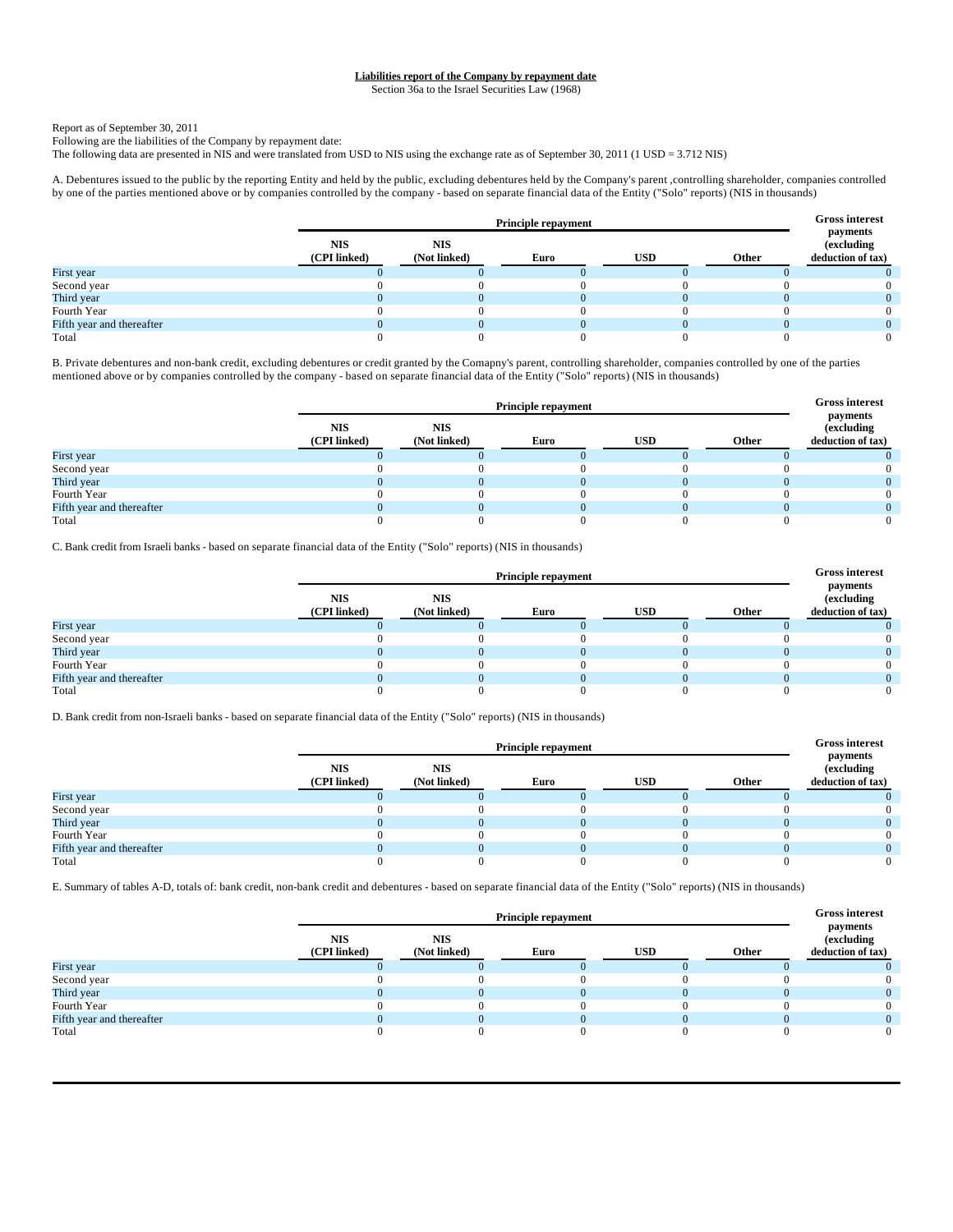# **Liabilities report of the Company by repayment date**

Section 36a to the Israel Securities Law (1968)

### Report as of September 30, 2011

Following are the liabilities of the Company by repayment date:

The following data are presented in NIS and were translated from USD to NIS using the exchange rate as of September 30, 2011 (1 USD = 3.712 NIS)

A. Debentures issued to the public by the reporting Entity and held by the public, excluding debentures held by the Company's parent ,controlling shareholder, companies controlled by one of the parties mentioned above or by companies controlled by the company - based on separate financial data of the Entity ("Solo" reports) (NIS in thousands)

|                           |                            | <b>Principle repayment</b> |      |            |       |                                                     |
|---------------------------|----------------------------|----------------------------|------|------------|-------|-----------------------------------------------------|
|                           | <b>NIS</b><br>(CPI linked) | <b>NIS</b><br>(Not linked) | Euro | USD        | Other | payments<br><i>(excluding)</i><br>deduction of tax) |
| First year                |                            |                            |      |            |       |                                                     |
| Second year               |                            |                            |      |            |       |                                                     |
| Third year                |                            |                            |      | $^{\circ}$ |       |                                                     |
| Fourth Year               |                            |                            |      |            |       |                                                     |
| Fifth year and thereafter |                            |                            |      |            |       |                                                     |
| Total                     |                            |                            |      |            |       |                                                     |

B. Private debentures and non-bank credit, excluding debentures or credit granted by the Comapny's parent, controlling shareholder, companies controlled by one of the parties mentioned above or by companies controlled by the company - based on separate financial data of the Entity ("Solo" reports) (NIS in thousands)

|                           |                            | <b>Principle repayment</b> |      |            |       |                                                     |
|---------------------------|----------------------------|----------------------------|------|------------|-------|-----------------------------------------------------|
|                           | <b>NIS</b><br>(CPI linked) | <b>NIS</b><br>(Not linked) | Euro | <b>USD</b> | Other | payments<br><i>(excluding)</i><br>deduction of tax) |
| First year                |                            |                            |      |            |       |                                                     |
| Second year               |                            |                            |      |            |       |                                                     |
| Third year                |                            |                            |      |            |       |                                                     |
| Fourth Year               |                            |                            |      |            |       |                                                     |
| Fifth year and thereafter |                            |                            |      |            |       |                                                     |
| Total                     |                            |                            |      |            |       | $\Omega$                                            |

C. Bank credit from Israeli banks - based on separate financial data of the Entity ("Solo" reports) (NIS in thousands)

|                           |                            | <b>Principle repayment</b> |      |            |       |                                                     |
|---------------------------|----------------------------|----------------------------|------|------------|-------|-----------------------------------------------------|
|                           | <b>NIS</b><br>(CPI linked) | <b>NIS</b><br>(Not linked) | Euro | <b>USD</b> | Other | payments<br><i>(excluding)</i><br>deduction of tax) |
| First year                |                            |                            |      |            |       |                                                     |
| Second year               |                            |                            |      |            |       |                                                     |
| Third year                |                            |                            |      |            |       |                                                     |
| Fourth Year               |                            |                            |      |            |       |                                                     |
| Fifth year and thereafter |                            |                            |      |            |       |                                                     |
| Total                     |                            |                            |      |            |       |                                                     |

D. Bank credit from non-Israeli banks - based on separate financial data of the Entity ("Solo" reports) (NIS in thousands)

|                           |                            | <b>Principle repayment</b> |      |            |       |                                                     |
|---------------------------|----------------------------|----------------------------|------|------------|-------|-----------------------------------------------------|
|                           | <b>NIS</b><br>(CPI linked) | <b>NIS</b><br>(Not linked) | Euro | <b>USD</b> | Other | payments<br><i>(excluding)</i><br>deduction of tax) |
| First year                |                            |                            |      |            |       |                                                     |
| Second year               |                            |                            |      |            |       |                                                     |
| Third year                |                            |                            |      |            |       |                                                     |
| Fourth Year               |                            |                            |      |            |       |                                                     |
| Fifth year and thereafter |                            |                            |      |            |       |                                                     |
| Total                     |                            |                            |      |            |       |                                                     |

E. Summary of tables A-D, totals of: bank credit, non-bank credit and debentures - based on separate financial data of the Entity ("Solo" reports) (NIS in thousands)

|                           |                            | <b>Principle repayment</b> |      |            |       |                                                     |
|---------------------------|----------------------------|----------------------------|------|------------|-------|-----------------------------------------------------|
|                           | <b>NIS</b><br>(CPI linked) | <b>NIS</b><br>(Not linked) | Euro | <b>USD</b> | Other | payments<br><i>(excluding)</i><br>deduction of tax) |
| First year                |                            |                            |      |            |       |                                                     |
| Second year               |                            |                            |      |            |       | $^{\circ}$                                          |
| Third year                |                            |                            |      |            |       |                                                     |
| Fourth Year               |                            |                            |      |            |       | $^{(1)}$                                            |
| Fifth year and thereafter |                            |                            |      |            |       |                                                     |
| Total                     |                            |                            |      |            |       | $\Omega$                                            |